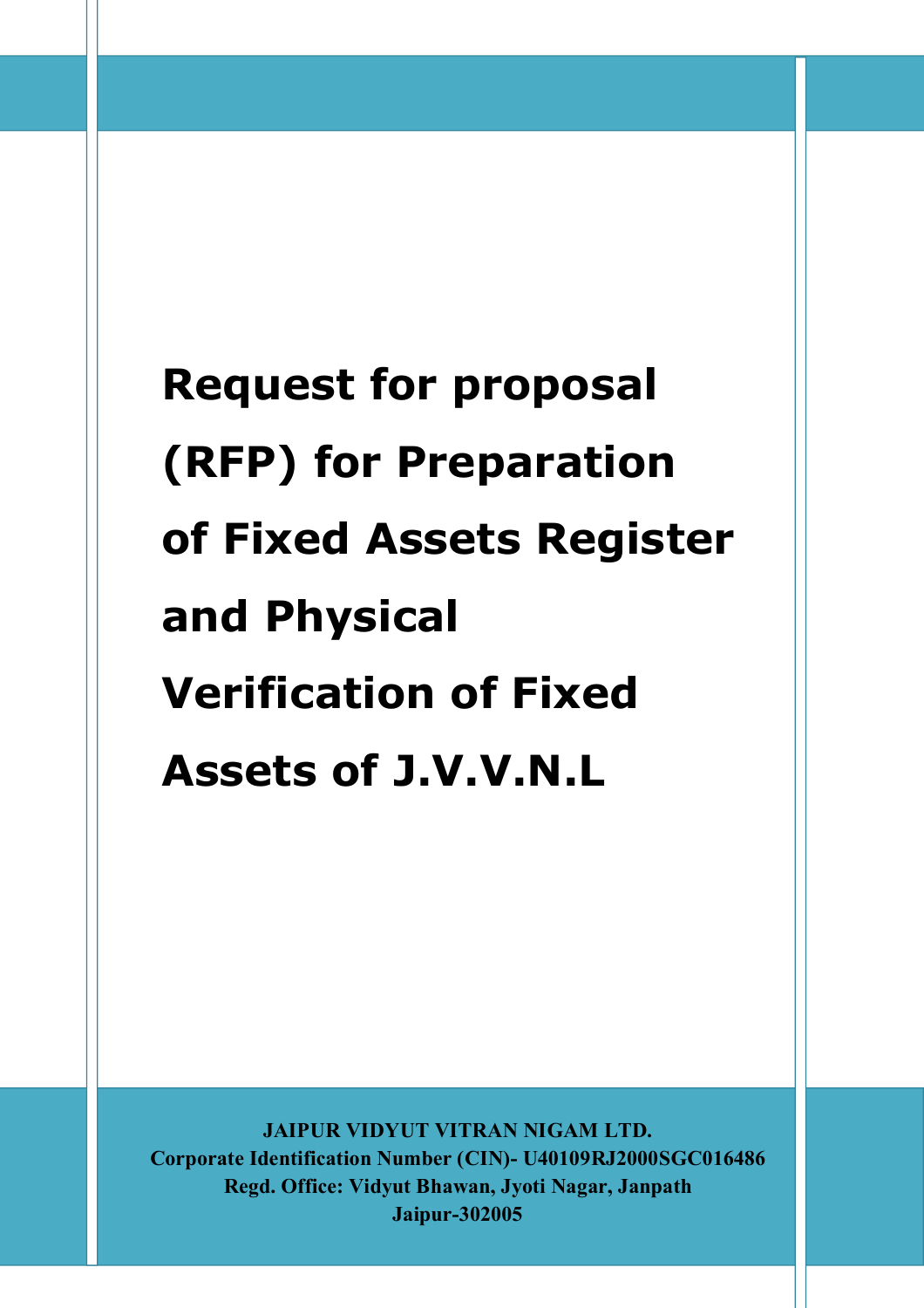**JAIPUR VIDYUT VITRAN NIGAM LTD. Corporate Identification Number (CIN)- U40109RJ2000SGC016486 Regd. Office: Vidyut Bhawan, Jyoti Nagar, Janpath Jaipur-302005**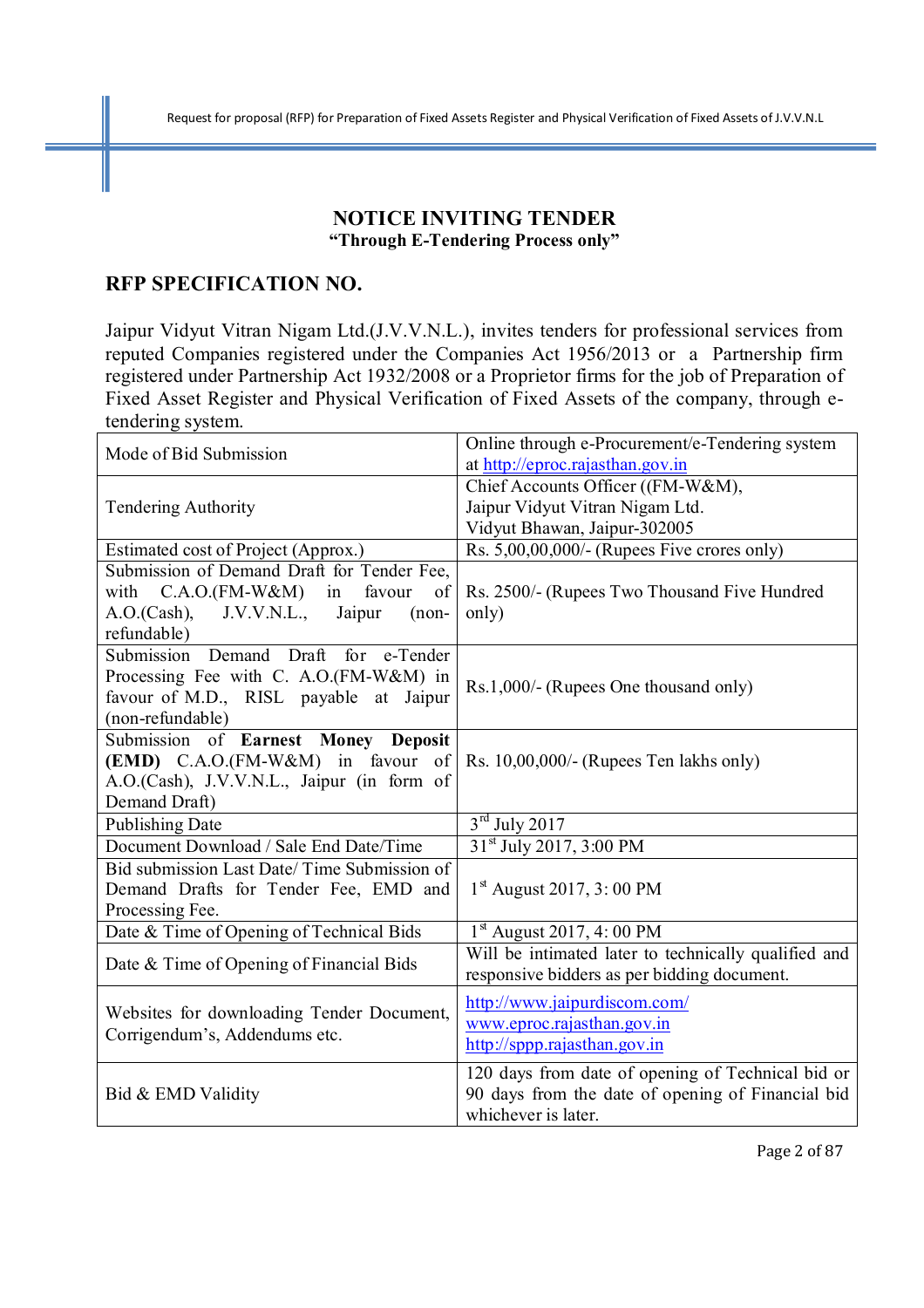## **NOTICE INVITING TENDER "Through E-Tendering Process only"**

## **RFP SPECIFICATION NO.**

Jaipur Vidyut Vitran Nigam Ltd.(J.V.V.N.L.), invites tenders for professional services from reputed Companies registered under the Companies Act 1956/2013 or a Partnership firm registered under Partnership Act 1932/2008 or a Proprietor firms for the job of Preparation of Fixed Asset Register and Physical Verification of Fixed Assets of the company, through etendering system.

| Mode of Bid Submission                      | Online through e-Procurement/e-Tendering system<br>at http://eproc.rajasthan.gov.in                    |  |
|---------------------------------------------|--------------------------------------------------------------------------------------------------------|--|
|                                             | Chief Accounts Officer ((FM-W&M),                                                                      |  |
| <b>Tendering Authority</b>                  | Jaipur Vidyut Vitran Nigam Ltd.                                                                        |  |
|                                             | Vidyut Bhawan, Jaipur-302005                                                                           |  |
| Estimated cost of Project (Approx.)         | Rs. 5,00,00,000/- (Rupees Five crores only)                                                            |  |
| Submission of Demand Draft for Tender Fee,  |                                                                                                        |  |
| with $C.A.O.(FM-W&M)$<br>in favour<br>of    | Rs. 2500/- (Rupees Two Thousand Five Hundred                                                           |  |
| A.O.(Cash), J.V.V.N.L., Jaipur<br>$(non-$   | only)                                                                                                  |  |
| refundable)                                 |                                                                                                        |  |
| Draft for e-Tender<br>Submission Demand     |                                                                                                        |  |
| Processing Fee with C. A.O.(FM-W&M) in      | Rs.1,000/- (Rupees One thousand only)                                                                  |  |
| favour of M.D., RISL payable at Jaipur      |                                                                                                        |  |
| (non-refundable)                            |                                                                                                        |  |
| Submission of Earnest Money Deposit         |                                                                                                        |  |
| (EMD) C.A.O.(FM-W&M) in favour of           | Rs. $10,00,000/$ - (Rupees Ten lakhs only)                                                             |  |
| A.O.(Cash), J.V.V.N.L., Jaipur (in form of  |                                                                                                        |  |
| Demand Draft)                               |                                                                                                        |  |
| <b>Publishing Date</b>                      | $3rd$ July 2017                                                                                        |  |
| Document Download / Sale End Date/Time      | 31 <sup>st</sup> July 2017, 3:00 PM                                                                    |  |
| Bid submission Last Date/Time Submission of |                                                                                                        |  |
| Demand Drafts for Tender Fee, EMD and       | $1st$ August 2017, 3:00 PM                                                                             |  |
| Processing Fee.                             |                                                                                                        |  |
| Date & Time of Opening of Technical Bids    | $1st$ August 2017, 4:00 PM                                                                             |  |
| Date & Time of Opening of Financial Bids    | Will be intimated later to technically qualified and                                                   |  |
|                                             | responsive bidders as per bidding document.                                                            |  |
|                                             | http://www.jaipurdiscom.com/                                                                           |  |
| Websites for downloading Tender Document,   | www.eproc.rajasthan.gov.in                                                                             |  |
| Corrigendum's, Addendums etc.               | http://sppp.rajasthan.gov.in                                                                           |  |
|                                             |                                                                                                        |  |
|                                             | 120 days from date of opening of Technical bid or<br>90 days from the date of opening of Financial bid |  |
| Bid & EMD Validity                          | whichever is later.                                                                                    |  |
|                                             |                                                                                                        |  |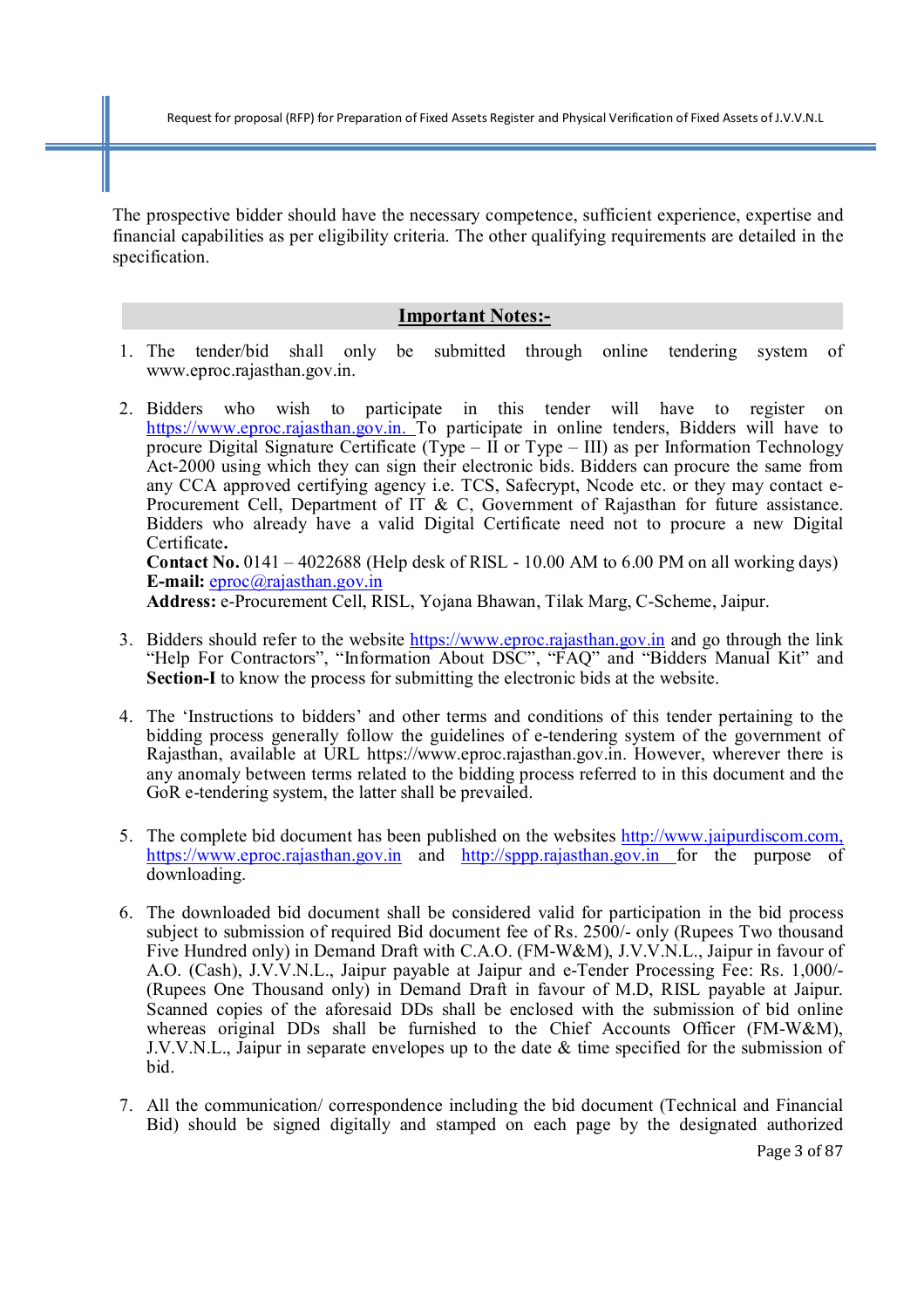The prospective bidder should have the necessary competence, sufficient experience, expertise and financial capabilities as per eligibility criteria. The other qualifying requirements are detailed in the specification.

#### **Important Notes:-**

- 1. The tender/bid shall only be submitted through online tendering system of www.eproc.rajasthan.gov.in.
- 2. Bidders who wish to participate in this tender will have to register on https://www.eproc.rajasthan.gov.in. To participate in online tenders, Bidders will have to procure Digital Signature Certificate (Type – II or Type – III) as per Information Technology Act-2000 using which they can sign their electronic bids. Bidders can procure the same from any CCA approved certifying agency i.e. TCS, Safecrypt, Ncode etc. or they may contact e-Procurement Cell, Department of IT & C, Government of Rajasthan for future assistance. Bidders who already have a valid Digital Certificate need not to procure a new Digital Certificate**. Contact No.** 0141 – 4022688 (Help desk of RISL - 10.00 AM to 6.00 PM on all working days) **E-mail:** eproc@rajasthan.gov.in

**Address:** e-Procurement Cell, RISL, Yojana Bhawan, Tilak Marg, C-Scheme, Jaipur.

- 3. Bidders should refer to the website https://www.eproc.rajasthan.gov.in and go through the link "Help For Contractors", "Information About DSC", "FAQ" and "Bidders Manual Kit" and **Section-I** to know the process for submitting the electronic bids at the website.
- 4. The 'Instructions to bidders' and other terms and conditions of this tender pertaining to the bidding process generally follow the guidelines of e-tendering system of the government of Rajasthan, available at URL https://www.eproc.rajasthan.gov.in. However, wherever there is any anomaly between terms related to the bidding process referred to in this document and the GoR e-tendering system, the latter shall be prevailed.
- 5. The complete bid document has been published on the websites http://www.jaipurdiscom.com, https://www.eproc.rajasthan.gov.in and http://sppp.rajasthan.gov.in for the purpose of downloading.
- 6. The downloaded bid document shall be considered valid for participation in the bid process subject to submission of required Bid document fee of Rs. 2500/- only (Rupees Two thousand Five Hundred only) in Demand Draft with C.A.O. (FM-W&M), J.V.V.N.L., Jaipur in favour of A.O. (Cash), J.V.V.N.L., Jaipur payable at Jaipur and e-Tender Processing Fee: Rs. 1,000/- (Rupees One Thousand only) in Demand Draft in favour of M.D, RISL payable at Jaipur. Scanned copies of the aforesaid DDs shall be enclosed with the submission of bid online whereas original DDs shall be furnished to the Chief Accounts Officer (FM-W&M), J.V.V.N.L., Jaipur in separate envelopes up to the date  $\&$  time specified for the submission of bid.
- 7. All the communication/ correspondence including the bid document (Technical and Financial Bid) should be signed digitally and stamped on each page by the designated authorized

Page 3 of 87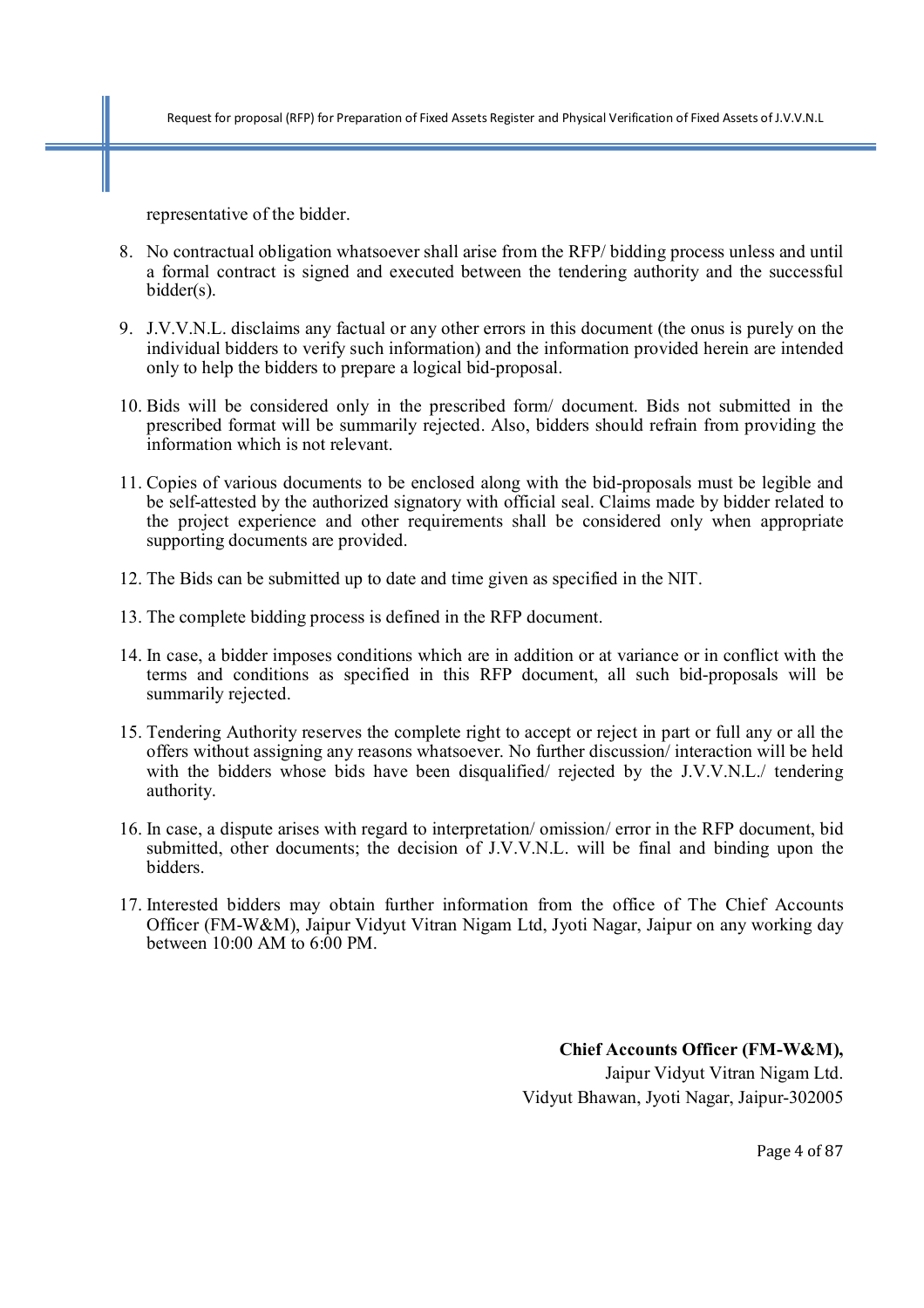representative of the bidder.

- 8. No contractual obligation whatsoever shall arise from the RFP/ bidding process unless and until a formal contract is signed and executed between the tendering authority and the successful bidder(s).
- 9. J.V.V.N.L. disclaims any factual or any other errors in this document (the onus is purely on the individual bidders to verify such information) and the information provided herein are intended only to help the bidders to prepare a logical bid-proposal.
- 10. Bids will be considered only in the prescribed form/ document. Bids not submitted in the prescribed format will be summarily rejected. Also, bidders should refrain from providing the information which is not relevant.
- 11. Copies of various documents to be enclosed along with the bid-proposals must be legible and be self-attested by the authorized signatory with official seal. Claims made by bidder related to the project experience and other requirements shall be considered only when appropriate supporting documents are provided.
- 12. The Bids can be submitted up to date and time given as specified in the NIT.
- 13. The complete bidding process is defined in the RFP document.
- 14. In case, a bidder imposes conditions which are in addition or at variance or in conflict with the terms and conditions as specified in this RFP document, all such bid-proposals will be summarily rejected.
- 15. Tendering Authority reserves the complete right to accept or reject in part or full any or all the offers without assigning any reasons whatsoever. No further discussion/ interaction will be held with the bidders whose bids have been disqualified/ rejected by the J.V.V.N.L./ tendering authority.
- 16. In case, a dispute arises with regard to interpretation/ omission/ error in the RFP document, bid submitted, other documents; the decision of J.V.V.N.L. will be final and binding upon the bidders.
- 17. Interested bidders may obtain further information from the office of The Chief Accounts Officer (FM-W&M), Jaipur Vidyut Vitran Nigam Ltd, Jyoti Nagar, Jaipur on any working day between 10:00 AM to 6:00 PM.

**Chief Accounts Officer (FM-W&M),**  Jaipur Vidyut Vitran Nigam Ltd. Vidyut Bhawan, Jyoti Nagar, Jaipur-302005

Page 4 of 87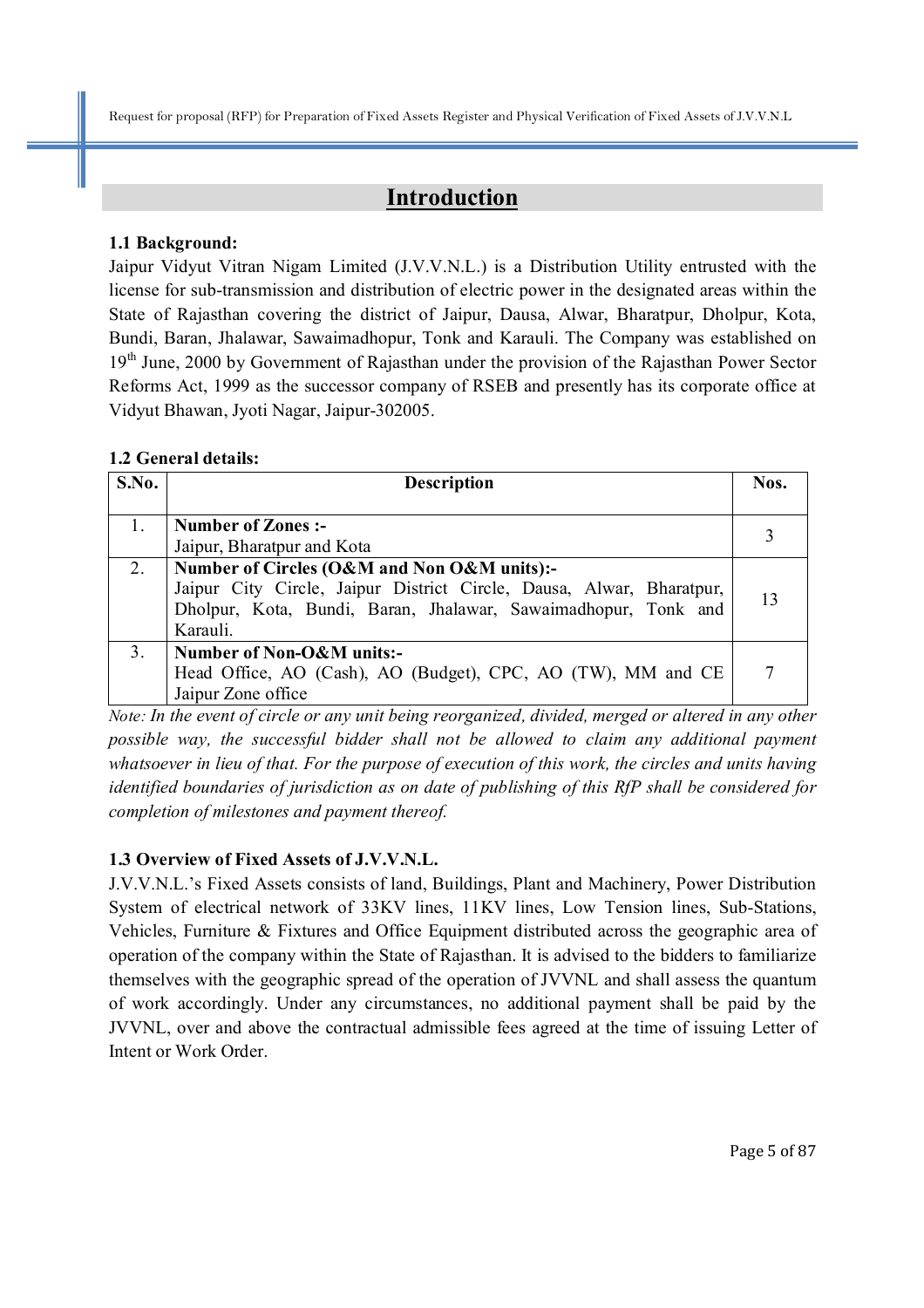## **Introduction**

#### **1.1 Background:**

Jaipur Vidyut Vitran Nigam Limited (J.V.V.N.L.) is a Distribution Utility entrusted with the license for sub-transmission and distribution of electric power in the designated areas within the State of Rajasthan covering the district of Jaipur, Dausa, Alwar, Bharatpur, Dholpur, Kota, Bundi, Baran, Jhalawar, Sawaimadhopur, Tonk and Karauli. The Company was established on 19<sup>th</sup> June, 2000 by Government of Rajasthan under the provision of the Rajasthan Power Sector Reforms Act, 1999 as the successor company of RSEB and presently has its corporate office at Vidyut Bhawan, Jyoti Nagar, Jaipur-302005.

#### **1.2 General details:**

| S.No. | <b>Description</b>                                                   |    |
|-------|----------------------------------------------------------------------|----|
|       |                                                                      |    |
|       | <b>Number of Zones:-</b>                                             |    |
|       | Jaipur, Bharatpur and Kota                                           |    |
| 2.    | Number of Circles (O&M and Non O&M units):-                          |    |
|       | Jaipur City Circle, Jaipur District Circle, Dausa, Alwar, Bharatpur, | 13 |
|       | Dholpur, Kota, Bundi, Baran, Jhalawar, Sawaimadhopur, Tonk and       |    |
|       | Karauli.                                                             |    |
| 3.    | Number of Non-O&M units:-                                            |    |
|       | Head Office, AO (Cash), AO (Budget), CPC, AO (TW), MM and CE         |    |
|       | Jaipur Zone office                                                   |    |

*Note: In the event of circle or any unit being reorganized, divided, merged or altered in any other possible way, the successful bidder shall not be allowed to claim any additional payment whatsoever in lieu of that. For the purpose of execution of this work, the circles and units having identified boundaries of jurisdiction as on date of publishing of this RfP shall be considered for completion of milestones and payment thereof.*

## **1.3 Overview of Fixed Assets of J.V.V.N.L.**

J.V.V.N.L.'s Fixed Assets consists of land, Buildings, Plant and Machinery, Power Distribution System of electrical network of 33KV lines, 11KV lines, Low Tension lines, Sub-Stations, Vehicles, Furniture & Fixtures and Office Equipment distributed across the geographic area of operation of the company within the State of Rajasthan. It is advised to the bidders to familiarize themselves with the geographic spread of the operation of JVVNL and shall assess the quantum of work accordingly. Under any circumstances, no additional payment shall be paid by the JVVNL, over and above the contractual admissible fees agreed at the time of issuing Letter of Intent or Work Order.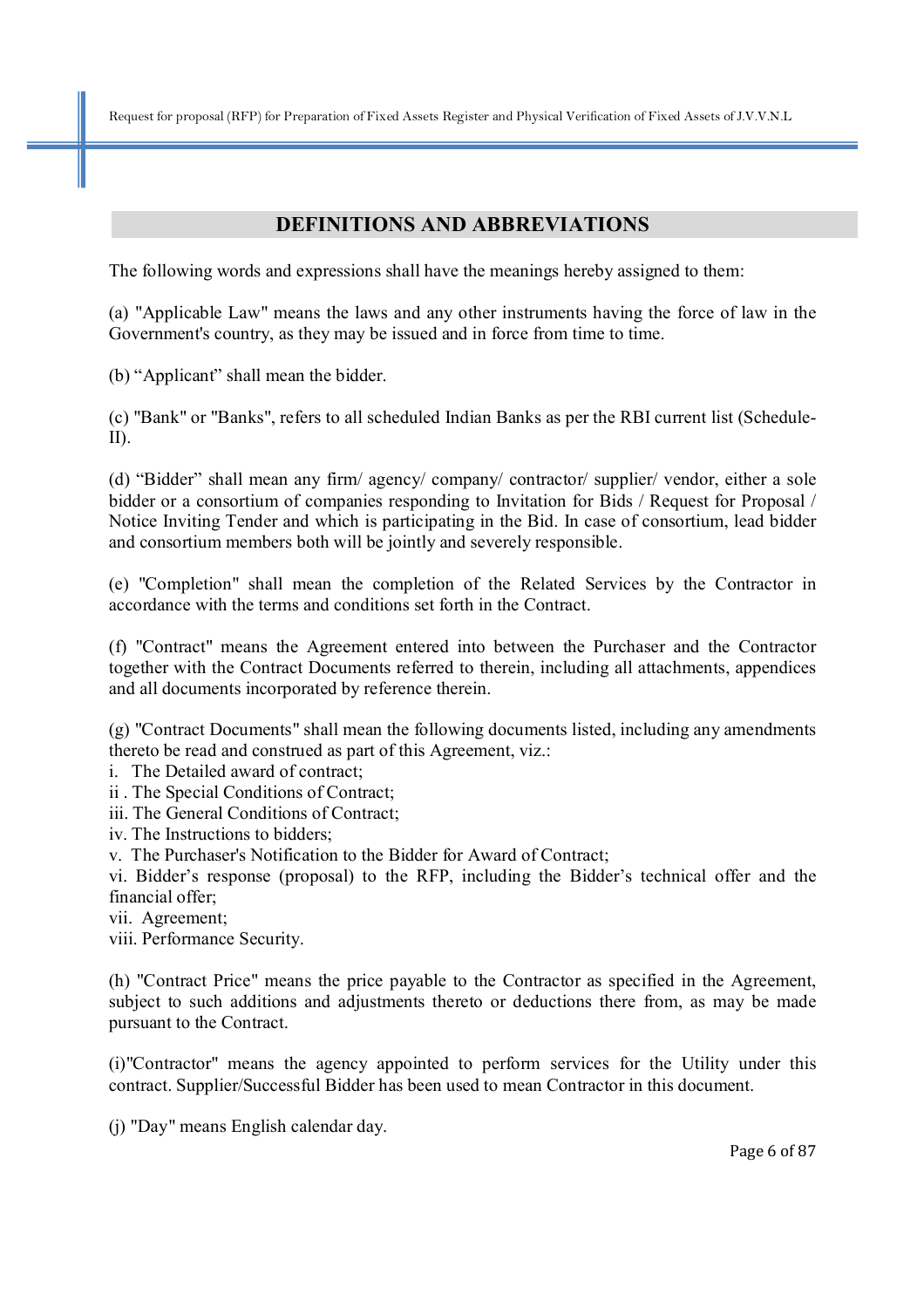## **DEFINITIONS AND ABBREVIATIONS**

The following words and expressions shall have the meanings hereby assigned to them:

(a) "Applicable Law" means the laws and any other instruments having the force of law in the Government's country, as they may be issued and in force from time to time.

(b) "Applicant" shall mean the bidder.

(c) "Bank" or "Banks", refers to all scheduled Indian Banks as per the RBI current list (Schedule-II).

(d) "Bidder" shall mean any firm/ agency/ company/ contractor/ supplier/ vendor, either a sole bidder or a consortium of companies responding to Invitation for Bids / Request for Proposal / Notice Inviting Tender and which is participating in the Bid. In case of consortium, lead bidder and consortium members both will be jointly and severely responsible.

(e) "Completion" shall mean the completion of the Related Services by the Contractor in accordance with the terms and conditions set forth in the Contract.

(f) "Contract" means the Agreement entered into between the Purchaser and the Contractor together with the Contract Documents referred to therein, including all attachments, appendices and all documents incorporated by reference therein.

(g) "Contract Documents" shall mean the following documents listed, including any amendments thereto be read and construed as part of this Agreement, viz.:

i. The Detailed award of contract;

ii . The Special Conditions of Contract;

iii. The General Conditions of Contract;

iv. The Instructions to bidders;

v. The Purchaser's Notification to the Bidder for Award of Contract;

vi. Bidder's response (proposal) to the RFP, including the Bidder's technical offer and the financial offer;

vii. Agreement;

viii. Performance Security.

(h) "Contract Price" means the price payable to the Contractor as specified in the Agreement, subject to such additions and adjustments thereto or deductions there from, as may be made pursuant to the Contract.

(i)"Contractor" means the agency appointed to perform services for the Utility under this contract. Supplier/Successful Bidder has been used to mean Contractor in this document.

(j) "Day" means English calendar day.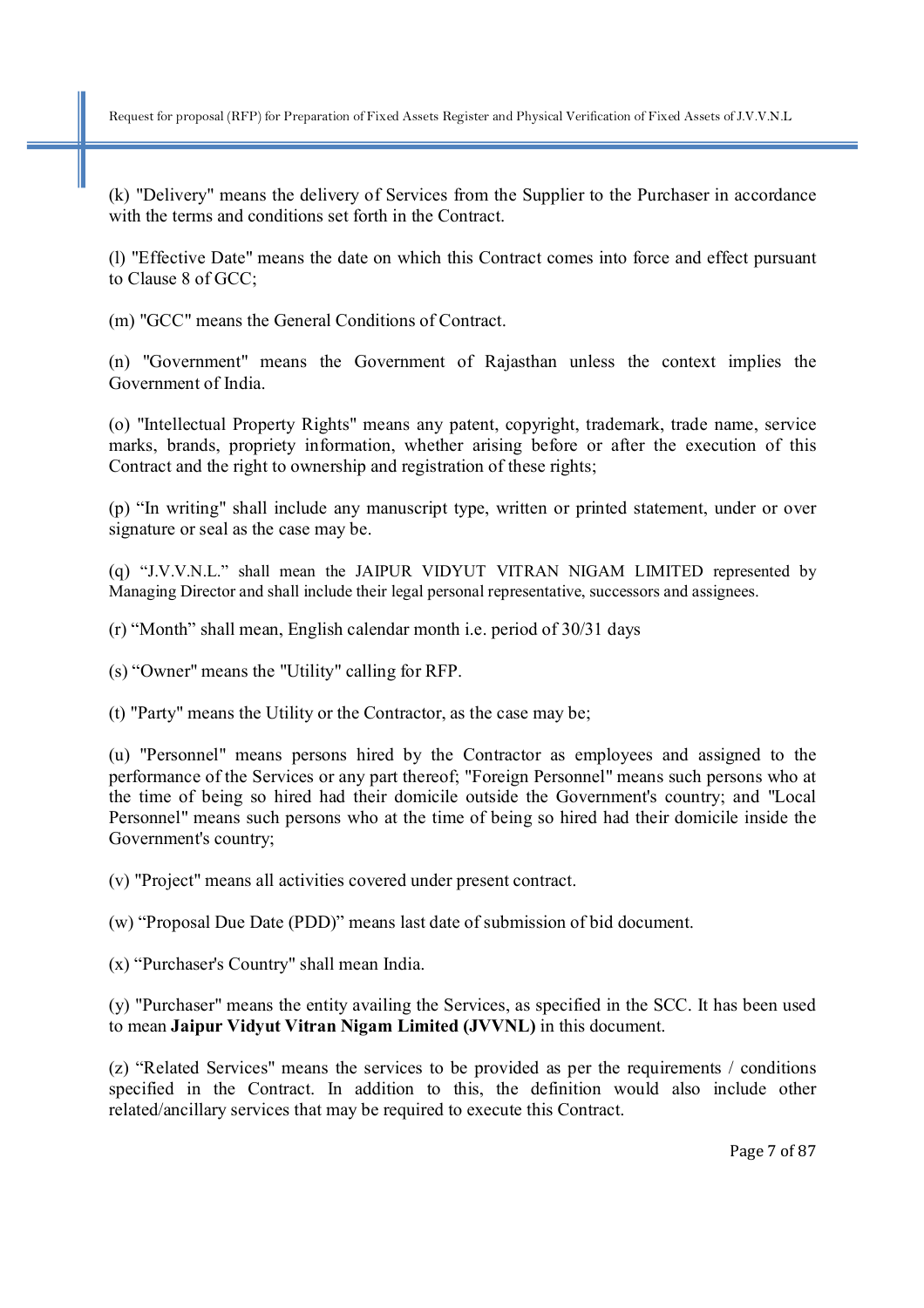(k) "Delivery" means the delivery of Services from the Supplier to the Purchaser in accordance with the terms and conditions set forth in the Contract.

(l) "Effective Date" means the date on which this Contract comes into force and effect pursuant to Clause 8 of GCC;

(m) "GCC" means the General Conditions of Contract.

(n) "Government" means the Government of Rajasthan unless the context implies the Government of India.

(o) "Intellectual Property Rights" means any patent, copyright, trademark, trade name, service marks, brands, propriety information, whether arising before or after the execution of this Contract and the right to ownership and registration of these rights;

(p) "In writing" shall include any manuscript type, written or printed statement, under or over signature or seal as the case may be.

(q) "J.V.V.N.L." shall mean the JAIPUR VIDYUT VITRAN NIGAM LIMITED represented by Managing Director and shall include their legal personal representative, successors and assignees.

(r) "Month" shall mean, English calendar month i.e. period of 30/31 days

(s) "Owner" means the "Utility" calling for RFP.

(t) "Party" means the Utility or the Contractor, as the case may be;

(u) "Personnel" means persons hired by the Contractor as employees and assigned to the performance of the Services or any part thereof; "Foreign Personnel" means such persons who at the time of being so hired had their domicile outside the Government's country; and "Local Personnel" means such persons who at the time of being so hired had their domicile inside the Government's country;

(v) "Project" means all activities covered under present contract.

(w) "Proposal Due Date (PDD)" means last date of submission of bid document.

(x) "Purchaser's Country" shall mean India.

(y) "Purchaser" means the entity availing the Services, as specified in the SCC. It has been used to mean **Jaipur Vidyut Vitran Nigam Limited (JVVNL)** in this document.

(z) "Related Services" means the services to be provided as per the requirements / conditions specified in the Contract. In addition to this, the definition would also include other related/ancillary services that may be required to execute this Contract.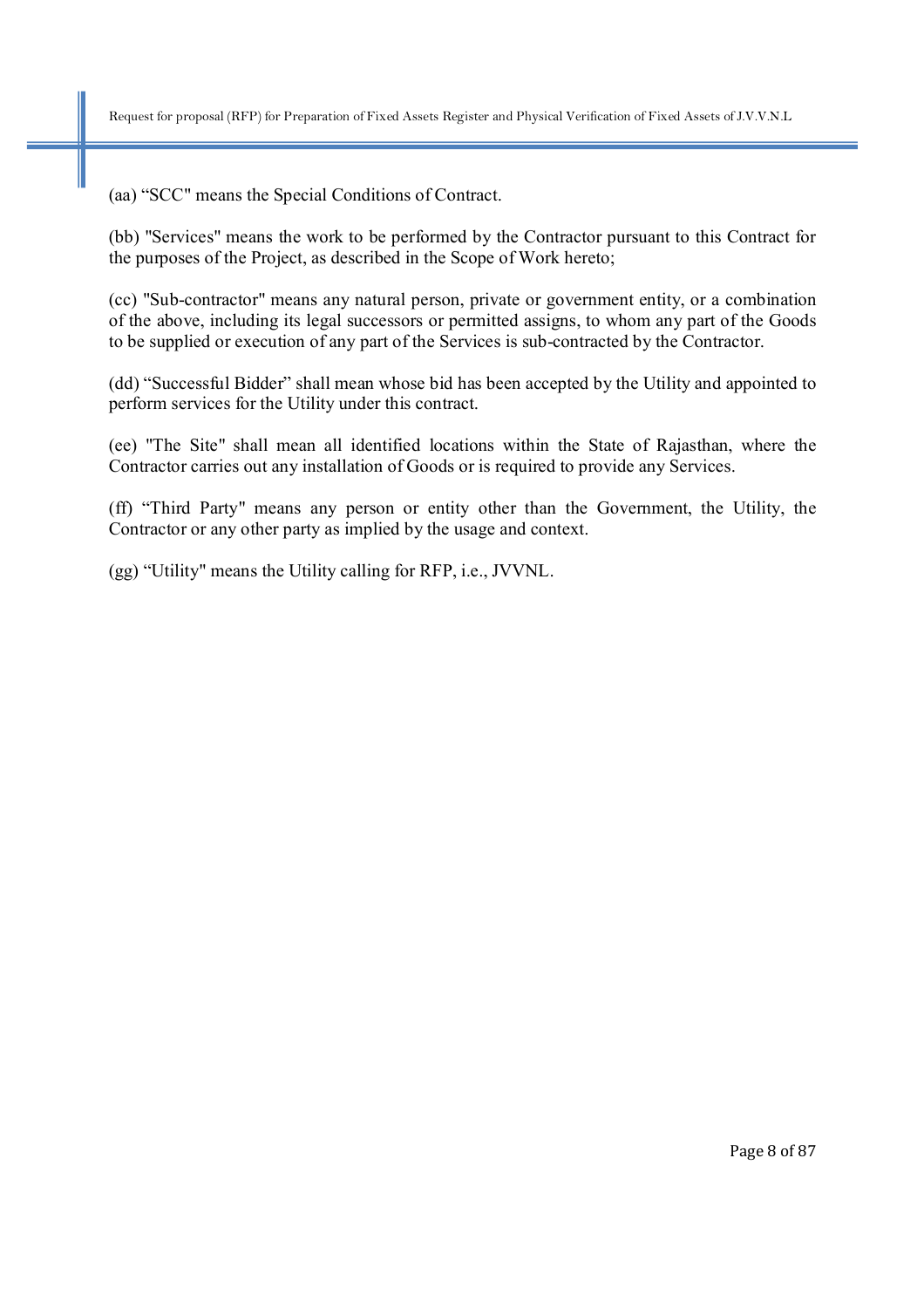(aa) "SCC" means the Special Conditions of Contract.

(bb) "Services" means the work to be performed by the Contractor pursuant to this Contract for the purposes of the Project, as described in the Scope of Work hereto;

(cc) "Sub-contractor" means any natural person, private or government entity, or a combination of the above, including its legal successors or permitted assigns, to whom any part of the Goods to be supplied or execution of any part of the Services is sub-contracted by the Contractor.

(dd) "Successful Bidder" shall mean whose bid has been accepted by the Utility and appointed to perform services for the Utility under this contract.

(ee) "The Site" shall mean all identified locations within the State of Rajasthan, where the Contractor carries out any installation of Goods or is required to provide any Services.

(ff) "Third Party" means any person or entity other than the Government, the Utility, the Contractor or any other party as implied by the usage and context.

(gg) "Utility" means the Utility calling for RFP, i.e., JVVNL.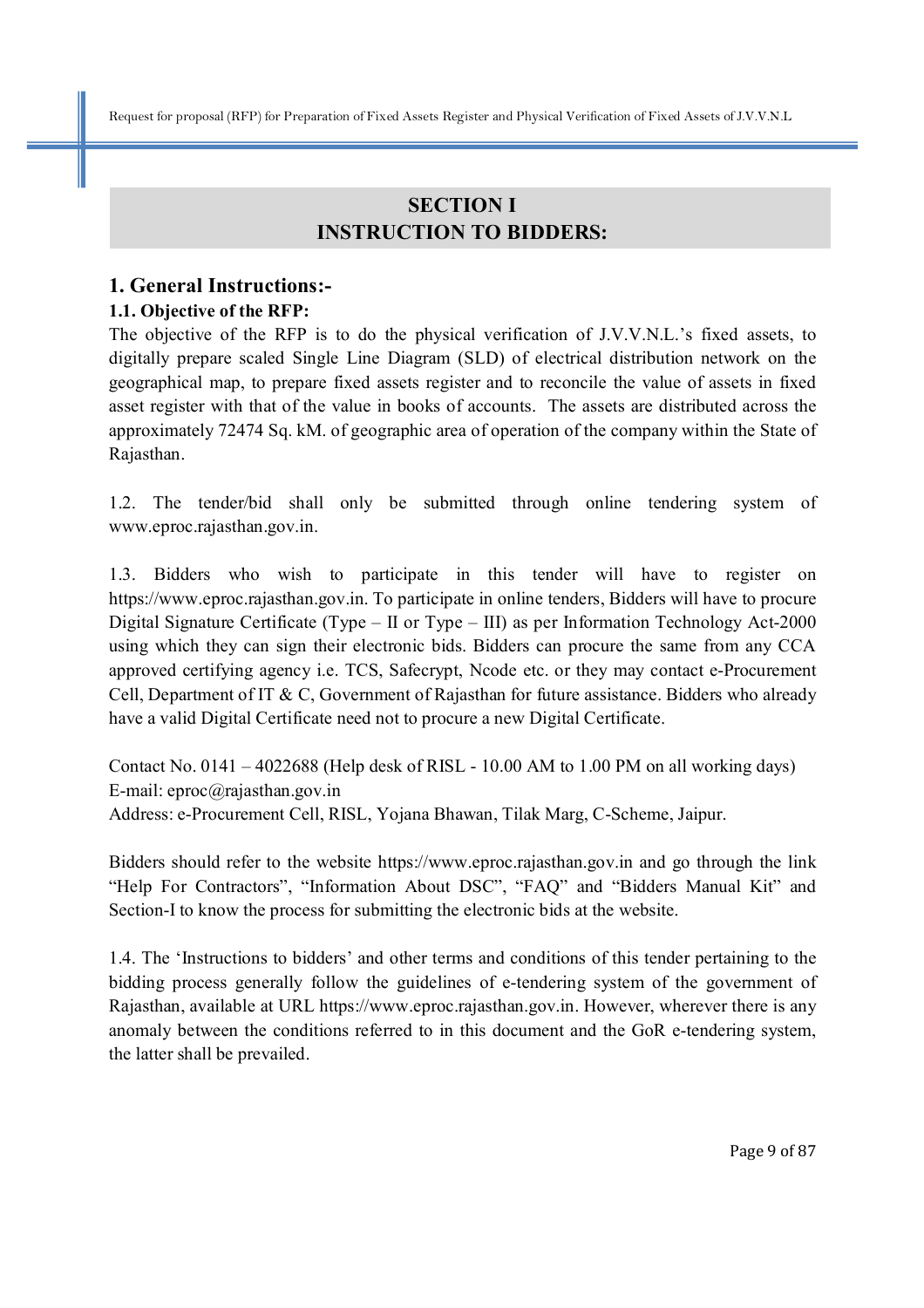# **SECTION I INSTRUCTION TO BIDDERS:**

## **1. General Instructions:-**

## **1.1. Objective of the RFP:**

The objective of the RFP is to do the physical verification of J.V.V.N.L.'s fixed assets, to digitally prepare scaled Single Line Diagram (SLD) of electrical distribution network on the geographical map, to prepare fixed assets register and to reconcile the value of assets in fixed asset register with that of the value in books of accounts. The assets are distributed across the approximately 72474 Sq. kM. of geographic area of operation of the company within the State of Rajasthan.

1.2. The tender/bid shall only be submitted through online tendering system of www.eproc.rajasthan.gov.in.

1.3. Bidders who wish to participate in this tender will have to register on https://www.eproc.rajasthan.gov.in. To participate in online tenders, Bidders will have to procure Digital Signature Certificate (Type – II or Type – III) as per Information Technology Act-2000 using which they can sign their electronic bids. Bidders can procure the same from any CCA approved certifying agency i.e. TCS, Safecrypt, Ncode etc. or they may contact e-Procurement Cell, Department of IT & C, Government of Rajasthan for future assistance. Bidders who already have a valid Digital Certificate need not to procure a new Digital Certificate.

Contact No.  $0141 - 4022688$  (Help desk of RISL - 10.00 AM to 1.00 PM on all working days) E-mail: eproc@rajasthan.gov.in Address: e-Procurement Cell, RISL, Yojana Bhawan, Tilak Marg, C-Scheme, Jaipur.

Bidders should refer to the website https://www.eproc.rajasthan.gov.in and go through the link "Help For Contractors", "Information About DSC", "FAQ" and "Bidders Manual Kit" and Section-I to know the process for submitting the electronic bids at the website.

1.4. The 'Instructions to bidders' and other terms and conditions of this tender pertaining to the bidding process generally follow the guidelines of e-tendering system of the government of Rajasthan, available at URL https://www.eproc.rajasthan.gov.in. However, wherever there is any anomaly between the conditions referred to in this document and the GoR e-tendering system, the latter shall be prevailed.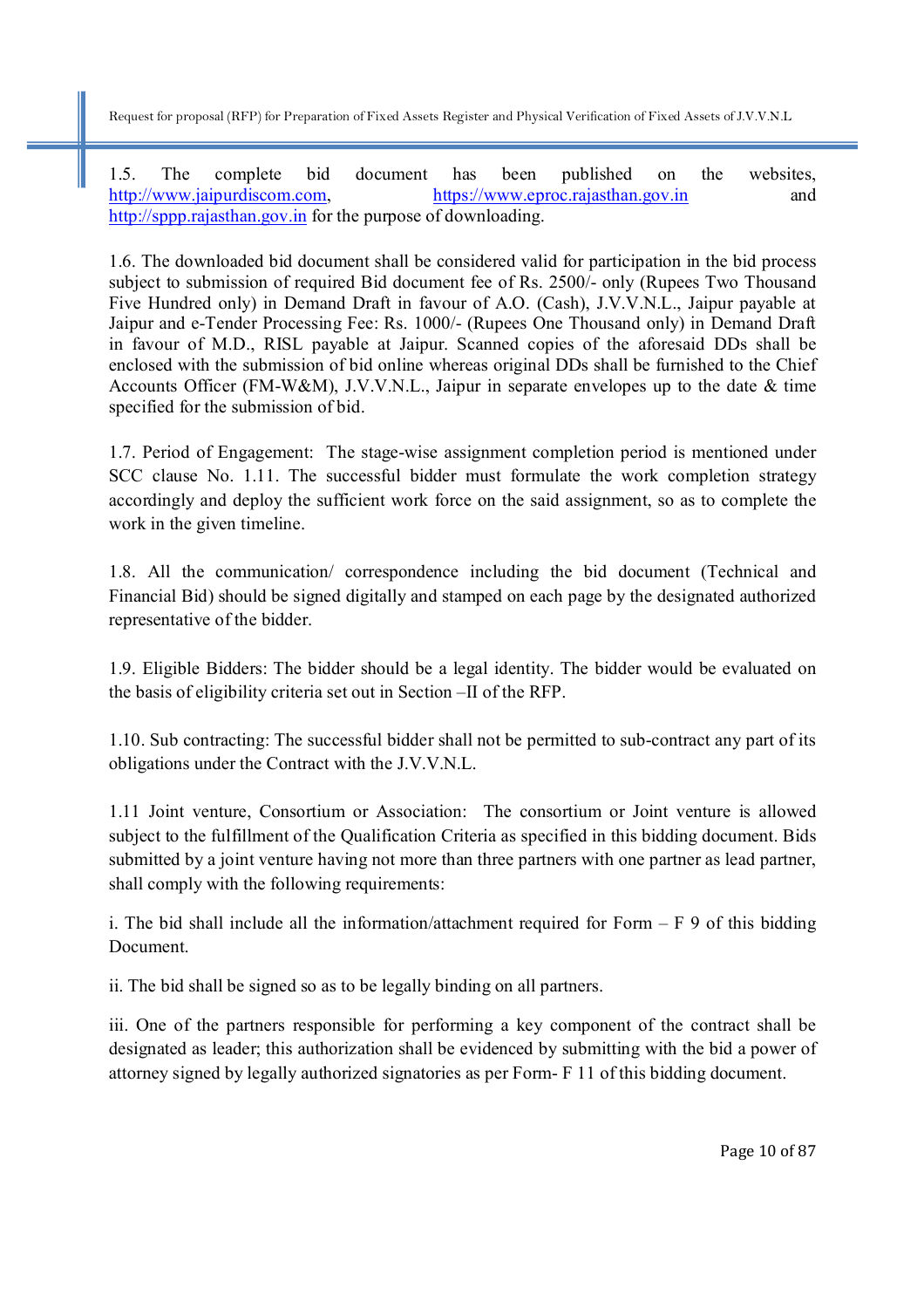1.5. The complete bid document has been published on the websites, http://www.jaipurdiscom.com, https://www.eproc.rajasthan.gov.in and http://sppp.rajasthan.gov.in for the purpose of downloading.

1.6. The downloaded bid document shall be considered valid for participation in the bid process subject to submission of required Bid document fee of Rs. 2500/- only (Rupees Two Thousand Five Hundred only) in Demand Draft in favour of A.O. (Cash), J.V.V.N.L., Jaipur payable at Jaipur and e-Tender Processing Fee: Rs. 1000/- (Rupees One Thousand only) in Demand Draft in favour of M.D., RISL payable at Jaipur. Scanned copies of the aforesaid DDs shall be enclosed with the submission of bid online whereas original DDs shall be furnished to the Chief Accounts Officer (FM-W&M), J.V.V.N.L., Jaipur in separate envelopes up to the date & time specified for the submission of bid.

1.7. Period of Engagement: The stage-wise assignment completion period is mentioned under SCC clause No. 1.11. The successful bidder must formulate the work completion strategy accordingly and deploy the sufficient work force on the said assignment, so as to complete the work in the given timeline.

1.8. All the communication/ correspondence including the bid document (Technical and Financial Bid) should be signed digitally and stamped on each page by the designated authorized representative of the bidder.

1.9. Eligible Bidders: The bidder should be a legal identity. The bidder would be evaluated on the basis of eligibility criteria set out in Section –II of the RFP.

1.10. Sub contracting: The successful bidder shall not be permitted to sub-contract any part of its obligations under the Contract with the J.V.V.N.L.

1.11 Joint venture, Consortium or Association: The consortium or Joint venture is allowed subject to the fulfillment of the Qualification Criteria as specified in this bidding document. Bids submitted by a joint venture having not more than three partners with one partner as lead partner, shall comply with the following requirements:

i. The bid shall include all the information/attachment required for Form  $- F 9$  of this bidding Document.

ii. The bid shall be signed so as to be legally binding on all partners.

iii. One of the partners responsible for performing a key component of the contract shall be designated as leader; this authorization shall be evidenced by submitting with the bid a power of attorney signed by legally authorized signatories as per Form- F 11 of this bidding document.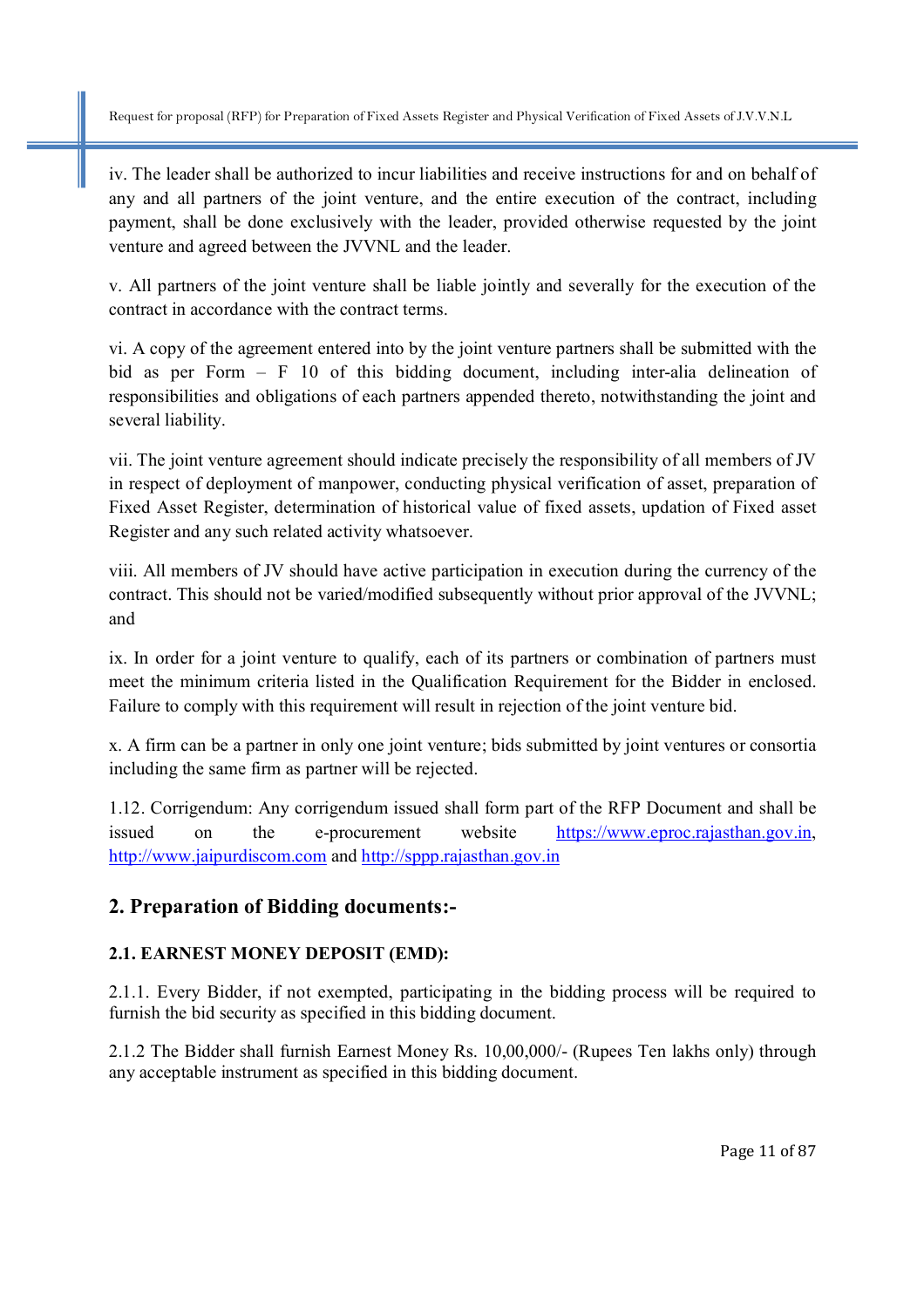iv. The leader shall be authorized to incur liabilities and receive instructions for and on behalf of any and all partners of the joint venture, and the entire execution of the contract, including payment, shall be done exclusively with the leader, provided otherwise requested by the joint venture and agreed between the JVVNL and the leader.

v. All partners of the joint venture shall be liable jointly and severally for the execution of the contract in accordance with the contract terms.

vi. A copy of the agreement entered into by the joint venture partners shall be submitted with the bid as per Form – F 10 of this bidding document, including inter-alia delineation of responsibilities and obligations of each partners appended thereto, notwithstanding the joint and several liability.

vii. The joint venture agreement should indicate precisely the responsibility of all members of JV in respect of deployment of manpower, conducting physical verification of asset, preparation of Fixed Asset Register, determination of historical value of fixed assets, updation of Fixed asset Register and any such related activity whatsoever.

viii. All members of JV should have active participation in execution during the currency of the contract. This should not be varied/modified subsequently without prior approval of the JVVNL; and

ix. In order for a joint venture to qualify, each of its partners or combination of partners must meet the minimum criteria listed in the Qualification Requirement for the Bidder in enclosed. Failure to comply with this requirement will result in rejection of the joint venture bid.

x. A firm can be a partner in only one joint venture; bids submitted by joint ventures or consortia including the same firm as partner will be rejected.

1.12. Corrigendum: Any corrigendum issued shall form part of the RFP Document and shall be issued on the e-procurement website https://www.eproc.rajasthan.gov.in, http://www.jaipurdiscom.com and http://sppp.rajasthan.gov.in

## **2. Preparation of Bidding documents:-**

## **2.1. EARNEST MONEY DEPOSIT (EMD):**

2.1.1. Every Bidder, if not exempted, participating in the bidding process will be required to furnish the bid security as specified in this bidding document.

2.1.2 The Bidder shall furnish Earnest Money Rs. 10,00,000/- (Rupees Ten lakhs only) through any acceptable instrument as specified in this bidding document.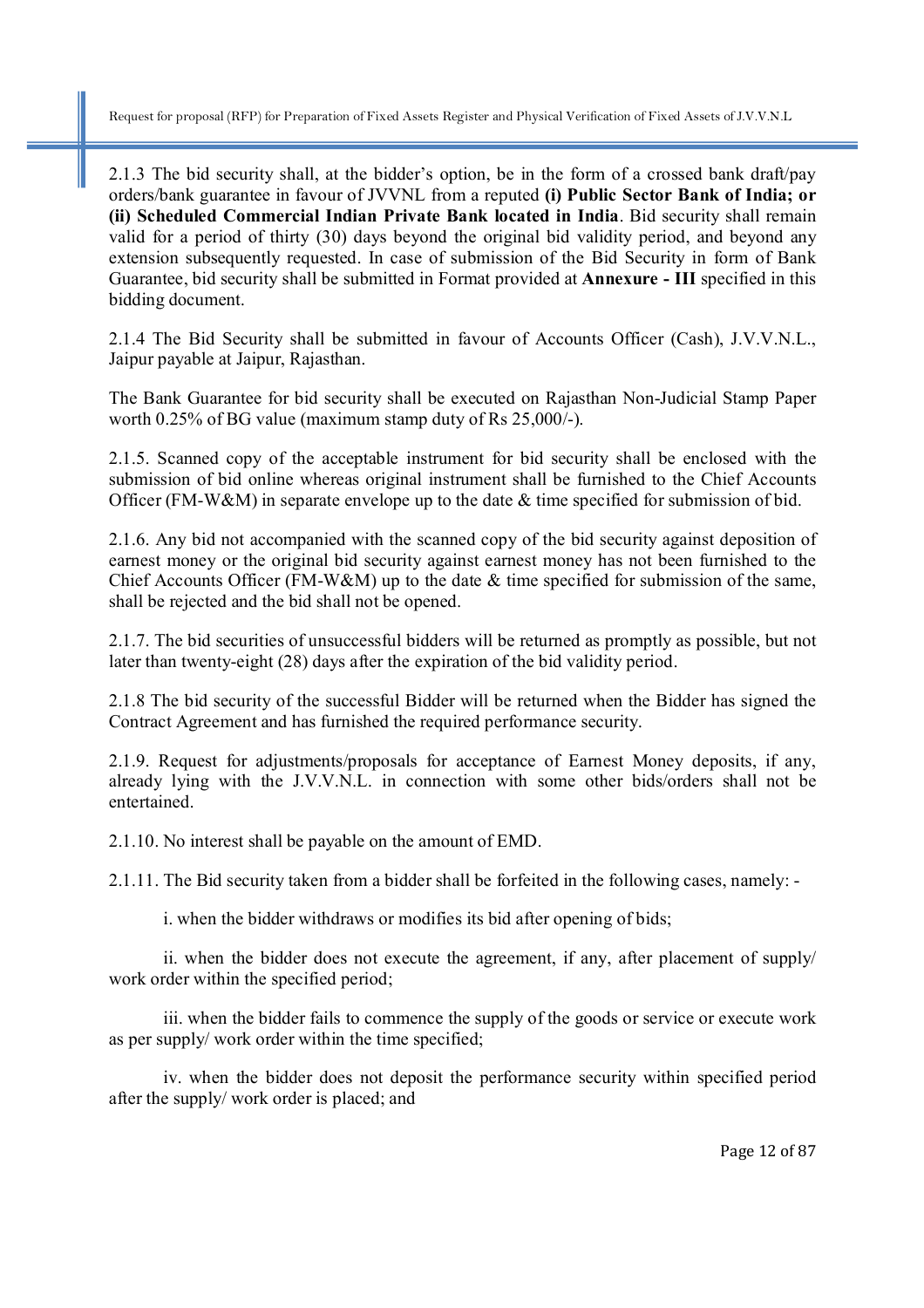2.1.3 The bid security shall, at the bidder's option, be in the form of a crossed bank draft/pay orders/bank guarantee in favour of JVVNL from a reputed **(i) Public Sector Bank of India; or (ii) Scheduled Commercial Indian Private Bank located in India**. Bid security shall remain valid for a period of thirty (30) days beyond the original bid validity period, and beyond any extension subsequently requested. In case of submission of the Bid Security in form of Bank Guarantee, bid security shall be submitted in Format provided at **Annexure - III** specified in this bidding document.

2.1.4 The Bid Security shall be submitted in favour of Accounts Officer (Cash), J.V.V.N.L., Jaipur payable at Jaipur, Rajasthan.

The Bank Guarantee for bid security shall be executed on Rajasthan Non-Judicial Stamp Paper worth 0.25% of BG value (maximum stamp duty of Rs 25,000/-).

2.1.5. Scanned copy of the acceptable instrument for bid security shall be enclosed with the submission of bid online whereas original instrument shall be furnished to the Chief Accounts Officer (FM-W&M) in separate envelope up to the date & time specified for submission of bid.

2.1.6. Any bid not accompanied with the scanned copy of the bid security against deposition of earnest money or the original bid security against earnest money has not been furnished to the Chief Accounts Officer (FM-W&M) up to the date  $\&$  time specified for submission of the same, shall be rejected and the bid shall not be opened.

2.1.7. The bid securities of unsuccessful bidders will be returned as promptly as possible, but not later than twenty-eight (28) days after the expiration of the bid validity period.

2.1.8 The bid security of the successful Bidder will be returned when the Bidder has signed the Contract Agreement and has furnished the required performance security.

2.1.9. Request for adjustments/proposals for acceptance of Earnest Money deposits, if any, already lying with the J.V.V.N.L. in connection with some other bids/orders shall not be entertained.

2.1.10. No interest shall be payable on the amount of EMD.

2.1.11. The Bid security taken from a bidder shall be forfeited in the following cases, namely: -

i. when the bidder withdraws or modifies its bid after opening of bids;

ii. when the bidder does not execute the agreement, if any, after placement of supply/ work order within the specified period;

iii. when the bidder fails to commence the supply of the goods or service or execute work as per supply/ work order within the time specified;

iv. when the bidder does not deposit the performance security within specified period after the supply/ work order is placed; and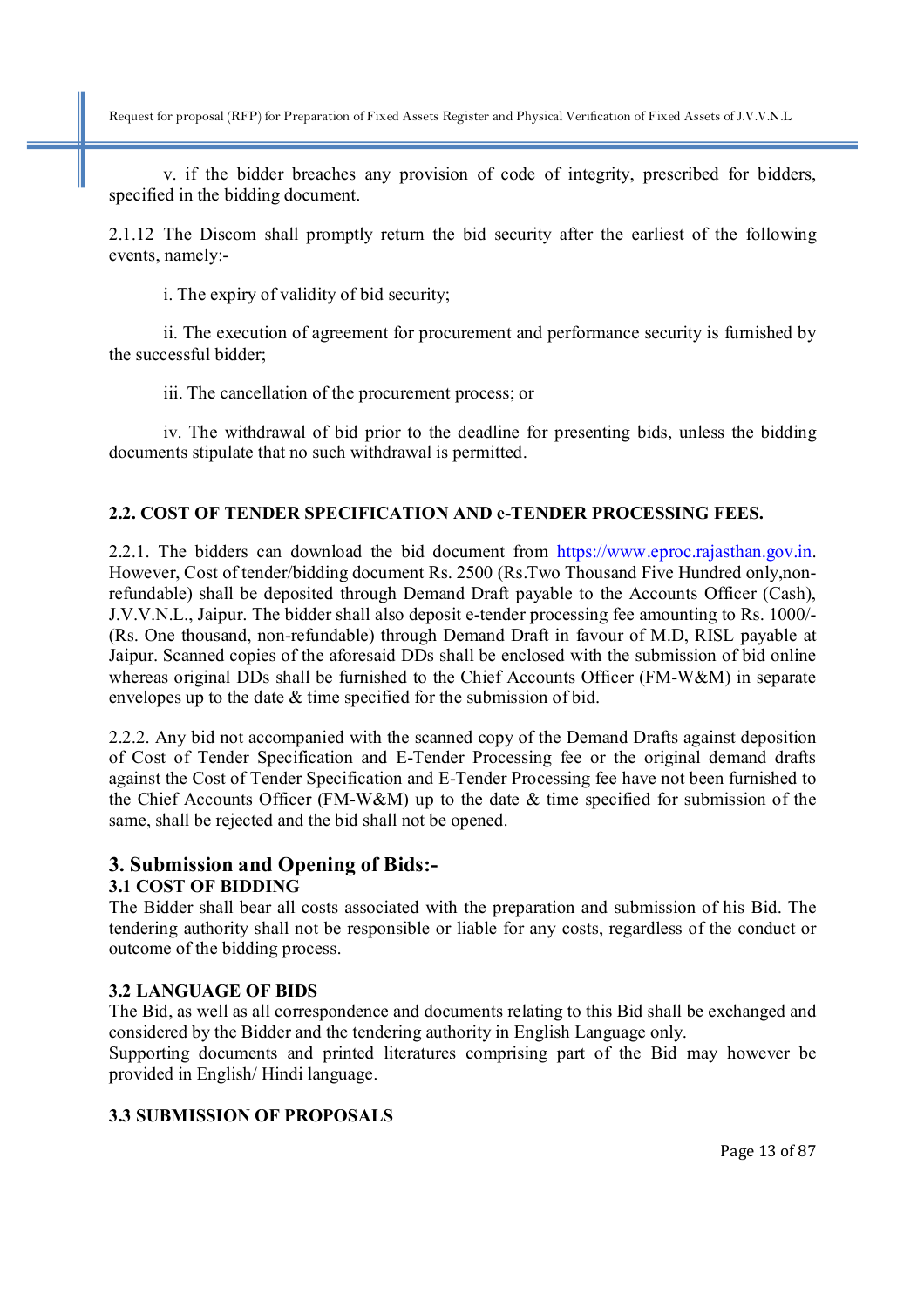v. if the bidder breaches any provision of code of integrity, prescribed for bidders, specified in the bidding document.

2.1.12 The Discom shall promptly return the bid security after the earliest of the following events, namely:-

i. The expiry of validity of bid security;

ii. The execution of agreement for procurement and performance security is furnished by the successful bidder;

iii. The cancellation of the procurement process; or

iv. The withdrawal of bid prior to the deadline for presenting bids, unless the bidding documents stipulate that no such withdrawal is permitted.

#### **2.2. COST OF TENDER SPECIFICATION AND e-TENDER PROCESSING FEES.**

2.2.1. The bidders can download the bid document from https://www.eproc.rajasthan.gov.in. However, Cost of tender/bidding document Rs. 2500 (Rs.Two Thousand Five Hundred only,nonrefundable) shall be deposited through Demand Draft payable to the Accounts Officer (Cash), J.V.V.N.L., Jaipur. The bidder shall also deposit e-tender processing fee amounting to Rs. 1000/- (Rs. One thousand, non-refundable) through Demand Draft in favour of M.D, RISL payable at Jaipur. Scanned copies of the aforesaid DDs shall be enclosed with the submission of bid online whereas original DDs shall be furnished to the Chief Accounts Officer (FM-W&M) in separate envelopes up to the date & time specified for the submission of bid.

2.2.2. Any bid not accompanied with the scanned copy of the Demand Drafts against deposition of Cost of Tender Specification and E-Tender Processing fee or the original demand drafts against the Cost of Tender Specification and E-Tender Processing fee have not been furnished to the Chief Accounts Officer (FM-W&M) up to the date & time specified for submission of the same, shall be rejected and the bid shall not be opened.

## **3. Submission and Opening of Bids:-**

#### **3.1 COST OF BIDDING**

The Bidder shall bear all costs associated with the preparation and submission of his Bid. The tendering authority shall not be responsible or liable for any costs, regardless of the conduct or outcome of the bidding process.

#### **3.2 LANGUAGE OF BIDS**

The Bid, as well as all correspondence and documents relating to this Bid shall be exchanged and considered by the Bidder and the tendering authority in English Language only.

Supporting documents and printed literatures comprising part of the Bid may however be provided in English/ Hindi language.

#### **3.3 SUBMISSION OF PROPOSALS**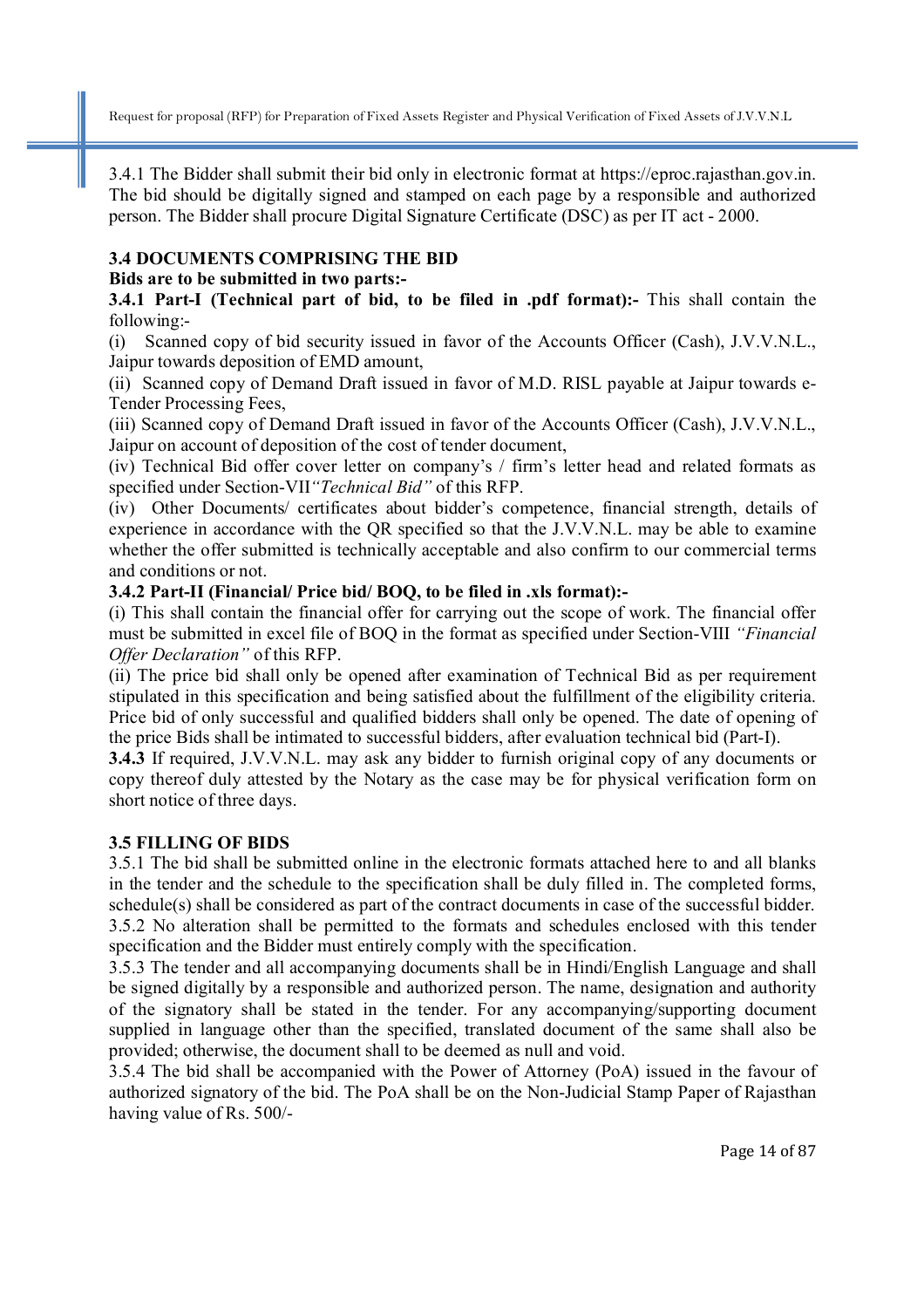3.4.1 The Bidder shall submit their bid only in electronic format at https://eproc.rajasthan.gov.in. The bid should be digitally signed and stamped on each page by a responsible and authorized person. The Bidder shall procure Digital Signature Certificate (DSC) as per IT act - 2000.

#### **3.4 DOCUMENTS COMPRISING THE BID**

#### **Bids are to be submitted in two parts:-**

**3.4.1 Part-I (Technical part of bid, to be filed in .pdf format):-** This shall contain the following:-

(i) Scanned copy of bid security issued in favor of the Accounts Officer (Cash), J.V.V.N.L., Jaipur towards deposition of EMD amount,

(ii) Scanned copy of Demand Draft issued in favor of M.D. RISL payable at Jaipur towards e-Tender Processing Fees,

(iii) Scanned copy of Demand Draft issued in favor of the Accounts Officer (Cash), J.V.V.N.L., Jaipur on account of deposition of the cost of tender document,

(iv) Technical Bid offer cover letter on company's / firm's letter head and related formats as specified under Section-VII*"Technical Bid"* of this RFP.

(iv) Other Documents/ certificates about bidder's competence, financial strength, details of experience in accordance with the QR specified so that the J.V.V.N.L. may be able to examine whether the offer submitted is technically acceptable and also confirm to our commercial terms and conditions or not.

#### **3.4.2 Part-II (Financial/ Price bid/ BOQ, to be filed in .xls format):-**

(i) This shall contain the financial offer for carrying out the scope of work. The financial offer must be submitted in excel file of BOQ in the format as specified under Section-VIII *"Financial Offer Declaration"* of this RFP.

(ii) The price bid shall only be opened after examination of Technical Bid as per requirement stipulated in this specification and being satisfied about the fulfillment of the eligibility criteria. Price bid of only successful and qualified bidders shall only be opened. The date of opening of the price Bids shall be intimated to successful bidders, after evaluation technical bid (Part-I).

**3.4.3** If required, J.V.V.N.L. may ask any bidder to furnish original copy of any documents or copy thereof duly attested by the Notary as the case may be for physical verification form on short notice of three days.

## **3.5 FILLING OF BIDS**

3.5.1 The bid shall be submitted online in the electronic formats attached here to and all blanks in the tender and the schedule to the specification shall be duly filled in. The completed forms, schedule(s) shall be considered as part of the contract documents in case of the successful bidder. 3.5.2 No alteration shall be permitted to the formats and schedules enclosed with this tender specification and the Bidder must entirely comply with the specification.

3.5.3 The tender and all accompanying documents shall be in Hindi/English Language and shall be signed digitally by a responsible and authorized person. The name, designation and authority of the signatory shall be stated in the tender. For any accompanying/supporting document supplied in language other than the specified, translated document of the same shall also be provided; otherwise, the document shall to be deemed as null and void.

3.5.4 The bid shall be accompanied with the Power of Attorney (PoA) issued in the favour of authorized signatory of the bid. The PoA shall be on the Non-Judicial Stamp Paper of Rajasthan having value of Rs. 500/-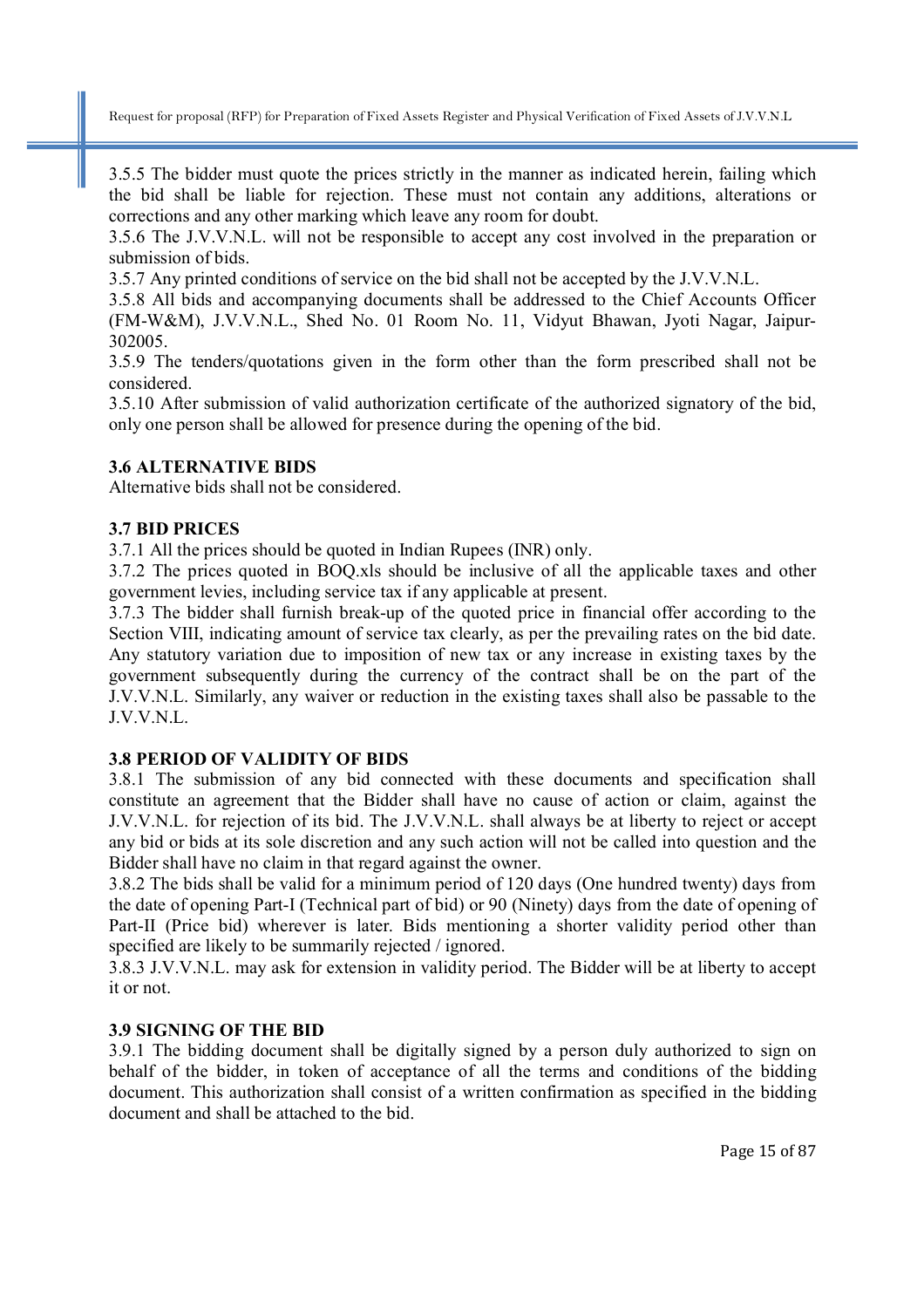3.5.5 The bidder must quote the prices strictly in the manner as indicated herein, failing which the bid shall be liable for rejection. These must not contain any additions, alterations or corrections and any other marking which leave any room for doubt.

3.5.6 The J.V.V.N.L. will not be responsible to accept any cost involved in the preparation or submission of bids.

3.5.7 Any printed conditions of service on the bid shall not be accepted by the J.V.V.N.L.

3.5.8 All bids and accompanying documents shall be addressed to the Chief Accounts Officer (FM-W&M), J.V.V.N.L., Shed No. 01 Room No. 11, Vidyut Bhawan, Jyoti Nagar, Jaipur-302005.

3.5.9 The tenders/quotations given in the form other than the form prescribed shall not be considered.

3.5.10 After submission of valid authorization certificate of the authorized signatory of the bid, only one person shall be allowed for presence during the opening of the bid.

#### **3.6 ALTERNATIVE BIDS**

Alternative bids shall not be considered.

#### **3.7 BID PRICES**

3.7.1 All the prices should be quoted in Indian Rupees (INR) only.

3.7.2 The prices quoted in BOQ.xls should be inclusive of all the applicable taxes and other government levies, including service tax if any applicable at present.

3.7.3 The bidder shall furnish break-up of the quoted price in financial offer according to the Section VIII, indicating amount of service tax clearly, as per the prevailing rates on the bid date. Any statutory variation due to imposition of new tax or any increase in existing taxes by the government subsequently during the currency of the contract shall be on the part of the J.V.V.N.L. Similarly, any waiver or reduction in the existing taxes shall also be passable to the J.V.V.N.L.

#### **3.8 PERIOD OF VALIDITY OF BIDS**

3.8.1 The submission of any bid connected with these documents and specification shall constitute an agreement that the Bidder shall have no cause of action or claim, against the J.V.V.N.L. for rejection of its bid. The J.V.V.N.L. shall always be at liberty to reject or accept any bid or bids at its sole discretion and any such action will not be called into question and the Bidder shall have no claim in that regard against the owner.

3.8.2 The bids shall be valid for a minimum period of 120 days (One hundred twenty) days from the date of opening Part-I (Technical part of bid) or 90 (Ninety) days from the date of opening of Part-II (Price bid) wherever is later. Bids mentioning a shorter validity period other than specified are likely to be summarily rejected / ignored.

3.8.3 J.V.V.N.L. may ask for extension in validity period. The Bidder will be at liberty to accept it or not.

#### **3.9 SIGNING OF THE BID**

3.9.1 The bidding document shall be digitally signed by a person duly authorized to sign on behalf of the bidder, in token of acceptance of all the terms and conditions of the bidding document. This authorization shall consist of a written confirmation as specified in the bidding document and shall be attached to the bid.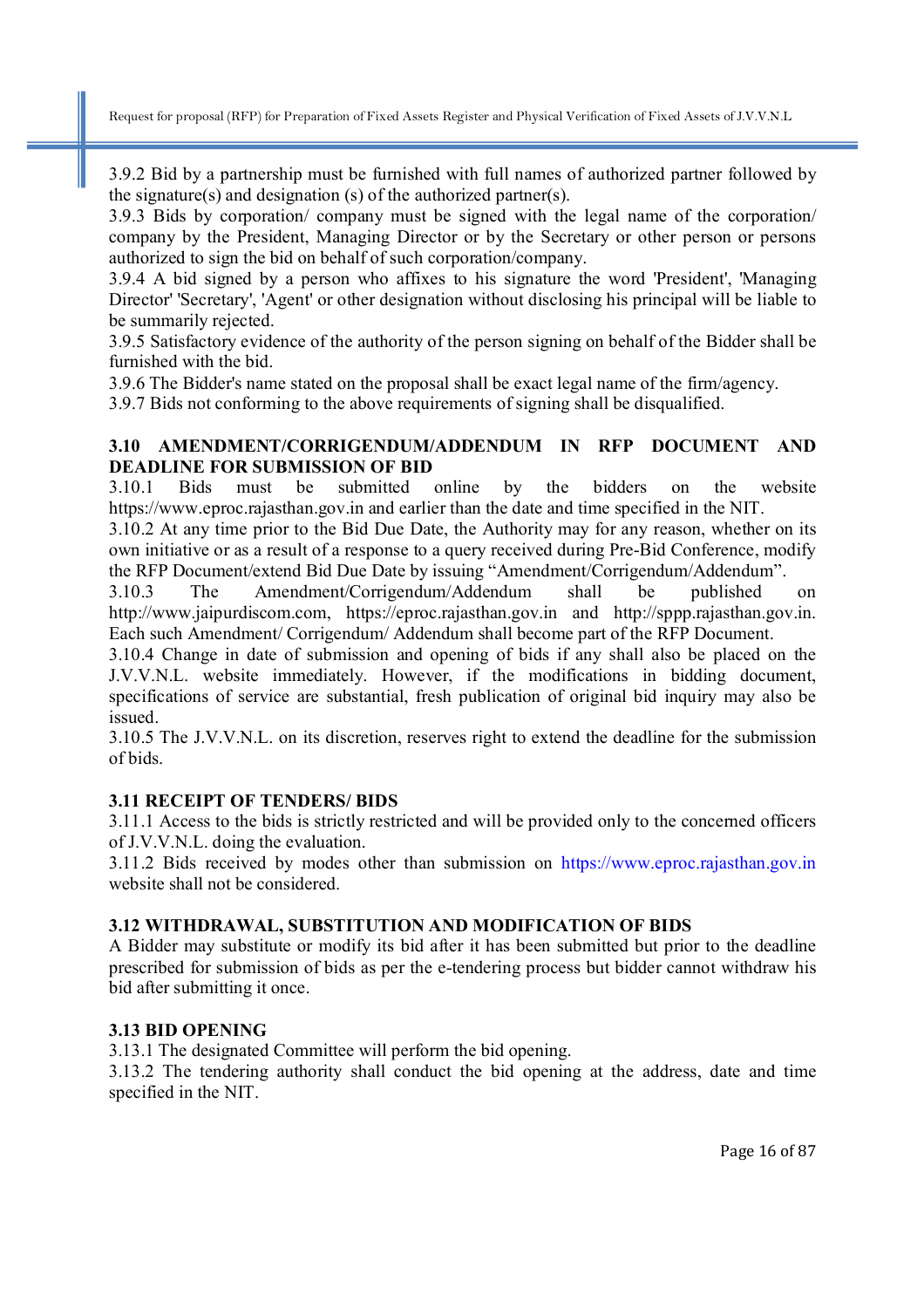3.9.2 Bid by a partnership must be furnished with full names of authorized partner followed by the signature(s) and designation (s) of the authorized partner(s).

3.9.3 Bids by corporation/ company must be signed with the legal name of the corporation/ company by the President, Managing Director or by the Secretary or other person or persons authorized to sign the bid on behalf of such corporation/company.

3.9.4 A bid signed by a person who affixes to his signature the word 'President', 'Managing Director' 'Secretary', 'Agent' or other designation without disclosing his principal will be liable to be summarily rejected.

3.9.5 Satisfactory evidence of the authority of the person signing on behalf of the Bidder shall be furnished with the bid.

3.9.6 The Bidder's name stated on the proposal shall be exact legal name of the firm/agency.

3.9.7 Bids not conforming to the above requirements of signing shall be disqualified.

#### **3.10 AMENDMENT/CORRIGENDUM/ADDENDUM IN RFP DOCUMENT AND DEADLINE FOR SUBMISSION OF BID**

3.10.1 Bids must be submitted online by the bidders on the website https://www.eproc.rajasthan.gov.in and earlier than the date and time specified in the NIT.

3.10.2 At any time prior to the Bid Due Date, the Authority may for any reason, whether on its own initiative or as a result of a response to a query received during Pre-Bid Conference, modify the RFP Document/extend Bid Due Date by issuing "Amendment/Corrigendum/Addendum".

3.10.3 The Amendment/Corrigendum/Addendum shall be published on http://www.jaipurdiscom.com, https://eproc.rajasthan.gov.in and http://sppp.rajasthan.gov.in. Each such Amendment/ Corrigendum/ Addendum shall become part of the RFP Document.

3.10.4 Change in date of submission and opening of bids if any shall also be placed on the J.V.V.N.L. website immediately. However, if the modifications in bidding document, specifications of service are substantial, fresh publication of original bid inquiry may also be issued.

3.10.5 The J.V.V.N.L. on its discretion, reserves right to extend the deadline for the submission of bids.

#### **3.11 RECEIPT OF TENDERS/ BIDS**

3.11.1 Access to the bids is strictly restricted and will be provided only to the concerned officers of J.V.V.N.L. doing the evaluation.

3.11.2 Bids received by modes other than submission on https://www.eproc.rajasthan.gov.in website shall not be considered.

#### **3.12 WITHDRAWAL, SUBSTITUTION AND MODIFICATION OF BIDS**

A Bidder may substitute or modify its bid after it has been submitted but prior to the deadline prescribed for submission of bids as per the e-tendering process but bidder cannot withdraw his bid after submitting it once.

#### **3.13 BID OPENING**

3.13.1 The designated Committee will perform the bid opening.

3.13.2 The tendering authority shall conduct the bid opening at the address, date and time specified in the NIT.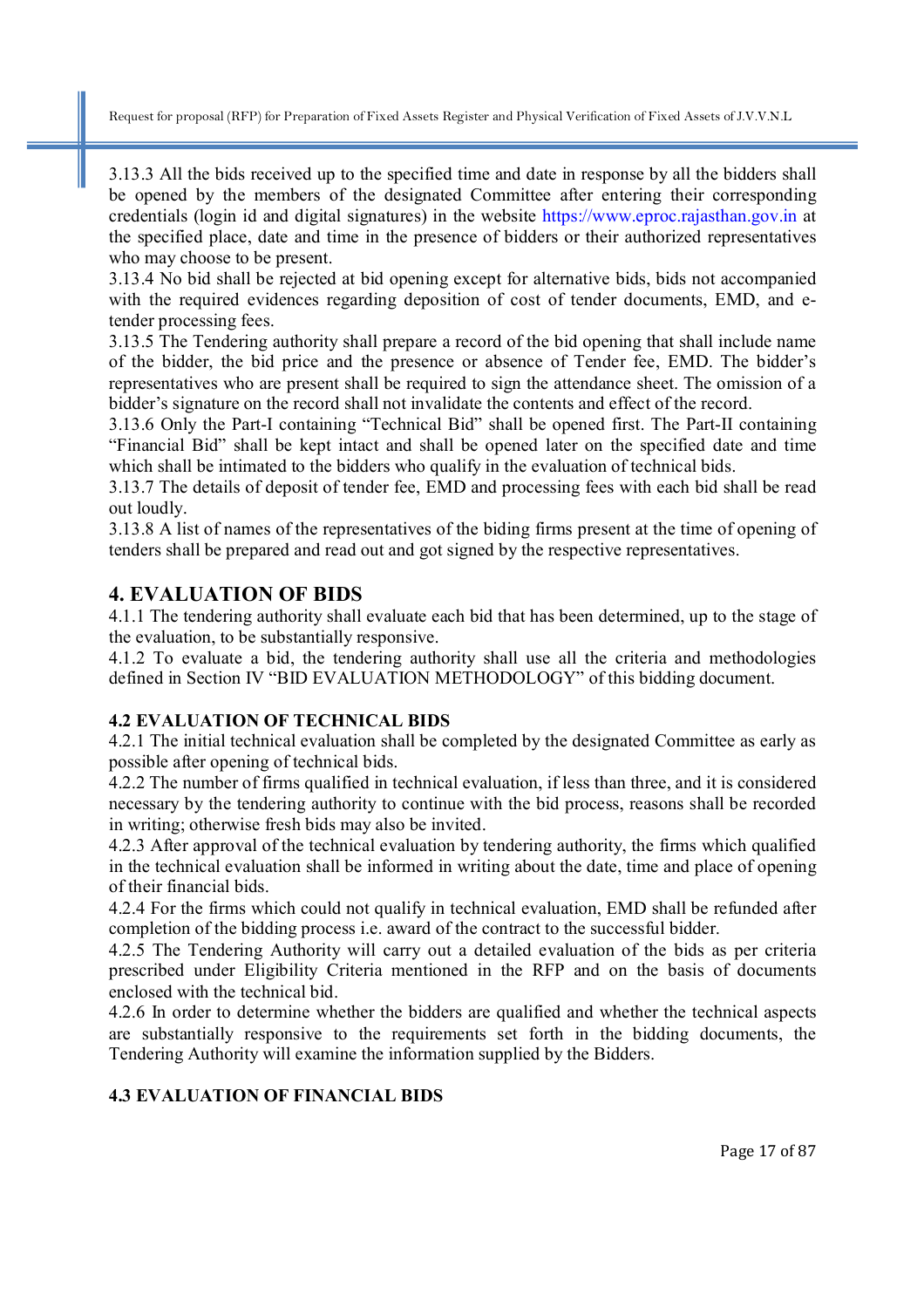3.13.3 All the bids received up to the specified time and date in response by all the bidders shall be opened by the members of the designated Committee after entering their corresponding credentials (login id and digital signatures) in the website https://www.eproc.rajasthan.gov.in at the specified place, date and time in the presence of bidders or their authorized representatives who may choose to be present.

3.13.4 No bid shall be rejected at bid opening except for alternative bids, bids not accompanied with the required evidences regarding deposition of cost of tender documents, EMD, and etender processing fees.

3.13.5 The Tendering authority shall prepare a record of the bid opening that shall include name of the bidder, the bid price and the presence or absence of Tender fee, EMD. The bidder's representatives who are present shall be required to sign the attendance sheet. The omission of a bidder's signature on the record shall not invalidate the contents and effect of the record.

3.13.6 Only the Part-I containing "Technical Bid" shall be opened first. The Part-II containing "Financial Bid" shall be kept intact and shall be opened later on the specified date and time which shall be intimated to the bidders who qualify in the evaluation of technical bids.

3.13.7 The details of deposit of tender fee, EMD and processing fees with each bid shall be read out loudly.

3.13.8 A list of names of the representatives of the biding firms present at the time of opening of tenders shall be prepared and read out and got signed by the respective representatives.

## **4. EVALUATION OF BIDS**

4.1.1 The tendering authority shall evaluate each bid that has been determined, up to the stage of the evaluation, to be substantially responsive.

4.1.2 To evaluate a bid, the tendering authority shall use all the criteria and methodologies defined in Section IV "BID EVALUATION METHODOLOGY" of this bidding document.

#### **4.2 EVALUATION OF TECHNICAL BIDS**

4.2.1 The initial technical evaluation shall be completed by the designated Committee as early as possible after opening of technical bids.

4.2.2 The number of firms qualified in technical evaluation, if less than three, and it is considered necessary by the tendering authority to continue with the bid process, reasons shall be recorded in writing; otherwise fresh bids may also be invited.

4.2.3 After approval of the technical evaluation by tendering authority, the firms which qualified in the technical evaluation shall be informed in writing about the date, time and place of opening of their financial bids.

4.2.4 For the firms which could not qualify in technical evaluation, EMD shall be refunded after completion of the bidding process i.e. award of the contract to the successful bidder.

4.2.5 The Tendering Authority will carry out a detailed evaluation of the bids as per criteria prescribed under Eligibility Criteria mentioned in the RFP and on the basis of documents enclosed with the technical bid.

4.2.6 In order to determine whether the bidders are qualified and whether the technical aspects are substantially responsive to the requirements set forth in the bidding documents, the Tendering Authority will examine the information supplied by the Bidders.

## **4.3 EVALUATION OF FINANCIAL BIDS**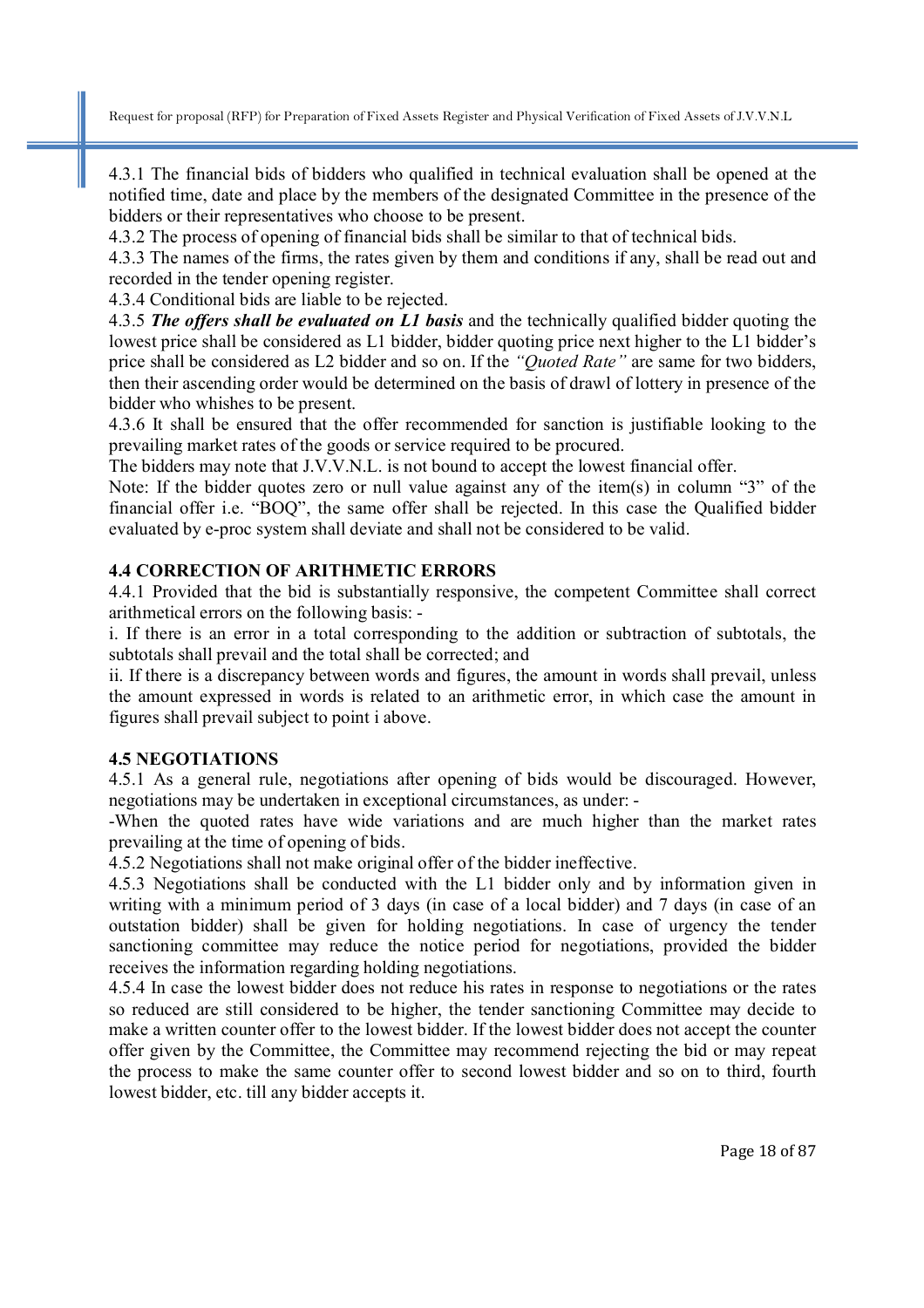4.3.1 The financial bids of bidders who qualified in technical evaluation shall be opened at the notified time, date and place by the members of the designated Committee in the presence of the bidders or their representatives who choose to be present.

4.3.2 The process of opening of financial bids shall be similar to that of technical bids.

4.3.3 The names of the firms, the rates given by them and conditions if any, shall be read out and recorded in the tender opening register.

4.3.4 Conditional bids are liable to be rejected.

4.3.5 *The offers shall be evaluated on L1 basis* and the technically qualified bidder quoting the lowest price shall be considered as L1 bidder, bidder quoting price next higher to the L1 bidder's price shall be considered as L2 bidder and so on. If the *"Quoted Rate"* are same for two bidders, then their ascending order would be determined on the basis of drawl of lottery in presence of the bidder who whishes to be present.

4.3.6 It shall be ensured that the offer recommended for sanction is justifiable looking to the prevailing market rates of the goods or service required to be procured.

The bidders may note that J.V.V.N.L. is not bound to accept the lowest financial offer.

Note: If the bidder quotes zero or null value against any of the item(s) in column "3" of the financial offer i.e. "BOQ", the same offer shall be rejected. In this case the Qualified bidder evaluated by e-proc system shall deviate and shall not be considered to be valid.

#### **4.4 CORRECTION OF ARITHMETIC ERRORS**

4.4.1 Provided that the bid is substantially responsive, the competent Committee shall correct arithmetical errors on the following basis: -

i. If there is an error in a total corresponding to the addition or subtraction of subtotals, the subtotals shall prevail and the total shall be corrected; and

ii. If there is a discrepancy between words and figures, the amount in words shall prevail, unless the amount expressed in words is related to an arithmetic error, in which case the amount in figures shall prevail subject to point i above.

#### **4.5 NEGOTIATIONS**

4.5.1 As a general rule, negotiations after opening of bids would be discouraged. However, negotiations may be undertaken in exceptional circumstances, as under: -

-When the quoted rates have wide variations and are much higher than the market rates prevailing at the time of opening of bids.

4.5.2 Negotiations shall not make original offer of the bidder ineffective.

4.5.3 Negotiations shall be conducted with the L1 bidder only and by information given in writing with a minimum period of 3 days (in case of a local bidder) and 7 days (in case of an outstation bidder) shall be given for holding negotiations. In case of urgency the tender sanctioning committee may reduce the notice period for negotiations, provided the bidder receives the information regarding holding negotiations.

4.5.4 In case the lowest bidder does not reduce his rates in response to negotiations or the rates so reduced are still considered to be higher, the tender sanctioning Committee may decide to make a written counter offer to the lowest bidder. If the lowest bidder does not accept the counter offer given by the Committee, the Committee may recommend rejecting the bid or may repeat the process to make the same counter offer to second lowest bidder and so on to third, fourth lowest bidder, etc. till any bidder accepts it.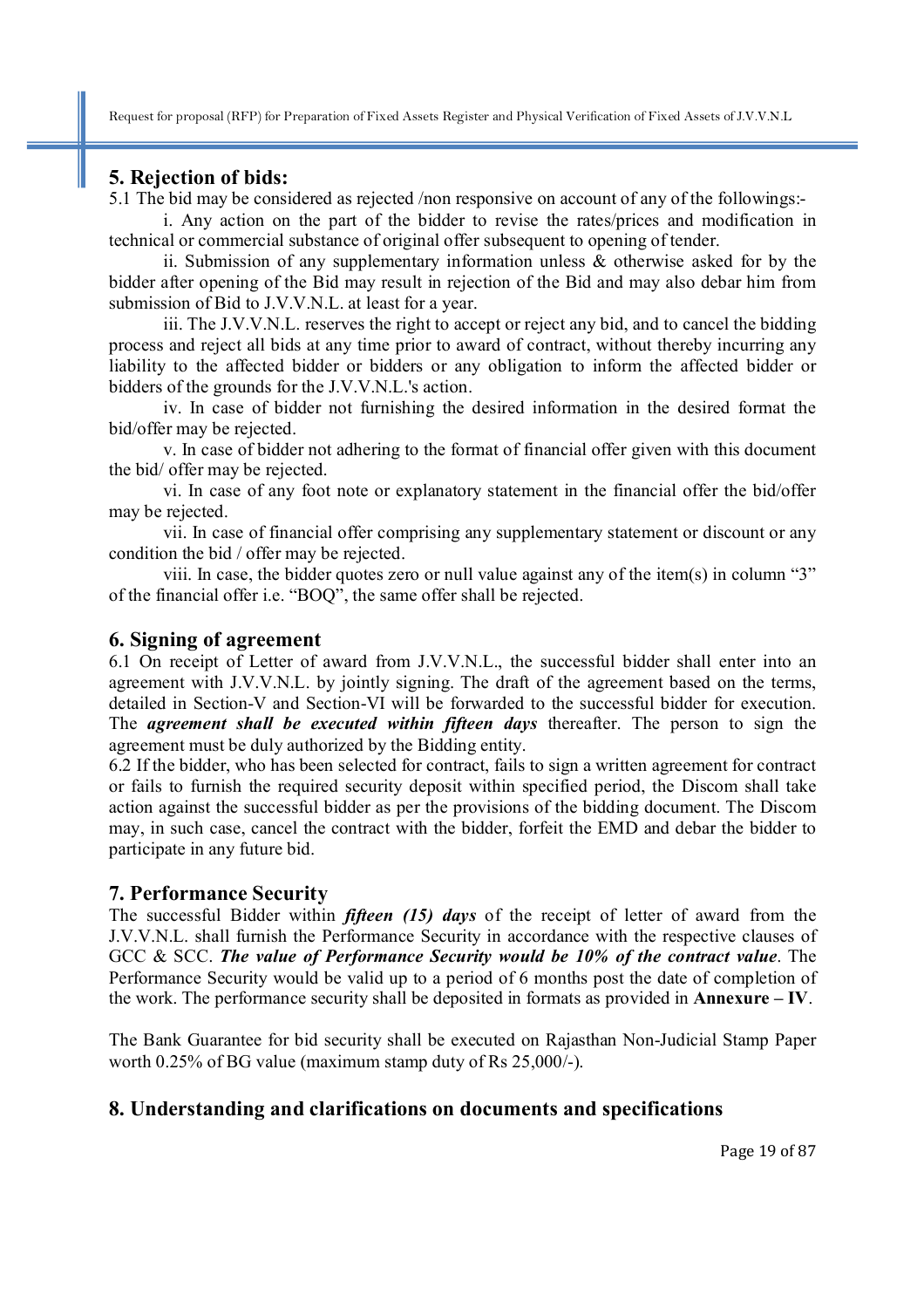#### **5. Rejection of bids:**

5.1 The bid may be considered as rejected /non responsive on account of any of the followings:-

i. Any action on the part of the bidder to revise the rates/prices and modification in technical or commercial substance of original offer subsequent to opening of tender.

ii. Submission of any supplementary information unless  $\&$  otherwise asked for by the bidder after opening of the Bid may result in rejection of the Bid and may also debar him from submission of Bid to J.V.V.N.L. at least for a year.

iii. The J.V.V.N.L. reserves the right to accept or reject any bid, and to cancel the bidding process and reject all bids at any time prior to award of contract, without thereby incurring any liability to the affected bidder or bidders or any obligation to inform the affected bidder or bidders of the grounds for the J.V.V.N.L.'s action.

iv. In case of bidder not furnishing the desired information in the desired format the bid/offer may be rejected.

v. In case of bidder not adhering to the format of financial offer given with this document the bid/ offer may be rejected.

vi. In case of any foot note or explanatory statement in the financial offer the bid/offer may be rejected.

vii. In case of financial offer comprising any supplementary statement or discount or any condition the bid / offer may be rejected.

viii. In case, the bidder quotes zero or null value against any of the item(s) in column "3" of the financial offer i.e. "BOQ", the same offer shall be rejected.

#### **6. Signing of agreement**

6.1 On receipt of Letter of award from J.V.V.N.L., the successful bidder shall enter into an agreement with J.V.V.N.L. by jointly signing. The draft of the agreement based on the terms, detailed in Section-V and Section-VI will be forwarded to the successful bidder for execution. The *agreement shall be executed within fifteen days* thereafter. The person to sign the agreement must be duly authorized by the Bidding entity.

6.2 If the bidder, who has been selected for contract, fails to sign a written agreement for contract or fails to furnish the required security deposit within specified period, the Discom shall take action against the successful bidder as per the provisions of the bidding document. The Discom may, in such case, cancel the contract with the bidder, forfeit the EMD and debar the bidder to participate in any future bid.

#### **7. Performance Security**

The successful Bidder within *fifteen (15) days* of the receipt of letter of award from the J.V.V.N.L. shall furnish the Performance Security in accordance with the respective clauses of GCC & SCC. *The value of Performance Security would be 10% of the contract value*. The Performance Security would be valid up to a period of 6 months post the date of completion of the work. The performance security shall be deposited in formats as provided in **Annexure – IV**.

The Bank Guarantee for bid security shall be executed on Rajasthan Non-Judicial Stamp Paper worth 0.25% of BG value (maximum stamp duty of Rs 25,000/-).

## **8. Understanding and clarifications on documents and specifications**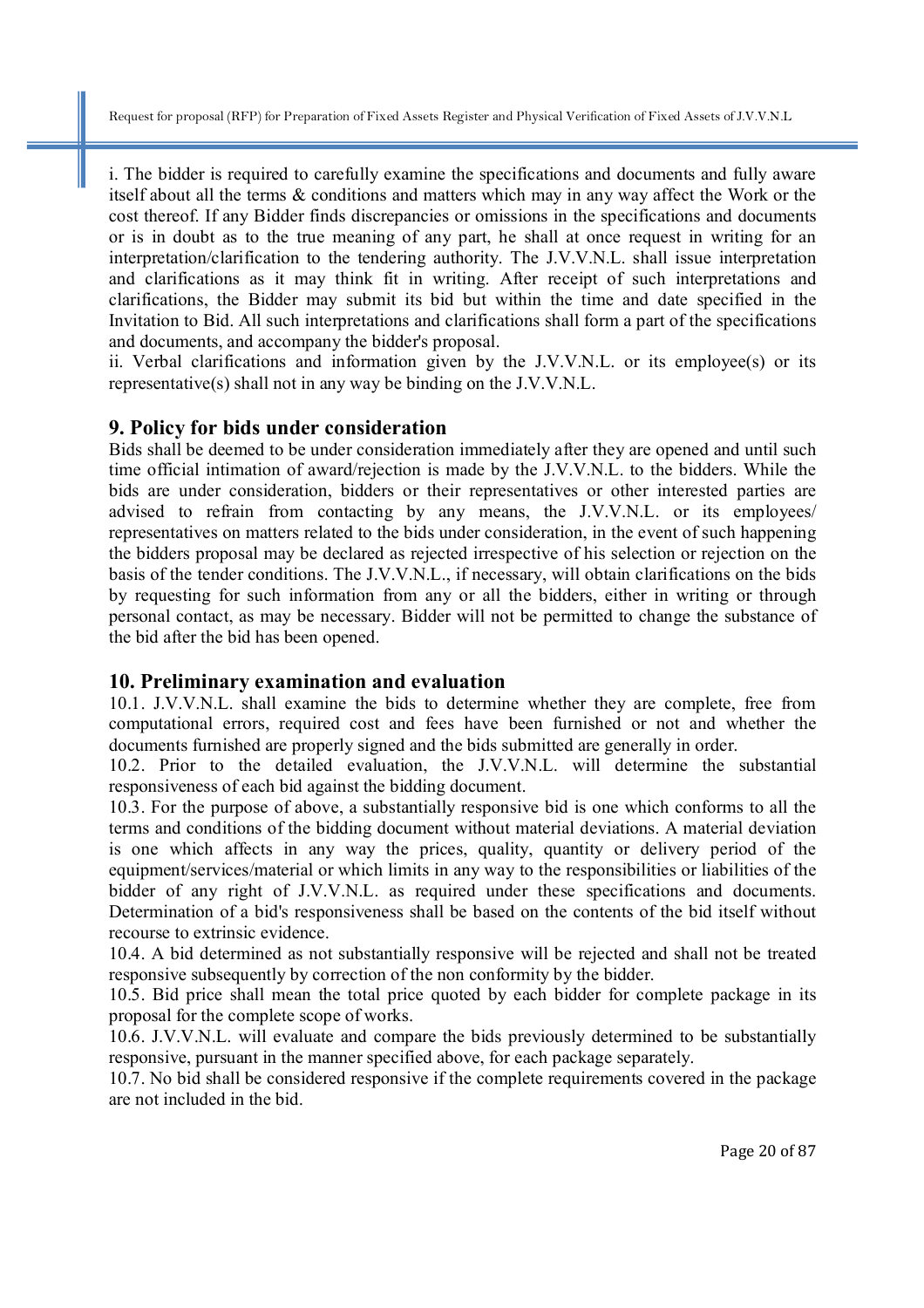i. The bidder is required to carefully examine the specifications and documents and fully aware itself about all the terms & conditions and matters which may in any way affect the Work or the cost thereof. If any Bidder finds discrepancies or omissions in the specifications and documents or is in doubt as to the true meaning of any part, he shall at once request in writing for an interpretation/clarification to the tendering authority. The J.V.V.N.L. shall issue interpretation and clarifications as it may think fit in writing. After receipt of such interpretations and clarifications, the Bidder may submit its bid but within the time and date specified in the Invitation to Bid. All such interpretations and clarifications shall form a part of the specifications and documents, and accompany the bidder's proposal.

ii. Verbal clarifications and information given by the J.V.V.N.L. or its employee(s) or its representative(s) shall not in any way be binding on the J.V.V.N.L.

#### **9. Policy for bids under consideration**

Bids shall be deemed to be under consideration immediately after they are opened and until such time official intimation of award/rejection is made by the J.V.V.N.L. to the bidders. While the bids are under consideration, bidders or their representatives or other interested parties are advised to refrain from contacting by any means, the J.V.V.N.L. or its employees/ representatives on matters related to the bids under consideration, in the event of such happening the bidders proposal may be declared as rejected irrespective of his selection or rejection on the basis of the tender conditions. The J.V.V.N.L., if necessary, will obtain clarifications on the bids by requesting for such information from any or all the bidders, either in writing or through personal contact, as may be necessary. Bidder will not be permitted to change the substance of the bid after the bid has been opened.

#### **10. Preliminary examination and evaluation**

10.1. J.V.V.N.L. shall examine the bids to determine whether they are complete, free from computational errors, required cost and fees have been furnished or not and whether the documents furnished are properly signed and the bids submitted are generally in order.

10.2. Prior to the detailed evaluation, the J.V.V.N.L. will determine the substantial responsiveness of each bid against the bidding document.

10.3. For the purpose of above, a substantially responsive bid is one which conforms to all the terms and conditions of the bidding document without material deviations. A material deviation is one which affects in any way the prices, quality, quantity or delivery period of the equipment/services/material or which limits in any way to the responsibilities or liabilities of the bidder of any right of J.V.V.N.L. as required under these specifications and documents. Determination of a bid's responsiveness shall be based on the contents of the bid itself without recourse to extrinsic evidence.

10.4. A bid determined as not substantially responsive will be rejected and shall not be treated responsive subsequently by correction of the non conformity by the bidder.

10.5. Bid price shall mean the total price quoted by each bidder for complete package in its proposal for the complete scope of works.

10.6. J.V.V.N.L. will evaluate and compare the bids previously determined to be substantially responsive, pursuant in the manner specified above, for each package separately.

10.7. No bid shall be considered responsive if the complete requirements covered in the package are not included in the bid.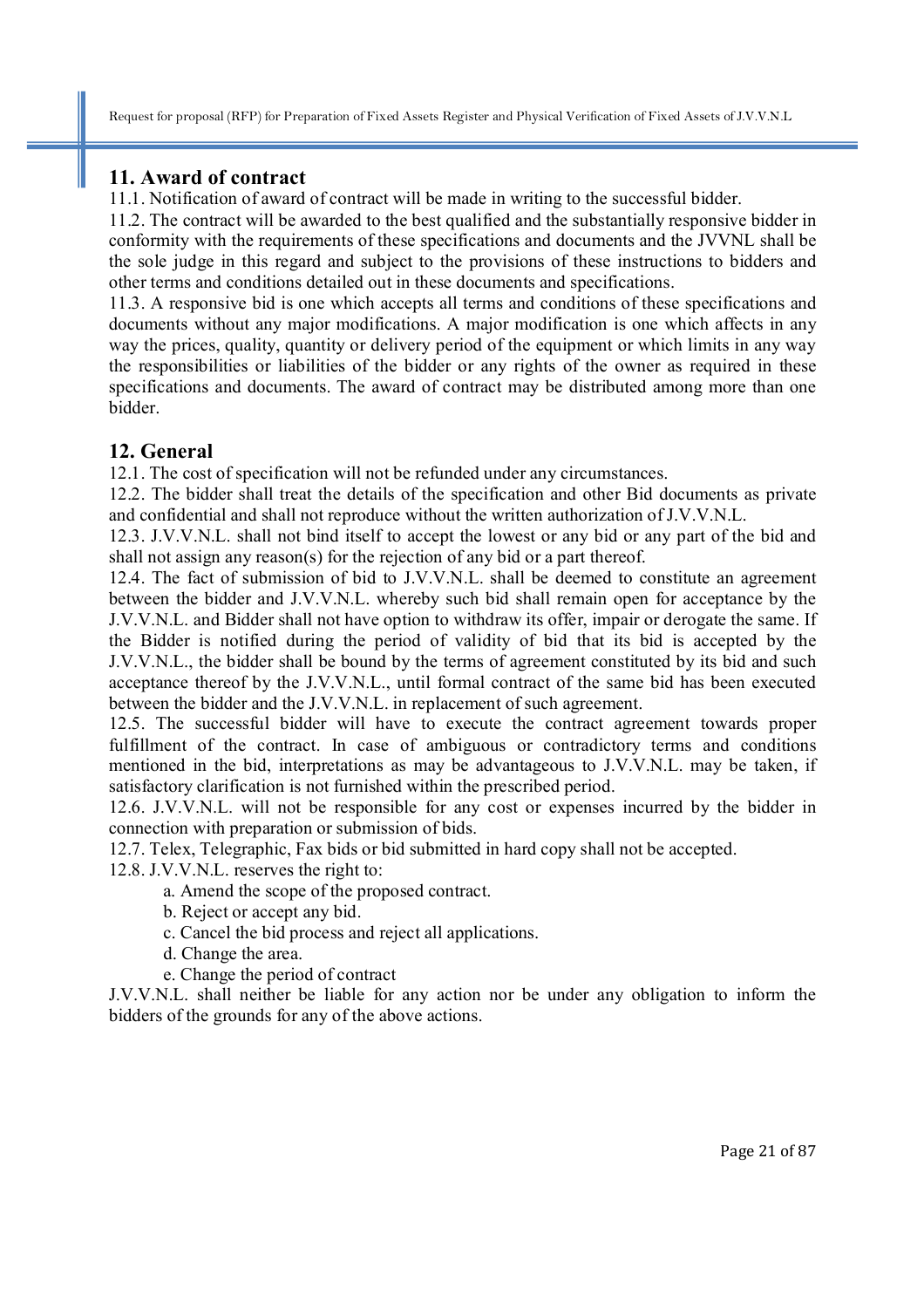#### **11. Award of contract**

11.1. Notification of award of contract will be made in writing to the successful bidder.

11.2. The contract will be awarded to the best qualified and the substantially responsive bidder in conformity with the requirements of these specifications and documents and the JVVNL shall be the sole judge in this regard and subject to the provisions of these instructions to bidders and other terms and conditions detailed out in these documents and specifications.

11.3. A responsive bid is one which accepts all terms and conditions of these specifications and documents without any major modifications. A major modification is one which affects in any way the prices, quality, quantity or delivery period of the equipment or which limits in any way the responsibilities or liabilities of the bidder or any rights of the owner as required in these specifications and documents. The award of contract may be distributed among more than one bidder.

## **12. General**

12.1. The cost of specification will not be refunded under any circumstances.

12.2. The bidder shall treat the details of the specification and other Bid documents as private and confidential and shall not reproduce without the written authorization of J.V.V.N.L.

12.3. J.V.V.N.L. shall not bind itself to accept the lowest or any bid or any part of the bid and shall not assign any reason(s) for the rejection of any bid or a part thereof.

12.4. The fact of submission of bid to J.V.V.N.L. shall be deemed to constitute an agreement between the bidder and J.V.V.N.L. whereby such bid shall remain open for acceptance by the J.V.V.N.L. and Bidder shall not have option to withdraw its offer, impair or derogate the same. If the Bidder is notified during the period of validity of bid that its bid is accepted by the J.V.V.N.L., the bidder shall be bound by the terms of agreement constituted by its bid and such acceptance thereof by the J.V.V.N.L., until formal contract of the same bid has been executed between the bidder and the J.V.V.N.L. in replacement of such agreement.

12.5. The successful bidder will have to execute the contract agreement towards proper fulfillment of the contract. In case of ambiguous or contradictory terms and conditions mentioned in the bid, interpretations as may be advantageous to J.V.V.N.L. may be taken, if satisfactory clarification is not furnished within the prescribed period.

12.6. J.V.V.N.L. will not be responsible for any cost or expenses incurred by the bidder in connection with preparation or submission of bids.

12.7. Telex, Telegraphic, Fax bids or bid submitted in hard copy shall not be accepted.

12.8. J.V.V.N.L. reserves the right to:

a. Amend the scope of the proposed contract.

- b. Reject or accept any bid.
- c. Cancel the bid process and reject all applications.
- d. Change the area.
- e. Change the period of contract

J.V.V.N.L. shall neither be liable for any action nor be under any obligation to inform the bidders of the grounds for any of the above actions.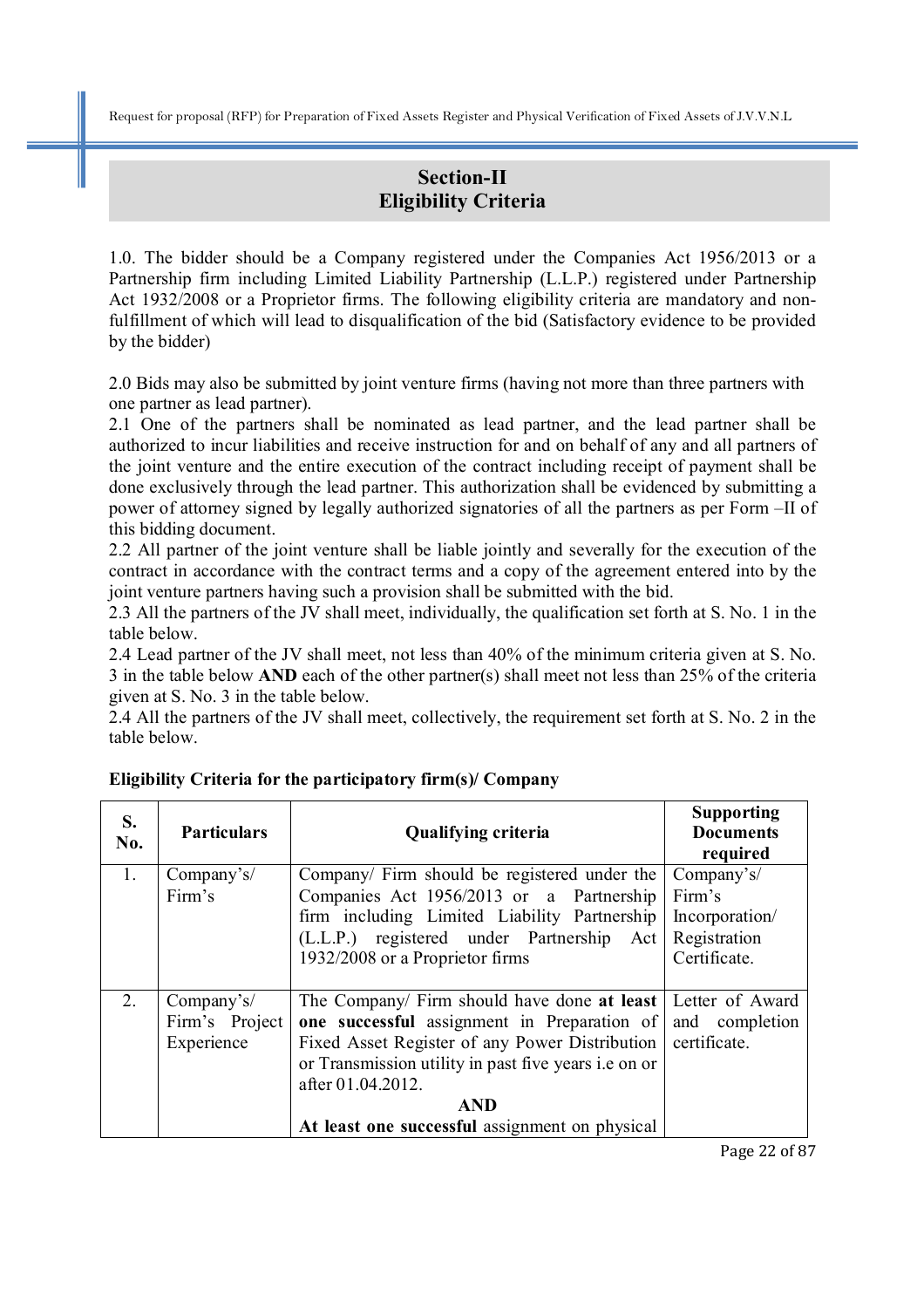## **Section-II Eligibility Criteria**

1.0. The bidder should be a Company registered under the Companies Act 1956/2013 or a Partnership firm including Limited Liability Partnership (L.L.P.) registered under Partnership Act 1932/2008 or a Proprietor firms. The following eligibility criteria are mandatory and nonfulfillment of which will lead to disqualification of the bid (Satisfactory evidence to be provided by the bidder)

2.0 Bids may also be submitted by joint venture firms (having not more than three partners with one partner as lead partner).

2.1 One of the partners shall be nominated as lead partner, and the lead partner shall be authorized to incur liabilities and receive instruction for and on behalf of any and all partners of the joint venture and the entire execution of the contract including receipt of payment shall be done exclusively through the lead partner. This authorization shall be evidenced by submitting a power of attorney signed by legally authorized signatories of all the partners as per Form –II of this bidding document.

2.2 All partner of the joint venture shall be liable jointly and severally for the execution of the contract in accordance with the contract terms and a copy of the agreement entered into by the joint venture partners having such a provision shall be submitted with the bid.

2.3 All the partners of the JV shall meet, individually, the qualification set forth at S. No. 1 in the table below.

2.4 Lead partner of the JV shall meet, not less than 40% of the minimum criteria given at S. No. 3 in the table below **AND** each of the other partner(s) shall meet not less than 25% of the criteria given at S. No. 3 in the table below.

2.4 All the partners of the JV shall meet, collectively, the requirement set forth at S. No. 2 in the table below.

| S.<br>No. | <b>Particulars</b>                         | <b>Qualifying criteria</b>                                                                                                                                                                                                                                                                | <b>Supporting</b><br><b>Documents</b><br>required                      |
|-----------|--------------------------------------------|-------------------------------------------------------------------------------------------------------------------------------------------------------------------------------------------------------------------------------------------------------------------------------------------|------------------------------------------------------------------------|
| 1.        | Company's/<br>Firm's                       | Company/ Firm should be registered under the<br>Companies Act 1956/2013 or a Partnership<br>firm including Limited Liability Partnership<br>(L.L.P.) registered under Partnership Act<br>1932/2008 or a Proprietor firms                                                                  | Company's/<br>Firm's<br>Incorporation/<br>Registration<br>Certificate. |
| 2.        | Company's/<br>Firm's Project<br>Experience | The Company/ Firm should have done at least<br>one successful assignment in Preparation of<br>Fixed Asset Register of any Power Distribution<br>or Transmission utility in past five years i.e on or<br>after 01.04.2012.<br><b>AND</b><br>At least one successful assignment on physical | Letter of Award<br>and completion<br>certificate.                      |

#### **Eligibility Criteria for the participatory firm(s)/ Company**

Page 22 of 87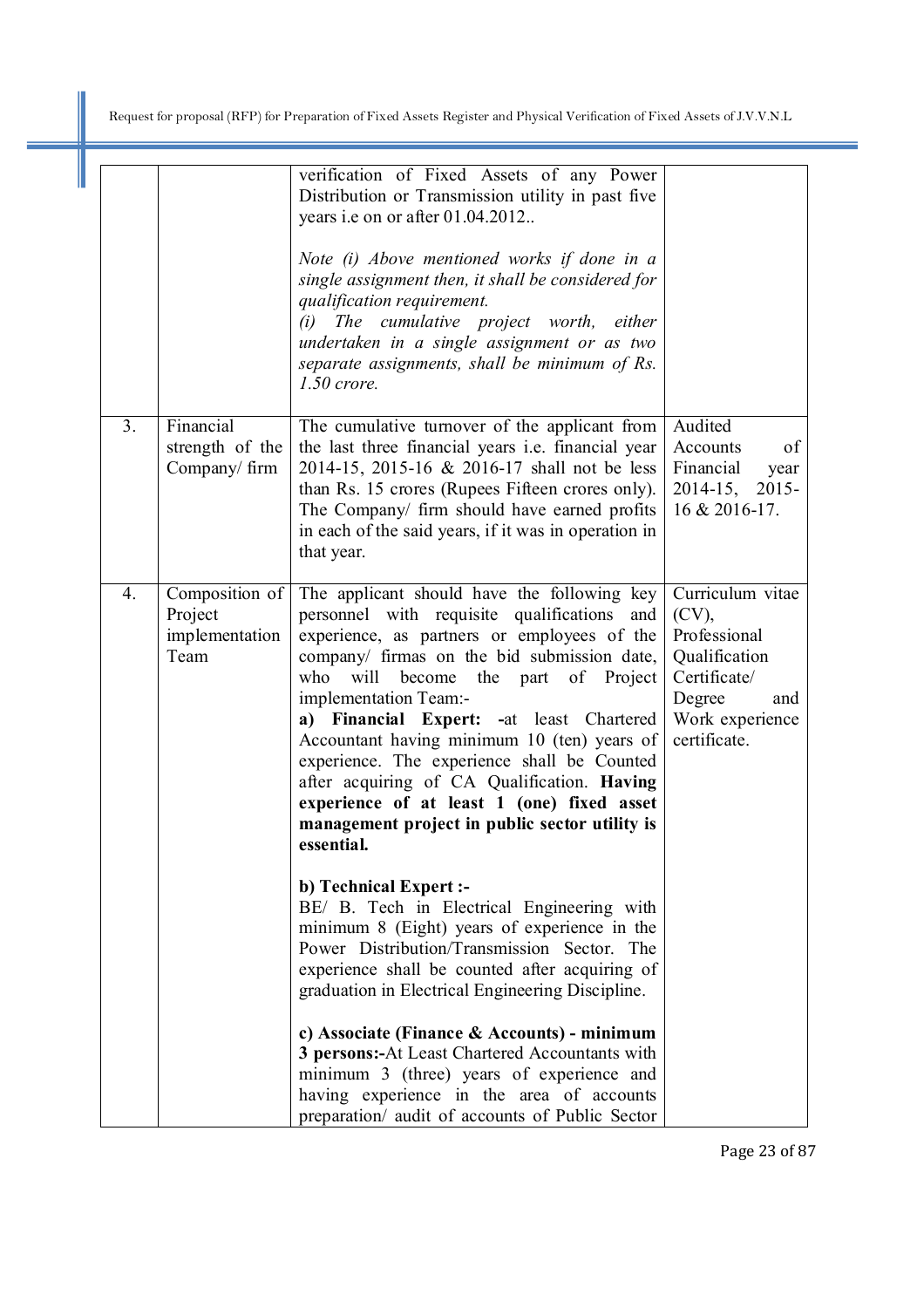|                |                                                     | verification of Fixed Assets of any Power<br>Distribution or Transmission utility in past five<br>years i.e on or after 01.04.2012<br>Note (i) Above mentioned works if done in a<br>single assignment then, it shall be considered for<br>qualification requirement.<br>(i) The cumulative project worth, either<br>undertaken in a single assignment or as two<br>separate assignments, shall be minimum of Rs.<br>$1.50$ crore.                                                                                                                                             |                                                                                                                                   |
|----------------|-----------------------------------------------------|--------------------------------------------------------------------------------------------------------------------------------------------------------------------------------------------------------------------------------------------------------------------------------------------------------------------------------------------------------------------------------------------------------------------------------------------------------------------------------------------------------------------------------------------------------------------------------|-----------------------------------------------------------------------------------------------------------------------------------|
| 3 <sub>1</sub> | Financial<br>strength of the<br>Company/firm        | The cumulative turnover of the applicant from<br>the last three financial years <i>i.e.</i> financial year<br>2014-15, 2015-16 & 2016-17 shall not be less<br>than Rs. 15 crores (Rupees Fifteen crores only).<br>The Company/ firm should have earned profits<br>in each of the said years, if it was in operation in<br>that year.                                                                                                                                                                                                                                           | Audited<br>Accounts<br>of<br>Financial<br>year<br>2014-15, 2015-<br>16 & 2016-17.                                                 |
| 4.             | Composition of<br>Project<br>implementation<br>Team | The applicant should have the following key<br>personnel with requisite qualifications<br>and<br>experience, as partners or employees of the<br>company/ firmas on the bid submission date,<br>who<br>the part<br>of Project<br>will<br>become<br>implementation Team:-<br>a) Financial Expert: -at least Chartered<br>Accountant having minimum 10 (ten) years of<br>experience. The experience shall be Counted<br>after acquiring of CA Qualification. Having<br>experience of at least 1 (one) fixed asset<br>management project in public sector utility is<br>essential. | Curriculum vitae<br>$(CV)$ ,<br>Professional<br>Qualification<br>Certificate/<br>Degree<br>and<br>Work experience<br>certificate. |
|                |                                                     | <b>b)</b> Technical Expert :-<br>BE/ B. Tech in Electrical Engineering with<br>minimum 8 (Eight) years of experience in the<br>Power Distribution/Transmission Sector. The<br>experience shall be counted after acquiring of<br>graduation in Electrical Engineering Discipline.                                                                                                                                                                                                                                                                                               |                                                                                                                                   |
|                |                                                     | c) Associate (Finance & Accounts) - minimum<br>3 persons:-At Least Chartered Accountants with<br>minimum 3 (three) years of experience and<br>having experience in the area of accounts<br>preparation/ audit of accounts of Public Sector                                                                                                                                                                                                                                                                                                                                     |                                                                                                                                   |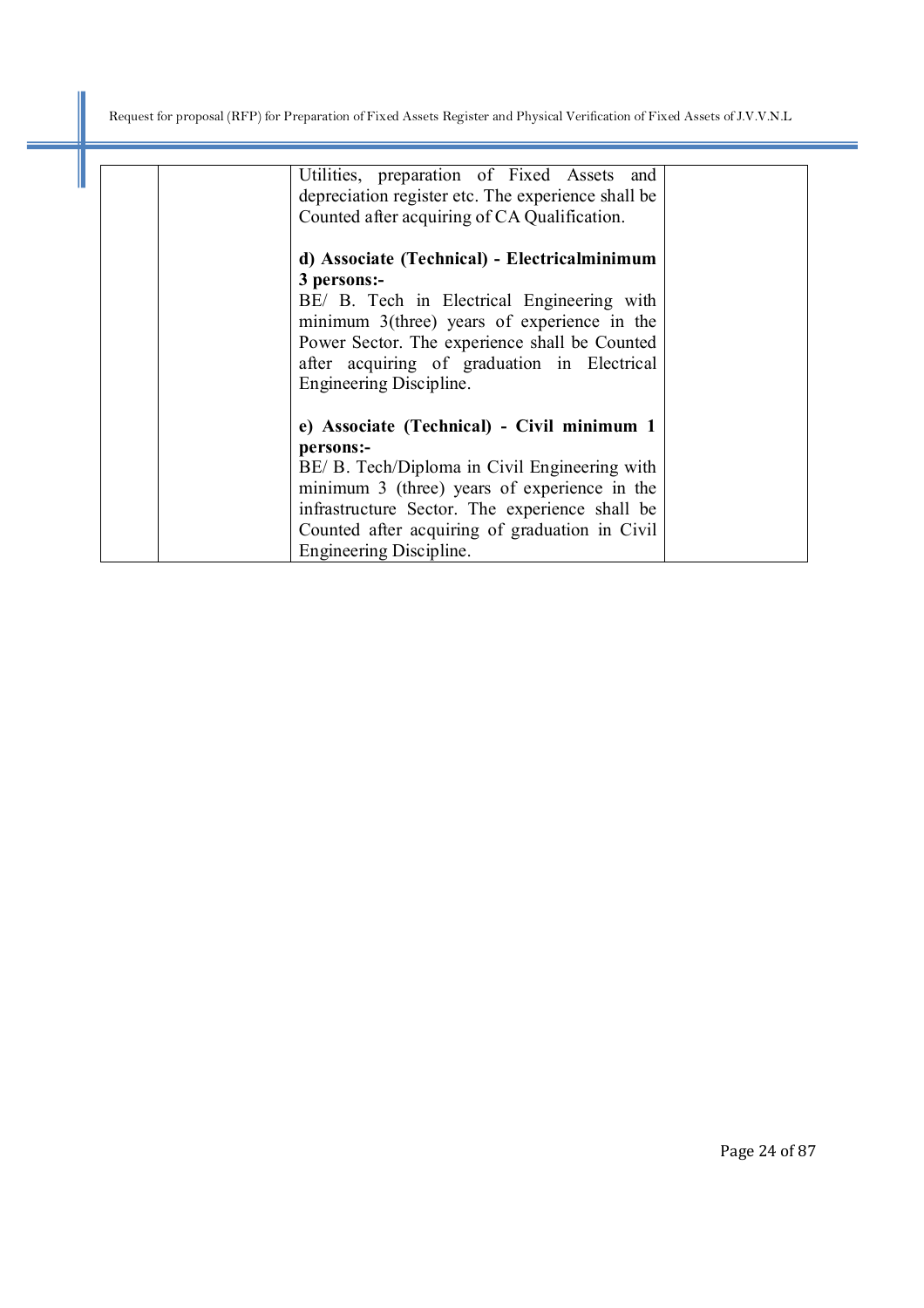I

| Utilities, preparation of Fixed Assets and<br>depreciation register etc. The experience shall be<br>Counted after acquiring of CA Qualification.                                                                                                                                        |  |
|-----------------------------------------------------------------------------------------------------------------------------------------------------------------------------------------------------------------------------------------------------------------------------------------|--|
| d) Associate (Technical) - Electricalminimum<br>3 persons:-<br>BE/ B. Tech in Electrical Engineering with<br>minimum $3$ (three) years of experience in the<br>Power Sector. The experience shall be Counted<br>after acquiring of graduation in Electrical<br>Engineering Discipline.  |  |
| e) Associate (Technical) - Civil minimum 1<br>persons:-<br>BE/ B. Tech/Diploma in Civil Engineering with<br>minimum 3 (three) years of experience in the<br>infrastructure Sector. The experience shall be<br>Counted after acquiring of graduation in Civil<br>Engineering Discipline. |  |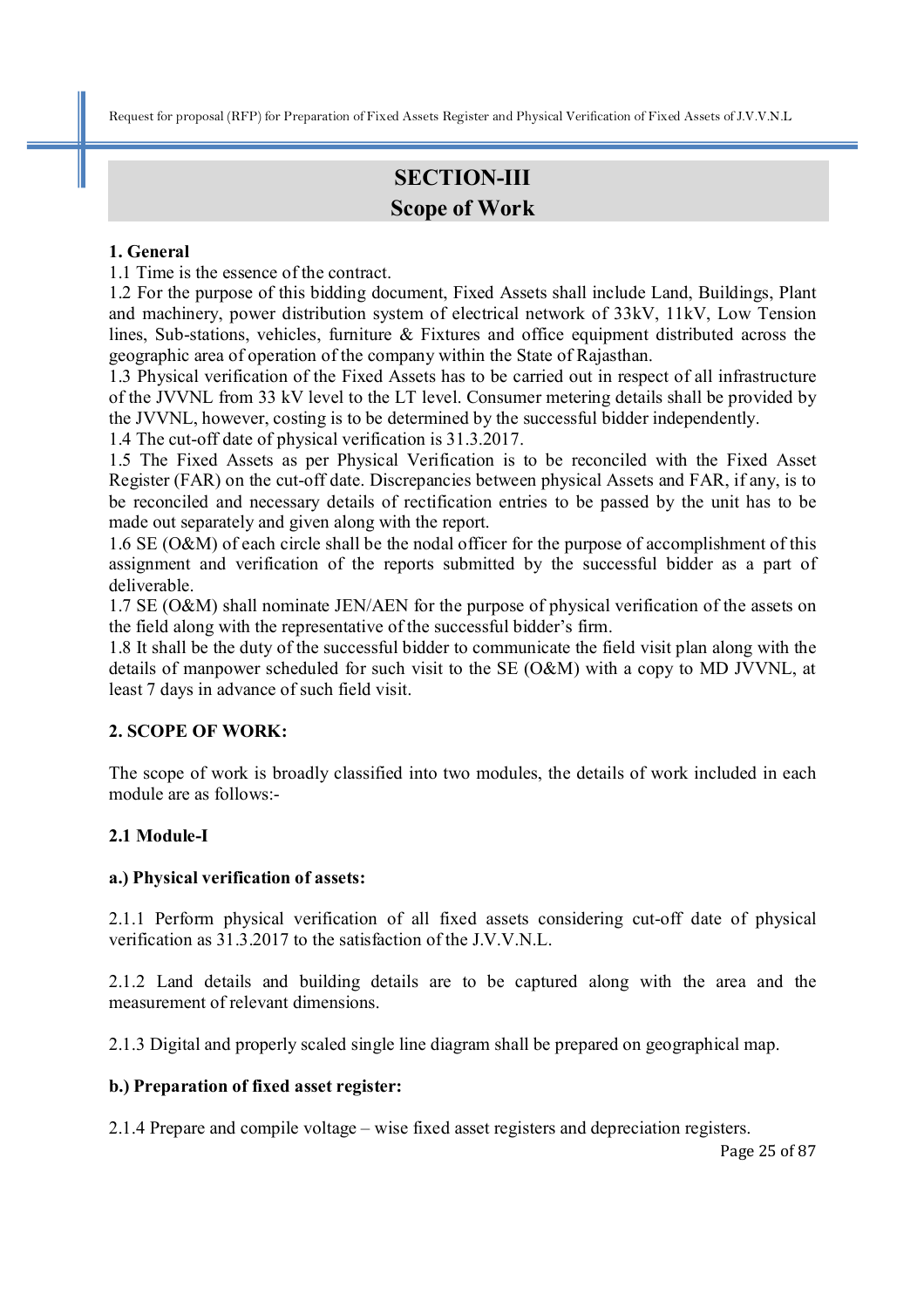# **SECTION-III Scope of Work**

#### **1. General**

1.1 Time is the essence of the contract.

1.2 For the purpose of this bidding document, Fixed Assets shall include Land, Buildings, Plant and machinery, power distribution system of electrical network of 33kV, 11kV, Low Tension lines, Sub-stations, vehicles, furniture & Fixtures and office equipment distributed across the geographic area of operation of the company within the State of Rajasthan.

1.3 Physical verification of the Fixed Assets has to be carried out in respect of all infrastructure of the JVVNL from 33 kV level to the LT level. Consumer metering details shall be provided by the JVVNL, however, costing is to be determined by the successful bidder independently.

1.4 The cut-off date of physical verification is 31.3.2017.

1.5 The Fixed Assets as per Physical Verification is to be reconciled with the Fixed Asset Register (FAR) on the cut-off date. Discrepancies between physical Assets and FAR, if any, is to be reconciled and necessary details of rectification entries to be passed by the unit has to be made out separately and given along with the report.

1.6 SE (O&M) of each circle shall be the nodal officer for the purpose of accomplishment of this assignment and verification of the reports submitted by the successful bidder as a part of deliverable.

1.7 SE (O&M) shall nominate JEN/AEN for the purpose of physical verification of the assets on the field along with the representative of the successful bidder's firm.

1.8 It shall be the duty of the successful bidder to communicate the field visit plan along with the details of manpower scheduled for such visit to the SE (O&M) with a copy to MD JVVNL, at least 7 days in advance of such field visit.

## **2. SCOPE OF WORK:**

The scope of work is broadly classified into two modules, the details of work included in each module are as follows:-

## **2.1 Module-I**

#### **a.) Physical verification of assets:**

2.1.1 Perform physical verification of all fixed assets considering cut-off date of physical verification as 31.3.2017 to the satisfaction of the J.V.V.N.L.

2.1.2 Land details and building details are to be captured along with the area and the measurement of relevant dimensions.

2.1.3 Digital and properly scaled single line diagram shall be prepared on geographical map.

#### **b.) Preparation of fixed asset register:**

2.1.4 Prepare and compile voltage – wise fixed asset registers and depreciation registers.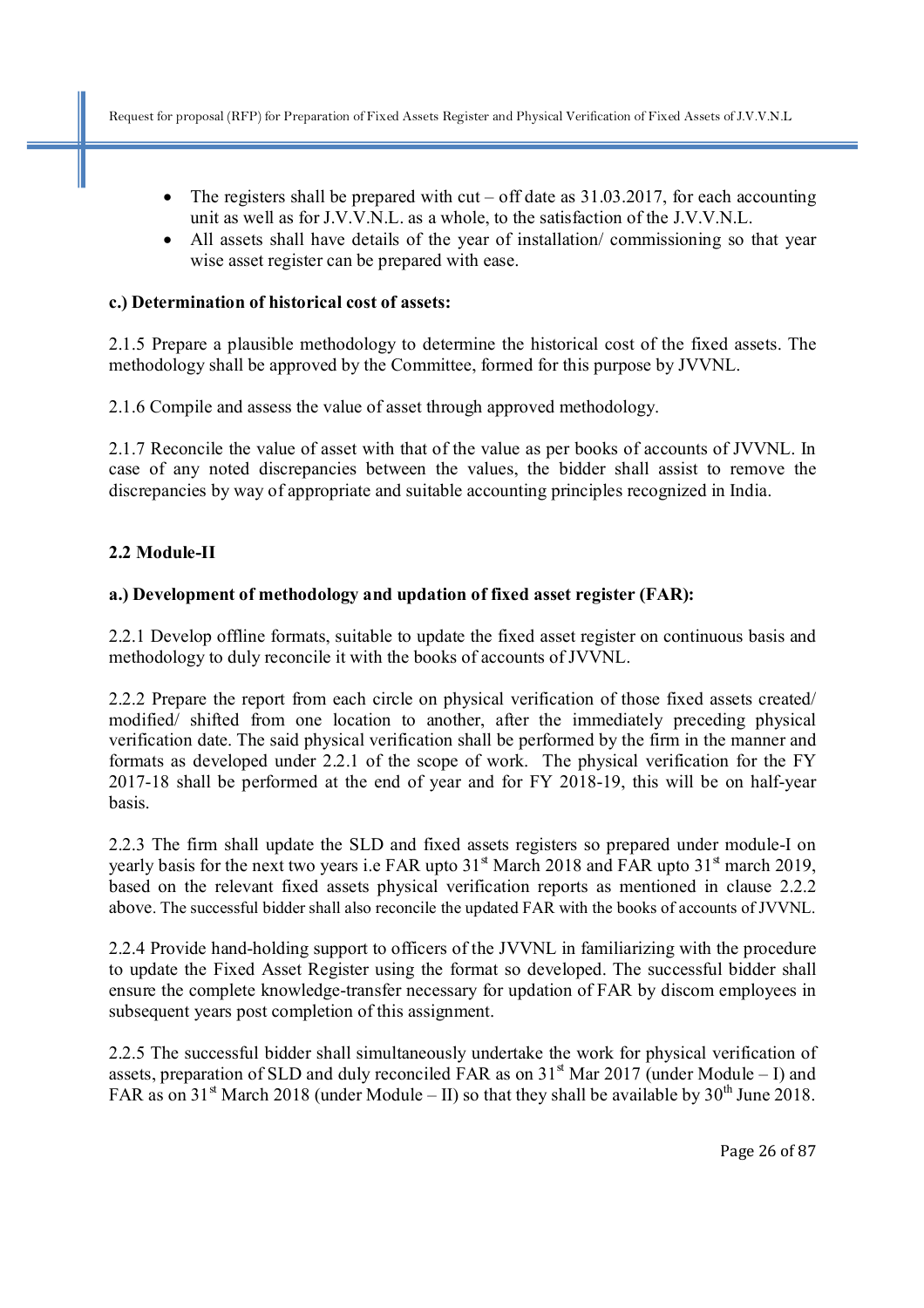- The registers shall be prepared with cut off date as  $31.03.2017$ , for each accounting unit as well as for J.V.V.N.L. as a whole, to the satisfaction of the J.V.V.N.L.
- All assets shall have details of the year of installation/commissioning so that year wise asset register can be prepared with ease.

#### **c.) Determination of historical cost of assets:**

2.1.5 Prepare a plausible methodology to determine the historical cost of the fixed assets. The methodology shall be approved by the Committee, formed for this purpose by JVVNL.

2.1.6 Compile and assess the value of asset through approved methodology.

2.1.7 Reconcile the value of asset with that of the value as per books of accounts of JVVNL. In case of any noted discrepancies between the values, the bidder shall assist to remove the discrepancies by way of appropriate and suitable accounting principles recognized in India.

#### **2.2 Module-II**

#### **a.) Development of methodology and updation of fixed asset register (FAR):**

2.2.1 Develop offline formats, suitable to update the fixed asset register on continuous basis and methodology to duly reconcile it with the books of accounts of JVVNL.

2.2.2 Prepare the report from each circle on physical verification of those fixed assets created/ modified/ shifted from one location to another, after the immediately preceding physical verification date. The said physical verification shall be performed by the firm in the manner and formats as developed under 2.2.1 of the scope of work. The physical verification for the FY 2017-18 shall be performed at the end of year and for FY 2018-19, this will be on half-year basis.

2.2.3 The firm shall update the SLD and fixed assets registers so prepared under module-I on yearly basis for the next two years i.e FAR upto  $31<sup>st</sup>$  March 2018 and FAR upto  $31<sup>st</sup>$  march 2019, based on the relevant fixed assets physical verification reports as mentioned in clause 2.2.2 above. The successful bidder shall also reconcile the updated FAR with the books of accounts of JVVNL.

2.2.4 Provide hand-holding support to officers of the JVVNL in familiarizing with the procedure to update the Fixed Asset Register using the format so developed. The successful bidder shall ensure the complete knowledge-transfer necessary for updation of FAR by discom employees in subsequent years post completion of this assignment.

2.2.5 The successful bidder shall simultaneously undertake the work for physical verification of assets, preparation of SLD and duly reconciled FAR as on  $31<sup>st</sup>$  Mar 2017 (under Module – I) and FAR as on 31<sup>st</sup> March 2018 (under Module – II) so that they shall be available by 30<sup>th</sup> June 2018.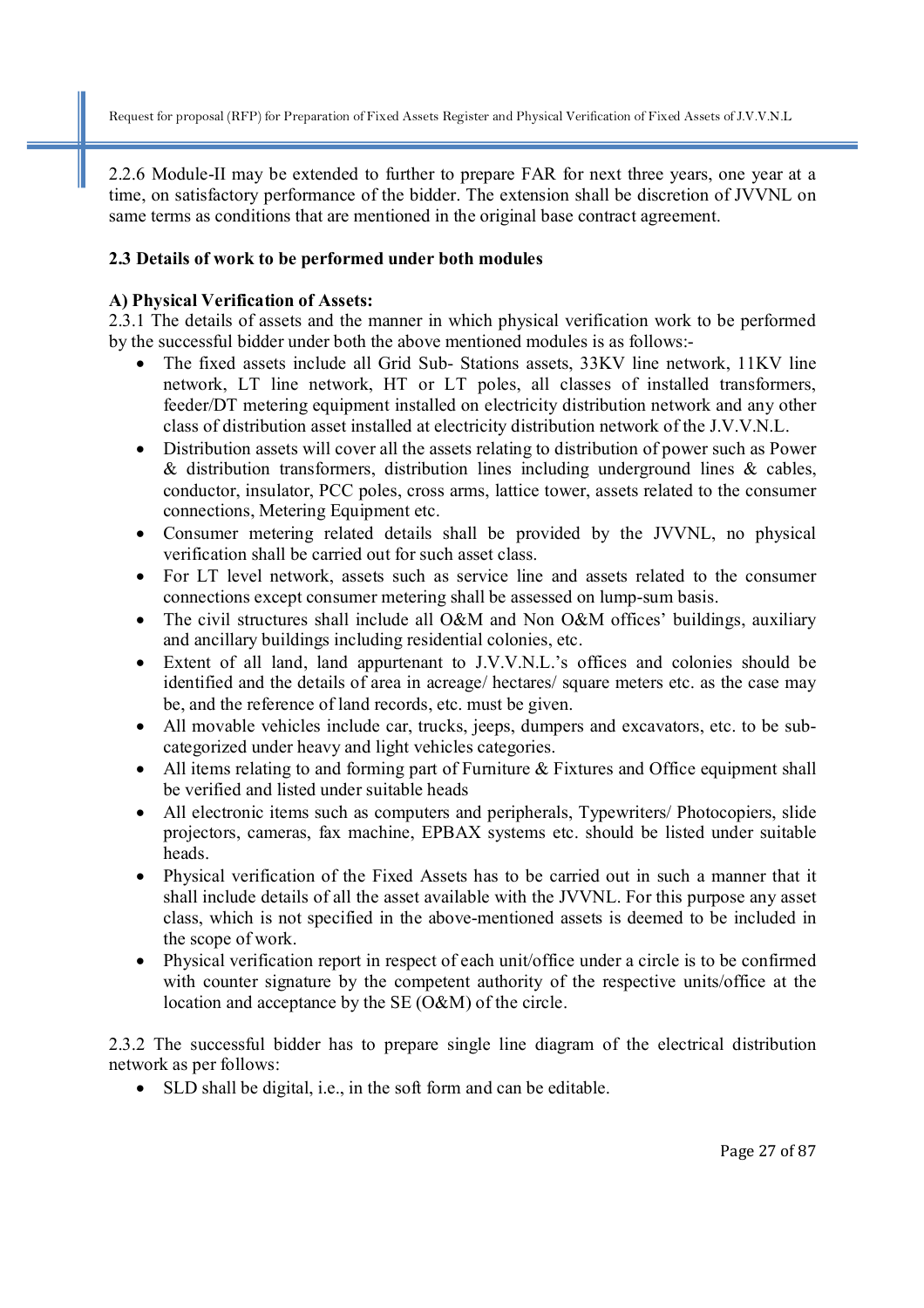2.2.6 Module-II may be extended to further to prepare FAR for next three years, one year at a time, on satisfactory performance of the bidder. The extension shall be discretion of JVVNL on same terms as conditions that are mentioned in the original base contract agreement.

#### **2.3 Details of work to be performed under both modules**

#### **A) Physical Verification of Assets:**

2.3.1 The details of assets and the manner in which physical verification work to be performed by the successful bidder under both the above mentioned modules is as follows:-

- The fixed assets include all Grid Sub- Stations assets, 33KV line network, 11KV line network, LT line network, HT or LT poles, all classes of installed transformers, feeder/DT metering equipment installed on electricity distribution network and any other class of distribution asset installed at electricity distribution network of the J.V.V.N.L.
- Distribution assets will cover all the assets relating to distribution of power such as Power & distribution transformers, distribution lines including underground lines & cables, conductor, insulator, PCC poles, cross arms, lattice tower, assets related to the consumer connections, Metering Equipment etc.
- Consumer metering related details shall be provided by the JVVNL, no physical verification shall be carried out for such asset class.
- For LT level network, assets such as service line and assets related to the consumer connections except consumer metering shall be assessed on lump-sum basis.
- The civil structures shall include all O&M and Non O&M offices' buildings, auxiliary and ancillary buildings including residential colonies, etc.
- Extent of all land, land appurtenant to J.V.V.N.L.'s offices and colonies should be identified and the details of area in acreage/ hectares/ square meters etc. as the case may be, and the reference of land records, etc. must be given.
- All movable vehicles include car, trucks, jeeps, dumpers and excavators, etc. to be subcategorized under heavy and light vehicles categories.
- All items relating to and forming part of Furniture & Fixtures and Office equipment shall be verified and listed under suitable heads
- All electronic items such as computers and peripherals, Typewriters/ Photocopiers, slide projectors, cameras, fax machine, EPBAX systems etc. should be listed under suitable heads.
- Physical verification of the Fixed Assets has to be carried out in such a manner that it shall include details of all the asset available with the JVVNL. For this purpose any asset class, which is not specified in the above-mentioned assets is deemed to be included in the scope of work.
- Physical verification report in respect of each unit/office under a circle is to be confirmed with counter signature by the competent authority of the respective units/office at the location and acceptance by the SE (O&M) of the circle.

2.3.2 The successful bidder has to prepare single line diagram of the electrical distribution network as per follows:

• SLD shall be digital, i.e., in the soft form and can be editable.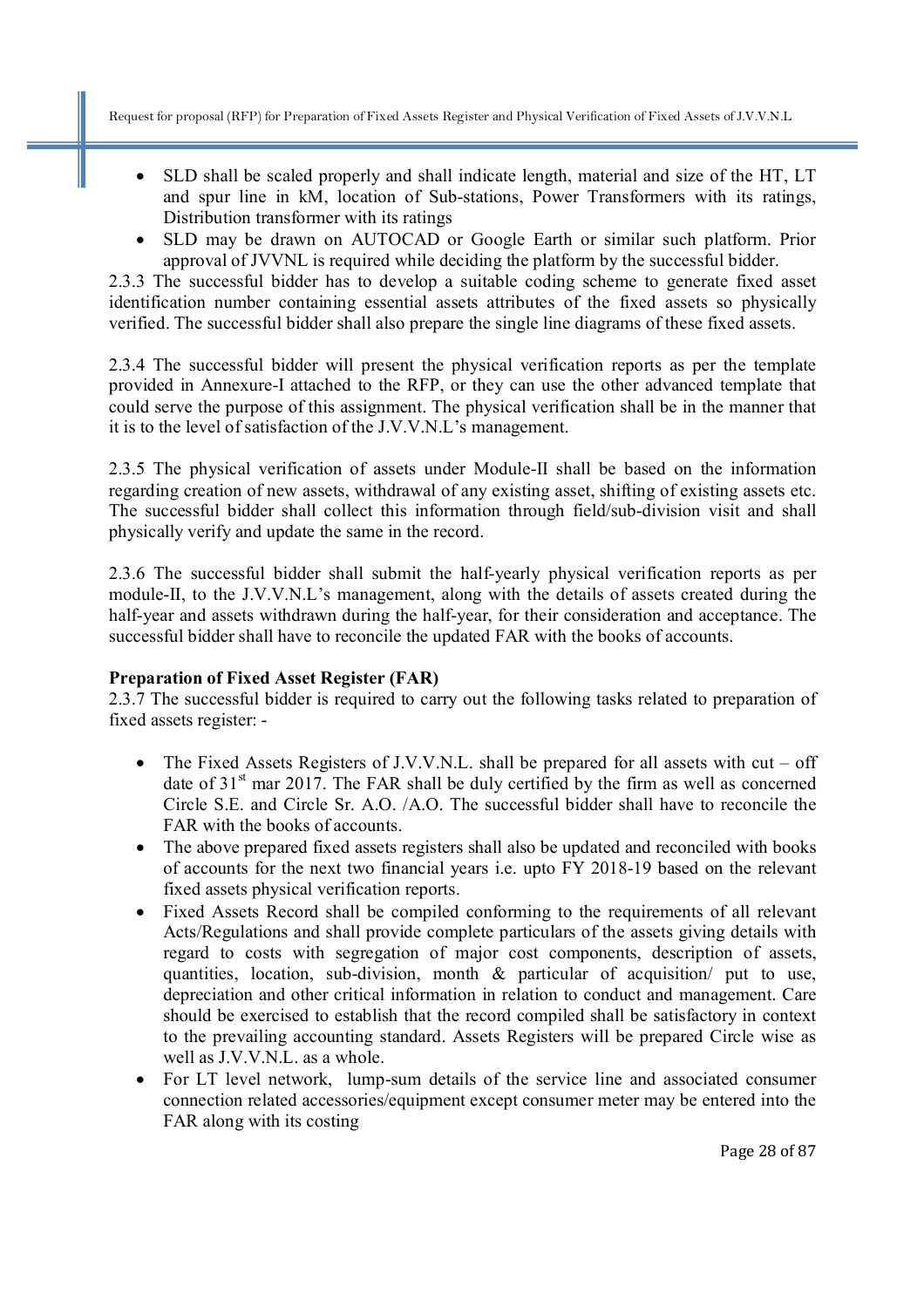- SLD shall be scaled properly and shall indicate length, material and size of the HT, LT and spur line in kM, location of Sub-stations, Power Transformers with its ratings, Distribution transformer with its ratings
- SLD may be drawn on AUTOCAD or Google Earth or similar such platform. Prior approval of JVVNL is required while deciding the platform by the successful bidder.

2.3.3 The successful bidder has to develop a suitable coding scheme to generate fixed asset identification number containing essential assets attributes of the fixed assets so physically verified. The successful bidder shall also prepare the single line diagrams of these fixed assets.

2.3.4 The successful bidder will present the physical verification reports as per the template provided in Annexure-I attached to the RFP, or they can use the other advanced template that could serve the purpose of this assignment. The physical verification shall be in the manner that it is to the level of satisfaction of the J.V.V.N.L's management.

2.3.5 The physical verification of assets under Module-II shall be based on the information regarding creation of new assets, withdrawal of any existing asset, shifting of existing assets etc. The successful bidder shall collect this information through field/sub-division visit and shall physically verify and update the same in the record.

2.3.6 The successful bidder shall submit the half-yearly physical verification reports as per module-II, to the J.V.V.N.L's management, along with the details of assets created during the half-year and assets withdrawn during the half-year, for their consideration and acceptance. The successful bidder shall have to reconcile the updated FAR with the books of accounts.

#### **Preparation of Fixed Asset Register (FAR)**

2.3.7 The successful bidder is required to carry out the following tasks related to preparation of fixed assets register: -

- The Fixed Assets Registers of J.V.V.N.L. shall be prepared for all assets with cut off date of  $31<sup>st</sup>$  mar 2017. The FAR shall be duly certified by the firm as well as concerned Circle S.E. and Circle Sr. A.O. /A.O. The successful bidder shall have to reconcile the FAR with the books of accounts.
- The above prepared fixed assets registers shall also be updated and reconciled with books of accounts for the next two financial years i.e. upto FY 2018-19 based on the relevant fixed assets physical verification reports.
- Fixed Assets Record shall be compiled conforming to the requirements of all relevant Acts/Regulations and shall provide complete particulars of the assets giving details with regard to costs with segregation of major cost components, description of assets, quantities, location, sub-division, month & particular of acquisition/ put to use, depreciation and other critical information in relation to conduct and management. Care should be exercised to establish that the record compiled shall be satisfactory in context to the prevailing accounting standard. Assets Registers will be prepared Circle wise as well as J.V.V.N.L. as a whole.
- For LT level network, lump-sum details of the service line and associated consumer connection related accessories/equipment except consumer meter may be entered into the FAR along with its costing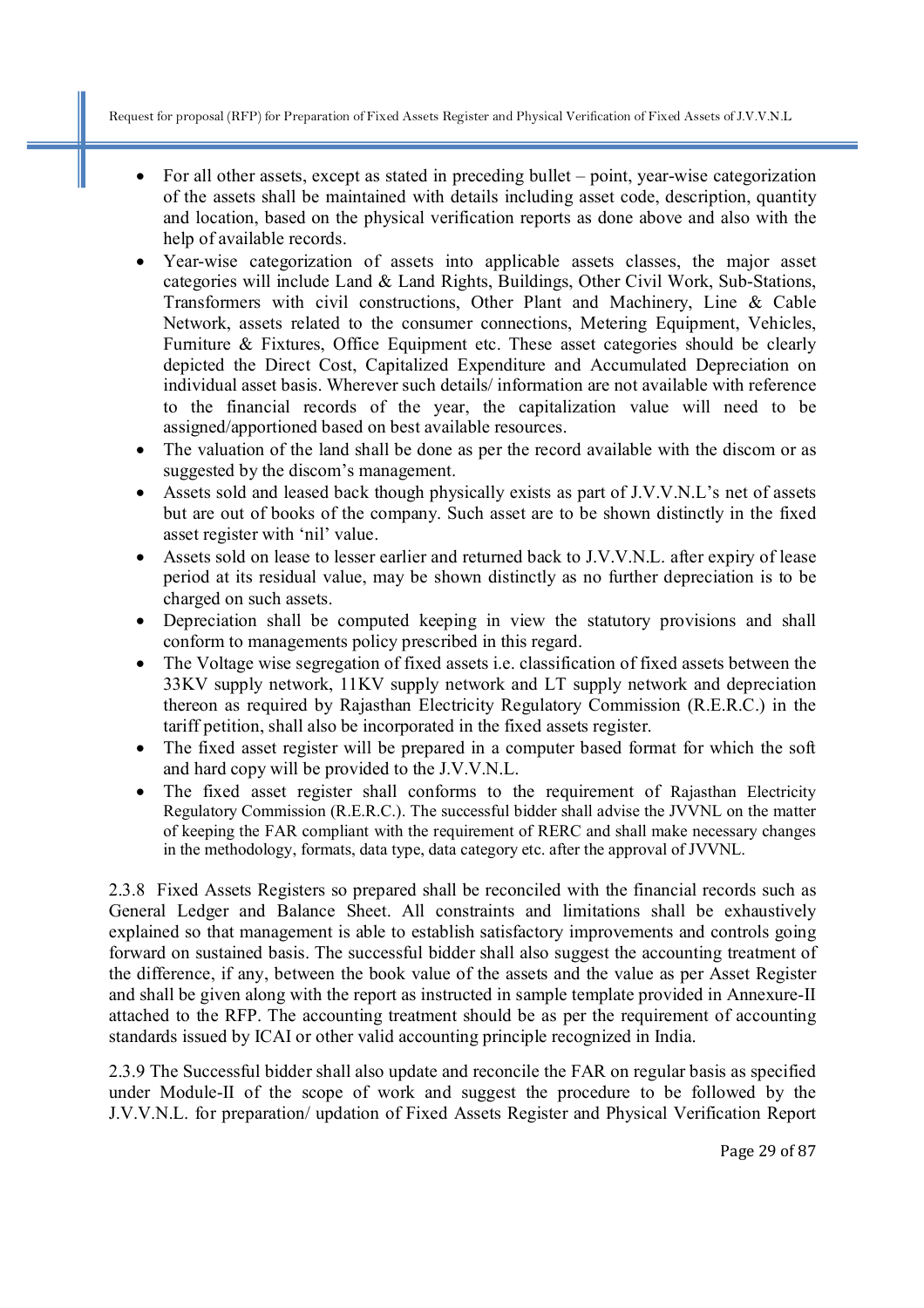- For all other assets, except as stated in preceding bullet point, year-wise categorization of the assets shall be maintained with details including asset code, description, quantity and location, based on the physical verification reports as done above and also with the help of available records.
- Year-wise categorization of assets into applicable assets classes, the major asset categories will include Land & Land Rights, Buildings, Other Civil Work, Sub-Stations, Transformers with civil constructions, Other Plant and Machinery, Line & Cable Network, assets related to the consumer connections, Metering Equipment, Vehicles, Furniture & Fixtures, Office Equipment etc. These asset categories should be clearly depicted the Direct Cost, Capitalized Expenditure and Accumulated Depreciation on individual asset basis. Wherever such details/ information are not available with reference to the financial records of the year, the capitalization value will need to be assigned/apportioned based on best available resources.
- The valuation of the land shall be done as per the record available with the discom or as suggested by the discom's management.
- Assets sold and leased back though physically exists as part of J.V.V.N.L's net of assets but are out of books of the company. Such asset are to be shown distinctly in the fixed asset register with 'nil' value.
- Assets sold on lease to lesser earlier and returned back to J.V.V.N.L. after expiry of lease period at its residual value, may be shown distinctly as no further depreciation is to be charged on such assets.
- Depreciation shall be computed keeping in view the statutory provisions and shall conform to managements policy prescribed in this regard.
- The Voltage wise segregation of fixed assets i.e. classification of fixed assets between the 33KV supply network, 11KV supply network and LT supply network and depreciation thereon as required by Rajasthan Electricity Regulatory Commission (R.E.R.C.) in the tariff petition, shall also be incorporated in the fixed assets register.
- The fixed asset register will be prepared in a computer based format for which the soft and hard copy will be provided to the J.V.V.N.L.
- The fixed asset register shall conforms to the requirement of Rajasthan Electricity Regulatory Commission (R.E.R.C.). The successful bidder shall advise the JVVNL on the matter of keeping the FAR compliant with the requirement of RERC and shall make necessary changes in the methodology, formats, data type, data category etc. after the approval of JVVNL.

2.3.8 Fixed Assets Registers so prepared shall be reconciled with the financial records such as General Ledger and Balance Sheet. All constraints and limitations shall be exhaustively explained so that management is able to establish satisfactory improvements and controls going forward on sustained basis. The successful bidder shall also suggest the accounting treatment of the difference, if any, between the book value of the assets and the value as per Asset Register and shall be given along with the report as instructed in sample template provided in Annexure-II attached to the RFP. The accounting treatment should be as per the requirement of accounting standards issued by ICAI or other valid accounting principle recognized in India.

2.3.9 The Successful bidder shall also update and reconcile the FAR on regular basis as specified under Module-II of the scope of work and suggest the procedure to be followed by the J.V.V.N.L. for preparation/ updation of Fixed Assets Register and Physical Verification Report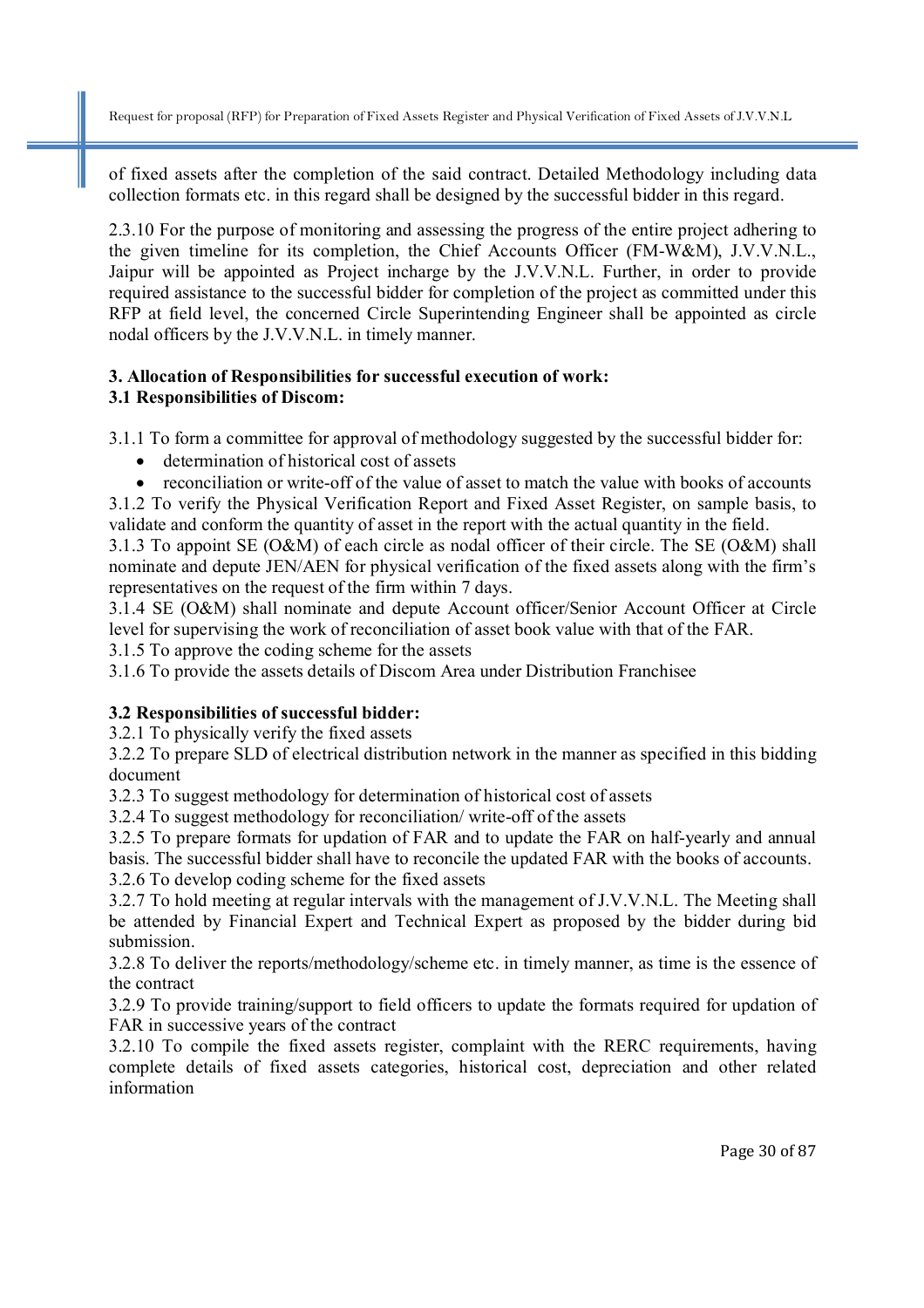of fixed assets after the completion of the said contract. Detailed Methodology including data collection formats etc. in this regard shall be designed by the successful bidder in this regard.

2.3.10 For the purpose of monitoring and assessing the progress of the entire project adhering to the given timeline for its completion, the Chief Accounts Officer (FM-W&M), J.V.V.N.L., Jaipur will be appointed as Project incharge by the J.V.V.N.L. Further, in order to provide required assistance to the successful bidder for completion of the project as committed under this RFP at field level, the concerned Circle Superintending Engineer shall be appointed as circle nodal officers by the J.V.V.N.L. in timely manner.

#### **3. Allocation of Responsibilities for successful execution of work: 3.1 Responsibilities of Discom:**

3.1.1 To form a committee for approval of methodology suggested by the successful bidder for:

- determination of historical cost of assets
- reconciliation or write-off of the value of asset to match the value with books of accounts

3.1.2 To verify the Physical Verification Report and Fixed Asset Register, on sample basis, to validate and conform the quantity of asset in the report with the actual quantity in the field.

3.1.3 To appoint SE (O&M) of each circle as nodal officer of their circle. The SE (O&M) shall nominate and depute JEN/AEN for physical verification of the fixed assets along with the firm's representatives on the request of the firm within 7 days.

3.1.4 SE (O&M) shall nominate and depute Account officer/Senior Account Officer at Circle level for supervising the work of reconciliation of asset book value with that of the FAR.

3.1.5 To approve the coding scheme for the assets

3.1.6 To provide the assets details of Discom Area under Distribution Franchisee

## **3.2 Responsibilities of successful bidder:**

3.2.1 To physically verify the fixed assets

3.2.2 To prepare SLD of electrical distribution network in the manner as specified in this bidding document

3.2.3 To suggest methodology for determination of historical cost of assets

3.2.4 To suggest methodology for reconciliation/ write-off of the assets

3.2.5 To prepare formats for updation of FAR and to update the FAR on half-yearly and annual basis. The successful bidder shall have to reconcile the updated FAR with the books of accounts.

3.2.6 To develop coding scheme for the fixed assets

3.2.7 To hold meeting at regular intervals with the management of J.V.V.N.L. The Meeting shall be attended by Financial Expert and Technical Expert as proposed by the bidder during bid submission.

3.2.8 To deliver the reports/methodology/scheme etc. in timely manner, as time is the essence of the contract

3.2.9 To provide training/support to field officers to update the formats required for updation of FAR in successive years of the contract

3.2.10 To compile the fixed assets register, complaint with the RERC requirements, having complete details of fixed assets categories, historical cost, depreciation and other related information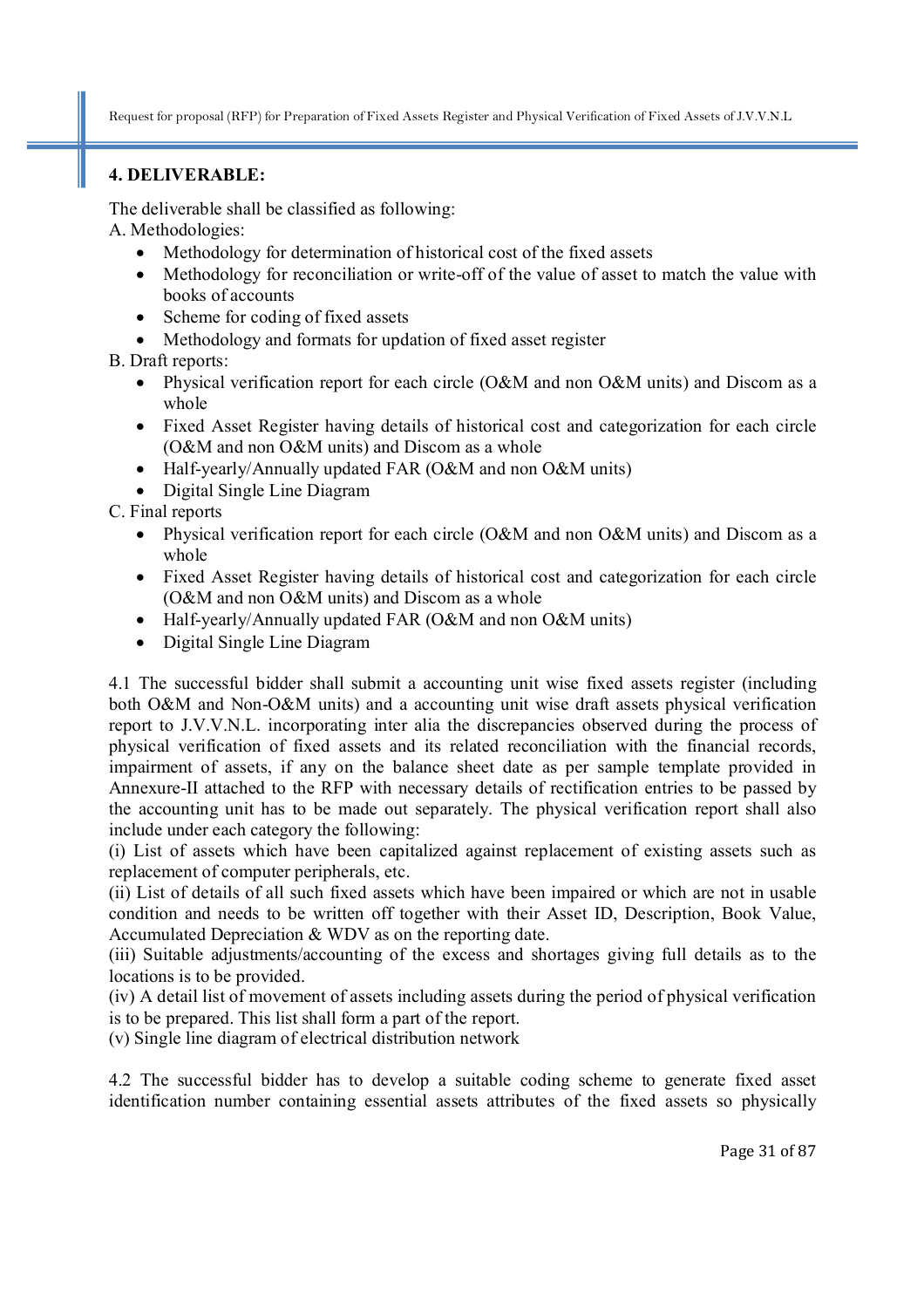## **4. DELIVERABLE:**

The deliverable shall be classified as following:

A. Methodologies:

- Methodology for determination of historical cost of the fixed assets
- Methodology for reconciliation or write-off of the value of asset to match the value with books of accounts
- Scheme for coding of fixed assets
- Methodology and formats for updation of fixed asset register

B. Draft reports:

- Physical verification report for each circle (O&M and non O&M units) and Discom as a whole
- Fixed Asset Register having details of historical cost and categorization for each circle (O&M and non O&M units) and Discom as a whole
- Half-yearly/Annually updated FAR (O&M and non O&M units)
- Digital Single Line Diagram

C. Final reports

- Physical verification report for each circle (O&M and non O&M units) and Discom as a whole
- Fixed Asset Register having details of historical cost and categorization for each circle (O&M and non O&M units) and Discom as a whole
- Half-yearly/Annually updated FAR (O&M and non O&M units)
- Digital Single Line Diagram

4.1 The successful bidder shall submit a accounting unit wise fixed assets register (including both O&M and Non-O&M units) and a accounting unit wise draft assets physical verification report to J.V.V.N.L. incorporating inter alia the discrepancies observed during the process of physical verification of fixed assets and its related reconciliation with the financial records, impairment of assets, if any on the balance sheet date as per sample template provided in Annexure-II attached to the RFP with necessary details of rectification entries to be passed by the accounting unit has to be made out separately. The physical verification report shall also include under each category the following:

(i) List of assets which have been capitalized against replacement of existing assets such as replacement of computer peripherals, etc.

(ii) List of details of all such fixed assets which have been impaired or which are not in usable condition and needs to be written off together with their Asset ID, Description, Book Value, Accumulated Depreciation & WDV as on the reporting date.

(iii) Suitable adjustments/accounting of the excess and shortages giving full details as to the locations is to be provided.

(iv) A detail list of movement of assets including assets during the period of physical verification is to be prepared. This list shall form a part of the report.

(v) Single line diagram of electrical distribution network

4.2 The successful bidder has to develop a suitable coding scheme to generate fixed asset identification number containing essential assets attributes of the fixed assets so physically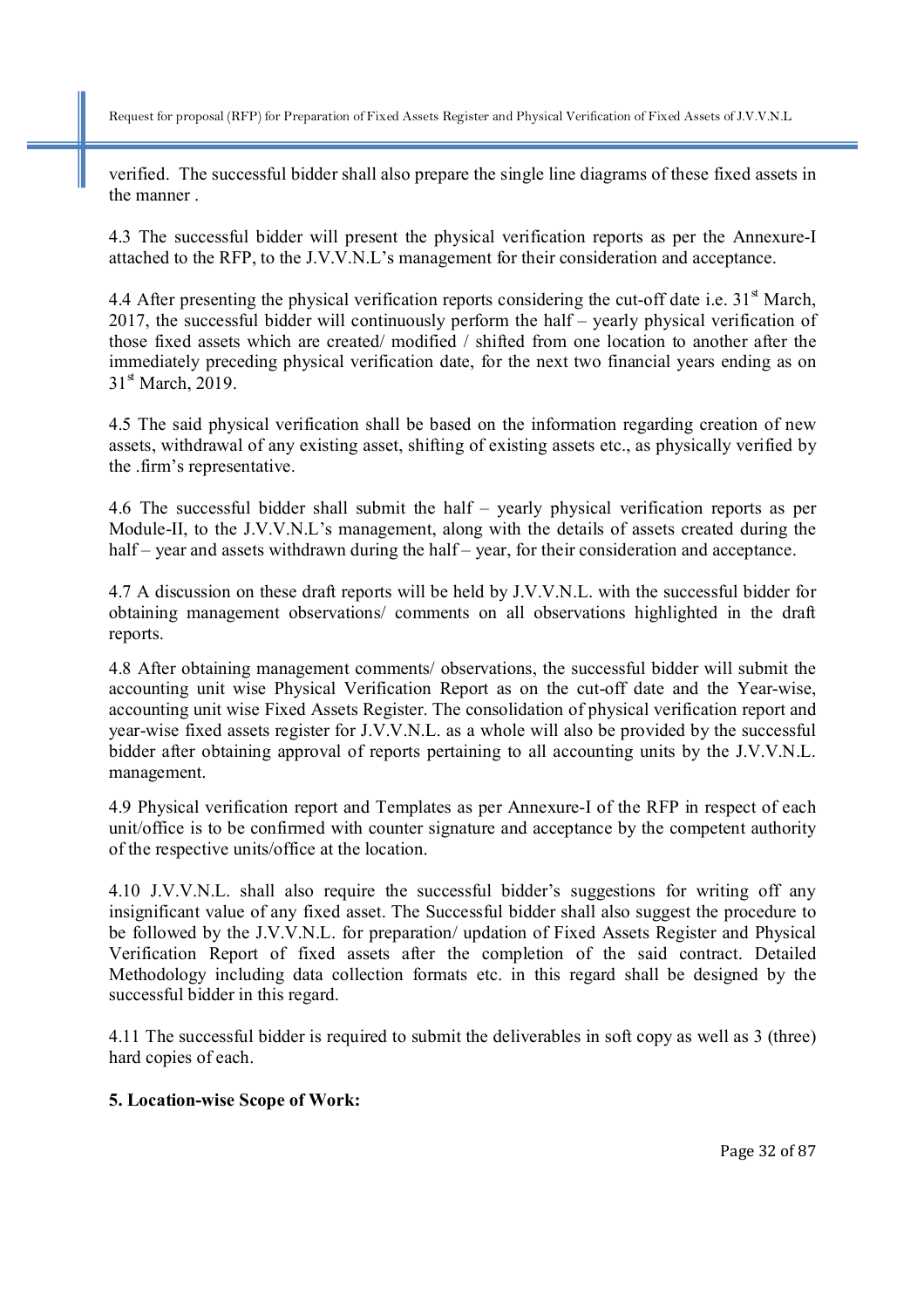verified. The successful bidder shall also prepare the single line diagrams of these fixed assets in the manner .

4.3 The successful bidder will present the physical verification reports as per the Annexure-I attached to the RFP, to the J.V.V.N.L's management for their consideration and acceptance.

4.4 After presenting the physical verification reports considering the cut-off date i.e.  $31<sup>st</sup>$  March, 2017, the successful bidder will continuously perform the half – yearly physical verification of those fixed assets which are created/ modified / shifted from one location to another after the immediately preceding physical verification date, for the next two financial years ending as on 31<sup>st</sup> March, 2019.

4.5 The said physical verification shall be based on the information regarding creation of new assets, withdrawal of any existing asset, shifting of existing assets etc., as physically verified by the .firm's representative.

4.6 The successful bidder shall submit the half – yearly physical verification reports as per Module-II, to the J.V.V.N.L's management, along with the details of assets created during the half – year and assets withdrawn during the half – year, for their consideration and acceptance.

4.7 A discussion on these draft reports will be held by J.V.V.N.L. with the successful bidder for obtaining management observations/ comments on all observations highlighted in the draft reports.

4.8 After obtaining management comments/ observations, the successful bidder will submit the accounting unit wise Physical Verification Report as on the cut-off date and the Year-wise, accounting unit wise Fixed Assets Register. The consolidation of physical verification report and year-wise fixed assets register for J.V.V.N.L. as a whole will also be provided by the successful bidder after obtaining approval of reports pertaining to all accounting units by the J.V.V.N.L. management.

4.9 Physical verification report and Templates as per Annexure-I of the RFP in respect of each unit/office is to be confirmed with counter signature and acceptance by the competent authority of the respective units/office at the location.

4.10 J.V.V.N.L. shall also require the successful bidder's suggestions for writing off any insignificant value of any fixed asset. The Successful bidder shall also suggest the procedure to be followed by the J.V.V.N.L. for preparation/ updation of Fixed Assets Register and Physical Verification Report of fixed assets after the completion of the said contract. Detailed Methodology including data collection formats etc. in this regard shall be designed by the successful bidder in this regard.

4.11 The successful bidder is required to submit the deliverables in soft copy as well as 3 (three) hard copies of each.

#### **5. Location-wise Scope of Work:**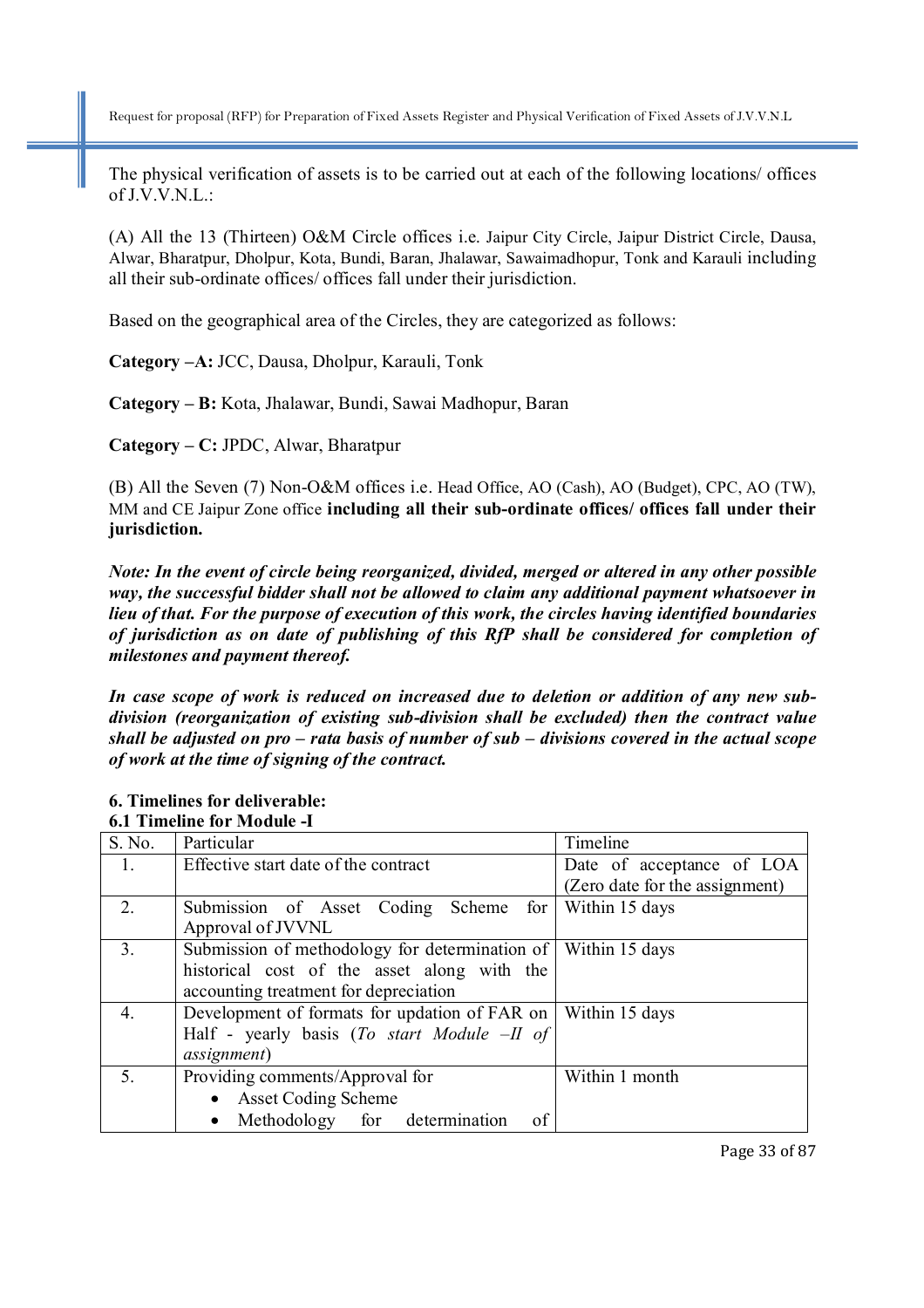The physical verification of assets is to be carried out at each of the following locations/ offices of J.V.V.N.L.:

(A) All the 13 (Thirteen) O&M Circle offices i.e. Jaipur City Circle, Jaipur District Circle, Dausa, Alwar, Bharatpur, Dholpur, Kota, Bundi, Baran, Jhalawar, Sawaimadhopur, Tonk and Karauli including all their sub-ordinate offices/ offices fall under their jurisdiction.

Based on the geographical area of the Circles, they are categorized as follows:

**Category –A:** JCC, Dausa, Dholpur, Karauli, Tonk

**Category – B:** Kota, Jhalawar, Bundi, Sawai Madhopur, Baran

**Category – C:** JPDC, Alwar, Bharatpur

(B) All the Seven (7) Non-O&M offices i.e. Head Office, AO (Cash), AO (Budget), CPC, AO (TW), MM and CE Jaipur Zone office **including all their sub-ordinate offices/ offices fall under their jurisdiction.** 

*Note: In the event of circle being reorganized, divided, merged or altered in any other possible way, the successful bidder shall not be allowed to claim any additional payment whatsoever in lieu of that. For the purpose of execution of this work, the circles having identified boundaries of jurisdiction as on date of publishing of this RfP shall be considered for completion of milestones and payment thereof.* 

*In case scope of work is reduced on increased due to deletion or addition of any new subdivision (reorganization of existing sub-division shall be excluded) then the contract value shall be adjusted on pro – rata basis of number of sub – divisions covered in the actual scope of work at the time of signing of the contract.* 

|                | <u>v.i Thinthint ivi Mouunt -i</u>               |                                |  |  |
|----------------|--------------------------------------------------|--------------------------------|--|--|
| S. No.         | Particular                                       | Timeline                       |  |  |
| 1.             | Effective start date of the contract             | Date of acceptance of LOA      |  |  |
|                |                                                  | (Zero date for the assignment) |  |  |
| 2 <sub>1</sub> | Submission of Asset Coding Scheme for            | Within 15 days                 |  |  |
|                | Approval of JVVNL                                |                                |  |  |
| 3 <sub>1</sub> | Submission of methodology for determination of   | Within 15 days                 |  |  |
|                | historical cost of the asset along with the      |                                |  |  |
|                | accounting treatment for depreciation            |                                |  |  |
| 4.             | Development of formats for updation of FAR on    | Within 15 days                 |  |  |
|                | Half - yearly basis (To start Module $-II$ of    |                                |  |  |
|                | <i>assignment</i> )                              |                                |  |  |
| 5 <sub>1</sub> | Providing comments/Approval for                  | Within 1 month                 |  |  |
|                | <b>Asset Coding Scheme</b><br>$\bullet$          |                                |  |  |
|                | Methodology for determination<br>of<br>$\bullet$ |                                |  |  |

#### **6. Timelines for deliverable: 6.1 Timeline for Module -I**

Page 33 of 87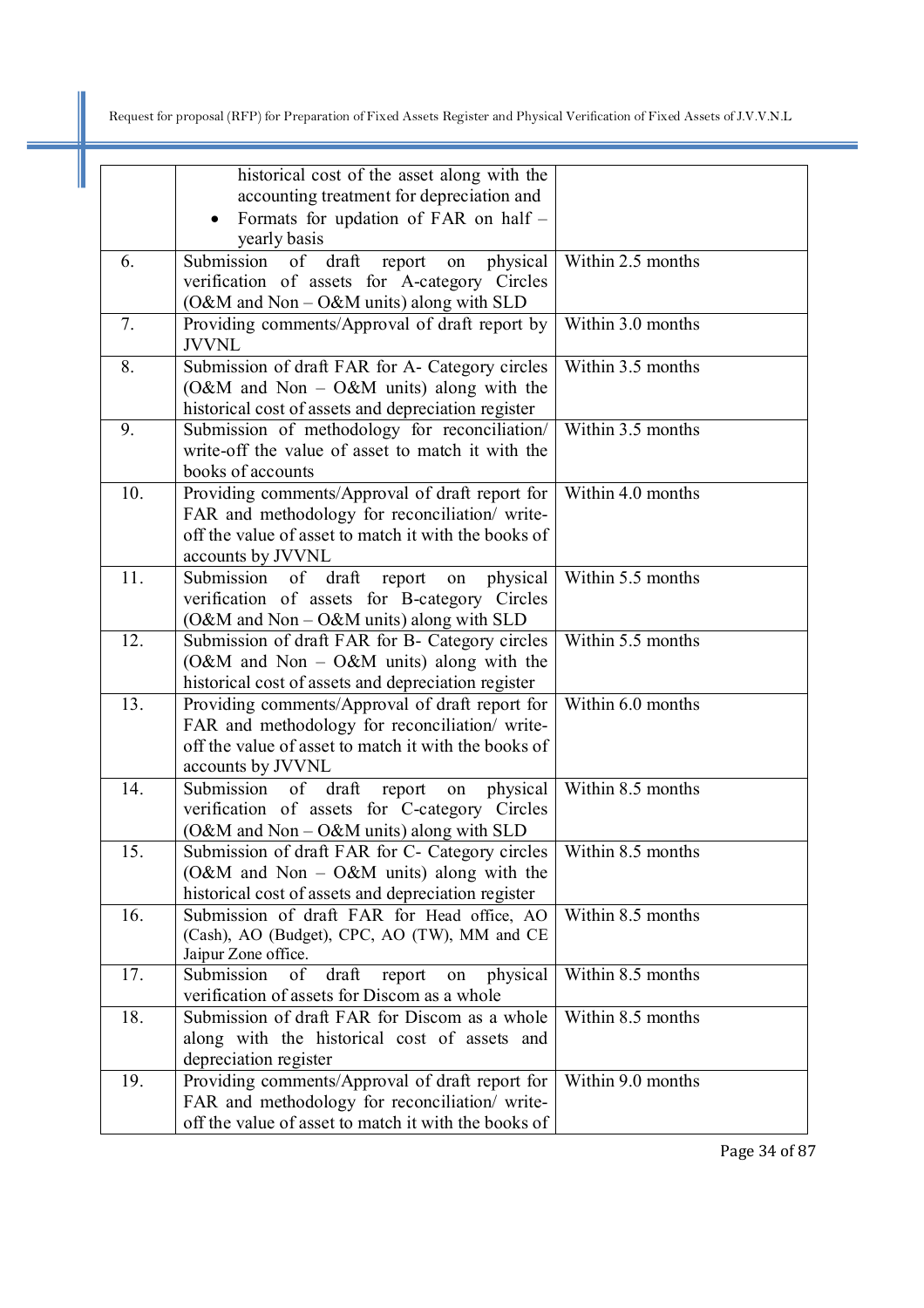|     | historical cost of the asset along with the                                  |                     |
|-----|------------------------------------------------------------------------------|---------------------|
|     | accounting treatment for depreciation and                                    |                     |
|     | Formats for updation of FAR on half -<br>$\bullet$                           |                     |
|     | yearly basis                                                                 |                     |
| 6.  | physical<br>Submission of draft report<br>on                                 | Within 2.5 months   |
|     | verification of assets for A-category Circles                                |                     |
|     | (O&M and Non - O&M units) along with SLD                                     |                     |
| 7.  | Providing comments/Approval of draft report by                               | Within 3.0 months   |
|     | <b>JVVNL</b>                                                                 |                     |
| 8.  | Submission of draft FAR for A- Category circles                              | Within 3.5 months   |
|     | (O&M and Non - O&M units) along with the                                     |                     |
|     | historical cost of assets and depreciation register                          |                     |
| 9.  | Submission of methodology for reconciliation/                                | Within 3.5 months   |
|     | write-off the value of asset to match it with the                            |                     |
| 10. | books of accounts<br>Providing comments/Approval of draft report for         | Within 4.0 months   |
|     | FAR and methodology for reconciliation/ write-                               |                     |
|     | off the value of asset to match it with the books of                         |                     |
|     | accounts by JVVNL                                                            |                     |
| 11. | Submission of draft<br>on physical<br>report                                 | Within 5.5 months   |
|     | verification of assets for B-category Circles                                |                     |
|     | (O&M and Non $-$ O&M units) along with SLD                                   |                     |
| 12. | Submission of draft FAR for B- Category circles                              | Within 5.5 months   |
|     | (O&M and Non $-$ O&M units) along with the                                   |                     |
|     | historical cost of assets and depreciation register                          |                     |
| 13. | Providing comments/Approval of draft report for                              | Within 6.0 months   |
|     | FAR and methodology for reconciliation/ write-                               |                     |
|     | off the value of asset to match it with the books of                         |                     |
|     | accounts by JVVNL                                                            |                     |
| 14. | Submission<br>of draft<br>physical<br>report<br>on                           | Within $8.5$ months |
|     | verification of assets for C-category Circles                                |                     |
|     | (O&M and Non - O&M units) along with SLD                                     |                     |
| 15. | Submission of draft FAR for C- Category circles                              | Within 8.5 months   |
|     | (O&M and Non - O&M units) along with the                                     |                     |
|     | historical cost of assets and depreciation register                          |                     |
| 16. | Submission of draft FAR for Head office, AO                                  | Within 8.5 months   |
|     | (Cash), AO (Budget), CPC, AO (TW), MM and CE                                 |                     |
| 17. | Jaipur Zone office.<br>of<br>draft<br>Submission<br>physical<br>report<br>on | Within 8.5 months   |
|     | verification of assets for Discom as a whole                                 |                     |
| 18. | Submission of draft FAR for Discom as a whole                                | Within 8.5 months   |
|     | along with the historical cost of assets and                                 |                     |
|     | depreciation register                                                        |                     |
| 19. | Providing comments/Approval of draft report for                              | Within 9.0 months   |
|     | FAR and methodology for reconciliation/ write-                               |                     |
|     | off the value of asset to match it with the books of                         |                     |

Page 34 of 87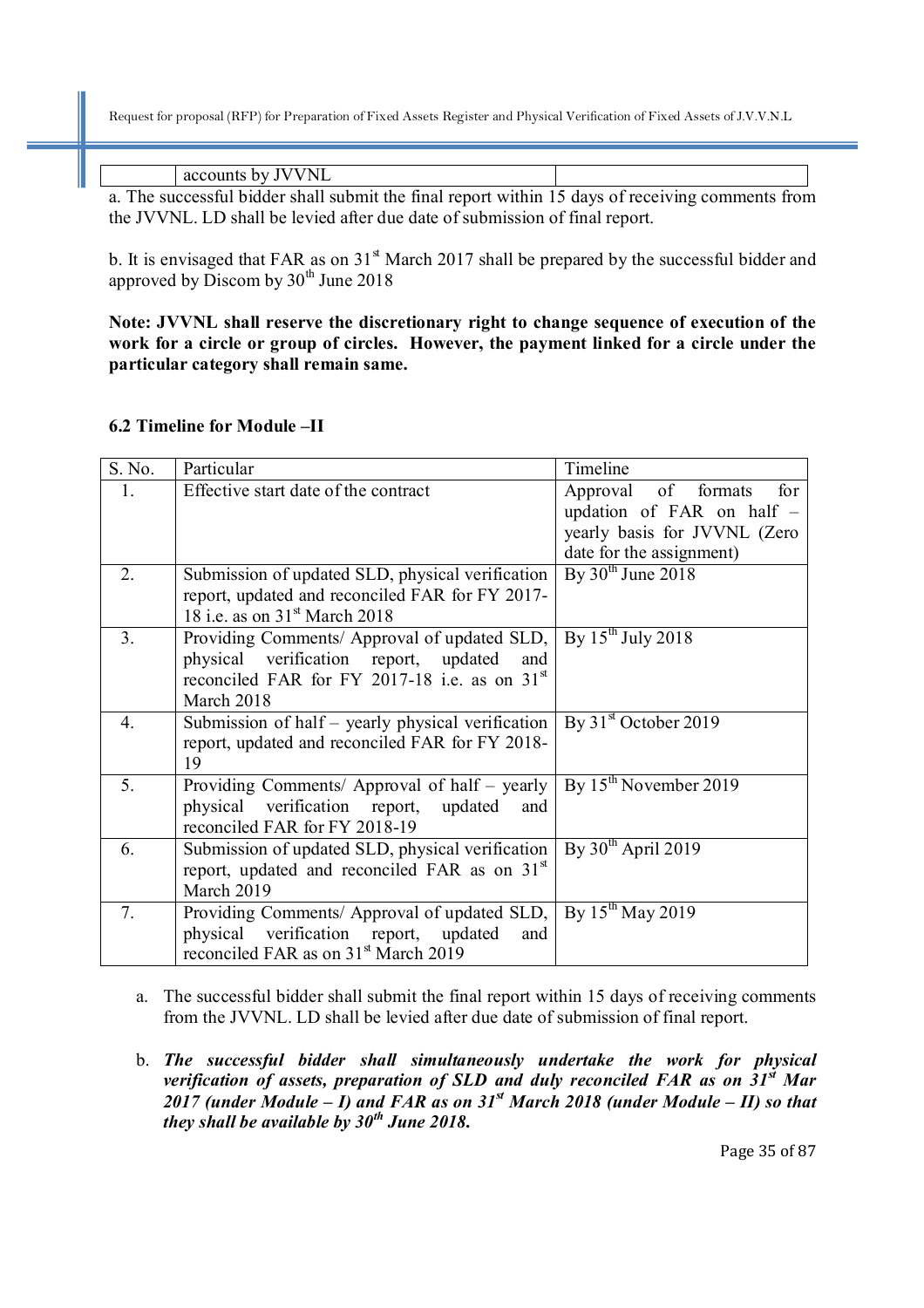accounts by JVVNL

a. The successful bidder shall submit the final report within 15 days of receiving comments from the JVVNL. LD shall be levied after due date of submission of final report.

b. It is envisaged that FAR as on  $31<sup>st</sup>$  March 2017 shall be prepared by the successful bidder and approved by Discom by  $30<sup>th</sup>$  June 2018

**Note: JVVNL shall reserve the discretionary right to change sequence of execution of the work for a circle or group of circles. However, the payment linked for a circle under the particular category shall remain same.** 

#### **6.2 Timeline for Module –II**

| S. No.           | Particular                                                | Timeline                      |
|------------------|-----------------------------------------------------------|-------------------------------|
| 1.               | Effective start date of the contract                      | of formats<br>for<br>Approval |
|                  |                                                           | updation of FAR on half -     |
|                  |                                                           | yearly basis for JVVNL (Zero  |
|                  |                                                           | date for the assignment)      |
| $\overline{2}$ . | Submission of updated SLD, physical verification          | By $30th$ June 2018           |
|                  | report, updated and reconciled FAR for FY 2017-           |                               |
|                  | 18 i.e. as on $31st$ March 2018                           |                               |
| 3 <sub>1</sub>   | Providing Comments/ Approval of updated SLD,              | By $15^{th}$ July 2018        |
|                  | physical verification report, updated<br>and              |                               |
|                  | reconciled FAR for FY 2017-18 i.e. as on $31st$           |                               |
|                  | March 2018                                                |                               |
| 4.               | Submission of half – yearly physical verification         | By $31st$ October 2019        |
|                  | report, updated and reconciled FAR for FY 2018-           |                               |
|                  | 19                                                        |                               |
| 5 <sub>1</sub>   | Providing Comments/ Approval of half - yearly             | By $15^{th}$ November 2019    |
|                  | physical verification report,<br>updated<br>and           |                               |
|                  | reconciled FAR for FY 2018-19                             |                               |
| 6.               | Submission of updated SLD, physical verification          | By $30th$ April 2019          |
|                  | report, updated and reconciled FAR as on 31 <sup>st</sup> |                               |
|                  | March 2019                                                |                               |
| 7.               | Providing Comments/ Approval of updated SLD,              | By $15^{th}$ May 2019         |
|                  | physical verification report, updated<br>and              |                               |
|                  | reconciled FAR as on 31 <sup>st</sup> March 2019          |                               |

- a. The successful bidder shall submit the final report within 15 days of receiving comments from the JVVNL. LD shall be levied after due date of submission of final report.
- b. *The successful bidder shall simultaneously undertake the work for physical verification of assets, preparation of SLD and duly reconciled FAR as on 31st Mar 2017 (under Module – I) and FAR as on 31st March 2018 (under Module – II) so that they shall be available by 30th June 2018.*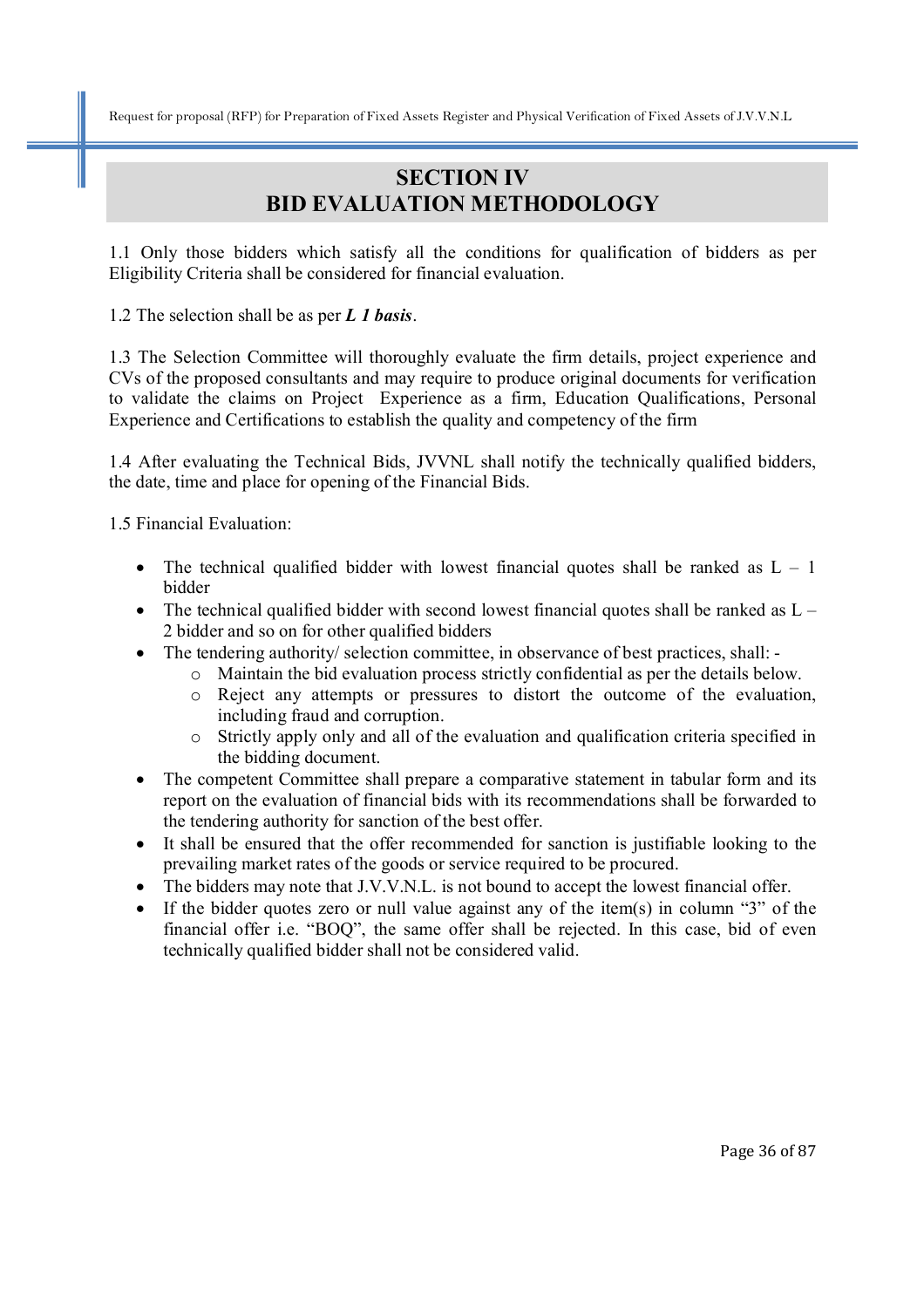# **SECTION IV BID EVALUATION METHODOLOGY**

1.1 Only those bidders which satisfy all the conditions for qualification of bidders as per Eligibility Criteria shall be considered for financial evaluation.

1.2 The selection shall be as per *L 1 basis*.

1.3 The Selection Committee will thoroughly evaluate the firm details, project experience and CVs of the proposed consultants and may require to produce original documents for verification to validate the claims on Project Experience as a firm, Education Qualifications, Personal Experience and Certifications to establish the quality and competency of the firm

1.4 After evaluating the Technical Bids, JVVNL shall notify the technically qualified bidders, the date, time and place for opening of the Financial Bids.

1.5 Financial Evaluation:

- The technical qualified bidder with lowest financial quotes shall be ranked as  $L 1$ bidder
- The technical qualified bidder with second lowest financial quotes shall be ranked as  $L -$ 2 bidder and so on for other qualified bidders
- The tendering authority/ selection committee, in observance of best practices, shall:
	- o Maintain the bid evaluation process strictly confidential as per the details below.
	- o Reject any attempts or pressures to distort the outcome of the evaluation, including fraud and corruption.
	- o Strictly apply only and all of the evaluation and qualification criteria specified in the bidding document.
- The competent Committee shall prepare a comparative statement in tabular form and its report on the evaluation of financial bids with its recommendations shall be forwarded to the tendering authority for sanction of the best offer.
- It shall be ensured that the offer recommended for sanction is justifiable looking to the prevailing market rates of the goods or service required to be procured.
- The bidders may note that J.V.V.N.L. is not bound to accept the lowest financial offer.
- If the bidder quotes zero or null value against any of the item(s) in column "3" of the financial offer i.e. "BOQ", the same offer shall be rejected. In this case, bid of even technically qualified bidder shall not be considered valid.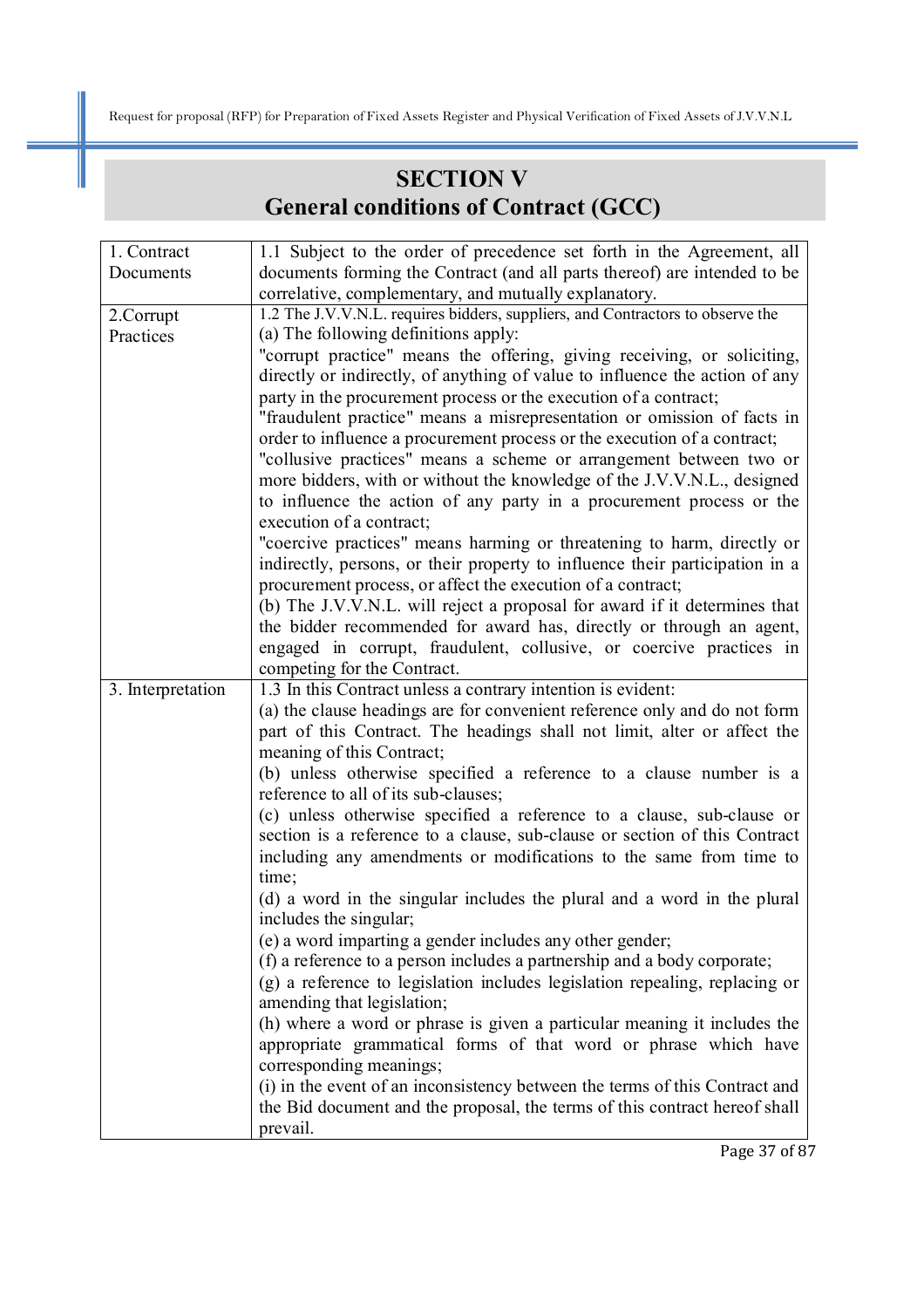# **SECTION V General conditions of Contract (GCC)**

| 1. Contract       | 1.1 Subject to the order of precedence set forth in the Agreement, all         |
|-------------------|--------------------------------------------------------------------------------|
| Documents         | documents forming the Contract (and all parts thereof) are intended to be      |
|                   | correlative, complementary, and mutually explanatory.                          |
| 2.Corrupt         | 1.2 The J.V.V.N.L. requires bidders, suppliers, and Contractors to observe the |
| Practices         | (a) The following definitions apply:                                           |
|                   | "corrupt practice" means the offering, giving receiving, or soliciting,        |
|                   | directly or indirectly, of anything of value to influence the action of any    |
|                   | party in the procurement process or the execution of a contract;               |
|                   | "fraudulent practice" means a misrepresentation or omission of facts in        |
|                   | order to influence a procurement process or the execution of a contract;       |
|                   | "collusive practices" means a scheme or arrangement between two or             |
|                   | more bidders, with or without the knowledge of the J.V.V.N.L., designed        |
|                   | to influence the action of any party in a procurement process or the           |
|                   | execution of a contract;                                                       |
|                   | "coercive practices" means harming or threatening to harm, directly or         |
|                   | indirectly, persons, or their property to influence their participation in a   |
|                   | procurement process, or affect the execution of a contract;                    |
|                   | (b) The J.V.V.N.L. will reject a proposal for award if it determines that      |
|                   | the bidder recommended for award has, directly or through an agent,            |
|                   | engaged in corrupt, fraudulent, collusive, or coercive practices in            |
|                   | competing for the Contract.                                                    |
| 3. Interpretation | 1.3 In this Contract unless a contrary intention is evident:                   |
|                   | (a) the clause headings are for convenient reference only and do not form      |
|                   | part of this Contract. The headings shall not limit, alter or affect the       |
|                   | meaning of this Contract;                                                      |
|                   | (b) unless otherwise specified a reference to a clause number is a             |
|                   | reference to all of its sub-clauses;                                           |
|                   | (c) unless otherwise specified a reference to a clause, sub-clause or          |
|                   | section is a reference to a clause, sub-clause or section of this Contract     |
|                   | including any amendments or modifications to the same from time to             |
|                   | time;                                                                          |
|                   | (d) a word in the singular includes the plural and a word in the plural        |
|                   | includes the singular;                                                         |
|                   | (e) a word imparting a gender includes any other gender;                       |
|                   | (f) a reference to a person includes a partnership and a body corporate;       |
|                   | (g) a reference to legislation includes legislation repealing, replacing or    |
|                   | amending that legislation;                                                     |
|                   | (h) where a word or phrase is given a particular meaning it includes the       |
|                   | appropriate grammatical forms of that word or phrase which have                |
|                   | corresponding meanings;                                                        |
|                   | (i) in the event of an inconsistency between the terms of this Contract and    |
|                   | the Bid document and the proposal, the terms of this contract hereof shall     |
|                   | prevail.                                                                       |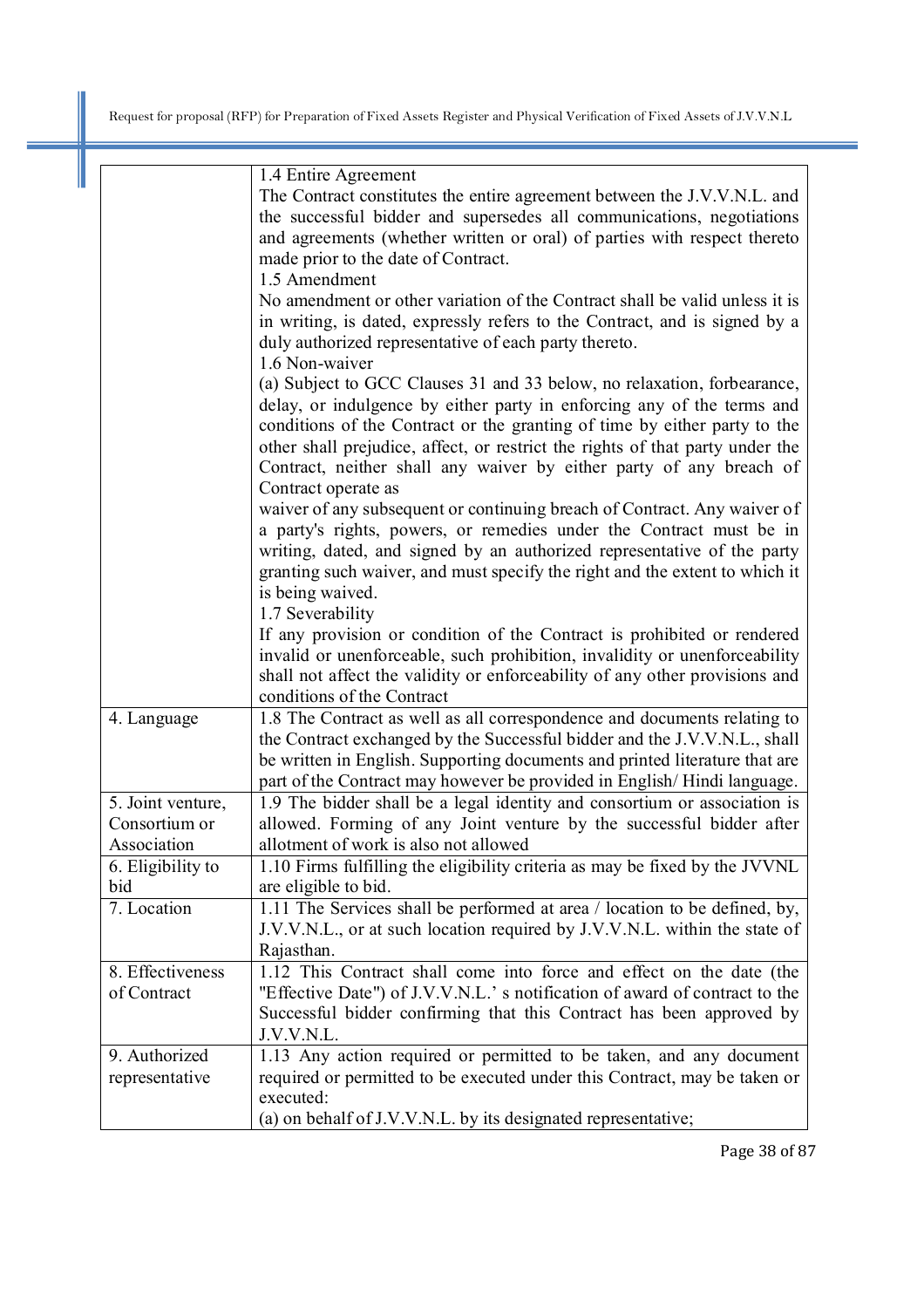|                   | 1.4 Entire Agreement                                                          |
|-------------------|-------------------------------------------------------------------------------|
|                   | The Contract constitutes the entire agreement between the J.V.V.N.L. and      |
|                   | the successful bidder and supersedes all communications, negotiations         |
|                   | and agreements (whether written or oral) of parties with respect thereto      |
|                   | made prior to the date of Contract.                                           |
|                   | 1.5 Amendment                                                                 |
|                   | No amendment or other variation of the Contract shall be valid unless it is   |
|                   | in writing, is dated, expressly refers to the Contract, and is signed by a    |
|                   | duly authorized representative of each party thereto.                         |
|                   | 1.6 Non-waiver                                                                |
|                   | (a) Subject to GCC Clauses 31 and 33 below, no relaxation, forbearance,       |
|                   | delay, or indulgence by either party in enforcing any of the terms and        |
|                   | conditions of the Contract or the granting of time by either party to the     |
|                   | other shall prejudice, affect, or restrict the rights of that party under the |
|                   | Contract, neither shall any waiver by either party of any breach of           |
|                   | Contract operate as                                                           |
|                   | waiver of any subsequent or continuing breach of Contract. Any waiver of      |
|                   | a party's rights, powers, or remedies under the Contract must be in           |
|                   | writing, dated, and signed by an authorized representative of the party       |
|                   | granting such waiver, and must specify the right and the extent to which it   |
|                   | is being waived.                                                              |
|                   | 1.7 Severability                                                              |
|                   | If any provision or condition of the Contract is prohibited or rendered       |
|                   | invalid or unenforceable, such prohibition, invalidity or unenforceability    |
|                   | shall not affect the validity or enforceability of any other provisions and   |
|                   | conditions of the Contract                                                    |
| 4. Language       | 1.8 The Contract as well as all correspondence and documents relating to      |
|                   | the Contract exchanged by the Successful bidder and the J.V.V.N.L., shall     |
|                   | be written in English. Supporting documents and printed literature that are   |
|                   | part of the Contract may however be provided in English/Hindi language.       |
| 5. Joint venture, | 1.9 The bidder shall be a legal identity and consortium or association is     |
| Consortium or     | allowed. Forming of any Joint venture by the successful bidder after          |
| Association       | allotment of work is also not allowed                                         |
| 6. Eligibility to | 1.10 Firms fulfilling the eligibility criteria as may be fixed by the JVVNL   |
| bid               | are eligible to bid.                                                          |
| 7. Location       | 1.11 The Services shall be performed at area / location to be defined, by,    |
|                   | J.V.V.N.L., or at such location required by J.V.V.N.L. within the state of    |
|                   | Rajasthan.                                                                    |
| 8. Effectiveness  | 1.12 This Contract shall come into force and effect on the date (the          |
| of Contract       | "Effective Date") of J.V.V.N.L.' s notification of award of contract to the   |
|                   | Successful bidder confirming that this Contract has been approved by          |
|                   | J.V.V.N.L.                                                                    |
| 9. Authorized     | 1.13 Any action required or permitted to be taken, and any document           |
| representative    | required or permitted to be executed under this Contract, may be taken or     |
|                   | executed:                                                                     |
|                   | (a) on behalf of J.V.V.N.L. by its designated representative;                 |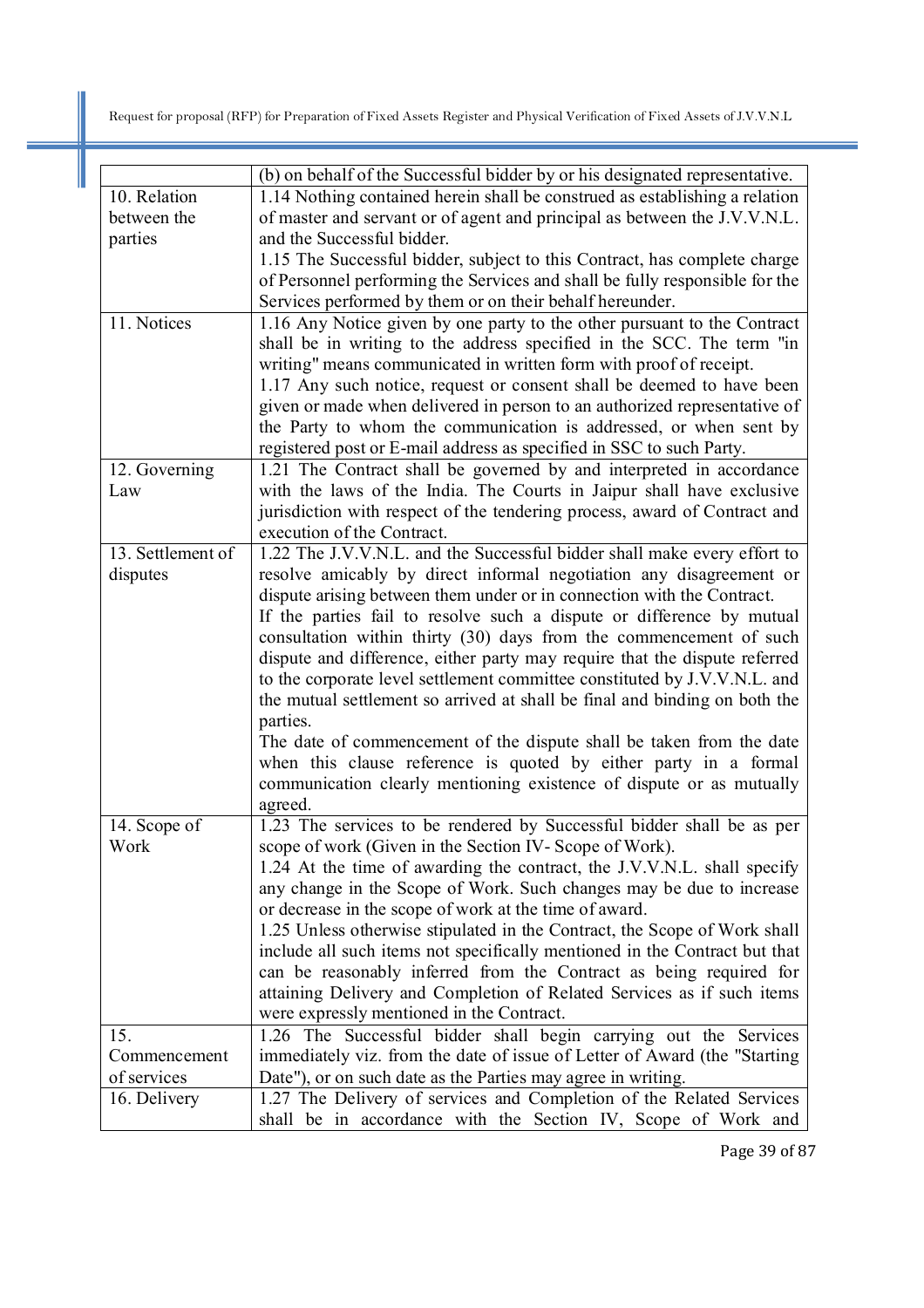|                   | (b) on behalf of the Successful bidder by or his designated representative. |
|-------------------|-----------------------------------------------------------------------------|
| 10. Relation      | 1.14 Nothing contained herein shall be construed as establishing a relation |
| between the       | of master and servant or of agent and principal as between the J.V.V.N.L.   |
| parties           | and the Successful bidder.                                                  |
|                   | 1.15 The Successful bidder, subject to this Contract, has complete charge   |
|                   | of Personnel performing the Services and shall be fully responsible for the |
|                   | Services performed by them or on their behalf hereunder.                    |
| 11. Notices       | 1.16 Any Notice given by one party to the other pursuant to the Contract    |
|                   | shall be in writing to the address specified in the SCC. The term "in       |
|                   | writing" means communicated in written form with proof of receipt.          |
|                   | 1.17 Any such notice, request or consent shall be deemed to have been       |
|                   | given or made when delivered in person to an authorized representative of   |
|                   | the Party to whom the communication is addressed, or when sent by           |
|                   | registered post or E-mail address as specified in SSC to such Party.        |
| 12. Governing     | 1.21 The Contract shall be governed by and interpreted in accordance        |
| Law               | with the laws of the India. The Courts in Jaipur shall have exclusive       |
|                   | jurisdiction with respect of the tendering process, award of Contract and   |
|                   | execution of the Contract.                                                  |
| 13. Settlement of | 1.22 The J.V.V.N.L. and the Successful bidder shall make every effort to    |
| disputes          | resolve amicably by direct informal negotiation any disagreement or         |
|                   | dispute arising between them under or in connection with the Contract.      |
|                   | If the parties fail to resolve such a dispute or difference by mutual       |
|                   | consultation within thirty (30) days from the commencement of such          |
|                   | dispute and difference, either party may require that the dispute referred  |
|                   | to the corporate level settlement committee constituted by J.V.V.N.L. and   |
|                   | the mutual settlement so arrived at shall be final and binding on both the  |
|                   | parties.                                                                    |
|                   | The date of commencement of the dispute shall be taken from the date        |
|                   | when this clause reference is quoted by either party in a formal            |
|                   | communication clearly mentioning existence of dispute or as mutually        |
|                   | agreed.                                                                     |
| 14. Scope of      | 1.23 The services to be rendered by Successful bidder shall be as per       |
| Work              | scope of work (Given in the Section IV-Scope of Work).                      |
|                   | 1.24 At the time of awarding the contract, the J.V.V.N.L. shall specify     |
|                   | any change in the Scope of Work. Such changes may be due to increase        |
|                   | or decrease in the scope of work at the time of award.                      |
|                   | 1.25 Unless otherwise stipulated in the Contract, the Scope of Work shall   |
|                   | include all such items not specifically mentioned in the Contract but that  |
|                   | can be reasonably inferred from the Contract as being required for          |
|                   | attaining Delivery and Completion of Related Services as if such items      |
|                   | were expressly mentioned in the Contract.                                   |
| 15.               | 1.26 The Successful bidder shall begin carrying out the Services            |
| Commencement      | immediately viz. from the date of issue of Letter of Award (the "Starting   |
| of services       | Date"), or on such date as the Parties may agree in writing.                |
| 16. Delivery      | 1.27 The Delivery of services and Completion of the Related Services        |
|                   | shall be in accordance with the Section IV, Scope of Work and               |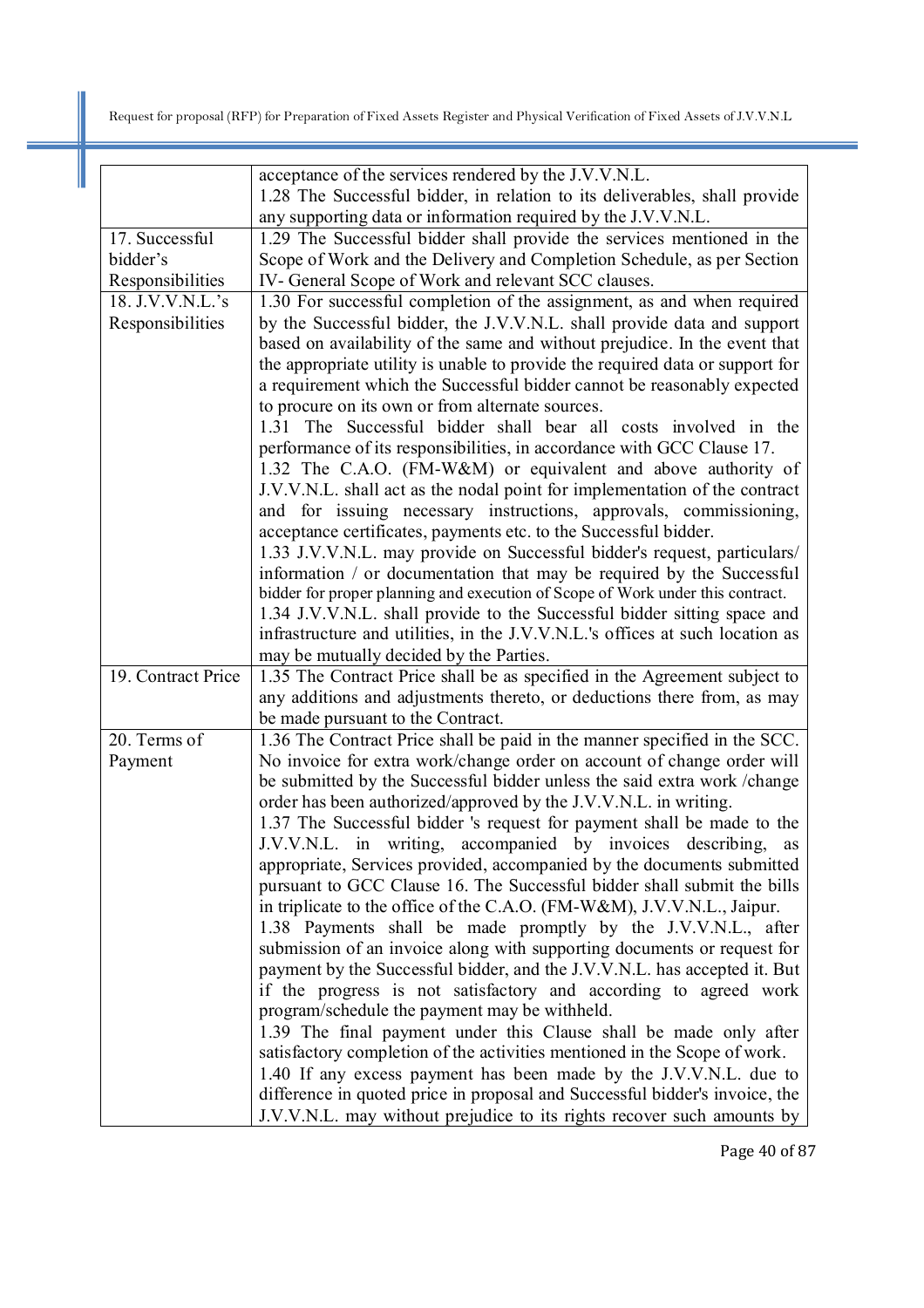|                    | acceptance of the services rendered by the J.V.V.N.L.                                                                                                       |
|--------------------|-------------------------------------------------------------------------------------------------------------------------------------------------------------|
|                    | 1.28 The Successful bidder, in relation to its deliverables, shall provide                                                                                  |
|                    | any supporting data or information required by the J.V.V.N.L.                                                                                               |
| 17. Successful     | 1.29 The Successful bidder shall provide the services mentioned in the                                                                                      |
| bidder's           | Scope of Work and the Delivery and Completion Schedule, as per Section                                                                                      |
| Responsibilities   | IV- General Scope of Work and relevant SCC clauses.                                                                                                         |
| 18. J.V.V.N.L.'s   | 1.30 For successful completion of the assignment, as and when required                                                                                      |
| Responsibilities   | by the Successful bidder, the J.V.V.N.L. shall provide data and support                                                                                     |
|                    | based on availability of the same and without prejudice. In the event that<br>the appropriate utility is unable to provide the required data or support for |
|                    | a requirement which the Successful bidder cannot be reasonably expected                                                                                     |
|                    | to procure on its own or from alternate sources.                                                                                                            |
|                    | 1.31 The Successful bidder shall bear all costs involved in the                                                                                             |
|                    | performance of its responsibilities, in accordance with GCC Clause 17.                                                                                      |
|                    | 1.32 The C.A.O. (FM-W&M) or equivalent and above authority of                                                                                               |
|                    | J.V.V.N.L. shall act as the nodal point for implementation of the contract                                                                                  |
|                    | and for issuing necessary instructions, approvals, commissioning,                                                                                           |
|                    | acceptance certificates, payments etc. to the Successful bidder.                                                                                            |
|                    | 1.33 J.V.V.N.L. may provide on Successful bidder's request, particulars/                                                                                    |
|                    | information / or documentation that may be required by the Successful                                                                                       |
|                    | bidder for proper planning and execution of Scope of Work under this contract.                                                                              |
|                    | 1.34 J.V.V.N.L. shall provide to the Successful bidder sitting space and                                                                                    |
|                    | infrastructure and utilities, in the J.V.V.N.L.'s offices at such location as                                                                               |
|                    | may be mutually decided by the Parties.                                                                                                                     |
| 19. Contract Price | 1.35 The Contract Price shall be as specified in the Agreement subject to<br>any additions and adjustments thereto, or deductions there from, as may        |
|                    | be made pursuant to the Contract.                                                                                                                           |
| 20. Terms of       | 1.36 The Contract Price shall be paid in the manner specified in the SCC.                                                                                   |
| Payment            | No invoice for extra work/change order on account of change order will                                                                                      |
|                    | be submitted by the Successful bidder unless the said extra work /change                                                                                    |
|                    | order has been authorized/approved by the J.V.V.N.L. in writing.                                                                                            |
|                    | 1.37 The Successful bidder 's request for payment shall be made to the                                                                                      |
|                    | J.V.V.N.L. in writing, accompanied by invoices describing,<br>as                                                                                            |
|                    | appropriate, Services provided, accompanied by the documents submitted                                                                                      |
|                    | pursuant to GCC Clause 16. The Successful bidder shall submit the bills                                                                                     |
|                    | in triplicate to the office of the C.A.O. (FM-W&M), J.V.V.N.L., Jaipur.                                                                                     |
|                    | 1.38 Payments shall be made promptly by the J.V.V.N.L., after                                                                                               |
|                    | submission of an invoice along with supporting documents or request for                                                                                     |
|                    | payment by the Successful bidder, and the J.V.V.N.L. has accepted it. But                                                                                   |
|                    | if the progress is not satisfactory and according to agreed work                                                                                            |
|                    | program/schedule the payment may be withheld.                                                                                                               |
|                    | 1.39 The final payment under this Clause shall be made only after<br>satisfactory completion of the activities mentioned in the Scope of work.              |
|                    |                                                                                                                                                             |
|                    |                                                                                                                                                             |
|                    | 1.40 If any excess payment has been made by the J.V.V.N.L. due to<br>difference in quoted price in proposal and Successful bidder's invoice, the            |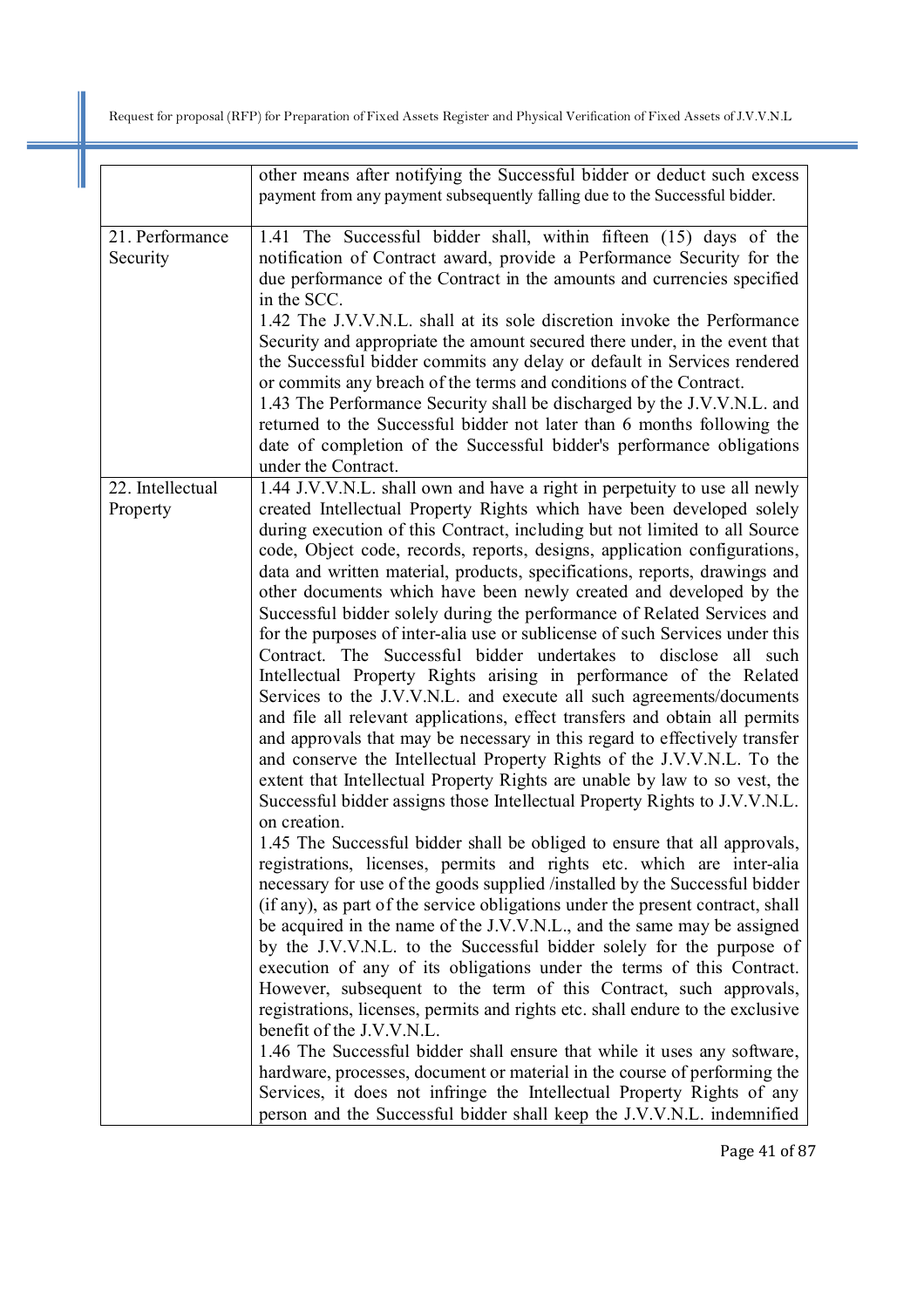|                              | other means after notifying the Successful bidder or deduct such excess<br>payment from any payment subsequently falling due to the Successful bidder.                                                                                                                                                                                                                                                                                                                                                                                                                                                                                                                                                                                                                                                                                                                                                                                                                                                                                                                                                                                                                                                                                                                                                                                                                                                                                                                                                                                                                                                                                                                                                                                                                                                                                                                                                                                                                                                                                                                                                                                                                                                                                                                                                               |
|------------------------------|----------------------------------------------------------------------------------------------------------------------------------------------------------------------------------------------------------------------------------------------------------------------------------------------------------------------------------------------------------------------------------------------------------------------------------------------------------------------------------------------------------------------------------------------------------------------------------------------------------------------------------------------------------------------------------------------------------------------------------------------------------------------------------------------------------------------------------------------------------------------------------------------------------------------------------------------------------------------------------------------------------------------------------------------------------------------------------------------------------------------------------------------------------------------------------------------------------------------------------------------------------------------------------------------------------------------------------------------------------------------------------------------------------------------------------------------------------------------------------------------------------------------------------------------------------------------------------------------------------------------------------------------------------------------------------------------------------------------------------------------------------------------------------------------------------------------------------------------------------------------------------------------------------------------------------------------------------------------------------------------------------------------------------------------------------------------------------------------------------------------------------------------------------------------------------------------------------------------------------------------------------------------------------------------------------------------|
| 21. Performance<br>Security  | 1.41 The Successful bidder shall, within fifteen (15) days of the<br>notification of Contract award, provide a Performance Security for the<br>due performance of the Contract in the amounts and currencies specified<br>in the SCC.<br>1.42 The J.V.V.N.L. shall at its sole discretion invoke the Performance<br>Security and appropriate the amount secured there under, in the event that<br>the Successful bidder commits any delay or default in Services rendered<br>or commits any breach of the terms and conditions of the Contract.<br>1.43 The Performance Security shall be discharged by the J.V.V.N.L. and<br>returned to the Successful bidder not later than 6 months following the<br>date of completion of the Successful bidder's performance obligations<br>under the Contract.                                                                                                                                                                                                                                                                                                                                                                                                                                                                                                                                                                                                                                                                                                                                                                                                                                                                                                                                                                                                                                                                                                                                                                                                                                                                                                                                                                                                                                                                                                                |
| 22. Intellectual<br>Property | 1.44 J.V.V.N.L. shall own and have a right in perpetuity to use all newly<br>created Intellectual Property Rights which have been developed solely<br>during execution of this Contract, including but not limited to all Source<br>code, Object code, records, reports, designs, application configurations,<br>data and written material, products, specifications, reports, drawings and<br>other documents which have been newly created and developed by the<br>Successful bidder solely during the performance of Related Services and<br>for the purposes of inter-alia use or sublicense of such Services under this<br>Contract. The Successful bidder undertakes to disclose all such<br>Intellectual Property Rights arising in performance of the Related<br>Services to the J.V.V.N.L. and execute all such agreements/documents<br>and file all relevant applications, effect transfers and obtain all permits<br>and approvals that may be necessary in this regard to effectively transfer<br>and conserve the Intellectual Property Rights of the J.V.V.N.L. To the<br>extent that Intellectual Property Rights are unable by law to so vest, the<br>Successful bidder assigns those Intellectual Property Rights to J.V.V.N.L.<br>on creation.<br>1.45 The Successful bidder shall be obliged to ensure that all approvals,<br>registrations, licenses, permits and rights etc. which are inter-alia<br>necessary for use of the goods supplied /installed by the Successful bidder<br>(if any), as part of the service obligations under the present contract, shall<br>be acquired in the name of the J.V.V.N.L., and the same may be assigned<br>by the J.V.V.N.L. to the Successful bidder solely for the purpose of<br>execution of any of its obligations under the terms of this Contract.<br>However, subsequent to the term of this Contract, such approvals,<br>registrations, licenses, permits and rights etc. shall endure to the exclusive<br>benefit of the J.V.V.N.L.<br>1.46 The Successful bidder shall ensure that while it uses any software,<br>hardware, processes, document or material in the course of performing the<br>Services, it does not infringe the Intellectual Property Rights of any<br>person and the Successful bidder shall keep the J.V.V.N.L. indemnified |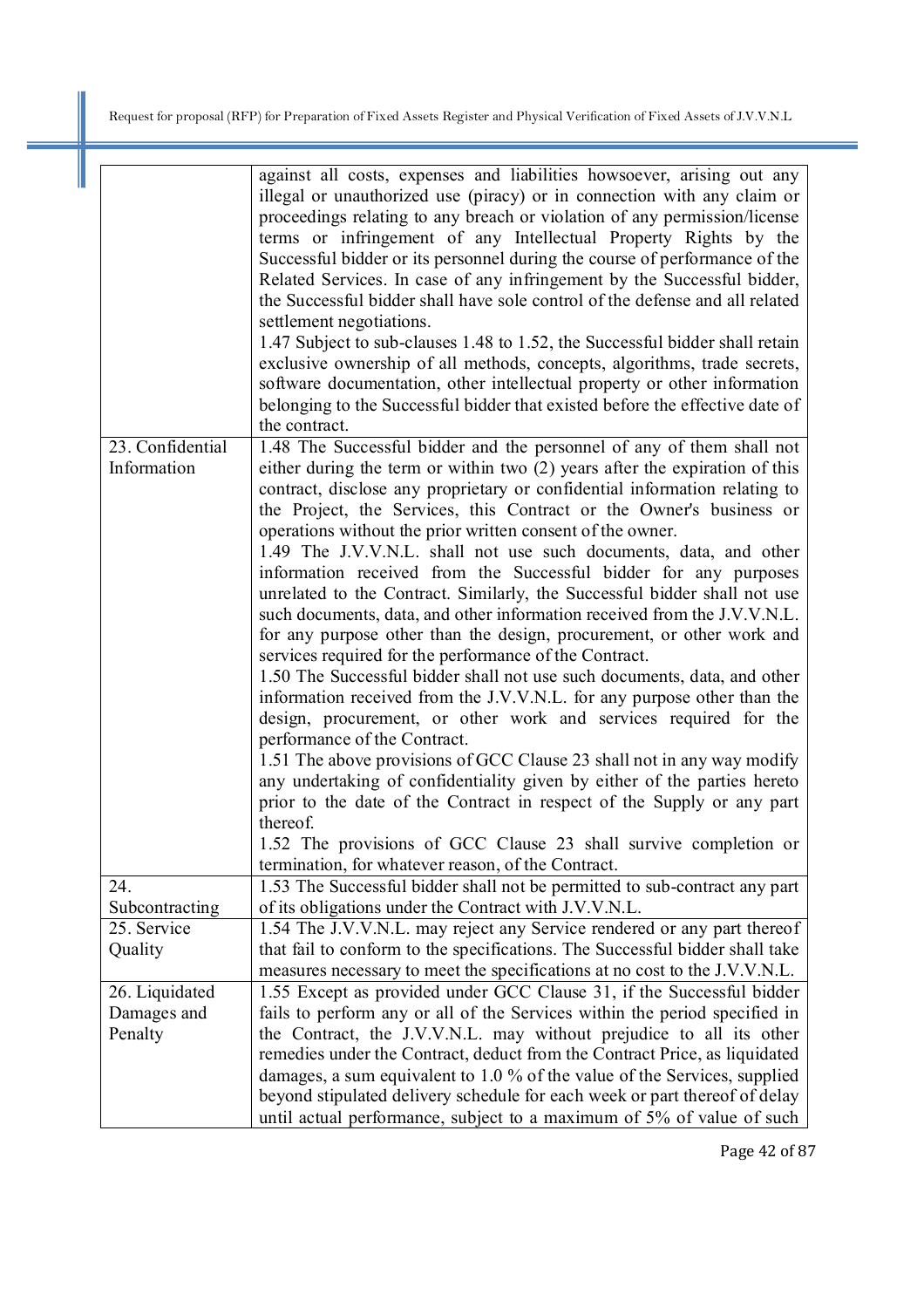|                  | against all costs, expenses and liabilities howsoever, arising out any<br>illegal or unauthorized use (piracy) or in connection with any claim or<br>proceedings relating to any breach or violation of any permission/license<br>terms or infringement of any Intellectual Property Rights by the<br>Successful bidder or its personnel during the course of performance of the<br>Related Services. In case of any infringement by the Successful bidder,<br>the Successful bidder shall have sole control of the defense and all related<br>settlement negotiations.<br>1.47 Subject to sub-clauses 1.48 to 1.52, the Successful bidder shall retain<br>exclusive ownership of all methods, concepts, algorithms, trade secrets,<br>software documentation, other intellectual property or other information<br>belonging to the Successful bidder that existed before the effective date of<br>the contract.                                                                                                                                                                                                                                                                                                                                                                                                                                                     |
|------------------|----------------------------------------------------------------------------------------------------------------------------------------------------------------------------------------------------------------------------------------------------------------------------------------------------------------------------------------------------------------------------------------------------------------------------------------------------------------------------------------------------------------------------------------------------------------------------------------------------------------------------------------------------------------------------------------------------------------------------------------------------------------------------------------------------------------------------------------------------------------------------------------------------------------------------------------------------------------------------------------------------------------------------------------------------------------------------------------------------------------------------------------------------------------------------------------------------------------------------------------------------------------------------------------------------------------------------------------------------------------------|
| 23. Confidential | 1.48 The Successful bidder and the personnel of any of them shall not                                                                                                                                                                                                                                                                                                                                                                                                                                                                                                                                                                                                                                                                                                                                                                                                                                                                                                                                                                                                                                                                                                                                                                                                                                                                                                |
| Information      | either during the term or within two (2) years after the expiration of this<br>contract, disclose any proprietary or confidential information relating to<br>the Project, the Services, this Contract or the Owner's business or<br>operations without the prior written consent of the owner.<br>1.49 The J.V.V.N.L. shall not use such documents, data, and other<br>information received from the Successful bidder for any purposes<br>unrelated to the Contract. Similarly, the Successful bidder shall not use<br>such documents, data, and other information received from the J.V.V.N.L.<br>for any purpose other than the design, procurement, or other work and<br>services required for the performance of the Contract.<br>1.50 The Successful bidder shall not use such documents, data, and other<br>information received from the J.V.V.N.L. for any purpose other than the<br>design, procurement, or other work and services required for the<br>performance of the Contract.<br>1.51 The above provisions of GCC Clause 23 shall not in any way modify<br>any undertaking of confidentiality given by either of the parties hereto<br>prior to the date of the Contract in respect of the Supply or any part<br>thereof.<br>1.52 The provisions of GCC Clause 23 shall survive completion or<br>termination, for whatever reason, of the Contract. |
| 24.              | 1.53 The Successful bidder shall not be permitted to sub-contract any part                                                                                                                                                                                                                                                                                                                                                                                                                                                                                                                                                                                                                                                                                                                                                                                                                                                                                                                                                                                                                                                                                                                                                                                                                                                                                           |
|                  |                                                                                                                                                                                                                                                                                                                                                                                                                                                                                                                                                                                                                                                                                                                                                                                                                                                                                                                                                                                                                                                                                                                                                                                                                                                                                                                                                                      |
| Subcontracting   | of its obligations under the Contract with J.V.V.N.L.                                                                                                                                                                                                                                                                                                                                                                                                                                                                                                                                                                                                                                                                                                                                                                                                                                                                                                                                                                                                                                                                                                                                                                                                                                                                                                                |
| 25. Service      | 1.54 The J.V.V.N.L. may reject any Service rendered or any part thereof                                                                                                                                                                                                                                                                                                                                                                                                                                                                                                                                                                                                                                                                                                                                                                                                                                                                                                                                                                                                                                                                                                                                                                                                                                                                                              |
| Quality          | that fail to conform to the specifications. The Successful bidder shall take<br>measures necessary to meet the specifications at no cost to the J.V.V.N.L.                                                                                                                                                                                                                                                                                                                                                                                                                                                                                                                                                                                                                                                                                                                                                                                                                                                                                                                                                                                                                                                                                                                                                                                                           |
| 26. Liquidated   | 1.55 Except as provided under GCC Clause 31, if the Successful bidder                                                                                                                                                                                                                                                                                                                                                                                                                                                                                                                                                                                                                                                                                                                                                                                                                                                                                                                                                                                                                                                                                                                                                                                                                                                                                                |
| Damages and      | fails to perform any or all of the Services within the period specified in                                                                                                                                                                                                                                                                                                                                                                                                                                                                                                                                                                                                                                                                                                                                                                                                                                                                                                                                                                                                                                                                                                                                                                                                                                                                                           |
| Penalty          | the Contract, the J.V.V.N.L. may without prejudice to all its other                                                                                                                                                                                                                                                                                                                                                                                                                                                                                                                                                                                                                                                                                                                                                                                                                                                                                                                                                                                                                                                                                                                                                                                                                                                                                                  |
|                  | remedies under the Contract, deduct from the Contract Price, as liquidated                                                                                                                                                                                                                                                                                                                                                                                                                                                                                                                                                                                                                                                                                                                                                                                                                                                                                                                                                                                                                                                                                                                                                                                                                                                                                           |
|                  | damages, a sum equivalent to 1.0 % of the value of the Services, supplied                                                                                                                                                                                                                                                                                                                                                                                                                                                                                                                                                                                                                                                                                                                                                                                                                                                                                                                                                                                                                                                                                                                                                                                                                                                                                            |
|                  |                                                                                                                                                                                                                                                                                                                                                                                                                                                                                                                                                                                                                                                                                                                                                                                                                                                                                                                                                                                                                                                                                                                                                                                                                                                                                                                                                                      |
|                  | beyond stipulated delivery schedule for each week or part thereof of delay                                                                                                                                                                                                                                                                                                                                                                                                                                                                                                                                                                                                                                                                                                                                                                                                                                                                                                                                                                                                                                                                                                                                                                                                                                                                                           |
|                  | until actual performance, subject to a maximum of 5% of value of such                                                                                                                                                                                                                                                                                                                                                                                                                                                                                                                                                                                                                                                                                                                                                                                                                                                                                                                                                                                                                                                                                                                                                                                                                                                                                                |

Page 42 of 87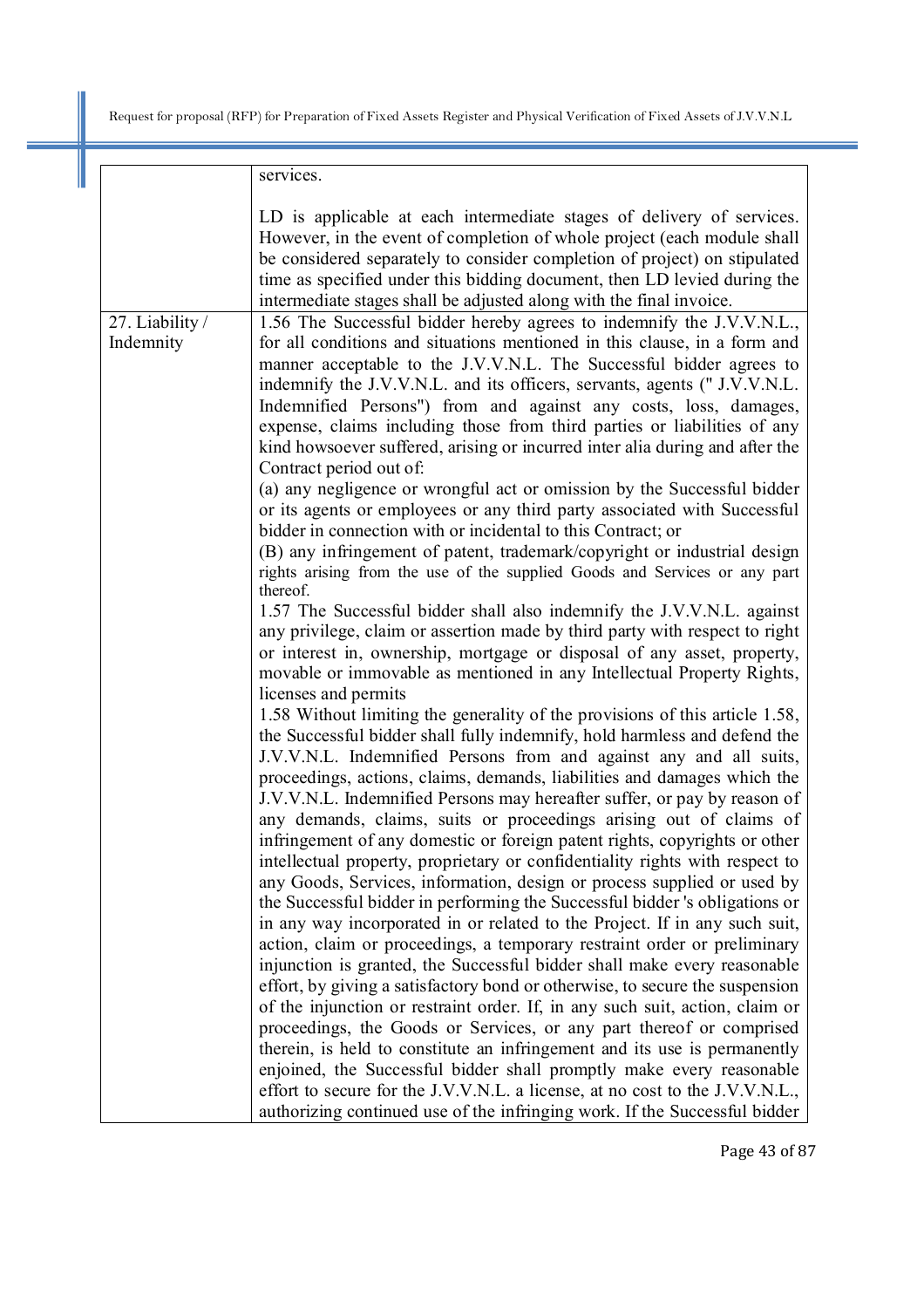|                              | services.                                                                                                                                                                                                                                                                                                                                                                                                                                                                                                                                                                                                                                                                                                                                                                                                                                                                                                                                                                                                                                                                                                                                                                                                                                                                                                                                                                                                                                                                                                                                                                                                           |
|------------------------------|---------------------------------------------------------------------------------------------------------------------------------------------------------------------------------------------------------------------------------------------------------------------------------------------------------------------------------------------------------------------------------------------------------------------------------------------------------------------------------------------------------------------------------------------------------------------------------------------------------------------------------------------------------------------------------------------------------------------------------------------------------------------------------------------------------------------------------------------------------------------------------------------------------------------------------------------------------------------------------------------------------------------------------------------------------------------------------------------------------------------------------------------------------------------------------------------------------------------------------------------------------------------------------------------------------------------------------------------------------------------------------------------------------------------------------------------------------------------------------------------------------------------------------------------------------------------------------------------------------------------|
|                              | LD is applicable at each intermediate stages of delivery of services.<br>However, in the event of completion of whole project (each module shall<br>be considered separately to consider completion of project) on stipulated<br>time as specified under this bidding document, then LD levied during the<br>intermediate stages shall be adjusted along with the final invoice.                                                                                                                                                                                                                                                                                                                                                                                                                                                                                                                                                                                                                                                                                                                                                                                                                                                                                                                                                                                                                                                                                                                                                                                                                                    |
|                              |                                                                                                                                                                                                                                                                                                                                                                                                                                                                                                                                                                                                                                                                                                                                                                                                                                                                                                                                                                                                                                                                                                                                                                                                                                                                                                                                                                                                                                                                                                                                                                                                                     |
| 27. Liability /<br>Indemnity | 1.56 The Successful bidder hereby agrees to indemnify the J.V.V.N.L.,<br>for all conditions and situations mentioned in this clause, in a form and<br>manner acceptable to the J.V.V.N.L. The Successful bidder agrees to<br>indemnify the J.V.V.N.L. and its officers, servants, agents (" J.V.V.N.L.<br>Indemnified Persons") from and against any costs, loss, damages,<br>expense, claims including those from third parties or liabilities of any<br>kind howsoever suffered, arising or incurred inter alia during and after the<br>Contract period out of:<br>(a) any negligence or wrongful act or omission by the Successful bidder<br>or its agents or employees or any third party associated with Successful<br>bidder in connection with or incidental to this Contract; or<br>(B) any infringement of patent, trademark/copyright or industrial design<br>rights arising from the use of the supplied Goods and Services or any part<br>thereof.<br>1.57 The Successful bidder shall also indemnify the J.V.V.N.L. against<br>any privilege, claim or assertion made by third party with respect to right<br>or interest in, ownership, mortgage or disposal of any asset, property,<br>movable or immovable as mentioned in any Intellectual Property Rights,<br>licenses and permits<br>1.58 Without limiting the generality of the provisions of this article 1.58,<br>the Successful bidder shall fully indemnify, hold harmless and defend the<br>J.V.V.N.L. Indemnified Persons from and against any and all suits,<br>proceedings, actions, claims, demands, liabilities and damages which the |
|                              | J.V.V.N.L. Indemnified Persons may hereafter suffer, or pay by reason of<br>any demands, claims, suits or proceedings arising out of claims of<br>infringement of any domestic or foreign patent rights, copyrights or other<br>intellectual property, proprietary or confidentiality rights with respect to<br>any Goods, Services, information, design or process supplied or used by<br>the Successful bidder in performing the Successful bidder 's obligations or<br>in any way incorporated in or related to the Project. If in any such suit,<br>action, claim or proceedings, a temporary restraint order or preliminary<br>injunction is granted, the Successful bidder shall make every reasonable<br>effort, by giving a satisfactory bond or otherwise, to secure the suspension<br>of the injunction or restraint order. If, in any such suit, action, claim or<br>proceedings, the Goods or Services, or any part thereof or comprised<br>therein, is held to constitute an infringement and its use is permanently<br>enjoined, the Successful bidder shall promptly make every reasonable<br>effort to secure for the J.V.V.N.L. a license, at no cost to the J.V.V.N.L.,                                                                                                                                                                                                                                                                                                                                                                                                                           |
|                              | authorizing continued use of the infringing work. If the Successful bidder                                                                                                                                                                                                                                                                                                                                                                                                                                                                                                                                                                                                                                                                                                                                                                                                                                                                                                                                                                                                                                                                                                                                                                                                                                                                                                                                                                                                                                                                                                                                          |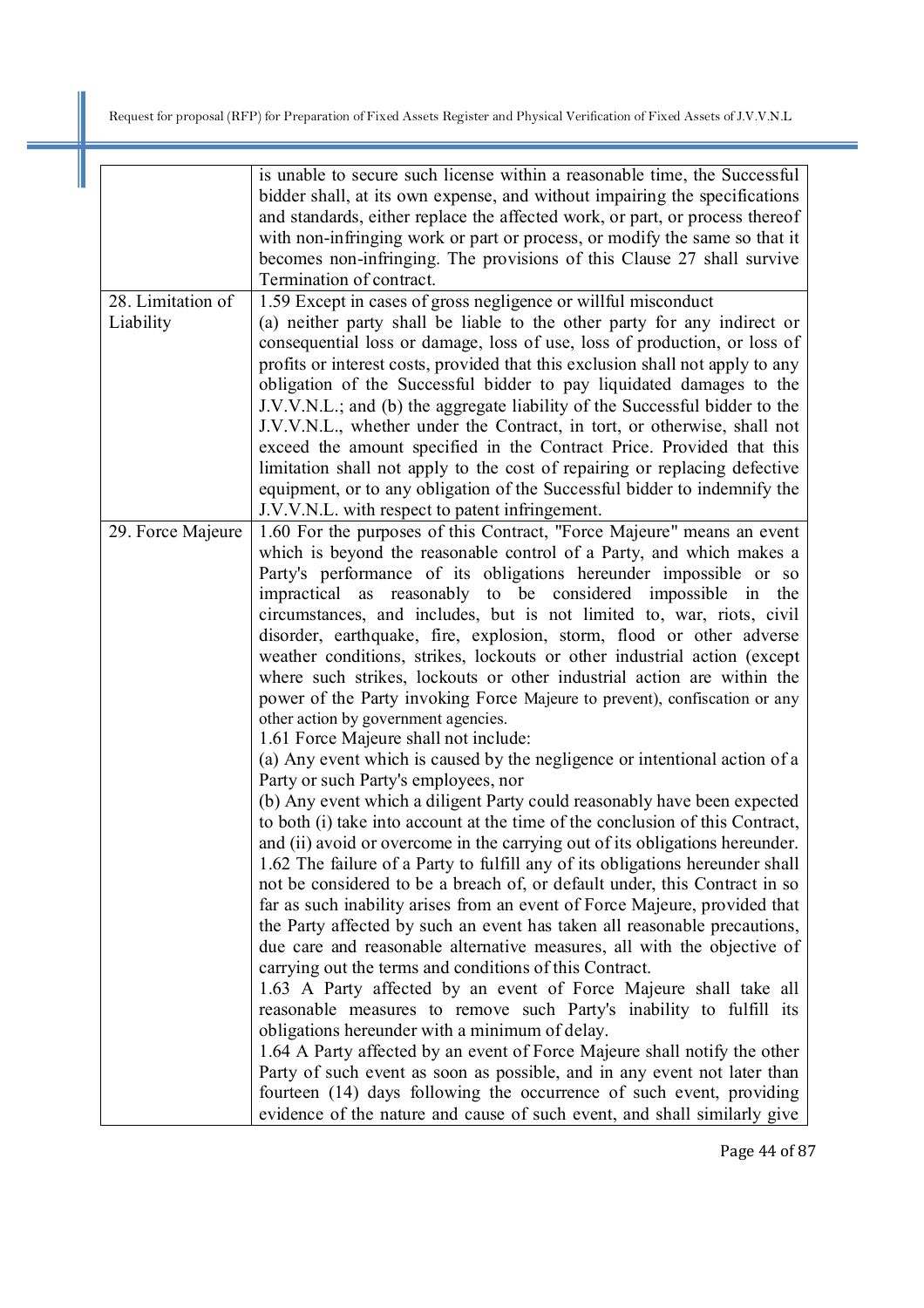|                                | is unable to secure such license within a reasonable time, the Successful<br>bidder shall, at its own expense, and without impairing the specifications<br>and standards, either replace the affected work, or part, or process thereof<br>with non-infringing work or part or process, or modify the same so that it<br>becomes non-infringing. The provisions of this Clause 27 shall survive<br>Termination of contract.                                                                                                                                                                                                                                                                                                                                                                                                                                                                                                                                                                                                                                                                                                                                                                                                                                                                                                                                                                                                                                                                                                                                                                                                                                                                                                                                                                                                                                                                                                                                                                                                                                                                             |
|--------------------------------|---------------------------------------------------------------------------------------------------------------------------------------------------------------------------------------------------------------------------------------------------------------------------------------------------------------------------------------------------------------------------------------------------------------------------------------------------------------------------------------------------------------------------------------------------------------------------------------------------------------------------------------------------------------------------------------------------------------------------------------------------------------------------------------------------------------------------------------------------------------------------------------------------------------------------------------------------------------------------------------------------------------------------------------------------------------------------------------------------------------------------------------------------------------------------------------------------------------------------------------------------------------------------------------------------------------------------------------------------------------------------------------------------------------------------------------------------------------------------------------------------------------------------------------------------------------------------------------------------------------------------------------------------------------------------------------------------------------------------------------------------------------------------------------------------------------------------------------------------------------------------------------------------------------------------------------------------------------------------------------------------------------------------------------------------------------------------------------------------------|
| 28. Limitation of<br>Liability | 1.59 Except in cases of gross negligence or willful misconduct<br>(a) neither party shall be liable to the other party for any indirect or<br>consequential loss or damage, loss of use, loss of production, or loss of<br>profits or interest costs, provided that this exclusion shall not apply to any<br>obligation of the Successful bidder to pay liquidated damages to the<br>J.V.V.N.L.; and (b) the aggregate liability of the Successful bidder to the<br>J.V.V.N.L., whether under the Contract, in tort, or otherwise, shall not<br>exceed the amount specified in the Contract Price. Provided that this<br>limitation shall not apply to the cost of repairing or replacing defective<br>equipment, or to any obligation of the Successful bidder to indemnify the<br>J.V.V.N.L. with respect to patent infringement.                                                                                                                                                                                                                                                                                                                                                                                                                                                                                                                                                                                                                                                                                                                                                                                                                                                                                                                                                                                                                                                                                                                                                                                                                                                                     |
| 29. Force Majeure              | 1.60 For the purposes of this Contract, "Force Majeure" means an event<br>which is beyond the reasonable control of a Party, and which makes a<br>Party's performance of its obligations hereunder impossible or so<br>impractical as reasonably to be considered impossible in the<br>circumstances, and includes, but is not limited to, war, riots, civil<br>disorder, earthquake, fire, explosion, storm, flood or other adverse<br>weather conditions, strikes, lockouts or other industrial action (except<br>where such strikes, lockouts or other industrial action are within the<br>power of the Party invoking Force Majeure to prevent), confiscation or any<br>other action by government agencies.<br>1.61 Force Majeure shall not include:<br>(a) Any event which is caused by the negligence or intentional action of a<br>Party or such Party's employees, nor<br>(b) Any event which a diligent Party could reasonably have been expected<br>to both (i) take into account at the time of the conclusion of this Contract,<br>and (ii) avoid or overcome in the carrying out of its obligations hereunder.<br>1.62 The failure of a Party to fulfill any of its obligations hereunder shall<br>not be considered to be a breach of, or default under, this Contract in so<br>far as such inability arises from an event of Force Majeure, provided that<br>the Party affected by such an event has taken all reasonable precautions,<br>due care and reasonable alternative measures, all with the objective of<br>carrying out the terms and conditions of this Contract.<br>1.63 A Party affected by an event of Force Majeure shall take all<br>reasonable measures to remove such Party's inability to fulfill its<br>obligations hereunder with a minimum of delay.<br>1.64 A Party affected by an event of Force Majeure shall notify the other<br>Party of such event as soon as possible, and in any event not later than<br>fourteen (14) days following the occurrence of such event, providing<br>evidence of the nature and cause of such event, and shall similarly give |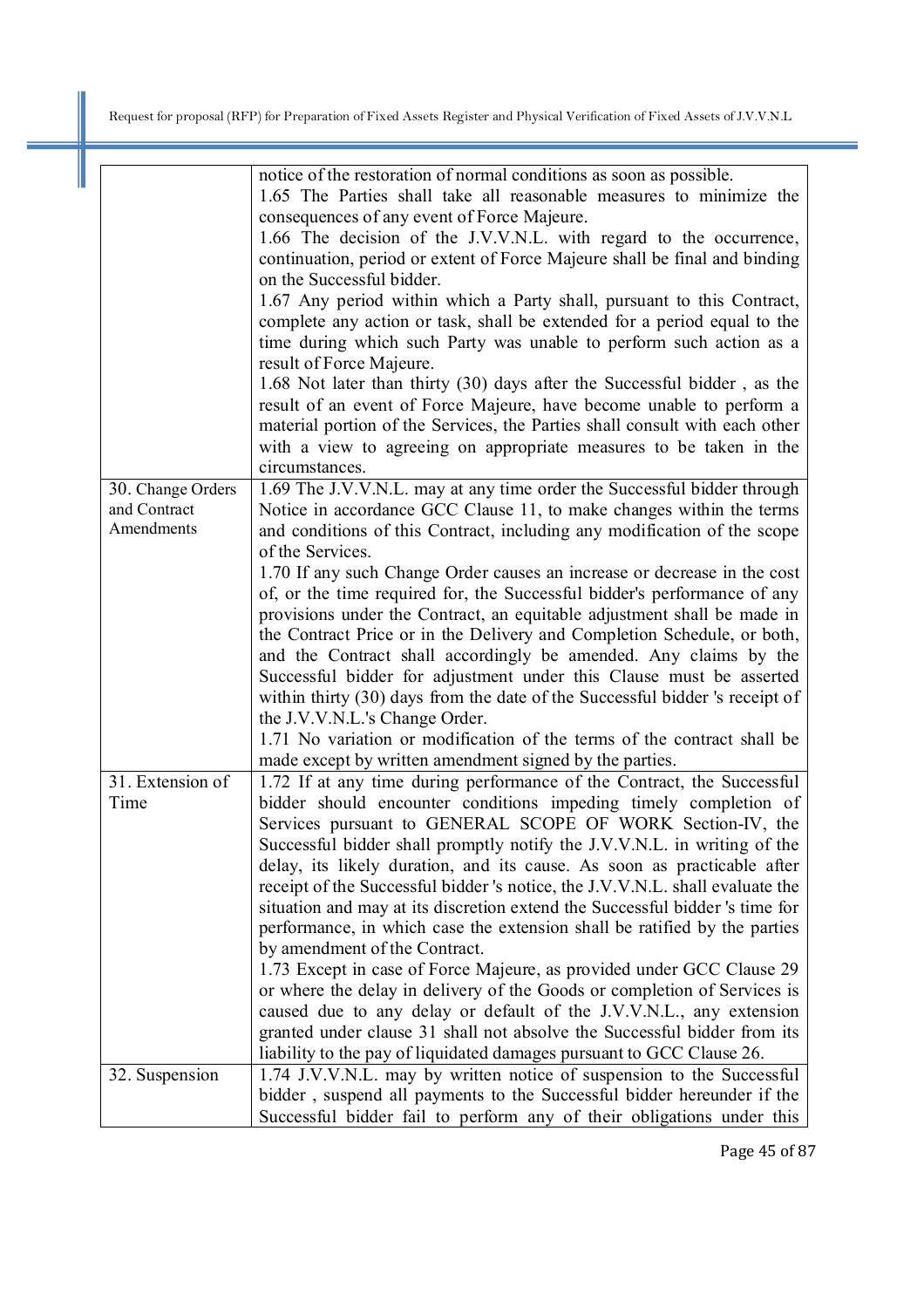|                   | notice of the restoration of normal conditions as soon as possible.           |
|-------------------|-------------------------------------------------------------------------------|
|                   | 1.65 The Parties shall take all reasonable measures to minimize the           |
|                   | consequences of any event of Force Majeure.                                   |
|                   | 1.66 The decision of the J.V.V.N.L. with regard to the occurrence,            |
|                   | continuation, period or extent of Force Majeure shall be final and binding    |
|                   | on the Successful bidder.                                                     |
|                   | 1.67 Any period within which a Party shall, pursuant to this Contract,        |
|                   | complete any action or task, shall be extended for a period equal to the      |
|                   | time during which such Party was unable to perform such action as a           |
|                   | result of Force Majeure.                                                      |
|                   | 1.68 Not later than thirty (30) days after the Successful bidder, as the      |
|                   | result of an event of Force Majeure, have become unable to perform a          |
|                   | material portion of the Services, the Parties shall consult with each other   |
|                   | with a view to agreeing on appropriate measures to be taken in the            |
|                   | circumstances.                                                                |
| 30. Change Orders | 1.69 The J.V.V.N.L. may at any time order the Successful bidder through       |
| and Contract      | Notice in accordance GCC Clause 11, to make changes within the terms          |
| Amendments        | and conditions of this Contract, including any modification of the scope      |
|                   | of the Services.                                                              |
|                   | 1.70 If any such Change Order causes an increase or decrease in the cost      |
|                   | of, or the time required for, the Successful bidder's performance of any      |
|                   | provisions under the Contract, an equitable adjustment shall be made in       |
|                   | the Contract Price or in the Delivery and Completion Schedule, or both,       |
|                   | and the Contract shall accordingly be amended. Any claims by the              |
|                   | Successful bidder for adjustment under this Clause must be asserted           |
|                   | within thirty (30) days from the date of the Successful bidder 's receipt of  |
|                   | the J.V.V.N.L.'s Change Order.                                                |
|                   | 1.71 No variation or modification of the terms of the contract shall be       |
|                   | made except by written amendment signed by the parties.                       |
| 31. Extension of  | 1.72 If at any time during performance of the Contract, the Successful        |
| Time              | bidder should encounter conditions impeding timely completion of              |
|                   | Services pursuant to GENERAL SCOPE OF WORK Section-IV, the                    |
|                   | Successful bidder shall promptly notify the J.V.V.N.L. in writing of the      |
|                   | delay, its likely duration, and its cause. As soon as practicable after       |
|                   | receipt of the Successful bidder 's notice, the J.V.V.N.L. shall evaluate the |
|                   | situation and may at its discretion extend the Successful bidder 's time for  |
|                   | performance, in which case the extension shall be ratified by the parties     |
|                   | by amendment of the Contract.                                                 |
|                   | 1.73 Except in case of Force Majeure, as provided under GCC Clause 29         |
|                   | or where the delay in delivery of the Goods or completion of Services is      |
|                   | caused due to any delay or default of the J.V.V.N.L., any extension           |
|                   | granted under clause 31 shall not absolve the Successful bidder from its      |
|                   | liability to the pay of liquidated damages pursuant to GCC Clause 26.         |
| 32. Suspension    | 1.74 J.V.V.N.L. may by written notice of suspension to the Successful         |
|                   | bidder, suspend all payments to the Successful bidder hereunder if the        |
|                   | Successful bidder fail to perform any of their obligations under this         |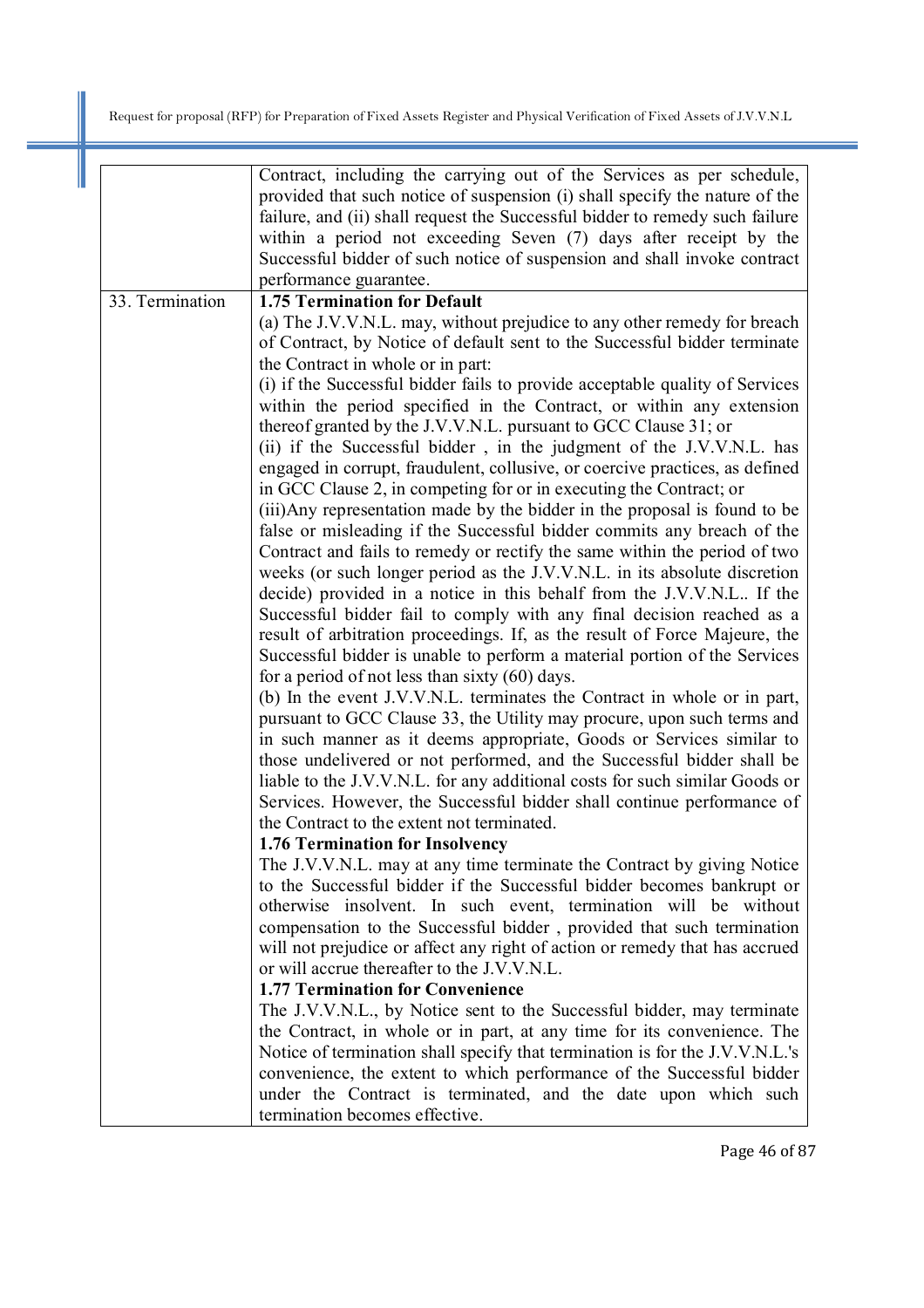|                 | Contract, including the carrying out of the Services as per schedule,<br>provided that such notice of suspension (i) shall specify the nature of the<br>failure, and (ii) shall request the Successful bidder to remedy such failure<br>within a period not exceeding Seven (7) days after receipt by the<br>Successful bidder of such notice of suspension and shall invoke contract<br>performance guarantee.                                                                                                                                                                                                                                                                                                                                                                                                                                                                                                                                                                                                                                                                                                                                                                                                                                                                                                                                                                                                                                                                                                                                                                                                                                                                                                                                                                                                                                        |
|-----------------|--------------------------------------------------------------------------------------------------------------------------------------------------------------------------------------------------------------------------------------------------------------------------------------------------------------------------------------------------------------------------------------------------------------------------------------------------------------------------------------------------------------------------------------------------------------------------------------------------------------------------------------------------------------------------------------------------------------------------------------------------------------------------------------------------------------------------------------------------------------------------------------------------------------------------------------------------------------------------------------------------------------------------------------------------------------------------------------------------------------------------------------------------------------------------------------------------------------------------------------------------------------------------------------------------------------------------------------------------------------------------------------------------------------------------------------------------------------------------------------------------------------------------------------------------------------------------------------------------------------------------------------------------------------------------------------------------------------------------------------------------------------------------------------------------------------------------------------------------------|
| 33. Termination | <b>1.75 Termination for Default</b>                                                                                                                                                                                                                                                                                                                                                                                                                                                                                                                                                                                                                                                                                                                                                                                                                                                                                                                                                                                                                                                                                                                                                                                                                                                                                                                                                                                                                                                                                                                                                                                                                                                                                                                                                                                                                    |
|                 | (a) The J.V.V.N.L. may, without prejudice to any other remedy for breach<br>of Contract, by Notice of default sent to the Successful bidder terminate<br>the Contract in whole or in part:<br>(i) if the Successful bidder fails to provide acceptable quality of Services<br>within the period specified in the Contract, or within any extension<br>thereof granted by the J.V.V.N.L. pursuant to GCC Clause 31; or<br>(ii) if the Successful bidder, in the judgment of the J.V.V.N.L. has<br>engaged in corrupt, fraudulent, collusive, or coercive practices, as defined<br>in GCC Clause 2, in competing for or in executing the Contract; or<br>(iii) Any representation made by the bidder in the proposal is found to be<br>false or misleading if the Successful bidder commits any breach of the<br>Contract and fails to remedy or rectify the same within the period of two<br>weeks (or such longer period as the J.V.V.N.L. in its absolute discretion<br>decide) provided in a notice in this behalf from the J.V.V.N.L If the<br>Successful bidder fail to comply with any final decision reached as a<br>result of arbitration proceedings. If, as the result of Force Majeure, the<br>Successful bidder is unable to perform a material portion of the Services<br>for a period of not less than sixty $(60)$ days.<br>(b) In the event J.V.V.N.L. terminates the Contract in whole or in part,<br>pursuant to GCC Clause 33, the Utility may procure, upon such terms and<br>in such manner as it deems appropriate, Goods or Services similar to<br>those undelivered or not performed, and the Successful bidder shall be<br>liable to the J.V.V.N.L. for any additional costs for such similar Goods or<br>Services. However, the Successful bidder shall continue performance of<br>the Contract to the extent not terminated. |
|                 |                                                                                                                                                                                                                                                                                                                                                                                                                                                                                                                                                                                                                                                                                                                                                                                                                                                                                                                                                                                                                                                                                                                                                                                                                                                                                                                                                                                                                                                                                                                                                                                                                                                                                                                                                                                                                                                        |
|                 | 1.76 Termination for Insolvency<br>The J.V.V.N.L. may at any time terminate the Contract by giving Notice<br>to the Successful bidder if the Successful bidder becomes bankrupt or<br>otherwise insolvent. In such event, termination will be without<br>compensation to the Successful bidder, provided that such termination<br>will not prejudice or affect any right of action or remedy that has accrued<br>or will accrue thereafter to the J.V.V.N.L.                                                                                                                                                                                                                                                                                                                                                                                                                                                                                                                                                                                                                                                                                                                                                                                                                                                                                                                                                                                                                                                                                                                                                                                                                                                                                                                                                                                           |
|                 | <b>1.77 Termination for Convenience</b>                                                                                                                                                                                                                                                                                                                                                                                                                                                                                                                                                                                                                                                                                                                                                                                                                                                                                                                                                                                                                                                                                                                                                                                                                                                                                                                                                                                                                                                                                                                                                                                                                                                                                                                                                                                                                |
|                 | The J.V.V.N.L., by Notice sent to the Successful bidder, may terminate<br>the Contract, in whole or in part, at any time for its convenience. The<br>Notice of termination shall specify that termination is for the J.V.V.N.L.'s<br>convenience, the extent to which performance of the Successful bidder<br>under the Contract is terminated, and the date upon which such                                                                                                                                                                                                                                                                                                                                                                                                                                                                                                                                                                                                                                                                                                                                                                                                                                                                                                                                                                                                                                                                                                                                                                                                                                                                                                                                                                                                                                                                           |
|                 | termination becomes effective.                                                                                                                                                                                                                                                                                                                                                                                                                                                                                                                                                                                                                                                                                                                                                                                                                                                                                                                                                                                                                                                                                                                                                                                                                                                                                                                                                                                                                                                                                                                                                                                                                                                                                                                                                                                                                         |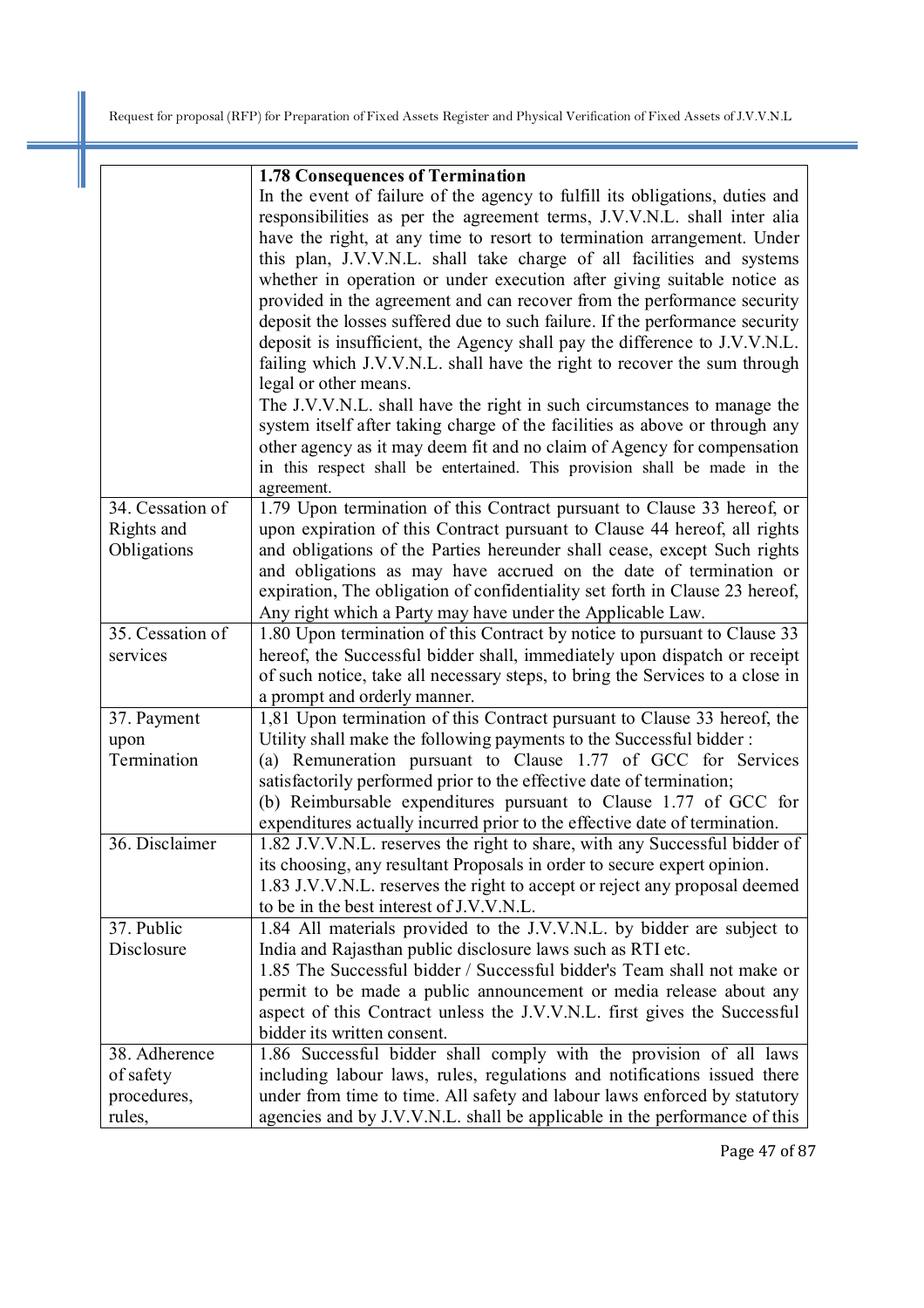|                  | <b>1.78 Consequences of Termination</b>                                       |
|------------------|-------------------------------------------------------------------------------|
|                  | In the event of failure of the agency to fulfill its obligations, duties and  |
|                  | responsibilities as per the agreement terms, J.V.V.N.L. shall inter alia      |
|                  | have the right, at any time to resort to termination arrangement. Under       |
|                  | this plan, J.V.V.N.L. shall take charge of all facilities and systems         |
|                  | whether in operation or under execution after giving suitable notice as       |
|                  | provided in the agreement and can recover from the performance security       |
|                  | deposit the losses suffered due to such failure. If the performance security  |
|                  | deposit is insufficient, the Agency shall pay the difference to J.V.V.N.L.    |
|                  | failing which J.V.V.N.L. shall have the right to recover the sum through      |
|                  | legal or other means.                                                         |
|                  | The J.V.V.N.L. shall have the right in such circumstances to manage the       |
|                  | system itself after taking charge of the facilities as above or through any   |
|                  | other agency as it may deem fit and no claim of Agency for compensation       |
|                  | in this respect shall be entertained. This provision shall be made in the     |
|                  | agreement.                                                                    |
| 34. Cessation of | 1.79 Upon termination of this Contract pursuant to Clause 33 hereof, or       |
| Rights and       | upon expiration of this Contract pursuant to Clause 44 hereof, all rights     |
| Obligations      | and obligations of the Parties hereunder shall cease, except Such rights      |
|                  | and obligations as may have accrued on the date of termination or             |
|                  | expiration, The obligation of confidentiality set forth in Clause 23 hereof,  |
|                  | Any right which a Party may have under the Applicable Law.                    |
| 35. Cessation of | 1.80 Upon termination of this Contract by notice to pursuant to Clause 33     |
| services         | hereof, the Successful bidder shall, immediately upon dispatch or receipt     |
|                  | of such notice, take all necessary steps, to bring the Services to a close in |
|                  | a prompt and orderly manner.                                                  |
| 37. Payment      | 1,81 Upon termination of this Contract pursuant to Clause 33 hereof, the      |
| upon             | Utility shall make the following payments to the Successful bidder:           |
| Termination      | (a) Remuneration pursuant to Clause 1.77 of GCC for Services                  |
|                  | satisfactorily performed prior to the effective date of termination;          |
|                  | (b) Reimbursable expenditures pursuant to Clause 1.77 of GCC for              |
|                  | expenditures actually incurred prior to the effective date of termination.    |
| 36. Disclaimer   | 1.82 J.V.V.N.L. reserves the right to share, with any Successful bidder of    |
|                  | its choosing, any resultant Proposals in order to secure expert opinion.      |
|                  | 1.83 J.V.V.N.L. reserves the right to accept or reject any proposal deemed    |
|                  | to be in the best interest of J.V.V.N.L.                                      |
| 37. Public       | 1.84 All materials provided to the J.V.V.N.L. by bidder are subject to        |
| Disclosure       | India and Rajasthan public disclosure laws such as RTI etc.                   |
|                  | 1.85 The Successful bidder / Successful bidder's Team shall not make or       |
|                  | permit to be made a public announcement or media release about any            |
|                  | aspect of this Contract unless the J.V.V.N.L. first gives the Successful      |
|                  | bidder its written consent.                                                   |
| 38. Adherence    | 1.86 Successful bidder shall comply with the provision of all laws            |
|                  |                                                                               |
| of safety        | including labour laws, rules, regulations and notifications issued there      |
| procedures,      | under from time to time. All safety and labour laws enforced by statutory     |
| rules,           | agencies and by J.V.V.N.L. shall be applicable in the performance of this     |

Page 47 of 87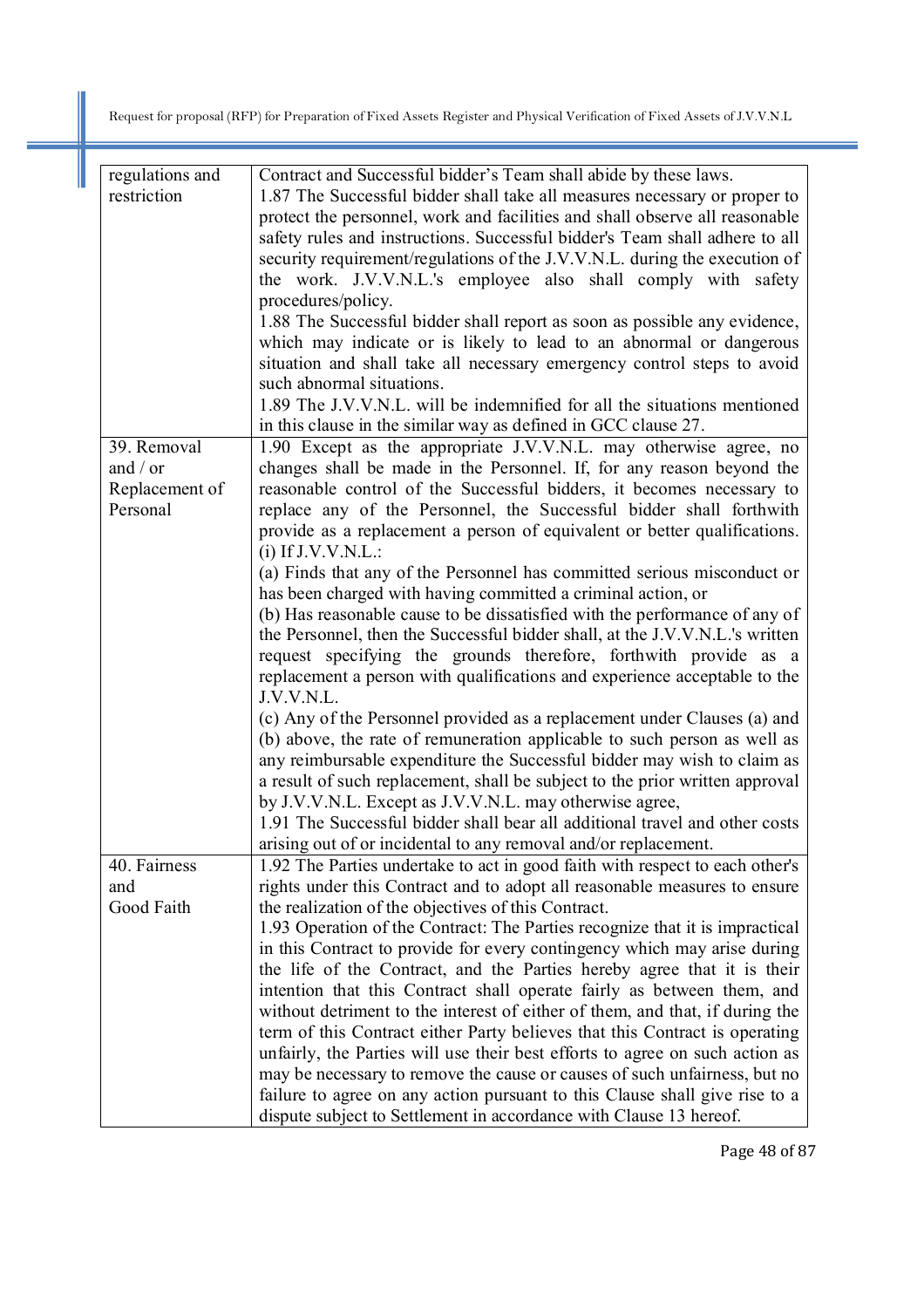| regulations and | Contract and Successful bidder's Team shall abide by these laws.             |
|-----------------|------------------------------------------------------------------------------|
| restriction     | 1.87 The Successful bidder shall take all measures necessary or proper to    |
|                 | protect the personnel, work and facilities and shall observe all reasonable  |
|                 | safety rules and instructions. Successful bidder's Team shall adhere to all  |
|                 | security requirement/regulations of the J.V.V.N.L. during the execution of   |
|                 | the work. J.V.V.N.L.'s employee also shall comply with safety                |
|                 |                                                                              |
|                 | procedures/policy.                                                           |
|                 | 1.88 The Successful bidder shall report as soon as possible any evidence,    |
|                 | which may indicate or is likely to lead to an abnormal or dangerous          |
|                 | situation and shall take all necessary emergency control steps to avoid      |
|                 | such abnormal situations.                                                    |
|                 | 1.89 The J.V.V.N.L. will be indemnified for all the situations mentioned     |
|                 | in this clause in the similar way as defined in GCC clause 27.               |
| 39. Removal     | 1.90 Except as the appropriate J.V.V.N.L. may otherwise agree, no            |
| and $/$ or      | changes shall be made in the Personnel. If, for any reason beyond the        |
|                 |                                                                              |
| Replacement of  | reasonable control of the Successful bidders, it becomes necessary to        |
| Personal        | replace any of the Personnel, the Successful bidder shall forthwith          |
|                 | provide as a replacement a person of equivalent or better qualifications.    |
|                 | $(i)$ If J.V.V.N.L.:                                                         |
|                 | (a) Finds that any of the Personnel has committed serious misconduct or      |
|                 | has been charged with having committed a criminal action, or                 |
|                 | (b) Has reasonable cause to be dissatisfied with the performance of any of   |
|                 | the Personnel, then the Successful bidder shall, at the J.V.V.N.L.'s written |
|                 | request specifying the grounds therefore, forthwith provide as a             |
|                 | replacement a person with qualifications and experience acceptable to the    |
|                 | J.V.V.N.L.                                                                   |
|                 | (c) Any of the Personnel provided as a replacement under Clauses (a) and     |
|                 |                                                                              |
|                 | (b) above, the rate of remuneration applicable to such person as well as     |
|                 | any reimbursable expenditure the Successful bidder may wish to claim as      |
|                 | a result of such replacement, shall be subject to the prior written approval |
|                 | by J.V.V.N.L. Except as J.V.V.N.L. may otherwise agree,                      |
|                 | 1.91 The Successful bidder shall bear all additional travel and other costs  |
|                 | arising out of or incidental to any removal and/or replacement.              |
| 40. Fairness    | 1.92 The Parties undertake to act in good faith with respect to each other's |
| and             | rights under this Contract and to adopt all reasonable measures to ensure    |
| Good Faith      | the realization of the objectives of this Contract.                          |
|                 | 1.93 Operation of the Contract: The Parties recognize that it is impractical |
|                 | in this Contract to provide for every contingency which may arise during     |
|                 |                                                                              |
|                 | the life of the Contract, and the Parties hereby agree that it is their      |
|                 | intention that this Contract shall operate fairly as between them, and       |
|                 | without detriment to the interest of either of them, and that, if during the |
|                 | term of this Contract either Party believes that this Contract is operating  |
|                 | unfairly, the Parties will use their best efforts to agree on such action as |
|                 | may be necessary to remove the cause or causes of such unfairness, but no    |
|                 | failure to agree on any action pursuant to this Clause shall give rise to a  |
|                 | dispute subject to Settlement in accordance with Clause 13 hereof.           |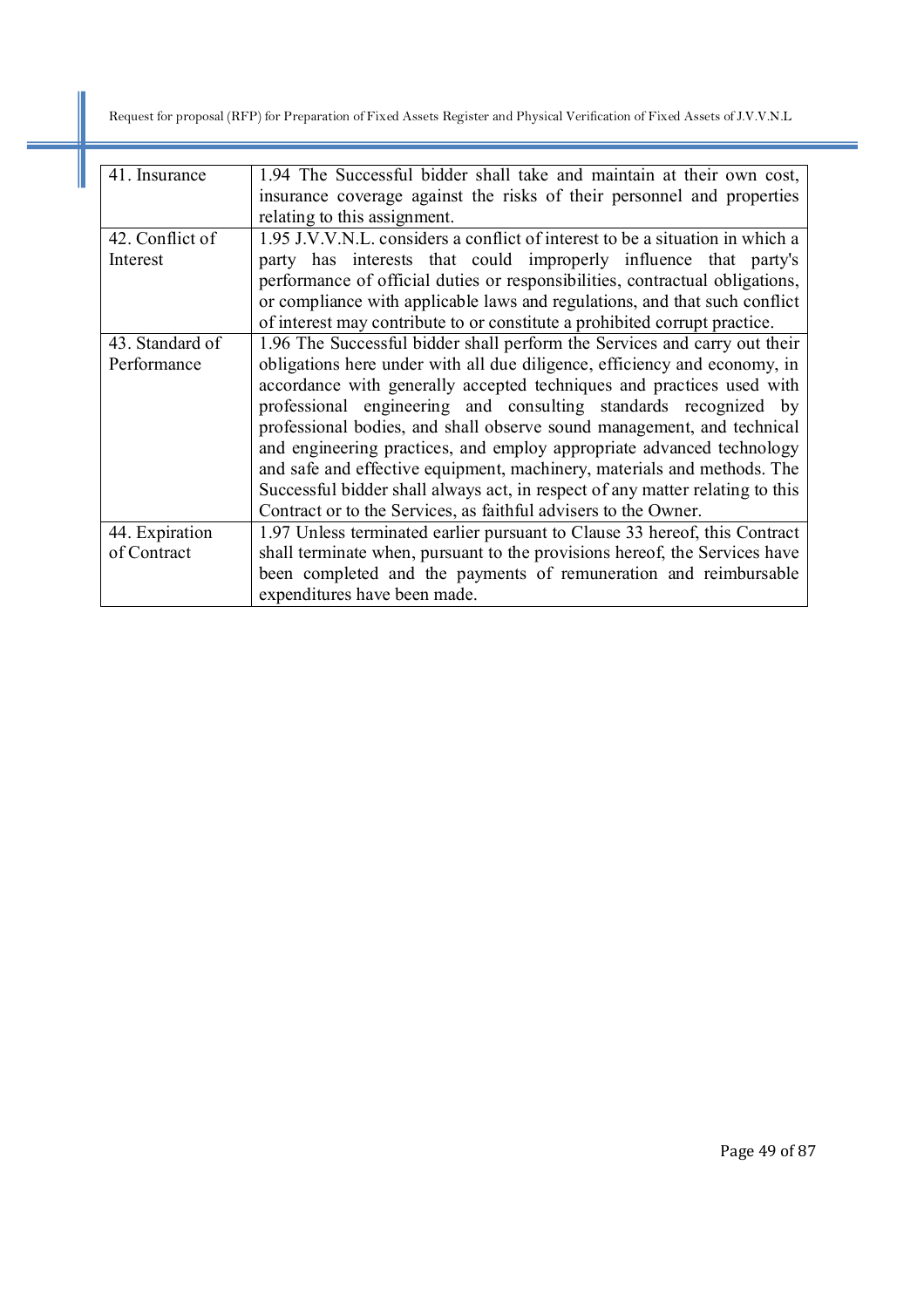| 41. Insurance   | 1.94 The Successful bidder shall take and maintain at their own cost,         |
|-----------------|-------------------------------------------------------------------------------|
|                 | insurance coverage against the risks of their personnel and properties        |
|                 | relating to this assignment.                                                  |
| 42. Conflict of | 1.95 J.V.V.N.L. considers a conflict of interest to be a situation in which a |
| Interest        | party has interests that could improperly influence that party's              |
|                 | performance of official duties or responsibilities, contractual obligations,  |
|                 | or compliance with applicable laws and regulations, and that such conflict    |
|                 | of interest may contribute to or constitute a prohibited corrupt practice.    |
| 43. Standard of | 1.96 The Successful bidder shall perform the Services and carry out their     |
| Performance     | obligations here under with all due diligence, efficiency and economy, in     |
|                 | accordance with generally accepted techniques and practices used with         |
|                 | professional engineering and consulting standards recognized by               |
|                 | professional bodies, and shall observe sound management, and technical        |
|                 | and engineering practices, and employ appropriate advanced technology         |
|                 | and safe and effective equipment, machinery, materials and methods. The       |
|                 | Successful bidder shall always act, in respect of any matter relating to this |
|                 | Contract or to the Services, as faithful advisers to the Owner.               |
| 44. Expiration  | 1.97 Unless terminated earlier pursuant to Clause 33 hereof, this Contract    |
| of Contract     | shall terminate when, pursuant to the provisions hereof, the Services have    |
|                 | been completed and the payments of remuneration and reimbursable              |
|                 | expenditures have been made.                                                  |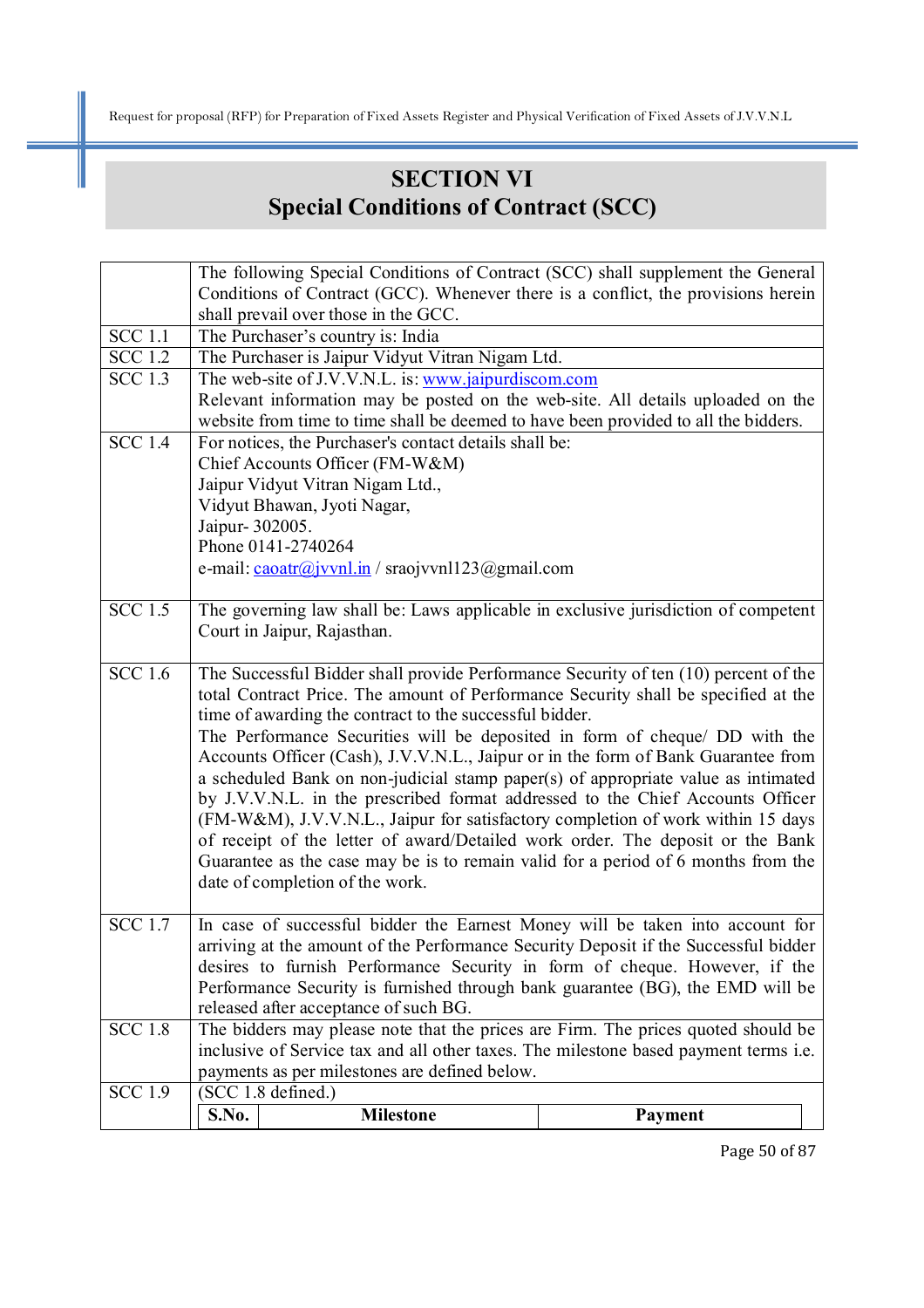# **SECTION VI Special Conditions of Contract (SCC)**

| Conditions of Contract (GCC). Whenever there is a conflict, the provisions herein<br>shall prevail over those in the GCC.<br><b>SCC</b> 1.1<br>The Purchaser's country is: India<br>$SCC$ 1.2<br>The Purchaser is Jaipur Vidyut Vitran Nigam Ltd.<br><b>SCC 1.3</b><br>The web-site of J.V.V.N.L. is: www.jaipurdiscom.com<br>Relevant information may be posted on the web-site. All details uploaded on the<br>website from time to time shall be deemed to have been provided to all the bidders.<br>$SCC$ 1.4<br>For notices, the Purchaser's contact details shall be:<br>Chief Accounts Officer (FM-W&M)<br>Jaipur Vidyut Vitran Nigam Ltd.,<br>Vidyut Bhawan, Jyoti Nagar,<br>Jaipur- 302005.<br>Phone 0141-2740264<br>e-mail: $\frac{caoatr(\hat{a})vvn \cdot ln}{snq}$ sraojvvnl123 $\hat{a}$ gmail.com<br><b>SCC</b> 1.5<br>The governing law shall be: Laws applicable in exclusive jurisdiction of competent<br>Court in Jaipur, Rajasthan.<br>$SCC$ 1.6<br>The Successful Bidder shall provide Performance Security of ten (10) percent of the<br>total Contract Price. The amount of Performance Security shall be specified at the<br>time of awarding the contract to the successful bidder.<br>The Performance Securities will be deposited in form of cheque/ DD with the<br>Accounts Officer (Cash), J.V.V.N.L., Jaipur or in the form of Bank Guarantee from<br>date of completion of the work.<br><b>SCC 1.7</b><br>In case of successful bidder the Earnest Money will be taken into account for<br>arriving at the amount of the Performance Security Deposit if the Successful bidder<br>desires to furnish Performance Security in form of cheque. However, if the<br>Performance Security is furnished through bank guarantee (BG), the EMD will be<br>released after acceptance of such BG.<br>The bidders may please note that the prices are Firm. The prices quoted should be<br><b>SCC 1.8</b><br>inclusive of Service tax and all other taxes. The milestone based payment terms <i>i.e.</i><br>payments as per milestones are defined below.<br>$SCC$ 1.9<br>(SCC 1.8 defined.)<br><b>S.No.</b><br><b>Milestone</b><br>Payment | The following Special Conditions of Contract (SCC) shall supplement the General   |  |  |  |  |
|-----------------------------------------------------------------------------------------------------------------------------------------------------------------------------------------------------------------------------------------------------------------------------------------------------------------------------------------------------------------------------------------------------------------------------------------------------------------------------------------------------------------------------------------------------------------------------------------------------------------------------------------------------------------------------------------------------------------------------------------------------------------------------------------------------------------------------------------------------------------------------------------------------------------------------------------------------------------------------------------------------------------------------------------------------------------------------------------------------------------------------------------------------------------------------------------------------------------------------------------------------------------------------------------------------------------------------------------------------------------------------------------------------------------------------------------------------------------------------------------------------------------------------------------------------------------------------------------------------------------------------------------------------------------------------------------------------------------------------------------------------------------------------------------------------------------------------------------------------------------------------------------------------------------------------------------------------------------------------------------------------------------------------------------------------------------------------------------------------------------------------------------------------------------|-----------------------------------------------------------------------------------|--|--|--|--|
|                                                                                                                                                                                                                                                                                                                                                                                                                                                                                                                                                                                                                                                                                                                                                                                                                                                                                                                                                                                                                                                                                                                                                                                                                                                                                                                                                                                                                                                                                                                                                                                                                                                                                                                                                                                                                                                                                                                                                                                                                                                                                                                                                                 |                                                                                   |  |  |  |  |
|                                                                                                                                                                                                                                                                                                                                                                                                                                                                                                                                                                                                                                                                                                                                                                                                                                                                                                                                                                                                                                                                                                                                                                                                                                                                                                                                                                                                                                                                                                                                                                                                                                                                                                                                                                                                                                                                                                                                                                                                                                                                                                                                                                 |                                                                                   |  |  |  |  |
|                                                                                                                                                                                                                                                                                                                                                                                                                                                                                                                                                                                                                                                                                                                                                                                                                                                                                                                                                                                                                                                                                                                                                                                                                                                                                                                                                                                                                                                                                                                                                                                                                                                                                                                                                                                                                                                                                                                                                                                                                                                                                                                                                                 |                                                                                   |  |  |  |  |
|                                                                                                                                                                                                                                                                                                                                                                                                                                                                                                                                                                                                                                                                                                                                                                                                                                                                                                                                                                                                                                                                                                                                                                                                                                                                                                                                                                                                                                                                                                                                                                                                                                                                                                                                                                                                                                                                                                                                                                                                                                                                                                                                                                 |                                                                                   |  |  |  |  |
|                                                                                                                                                                                                                                                                                                                                                                                                                                                                                                                                                                                                                                                                                                                                                                                                                                                                                                                                                                                                                                                                                                                                                                                                                                                                                                                                                                                                                                                                                                                                                                                                                                                                                                                                                                                                                                                                                                                                                                                                                                                                                                                                                                 |                                                                                   |  |  |  |  |
|                                                                                                                                                                                                                                                                                                                                                                                                                                                                                                                                                                                                                                                                                                                                                                                                                                                                                                                                                                                                                                                                                                                                                                                                                                                                                                                                                                                                                                                                                                                                                                                                                                                                                                                                                                                                                                                                                                                                                                                                                                                                                                                                                                 |                                                                                   |  |  |  |  |
|                                                                                                                                                                                                                                                                                                                                                                                                                                                                                                                                                                                                                                                                                                                                                                                                                                                                                                                                                                                                                                                                                                                                                                                                                                                                                                                                                                                                                                                                                                                                                                                                                                                                                                                                                                                                                                                                                                                                                                                                                                                                                                                                                                 |                                                                                   |  |  |  |  |
|                                                                                                                                                                                                                                                                                                                                                                                                                                                                                                                                                                                                                                                                                                                                                                                                                                                                                                                                                                                                                                                                                                                                                                                                                                                                                                                                                                                                                                                                                                                                                                                                                                                                                                                                                                                                                                                                                                                                                                                                                                                                                                                                                                 |                                                                                   |  |  |  |  |
|                                                                                                                                                                                                                                                                                                                                                                                                                                                                                                                                                                                                                                                                                                                                                                                                                                                                                                                                                                                                                                                                                                                                                                                                                                                                                                                                                                                                                                                                                                                                                                                                                                                                                                                                                                                                                                                                                                                                                                                                                                                                                                                                                                 |                                                                                   |  |  |  |  |
|                                                                                                                                                                                                                                                                                                                                                                                                                                                                                                                                                                                                                                                                                                                                                                                                                                                                                                                                                                                                                                                                                                                                                                                                                                                                                                                                                                                                                                                                                                                                                                                                                                                                                                                                                                                                                                                                                                                                                                                                                                                                                                                                                                 |                                                                                   |  |  |  |  |
|                                                                                                                                                                                                                                                                                                                                                                                                                                                                                                                                                                                                                                                                                                                                                                                                                                                                                                                                                                                                                                                                                                                                                                                                                                                                                                                                                                                                                                                                                                                                                                                                                                                                                                                                                                                                                                                                                                                                                                                                                                                                                                                                                                 |                                                                                   |  |  |  |  |
|                                                                                                                                                                                                                                                                                                                                                                                                                                                                                                                                                                                                                                                                                                                                                                                                                                                                                                                                                                                                                                                                                                                                                                                                                                                                                                                                                                                                                                                                                                                                                                                                                                                                                                                                                                                                                                                                                                                                                                                                                                                                                                                                                                 |                                                                                   |  |  |  |  |
|                                                                                                                                                                                                                                                                                                                                                                                                                                                                                                                                                                                                                                                                                                                                                                                                                                                                                                                                                                                                                                                                                                                                                                                                                                                                                                                                                                                                                                                                                                                                                                                                                                                                                                                                                                                                                                                                                                                                                                                                                                                                                                                                                                 |                                                                                   |  |  |  |  |
|                                                                                                                                                                                                                                                                                                                                                                                                                                                                                                                                                                                                                                                                                                                                                                                                                                                                                                                                                                                                                                                                                                                                                                                                                                                                                                                                                                                                                                                                                                                                                                                                                                                                                                                                                                                                                                                                                                                                                                                                                                                                                                                                                                 |                                                                                   |  |  |  |  |
|                                                                                                                                                                                                                                                                                                                                                                                                                                                                                                                                                                                                                                                                                                                                                                                                                                                                                                                                                                                                                                                                                                                                                                                                                                                                                                                                                                                                                                                                                                                                                                                                                                                                                                                                                                                                                                                                                                                                                                                                                                                                                                                                                                 |                                                                                   |  |  |  |  |
|                                                                                                                                                                                                                                                                                                                                                                                                                                                                                                                                                                                                                                                                                                                                                                                                                                                                                                                                                                                                                                                                                                                                                                                                                                                                                                                                                                                                                                                                                                                                                                                                                                                                                                                                                                                                                                                                                                                                                                                                                                                                                                                                                                 |                                                                                   |  |  |  |  |
|                                                                                                                                                                                                                                                                                                                                                                                                                                                                                                                                                                                                                                                                                                                                                                                                                                                                                                                                                                                                                                                                                                                                                                                                                                                                                                                                                                                                                                                                                                                                                                                                                                                                                                                                                                                                                                                                                                                                                                                                                                                                                                                                                                 |                                                                                   |  |  |  |  |
|                                                                                                                                                                                                                                                                                                                                                                                                                                                                                                                                                                                                                                                                                                                                                                                                                                                                                                                                                                                                                                                                                                                                                                                                                                                                                                                                                                                                                                                                                                                                                                                                                                                                                                                                                                                                                                                                                                                                                                                                                                                                                                                                                                 |                                                                                   |  |  |  |  |
|                                                                                                                                                                                                                                                                                                                                                                                                                                                                                                                                                                                                                                                                                                                                                                                                                                                                                                                                                                                                                                                                                                                                                                                                                                                                                                                                                                                                                                                                                                                                                                                                                                                                                                                                                                                                                                                                                                                                                                                                                                                                                                                                                                 |                                                                                   |  |  |  |  |
|                                                                                                                                                                                                                                                                                                                                                                                                                                                                                                                                                                                                                                                                                                                                                                                                                                                                                                                                                                                                                                                                                                                                                                                                                                                                                                                                                                                                                                                                                                                                                                                                                                                                                                                                                                                                                                                                                                                                                                                                                                                                                                                                                                 |                                                                                   |  |  |  |  |
|                                                                                                                                                                                                                                                                                                                                                                                                                                                                                                                                                                                                                                                                                                                                                                                                                                                                                                                                                                                                                                                                                                                                                                                                                                                                                                                                                                                                                                                                                                                                                                                                                                                                                                                                                                                                                                                                                                                                                                                                                                                                                                                                                                 |                                                                                   |  |  |  |  |
|                                                                                                                                                                                                                                                                                                                                                                                                                                                                                                                                                                                                                                                                                                                                                                                                                                                                                                                                                                                                                                                                                                                                                                                                                                                                                                                                                                                                                                                                                                                                                                                                                                                                                                                                                                                                                                                                                                                                                                                                                                                                                                                                                                 | a scheduled Bank on non-judicial stamp paper(s) of appropriate value as intimated |  |  |  |  |
|                                                                                                                                                                                                                                                                                                                                                                                                                                                                                                                                                                                                                                                                                                                                                                                                                                                                                                                                                                                                                                                                                                                                                                                                                                                                                                                                                                                                                                                                                                                                                                                                                                                                                                                                                                                                                                                                                                                                                                                                                                                                                                                                                                 | by J.V.V.N.L. in the prescribed format addressed to the Chief Accounts Officer    |  |  |  |  |
|                                                                                                                                                                                                                                                                                                                                                                                                                                                                                                                                                                                                                                                                                                                                                                                                                                                                                                                                                                                                                                                                                                                                                                                                                                                                                                                                                                                                                                                                                                                                                                                                                                                                                                                                                                                                                                                                                                                                                                                                                                                                                                                                                                 | (FM-W&M), J.V.V.N.L., Jaipur for satisfactory completion of work within 15 days   |  |  |  |  |
|                                                                                                                                                                                                                                                                                                                                                                                                                                                                                                                                                                                                                                                                                                                                                                                                                                                                                                                                                                                                                                                                                                                                                                                                                                                                                                                                                                                                                                                                                                                                                                                                                                                                                                                                                                                                                                                                                                                                                                                                                                                                                                                                                                 | of receipt of the letter of award/Detailed work order. The deposit or the Bank    |  |  |  |  |
|                                                                                                                                                                                                                                                                                                                                                                                                                                                                                                                                                                                                                                                                                                                                                                                                                                                                                                                                                                                                                                                                                                                                                                                                                                                                                                                                                                                                                                                                                                                                                                                                                                                                                                                                                                                                                                                                                                                                                                                                                                                                                                                                                                 | Guarantee as the case may be is to remain valid for a period of 6 months from the |  |  |  |  |
|                                                                                                                                                                                                                                                                                                                                                                                                                                                                                                                                                                                                                                                                                                                                                                                                                                                                                                                                                                                                                                                                                                                                                                                                                                                                                                                                                                                                                                                                                                                                                                                                                                                                                                                                                                                                                                                                                                                                                                                                                                                                                                                                                                 |                                                                                   |  |  |  |  |
|                                                                                                                                                                                                                                                                                                                                                                                                                                                                                                                                                                                                                                                                                                                                                                                                                                                                                                                                                                                                                                                                                                                                                                                                                                                                                                                                                                                                                                                                                                                                                                                                                                                                                                                                                                                                                                                                                                                                                                                                                                                                                                                                                                 |                                                                                   |  |  |  |  |
|                                                                                                                                                                                                                                                                                                                                                                                                                                                                                                                                                                                                                                                                                                                                                                                                                                                                                                                                                                                                                                                                                                                                                                                                                                                                                                                                                                                                                                                                                                                                                                                                                                                                                                                                                                                                                                                                                                                                                                                                                                                                                                                                                                 |                                                                                   |  |  |  |  |
|                                                                                                                                                                                                                                                                                                                                                                                                                                                                                                                                                                                                                                                                                                                                                                                                                                                                                                                                                                                                                                                                                                                                                                                                                                                                                                                                                                                                                                                                                                                                                                                                                                                                                                                                                                                                                                                                                                                                                                                                                                                                                                                                                                 |                                                                                   |  |  |  |  |
|                                                                                                                                                                                                                                                                                                                                                                                                                                                                                                                                                                                                                                                                                                                                                                                                                                                                                                                                                                                                                                                                                                                                                                                                                                                                                                                                                                                                                                                                                                                                                                                                                                                                                                                                                                                                                                                                                                                                                                                                                                                                                                                                                                 |                                                                                   |  |  |  |  |
|                                                                                                                                                                                                                                                                                                                                                                                                                                                                                                                                                                                                                                                                                                                                                                                                                                                                                                                                                                                                                                                                                                                                                                                                                                                                                                                                                                                                                                                                                                                                                                                                                                                                                                                                                                                                                                                                                                                                                                                                                                                                                                                                                                 |                                                                                   |  |  |  |  |
|                                                                                                                                                                                                                                                                                                                                                                                                                                                                                                                                                                                                                                                                                                                                                                                                                                                                                                                                                                                                                                                                                                                                                                                                                                                                                                                                                                                                                                                                                                                                                                                                                                                                                                                                                                                                                                                                                                                                                                                                                                                                                                                                                                 |                                                                                   |  |  |  |  |
|                                                                                                                                                                                                                                                                                                                                                                                                                                                                                                                                                                                                                                                                                                                                                                                                                                                                                                                                                                                                                                                                                                                                                                                                                                                                                                                                                                                                                                                                                                                                                                                                                                                                                                                                                                                                                                                                                                                                                                                                                                                                                                                                                                 |                                                                                   |  |  |  |  |
|                                                                                                                                                                                                                                                                                                                                                                                                                                                                                                                                                                                                                                                                                                                                                                                                                                                                                                                                                                                                                                                                                                                                                                                                                                                                                                                                                                                                                                                                                                                                                                                                                                                                                                                                                                                                                                                                                                                                                                                                                                                                                                                                                                 |                                                                                   |  |  |  |  |
|                                                                                                                                                                                                                                                                                                                                                                                                                                                                                                                                                                                                                                                                                                                                                                                                                                                                                                                                                                                                                                                                                                                                                                                                                                                                                                                                                                                                                                                                                                                                                                                                                                                                                                                                                                                                                                                                                                                                                                                                                                                                                                                                                                 |                                                                                   |  |  |  |  |
|                                                                                                                                                                                                                                                                                                                                                                                                                                                                                                                                                                                                                                                                                                                                                                                                                                                                                                                                                                                                                                                                                                                                                                                                                                                                                                                                                                                                                                                                                                                                                                                                                                                                                                                                                                                                                                                                                                                                                                                                                                                                                                                                                                 |                                                                                   |  |  |  |  |

Page 50 of 87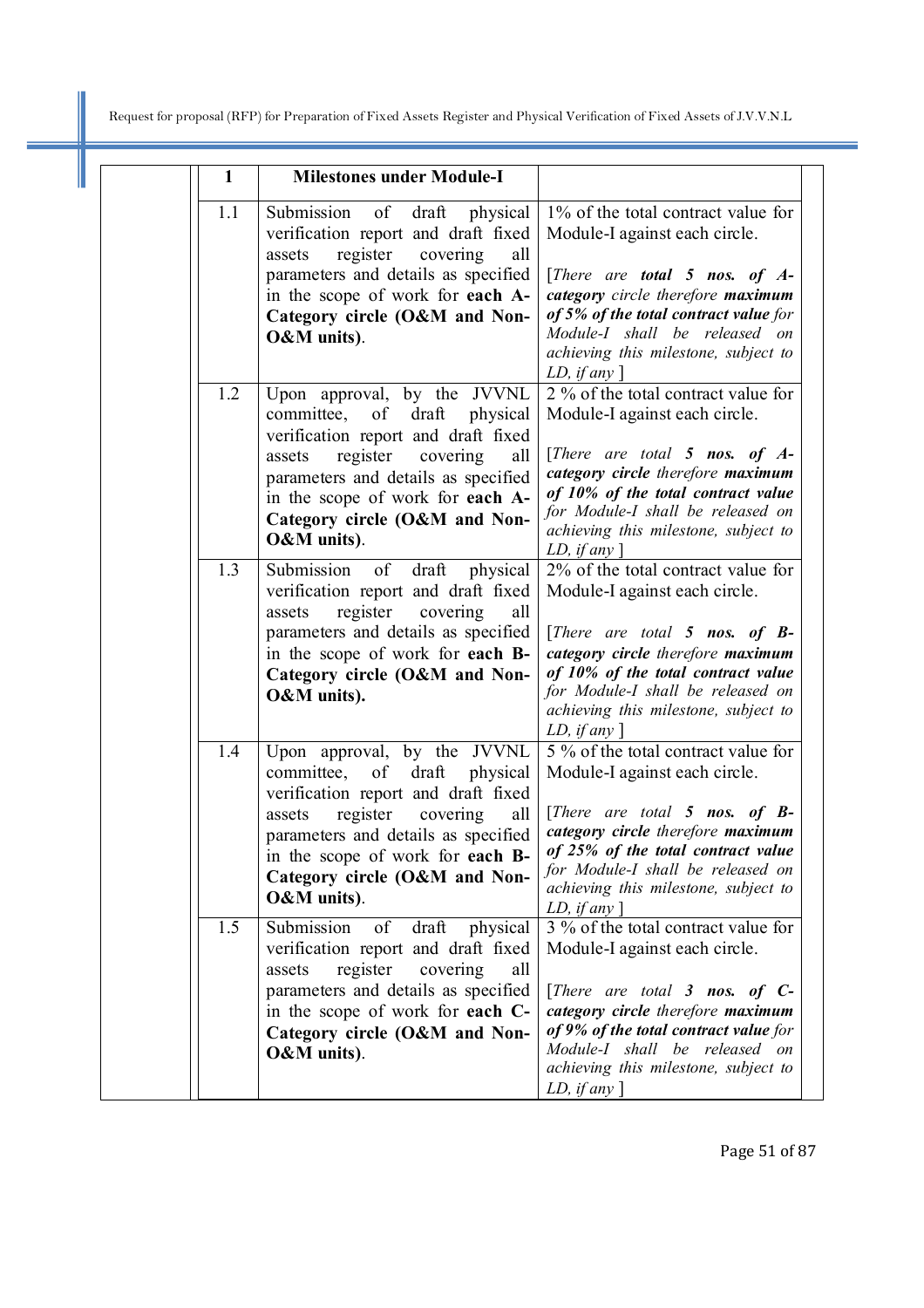I

| $\mathbf{1}$ | <b>Milestones under Module-I</b>                                                                                                                                                                                                                                             |                                                                                                                                                                                                                                                                                                        |
|--------------|------------------------------------------------------------------------------------------------------------------------------------------------------------------------------------------------------------------------------------------------------------------------------|--------------------------------------------------------------------------------------------------------------------------------------------------------------------------------------------------------------------------------------------------------------------------------------------------------|
| 1.1          | Submission<br>of<br>draft physical<br>verification report and draft fixed<br>register<br>covering<br>all<br>assets<br>parameters and details as specified<br>in the scope of work for each A-<br>Category circle (O&M and Non-<br>O&M units).                                | 1% of the total contract value for<br>Module-I against each circle.<br>[There are <b>total 5 nos. of <math>A</math>-</b><br>category circle therefore maximum<br>of 5% of the total contract value for<br>Module-I shall be released on<br>achieving this milestone, subject to<br>LD, if any $\lceil$ |
| 1.2          | Upon approval, by the JVVNL<br>committee, of draft physical<br>verification report and draft fixed<br>register<br>covering<br>all<br>assets<br>parameters and details as specified<br>in the scope of work for each A-<br>Category circle (O&M and Non-<br>O&M units).       | 2 % of the total contract value for<br>Module-I against each circle.<br>[There are total 5 nos. of $A$ -<br>category circle therefore maximum<br>of 10% of the total contract value<br>for Module-I shall be released on<br>achieving this milestone, subject to<br>LD, if any                         |
| 1.3          | Submission of draft<br>physical<br>verification report and draft fixed<br>register covering<br>all<br>assets<br>parameters and details as specified<br>in the scope of work for each B-<br>Category circle (O&M and Non-<br>O&M units).                                      | 2% of the total contract value for<br>Module-I against each circle.<br>[There are total 5 nos. of $B$ -<br>category circle therefore maximum<br>of 10% of the total contract value<br>for Module-I shall be released on<br>achieving this milestone, subject to<br>LD, if any $\vert$                  |
| 1.4          | Upon approval, by the JVVNL<br>committee,<br>draft<br>physical<br>of<br>verification report and draft fixed<br>register covering<br>all<br>assets<br>parameters and details as specified<br>in the scope of work for each B-<br>Category circle (O&M and Non-<br>O&M units). | 5 % of the total contract value for<br>Module-I against each circle.<br>[There are total 5 nos. of $B$ -<br>category circle therefore maximum<br>of 25% of the total contract value<br>for Module-I shall be released on<br>achieving this milestone, subject to<br><i>LD</i> , <i>if any</i> $\vert$  |
| 1.5          | Submission<br>of draft<br>physical<br>verification report and draft fixed<br>register<br>covering<br>assets<br>all<br>parameters and details as specified<br>in the scope of work for each C-<br>Category circle (O&M and Non-<br>O&M units).                                | 3 % of the total contract value for<br>Module-I against each circle.<br>[There are total $\beta$ nos. of $C$ -<br>category circle therefore maximum<br>of 9% of the total contract value for<br>Module-I shall be released on<br>achieving this milestone, subject to<br>LD, if any $\lceil$           |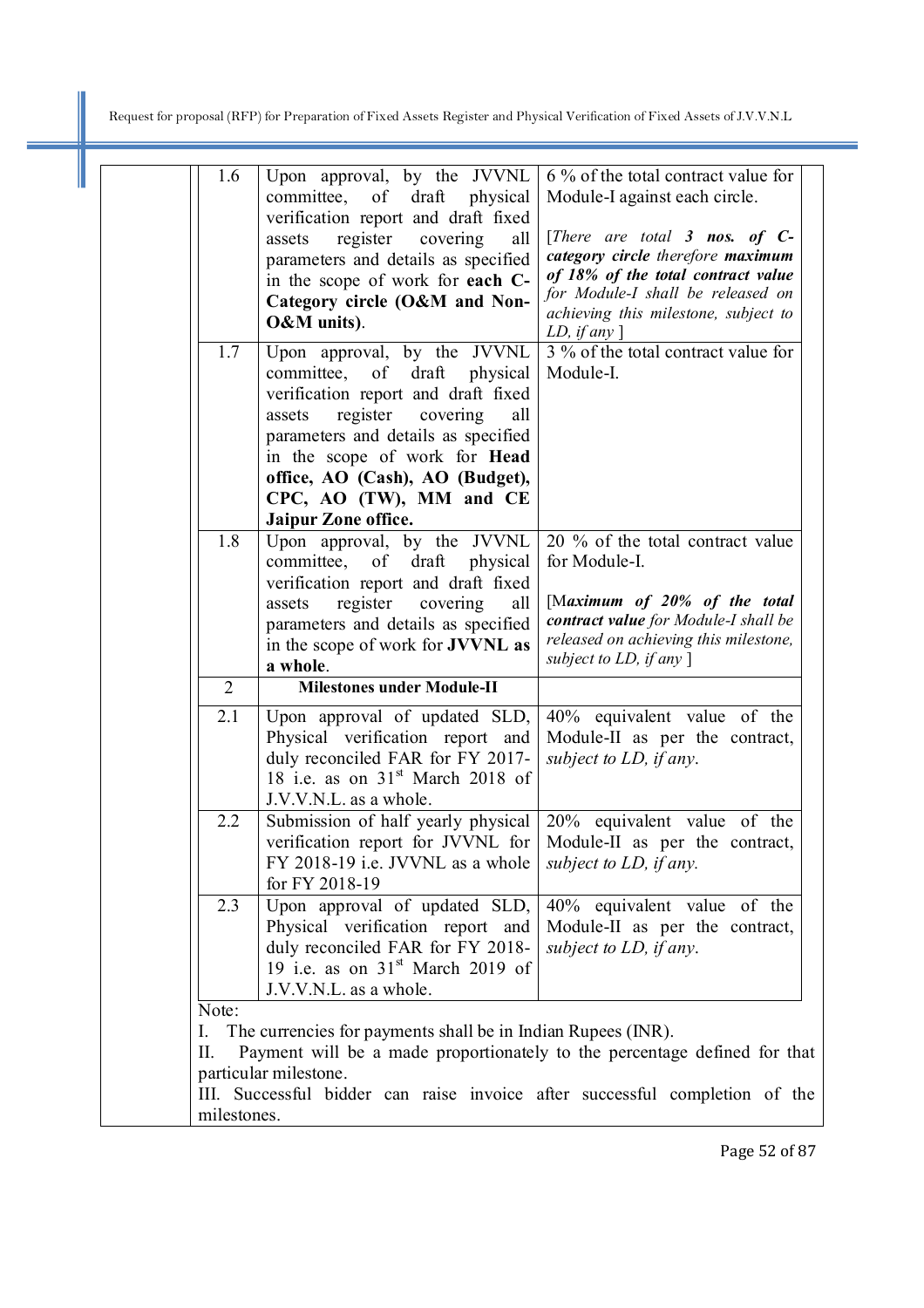I

| 1.6            | Upon approval, by the JVVNL<br>committee, of draft physical<br>verification report and draft fixed<br>register covering<br>assets<br>all<br>parameters and details as specified<br>in the scope of work for each C-<br>Category circle (O&M and Non-<br>O&M units). | 6 % of the total contract value for<br>Module-I against each circle.<br>[There are total 3 nos. of $C$ -<br>category circle therefore maximum<br>of 18% of the total contract value<br>for Module-I shall be released on<br>achieving this milestone, subject to |
|----------------|---------------------------------------------------------------------------------------------------------------------------------------------------------------------------------------------------------------------------------------------------------------------|------------------------------------------------------------------------------------------------------------------------------------------------------------------------------------------------------------------------------------------------------------------|
| 1.7            | Upon approval, by the JVVNL                                                                                                                                                                                                                                         | <i>LD</i> , <i>if</i> any $\left]$<br>3 % of the total contract value for                                                                                                                                                                                        |
|                | committee, of draft physical<br>verification report and draft fixed<br>register covering<br>assets<br>all<br>parameters and details as specified<br>in the scope of work for Head                                                                                   | Module-I.                                                                                                                                                                                                                                                        |
|                | office, AO (Cash), AO (Budget),                                                                                                                                                                                                                                     |                                                                                                                                                                                                                                                                  |
|                | CPC, AO (TW), MM and CE                                                                                                                                                                                                                                             |                                                                                                                                                                                                                                                                  |
|                | Jaipur Zone office.                                                                                                                                                                                                                                                 |                                                                                                                                                                                                                                                                  |
| 1.8            | Upon approval, by the JVVNL                                                                                                                                                                                                                                         | 20 % of the total contract value                                                                                                                                                                                                                                 |
|                | committee, of draft physical                                                                                                                                                                                                                                        | for Module-I.                                                                                                                                                                                                                                                    |
|                | verification report and draft fixed                                                                                                                                                                                                                                 |                                                                                                                                                                                                                                                                  |
|                | register<br>covering<br>assets<br>all                                                                                                                                                                                                                               | [Maximum of 20% of the total                                                                                                                                                                                                                                     |
|                | parameters and details as specified                                                                                                                                                                                                                                 | contract value for Module-I shall be                                                                                                                                                                                                                             |
|                | in the scope of work for JVVNL as                                                                                                                                                                                                                                   | released on achieving this milestone,<br>subject to LD, if any $\vert$                                                                                                                                                                                           |
|                | a whole.                                                                                                                                                                                                                                                            |                                                                                                                                                                                                                                                                  |
| $\overline{2}$ | <b>Milestones under Module-II</b>                                                                                                                                                                                                                                   |                                                                                                                                                                                                                                                                  |
| 2.1            | Upon approval of updated SLD,                                                                                                                                                                                                                                       | 40% equivalent value of the                                                                                                                                                                                                                                      |
|                | Physical verification report and                                                                                                                                                                                                                                    | Module-II as per the contract,                                                                                                                                                                                                                                   |
|                | duly reconciled FAR for FY 2017-                                                                                                                                                                                                                                    | subject to LD, if any.                                                                                                                                                                                                                                           |
|                | 18 i.e. as on $31st$ March 2018 of                                                                                                                                                                                                                                  |                                                                                                                                                                                                                                                                  |
|                | J.V.V.N.L. as a whole.                                                                                                                                                                                                                                              |                                                                                                                                                                                                                                                                  |
| 2.2            | Submission of half yearly physical<br>verification report for JVVNL for                                                                                                                                                                                             | 20% equivalent value of the<br>Module-II as per the contract,                                                                                                                                                                                                    |
|                | FY 2018-19 i.e. JVVNL as a whole                                                                                                                                                                                                                                    | subject to LD, if any.                                                                                                                                                                                                                                           |
|                | for FY 2018-19                                                                                                                                                                                                                                                      |                                                                                                                                                                                                                                                                  |
| 2.3            | Upon approval of updated SLD,                                                                                                                                                                                                                                       | 40% equivalent value of the                                                                                                                                                                                                                                      |
|                | Physical verification report and                                                                                                                                                                                                                                    | Module-II as per the contract,                                                                                                                                                                                                                                   |
|                | duly reconciled FAR for FY 2018-                                                                                                                                                                                                                                    | subject to LD, if any.                                                                                                                                                                                                                                           |
|                | 19 i.e. as on $31st$ March 2019 of                                                                                                                                                                                                                                  |                                                                                                                                                                                                                                                                  |
|                | J.V.V.N.L. as a whole.                                                                                                                                                                                                                                              |                                                                                                                                                                                                                                                                  |
| Note:          |                                                                                                                                                                                                                                                                     |                                                                                                                                                                                                                                                                  |
| Ι.             | The currencies for payments shall be in Indian Rupees (INR).                                                                                                                                                                                                        |                                                                                                                                                                                                                                                                  |
| Ш.             |                                                                                                                                                                                                                                                                     | Payment will be a made proportionately to the percentage defined for that                                                                                                                                                                                        |
|                | particular milestone.                                                                                                                                                                                                                                               |                                                                                                                                                                                                                                                                  |
| milestones.    |                                                                                                                                                                                                                                                                     | III. Successful bidder can raise invoice after successful completion of the                                                                                                                                                                                      |
|                |                                                                                                                                                                                                                                                                     |                                                                                                                                                                                                                                                                  |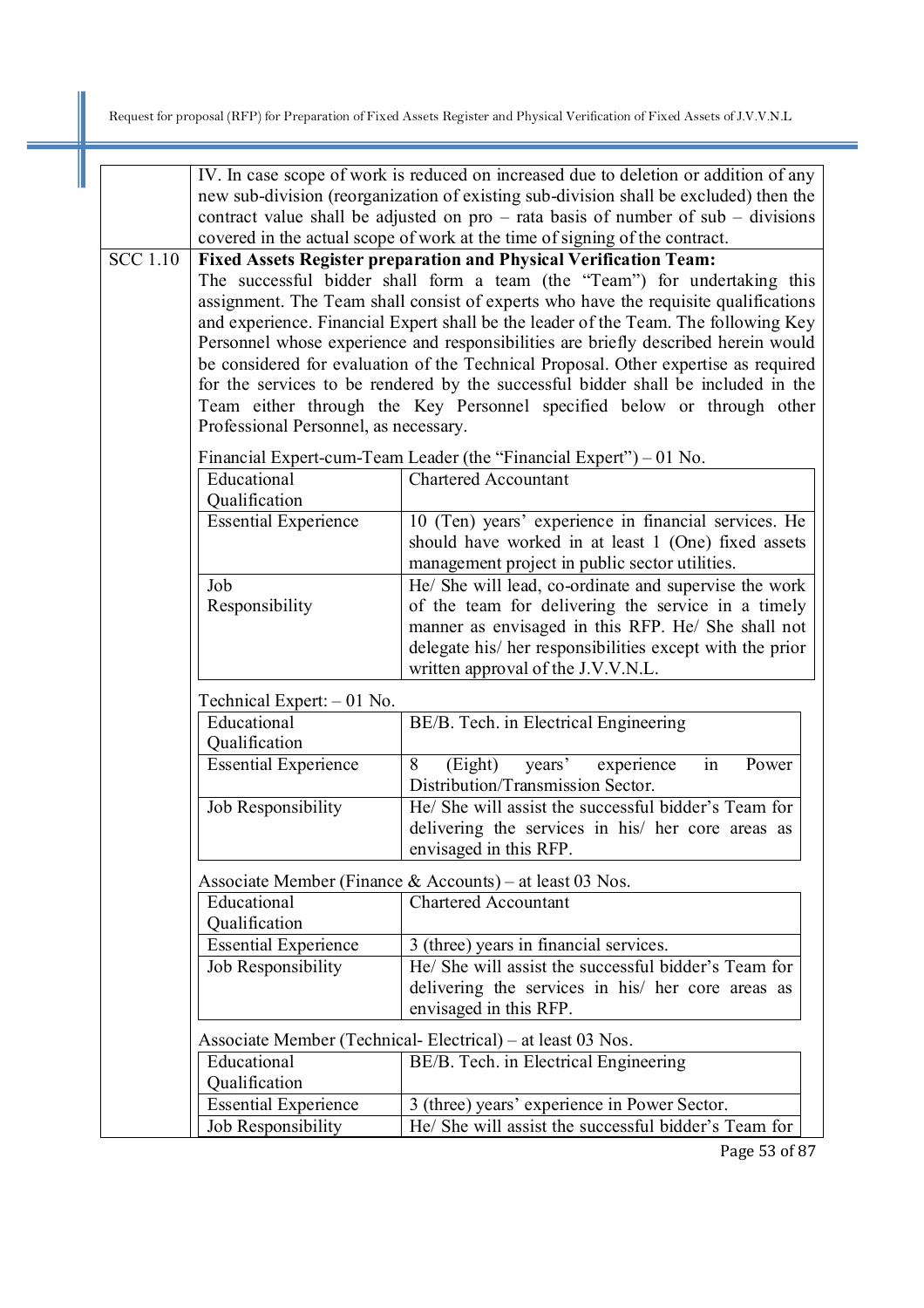|                 | IV. In case scope of work is reduced on increased due to deletion or addition of any  |                                                                                                                                                                          |  |  |  |
|-----------------|---------------------------------------------------------------------------------------|--------------------------------------------------------------------------------------------------------------------------------------------------------------------------|--|--|--|
|                 | new sub-division (reorganization of existing sub-division shall be excluded) then the |                                                                                                                                                                          |  |  |  |
|                 |                                                                                       | contract value shall be adjusted on $pro - rata$ basis of number of $sub - divisions$                                                                                    |  |  |  |
|                 |                                                                                       | covered in the actual scope of work at the time of signing of the contract.                                                                                              |  |  |  |
| <b>SCC</b> 1.10 |                                                                                       | Fixed Assets Register preparation and Physical Verification Team:                                                                                                        |  |  |  |
|                 |                                                                                       | The successful bidder shall form a team (the "Team") for undertaking this                                                                                                |  |  |  |
|                 |                                                                                       | assignment. The Team shall consist of experts who have the requisite qualifications                                                                                      |  |  |  |
|                 |                                                                                       | and experience. Financial Expert shall be the leader of the Team. The following Key                                                                                      |  |  |  |
|                 |                                                                                       | Personnel whose experience and responsibilities are briefly described herein would                                                                                       |  |  |  |
|                 |                                                                                       | be considered for evaluation of the Technical Proposal. Other expertise as required<br>for the services to be rendered by the successful bidder shall be included in the |  |  |  |
|                 |                                                                                       |                                                                                                                                                                          |  |  |  |
|                 | Professional Personnel, as necessary.                                                 | Team either through the Key Personnel specified below or through other                                                                                                   |  |  |  |
|                 |                                                                                       |                                                                                                                                                                          |  |  |  |
|                 |                                                                                       | Financial Expert-cum-Team Leader (the "Financial Expert") – 01 No.                                                                                                       |  |  |  |
|                 | Educational                                                                           | <b>Chartered Accountant</b>                                                                                                                                              |  |  |  |
|                 | Qualification<br><b>Essential Experience</b>                                          |                                                                                                                                                                          |  |  |  |
|                 |                                                                                       | 10 (Ten) years' experience in financial services. He<br>should have worked in at least 1 (One) fixed assets                                                              |  |  |  |
|                 |                                                                                       | management project in public sector utilities.                                                                                                                           |  |  |  |
|                 | Job                                                                                   | He/ She will lead, co-ordinate and supervise the work                                                                                                                    |  |  |  |
|                 | Responsibility                                                                        | of the team for delivering the service in a timely                                                                                                                       |  |  |  |
|                 |                                                                                       | manner as envisaged in this RFP. He/ She shall not                                                                                                                       |  |  |  |
|                 |                                                                                       | delegate his/ her responsibilities except with the prior                                                                                                                 |  |  |  |
|                 |                                                                                       | written approval of the J.V.V.N.L.                                                                                                                                       |  |  |  |
|                 | Technical Expert: $-01$ No.                                                           |                                                                                                                                                                          |  |  |  |
|                 | Educational                                                                           | BE/B. Tech. in Electrical Engineering                                                                                                                                    |  |  |  |
|                 | Qualification                                                                         |                                                                                                                                                                          |  |  |  |
|                 | <b>Essential Experience</b>                                                           | 8<br>years' experience<br>in<br>Power<br>(Eight)                                                                                                                         |  |  |  |
|                 |                                                                                       | Distribution/Transmission Sector.                                                                                                                                        |  |  |  |
|                 | Job Responsibility                                                                    | He/ She will assist the successful bidder's Team for                                                                                                                     |  |  |  |
|                 |                                                                                       | delivering the services in his/ her core areas as                                                                                                                        |  |  |  |
|                 |                                                                                       | envisaged in this RFP.                                                                                                                                                   |  |  |  |
|                 |                                                                                       | Associate Member (Finance & Accounts) – at least 03 Nos.                                                                                                                 |  |  |  |
|                 | Educational                                                                           | <b>Chartered Accountant</b>                                                                                                                                              |  |  |  |
|                 | Qualification                                                                         |                                                                                                                                                                          |  |  |  |
|                 | <b>Essential Experience</b>                                                           | 3 (three) years in financial services.                                                                                                                                   |  |  |  |
|                 | Job Responsibility                                                                    | He/ She will assist the successful bidder's Team for                                                                                                                     |  |  |  |
|                 |                                                                                       | delivering the services in his/ her core areas as                                                                                                                        |  |  |  |
|                 |                                                                                       | envisaged in this RFP.                                                                                                                                                   |  |  |  |
|                 |                                                                                       | Associate Member (Technical-Electrical) – at least 03 Nos.                                                                                                               |  |  |  |
|                 | Educational                                                                           | BE/B. Tech. in Electrical Engineering                                                                                                                                    |  |  |  |
|                 | Qualification                                                                         |                                                                                                                                                                          |  |  |  |
|                 | <b>Essential Experience</b>                                                           | 3 (three) years' experience in Power Sector.                                                                                                                             |  |  |  |
|                 | Job Responsibility                                                                    | He/ She will assist the successful bidder's Team for                                                                                                                     |  |  |  |

Page 53 of 87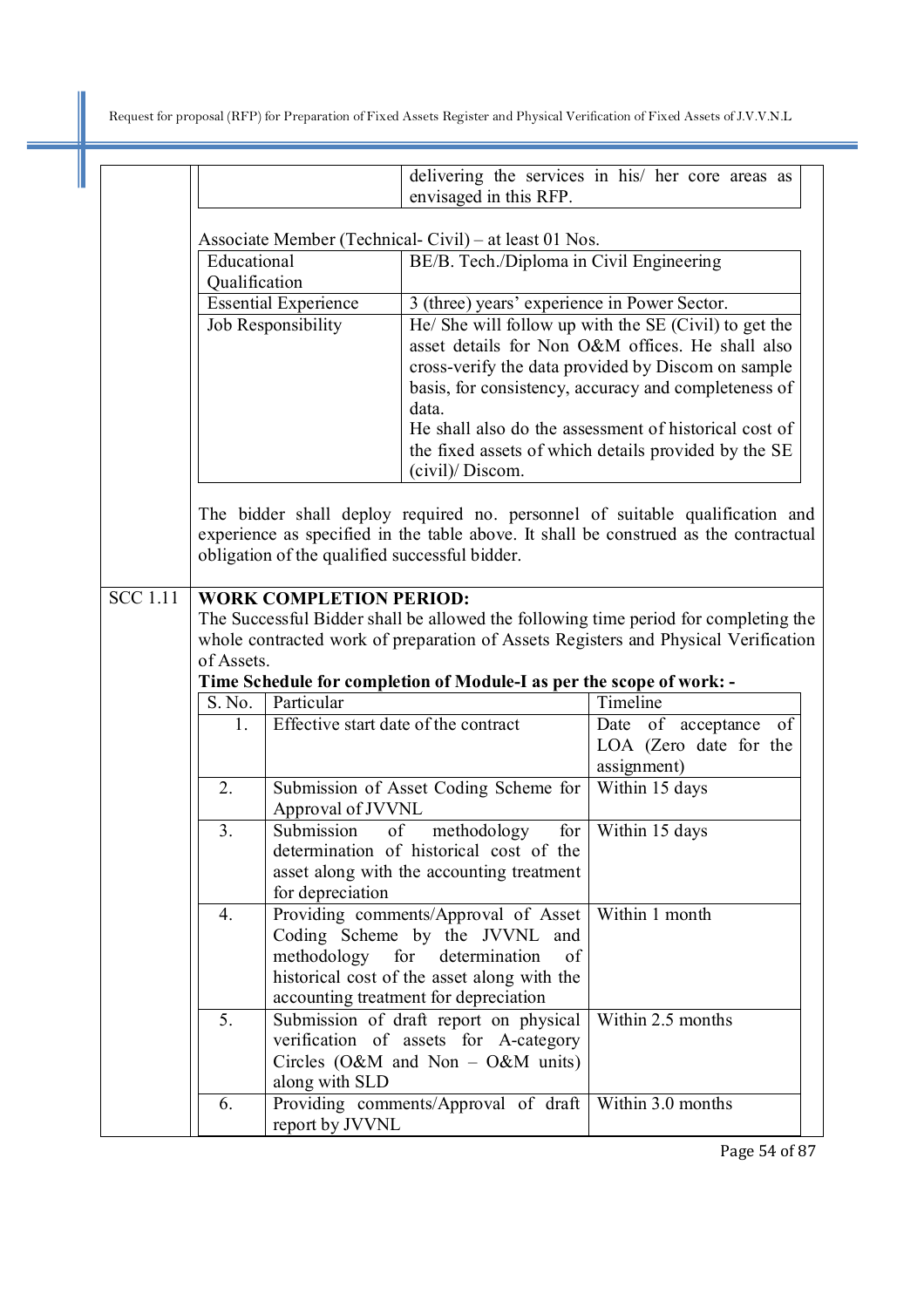|                 | delivering the services in his/ her core areas as<br>envisaged in this RFP.                                                                                                                                            |                                      |                                                                        |                                                                                                            |
|-----------------|------------------------------------------------------------------------------------------------------------------------------------------------------------------------------------------------------------------------|--------------------------------------|------------------------------------------------------------------------|------------------------------------------------------------------------------------------------------------|
|                 | Associate Member (Technical-Civil) – at least 01 Nos.                                                                                                                                                                  |                                      |                                                                        |                                                                                                            |
|                 | Educational<br>BE/B. Tech./Diploma in Civil Engineering                                                                                                                                                                |                                      |                                                                        |                                                                                                            |
|                 | Qualification                                                                                                                                                                                                          |                                      |                                                                        |                                                                                                            |
|                 | <b>Essential Experience</b><br>3 (three) years' experience in Power Sector.                                                                                                                                            |                                      |                                                                        |                                                                                                            |
|                 | Job Responsibility                                                                                                                                                                                                     |                                      |                                                                        | He/ She will follow up with the SE (Civil) to get the<br>asset details for Non O&M offices. He shall also  |
|                 |                                                                                                                                                                                                                        |                                      |                                                                        | cross-verify the data provided by Discom on sample<br>basis, for consistency, accuracy and completeness of |
|                 | data.<br>He shall also do the assessment of historical cost of                                                                                                                                                         |                                      |                                                                        |                                                                                                            |
|                 |                                                                                                                                                                                                                        |                                      |                                                                        | the fixed assets of which details provided by the SE                                                       |
|                 |                                                                                                                                                                                                                        |                                      | (civil)/Discom.                                                        |                                                                                                            |
|                 | The bidder shall deploy required no. personnel of suitable qualification and<br>experience as specified in the table above. It shall be construed as the contractual<br>obligation of the qualified successful bidder. |                                      |                                                                        |                                                                                                            |
|                 |                                                                                                                                                                                                                        |                                      |                                                                        |                                                                                                            |
| <b>SCC</b> 1.11 |                                                                                                                                                                                                                        | <b>WORK COMPLETION PERIOD:</b>       |                                                                        | The Successful Bidder shall be allowed the following time period for completing the                        |
|                 |                                                                                                                                                                                                                        |                                      |                                                                        |                                                                                                            |
|                 | whole contracted work of preparation of Assets Registers and Physical Verification<br>of Assets.                                                                                                                       |                                      |                                                                        |                                                                                                            |
|                 | Time Schedule for completion of Module-I as per the scope of work: -                                                                                                                                                   |                                      |                                                                        |                                                                                                            |
|                 | S. No.                                                                                                                                                                                                                 | Particular                           |                                                                        | Timeline                                                                                                   |
|                 | $1_{-}$                                                                                                                                                                                                                | Effective start date of the contract |                                                                        | Date of acceptance<br>of<br>LOA (Zero date for the<br>assignment)                                          |
|                 | 2.                                                                                                                                                                                                                     | Approval of JVVNL                    | Submission of Asset Coding Scheme for                                  | Within 15 days                                                                                             |
|                 | 3.                                                                                                                                                                                                                     | Submission<br>of                     | methodology                                                            | for Within 15 days                                                                                         |
|                 |                                                                                                                                                                                                                        |                                      | determination of historical cost of the                                |                                                                                                            |
|                 |                                                                                                                                                                                                                        | for depreciation                     | asset along with the accounting treatment                              |                                                                                                            |
|                 | 4.                                                                                                                                                                                                                     |                                      | Providing comments/Approval of Asset<br>Coding Scheme by the JVVNL and | Within 1 month                                                                                             |
|                 |                                                                                                                                                                                                                        |                                      | methodology for determination<br>of                                    |                                                                                                            |
|                 |                                                                                                                                                                                                                        |                                      | historical cost of the asset along with the                            |                                                                                                            |
|                 |                                                                                                                                                                                                                        |                                      | accounting treatment for depreciation                                  |                                                                                                            |
|                 | 5.                                                                                                                                                                                                                     |                                      | Submission of draft report on physical                                 | Within 2.5 months                                                                                          |
|                 |                                                                                                                                                                                                                        |                                      | verification of assets for A-category                                  |                                                                                                            |
|                 |                                                                                                                                                                                                                        |                                      | Circles (O&M and Non $-$ O&M units)                                    |                                                                                                            |
|                 |                                                                                                                                                                                                                        | along with SLD                       |                                                                        |                                                                                                            |
|                 | 6.                                                                                                                                                                                                                     | report by JVVNL                      | Providing comments/Approval of draft                                   | Within 3.0 months                                                                                          |

Page 54 of 87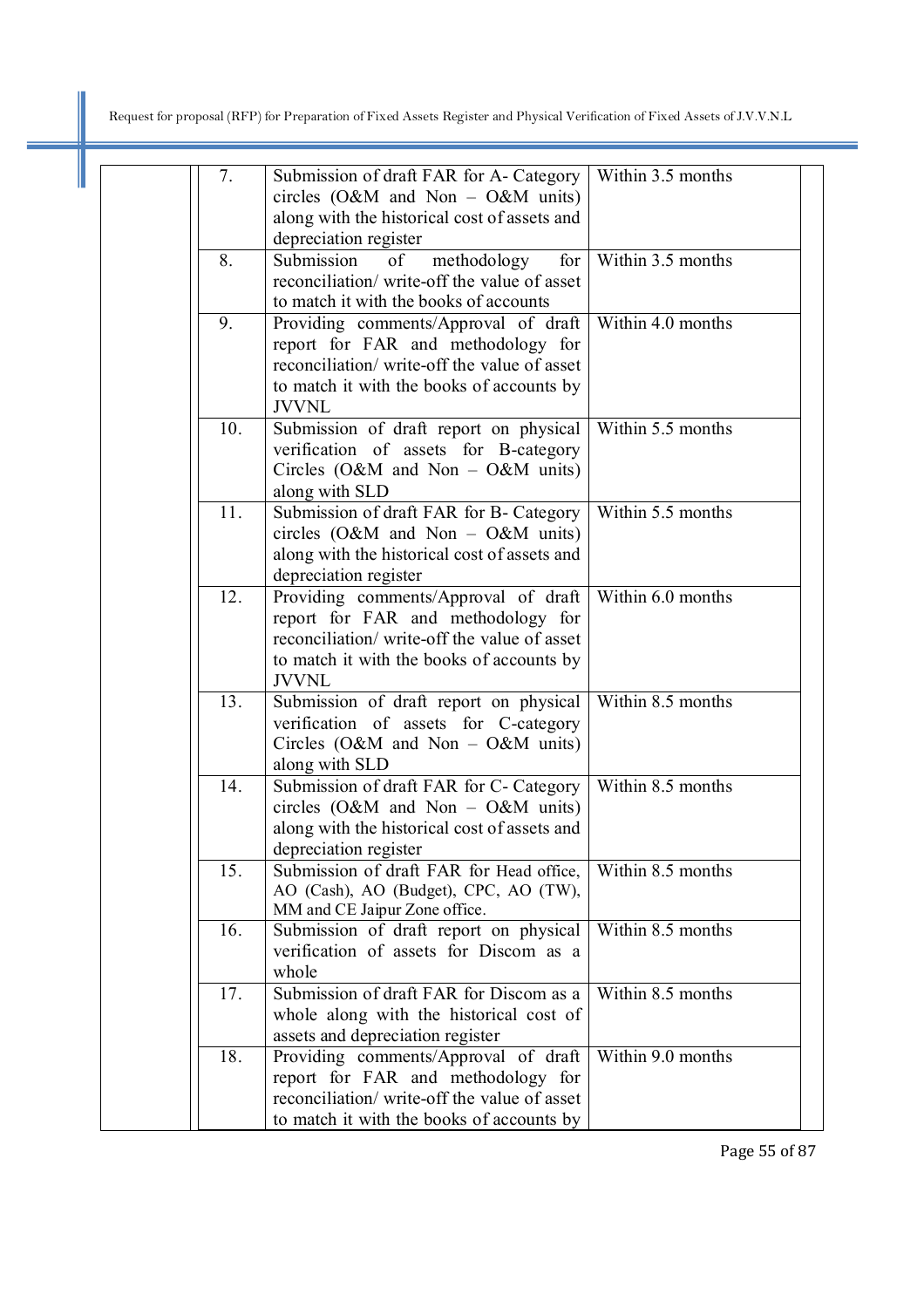I

| 7.  | Submission of draft FAR for A- Category<br>circles $(O\&M$ and Non – $O\&M$ units)<br>along with the historical cost of assets and<br>depreciation register                             | Within 3.5 months |
|-----|-----------------------------------------------------------------------------------------------------------------------------------------------------------------------------------------|-------------------|
| 8.  | for<br>Submission<br>of<br>methodology<br>reconciliation/write-off the value of asset<br>to match it with the books of accounts                                                         | Within 3.5 months |
| 9.  | Providing comments/Approval of draft<br>report for FAR and methodology for<br>reconciliation/ write-off the value of asset<br>to match it with the books of accounts by<br><b>JVVNL</b> | Within 4.0 months |
| 10. | Submission of draft report on physical<br>verification of assets for B-category<br>Circles (O&M and Non $-$ O&M units)<br>along with SLD                                                | Within 5.5 months |
| 11. | Submission of draft FAR for B- Category<br>circles $(O&M$ and Non – $O&M$ units)<br>along with the historical cost of assets and<br>depreciation register                               | Within 5.5 months |
| 12. | Providing comments/Approval of draft<br>report for FAR and methodology for<br>reconciliation/write-off the value of asset<br>to match it with the books of accounts by<br><b>JVVNL</b>  | Within 6.0 months |
| 13. | Submission of draft report on physical<br>verification of assets for C-category<br>Circles (O&M and Non $-$ O&M units)<br>along with SLD                                                | Within 8.5 months |
| 14. | Submission of draft FAR for C- Category<br>circles $(O\&M$ and Non – $O\&M$ units)<br>along with the historical cost of assets and<br>depreciation register                             | Within 8.5 months |
| 15. | Submission of draft FAR for Head office,<br>AO (Cash), AO (Budget), CPC, AO (TW),<br>MM and CE Jaipur Zone office.                                                                      | Within 8.5 months |
| 16. | Submission of draft report on physical<br>verification of assets for Discom as a<br>whole                                                                                               | Within 8.5 months |
| 17. | Submission of draft FAR for Discom as a<br>whole along with the historical cost of<br>assets and depreciation register                                                                  | Within 8.5 months |
| 18. | Providing comments/Approval of draft<br>report for FAR and methodology for<br>reconciliation/write-off the value of asset<br>to match it with the books of accounts by                  | Within 9.0 months |

Page 55 of 87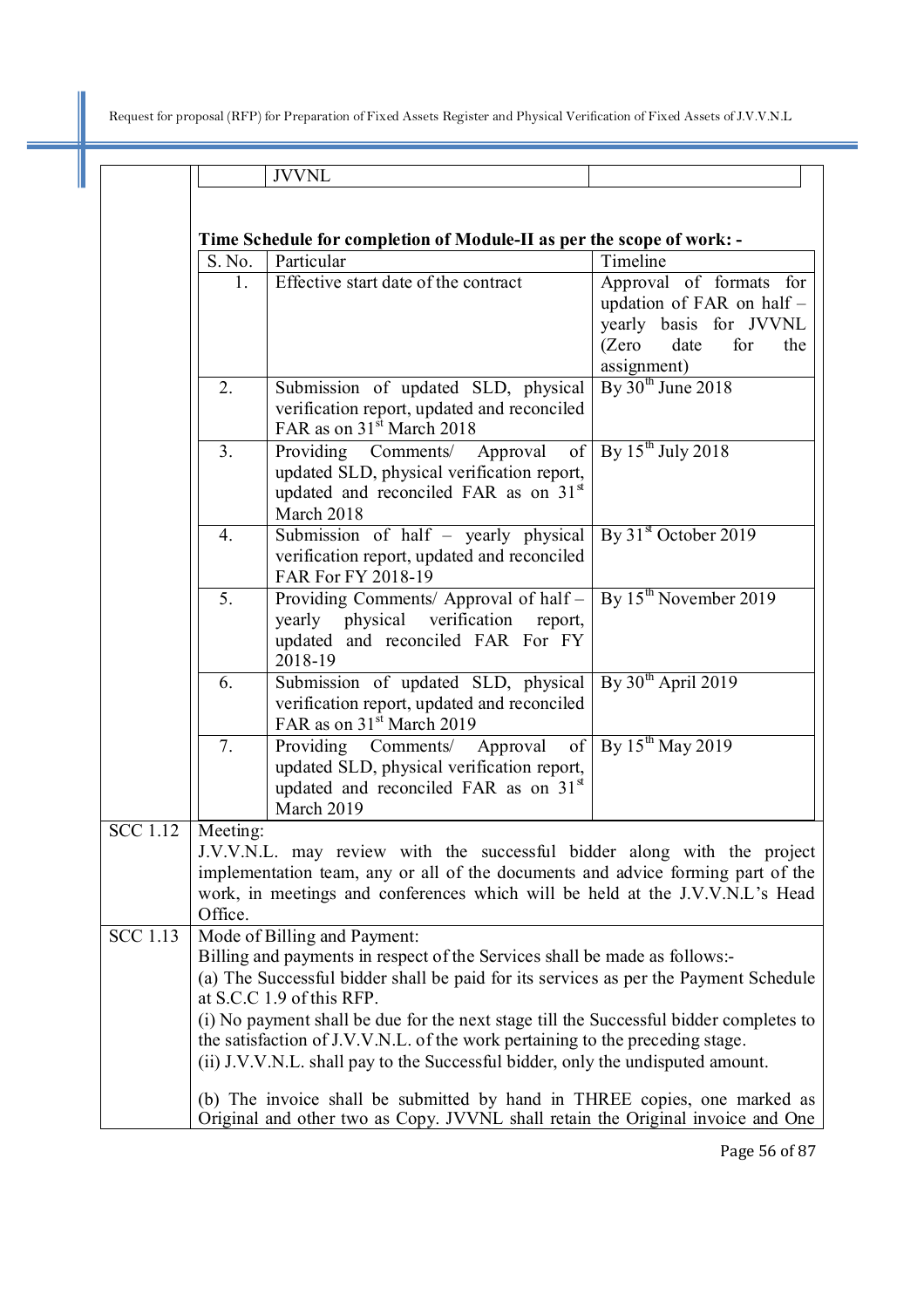I

|                 |                     | <b>JVVNL</b>                                                                                                                                                                                                                                                                                                                                                                                                                                                                                  |                                                                                                                               |
|-----------------|---------------------|-----------------------------------------------------------------------------------------------------------------------------------------------------------------------------------------------------------------------------------------------------------------------------------------------------------------------------------------------------------------------------------------------------------------------------------------------------------------------------------------------|-------------------------------------------------------------------------------------------------------------------------------|
|                 |                     |                                                                                                                                                                                                                                                                                                                                                                                                                                                                                               |                                                                                                                               |
|                 |                     |                                                                                                                                                                                                                                                                                                                                                                                                                                                                                               |                                                                                                                               |
|                 |                     | Time Schedule for completion of Module-II as per the scope of work: -                                                                                                                                                                                                                                                                                                                                                                                                                         |                                                                                                                               |
|                 | S. No.              | Particular                                                                                                                                                                                                                                                                                                                                                                                                                                                                                    | Timeline                                                                                                                      |
|                 | 1.                  | Effective start date of the contract                                                                                                                                                                                                                                                                                                                                                                                                                                                          | Approval of formats for<br>updation of FAR on half -<br>yearly basis for JVVNL<br>(Zero)<br>date<br>for<br>the<br>assignment) |
|                 | 2.                  | Submission of updated SLD, physical<br>verification report, updated and reconciled<br>FAR as on 31 <sup>st</sup> March 2018                                                                                                                                                                                                                                                                                                                                                                   | By $30th$ June 2018                                                                                                           |
|                 | 3 <sub>1</sub>      | Providing Comments/ Approval<br>of<br>updated SLD, physical verification report,<br>updated and reconciled FAR as on 31 <sup>st</sup><br>March 2018                                                                                                                                                                                                                                                                                                                                           | By $15^{th}$ July 2018                                                                                                        |
|                 | $\overline{4}$ .    | Submission of half - yearly physical<br>verification report, updated and reconciled<br>FAR For FY 2018-19                                                                                                                                                                                                                                                                                                                                                                                     | By $31st$ October 2019                                                                                                        |
|                 | 5 <sub>1</sub>      | Providing Comments/ Approval of half -<br>yearly physical verification<br>report,<br>updated and reconciled FAR For FY<br>2018-19                                                                                                                                                                                                                                                                                                                                                             | By 15 <sup>th</sup> November 2019                                                                                             |
|                 | 6.                  | Submission of updated SLD, physical<br>verification report, updated and reconciled<br>FAR as on 31 <sup>st</sup> March 2019                                                                                                                                                                                                                                                                                                                                                                   | By $30th$ April 2019                                                                                                          |
|                 | 7.                  | Providing Comments/ Approval<br>of<br>updated SLD, physical verification report,<br>updated and reconciled FAR as on 31 <sup>st</sup><br>March 2019                                                                                                                                                                                                                                                                                                                                           | By $15^{th}$ May 2019                                                                                                         |
| $SCC$ 1.12      | Meeting:<br>Office. | J.V.V.N.L. may review with the successful bidder along with the project<br>implementation team, any or all of the documents and advice forming part of the<br>work, in meetings and conferences which will be held at the J.V.V.N.L's Head                                                                                                                                                                                                                                                    |                                                                                                                               |
| <b>SCC</b> 1.13 |                     | Mode of Billing and Payment:<br>Billing and payments in respect of the Services shall be made as follows:-<br>(a) The Successful bidder shall be paid for its services as per the Payment Schedule<br>at S.C.C 1.9 of this RFP.<br>(i) No payment shall be due for the next stage till the Successful bidder completes to<br>the satisfaction of J.V.V.N.L. of the work pertaining to the preceding stage.<br>(ii) J.V.V.N.L. shall pay to the Successful bidder, only the undisputed amount. |                                                                                                                               |
|                 |                     | (b) The invoice shall be submitted by hand in THREE copies, one marked as<br>Original and other two as Copy. JVVNL shall retain the Original invoice and One                                                                                                                                                                                                                                                                                                                                  |                                                                                                                               |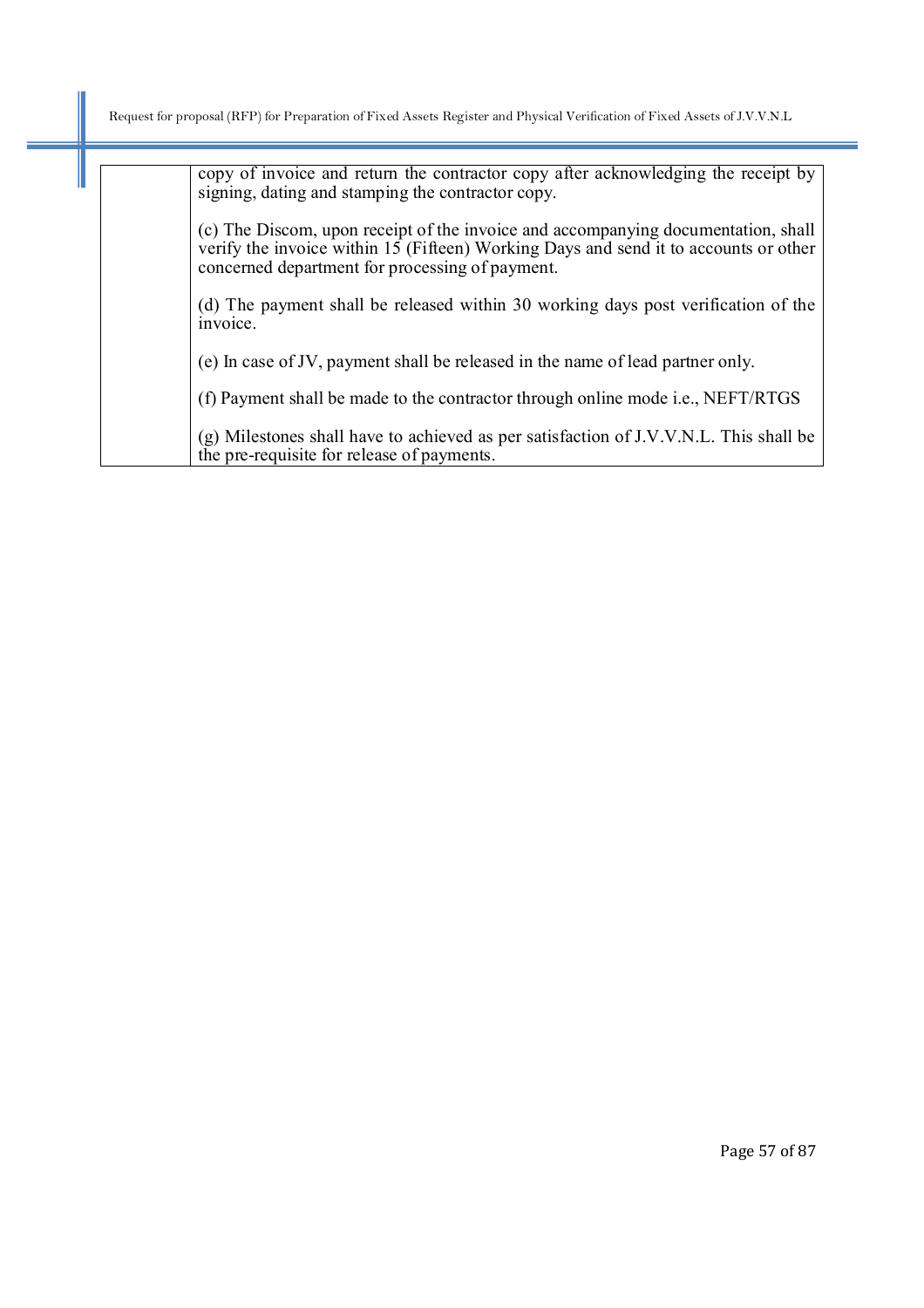I

| copy of invoice and return the contractor copy after acknowledging the receipt by<br>signing, dating and stamping the contractor copy.                                                                                       |
|------------------------------------------------------------------------------------------------------------------------------------------------------------------------------------------------------------------------------|
| (c) The Discom, upon receipt of the invoice and accompanying documentation, shall<br>verify the invoice within 15 (Fifteen) Working Days and send it to accounts or other<br>concerned department for processing of payment. |
| (d) The payment shall be released within 30 working days post verification of the<br>invoice.                                                                                                                                |
| (e) In case of JV, payment shall be released in the name of lead partner only.                                                                                                                                               |
| (f) Payment shall be made to the contractor through online mode <i>i.e.</i> , NEFT/RTGS                                                                                                                                      |
| (g) Milestones shall have to achieved as per satisfaction of J.V.V.N.L. This shall be<br>the pre-requisite for release of payments.                                                                                          |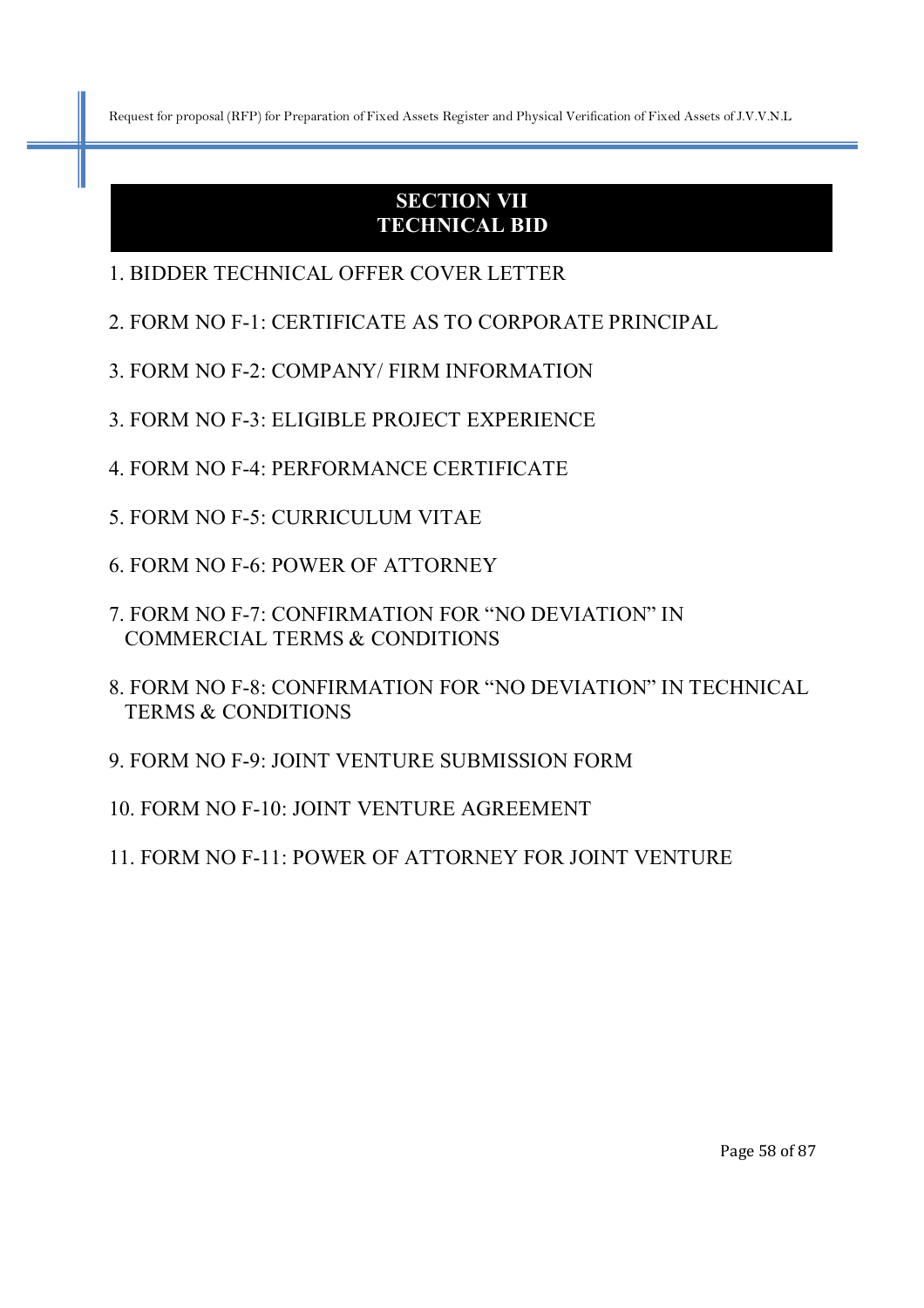# **SECTION VII TECHNICAL BID**

- 1. BIDDER TECHNICAL OFFER COVER LETTER
- 2. FORM NO F-1: CERTIFICATE AS TO CORPORATE PRINCIPAL
- 3. FORM NO F-2: COMPANY/ FIRM INFORMATION
- 3. FORM NO F-3: ELIGIBLE PROJECT EXPERIENCE
- 4. FORM NO F-4: PERFORMANCE CERTIFICATE
- 5. FORM NO F-5: CURRICULUM VITAE
- 6. FORM NO F-6: POWER OF ATTORNEY
- 7. FORM NO F-7: CONFIRMATION FOR "NO DEVIATION" IN COMMERCIAL TERMS & CONDITIONS
- 8. FORM NO F-8: CONFIRMATION FOR "NO DEVIATION" IN TECHNICAL TERMS & CONDITIONS
- 9. FORM NO F-9: JOINT VENTURE SUBMISSION FORM
- 10. FORM NO F-10: JOINT VENTURE AGREEMENT
- 11. FORM NO F-11: POWER OF ATTORNEY FOR JOINT VENTURE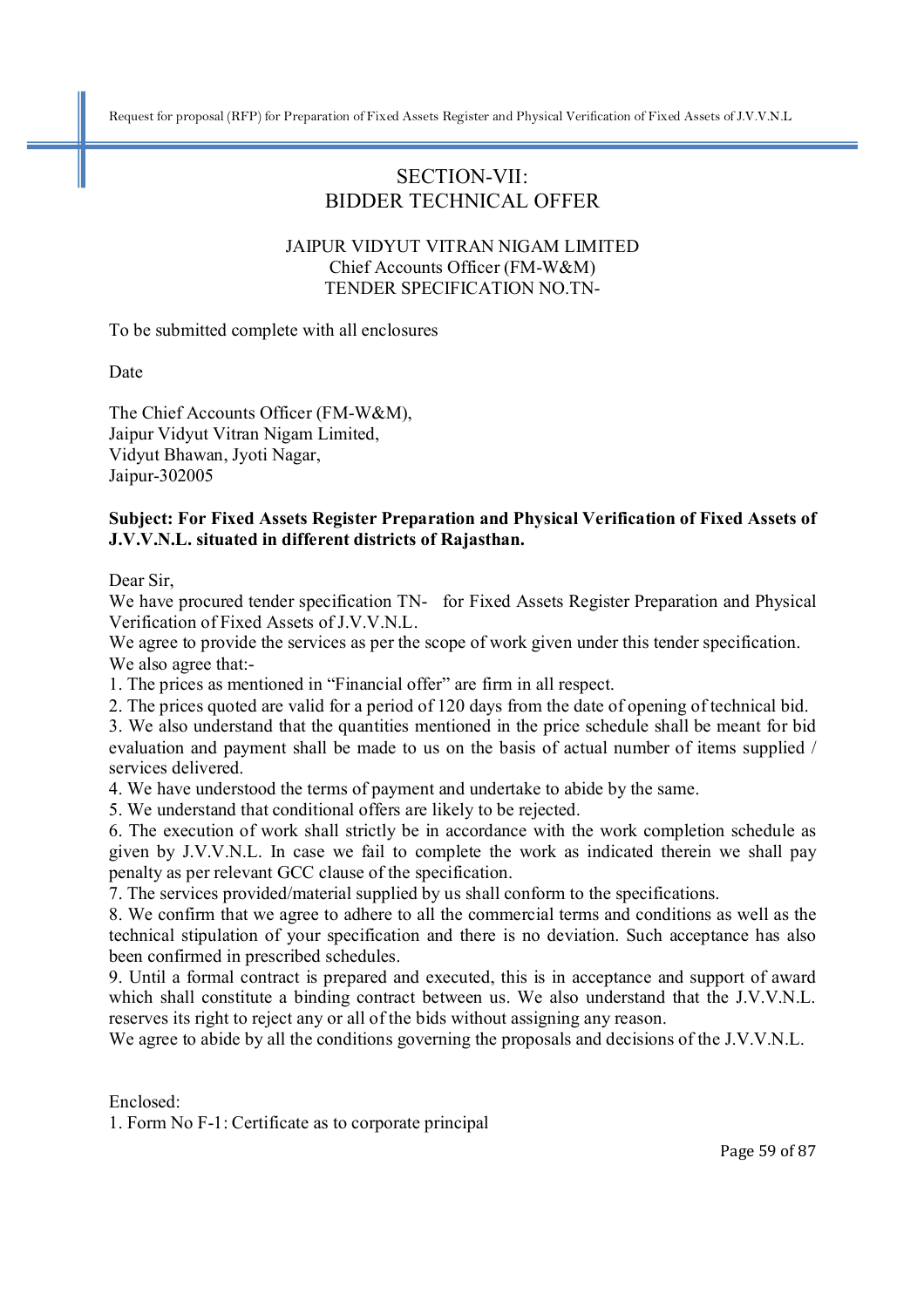# SECTION-VII: BIDDER TECHNICAL OFFER

#### JAIPUR VIDYUT VITRAN NIGAM LIMITED Chief Accounts Officer (FM-W&M) TENDER SPECIFICATION NO.TN-

To be submitted complete with all enclosures

Date

The Chief Accounts Officer (FM-W&M), Jaipur Vidyut Vitran Nigam Limited, Vidyut Bhawan, Jyoti Nagar, Jaipur-302005

#### **Subject: For Fixed Assets Register Preparation and Physical Verification of Fixed Assets of J.V.V.N.L. situated in different districts of Rajasthan.**

Dear Sir,

We have procured tender specification TN- for Fixed Assets Register Preparation and Physical Verification of Fixed Assets of J.V.V.N.L.

We agree to provide the services as per the scope of work given under this tender specification. We also agree that:-

1. The prices as mentioned in "Financial offer" are firm in all respect.

2. The prices quoted are valid for a period of 120 days from the date of opening of technical bid.

3. We also understand that the quantities mentioned in the price schedule shall be meant for bid evaluation and payment shall be made to us on the basis of actual number of items supplied / services delivered.

4. We have understood the terms of payment and undertake to abide by the same.

5. We understand that conditional offers are likely to be rejected.

6. The execution of work shall strictly be in accordance with the work completion schedule as given by J.V.V.N.L. In case we fail to complete the work as indicated therein we shall pay penalty as per relevant GCC clause of the specification.

7. The services provided/material supplied by us shall conform to the specifications.

8. We confirm that we agree to adhere to all the commercial terms and conditions as well as the technical stipulation of your specification and there is no deviation. Such acceptance has also been confirmed in prescribed schedules.

9. Until a formal contract is prepared and executed, this is in acceptance and support of award which shall constitute a binding contract between us. We also understand that the J.V.V.N.L. reserves its right to reject any or all of the bids without assigning any reason.

We agree to abide by all the conditions governing the proposals and decisions of the J.V.V.N.L.

Enclosed:

1. Form No F-1: Certificate as to corporate principal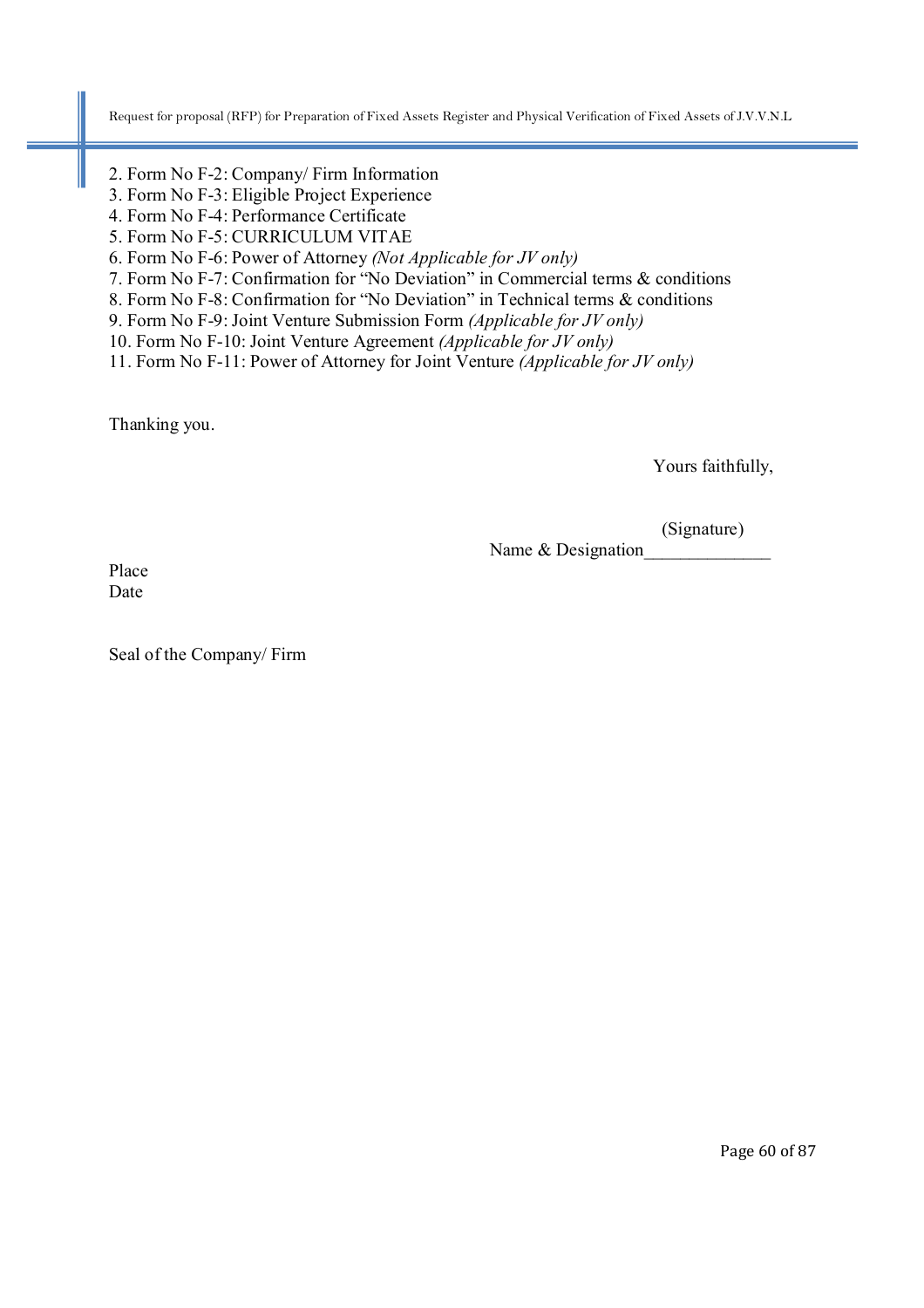- 2. Form No F-2: Company/ Firm Information
- 3. Form No F-3: Eligible Project Experience
- 4. Form No F-4: Performance Certificate
- 5. Form No F-5: CURRICULUM VITAE
- 6. Form No F-6: Power of Attorney *(Not Applicable for JV only)*
- 7. Form No F-7: Confirmation for "No Deviation" in Commercial terms & conditions
- 8. Form No F-8: Confirmation for "No Deviation" in Technical terms & conditions
- 9. Form No F-9: Joint Venture Submission Form *(Applicable for JV only)*
- 10. Form No F-10: Joint Venture Agreement *(Applicable for JV only)*

11. Form No F-11: Power of Attorney for Joint Venture *(Applicable for JV only)*

Thanking you.

Yours faithfully,

(Signature)

Name & Designation

Place Date

Seal of the Company/ Firm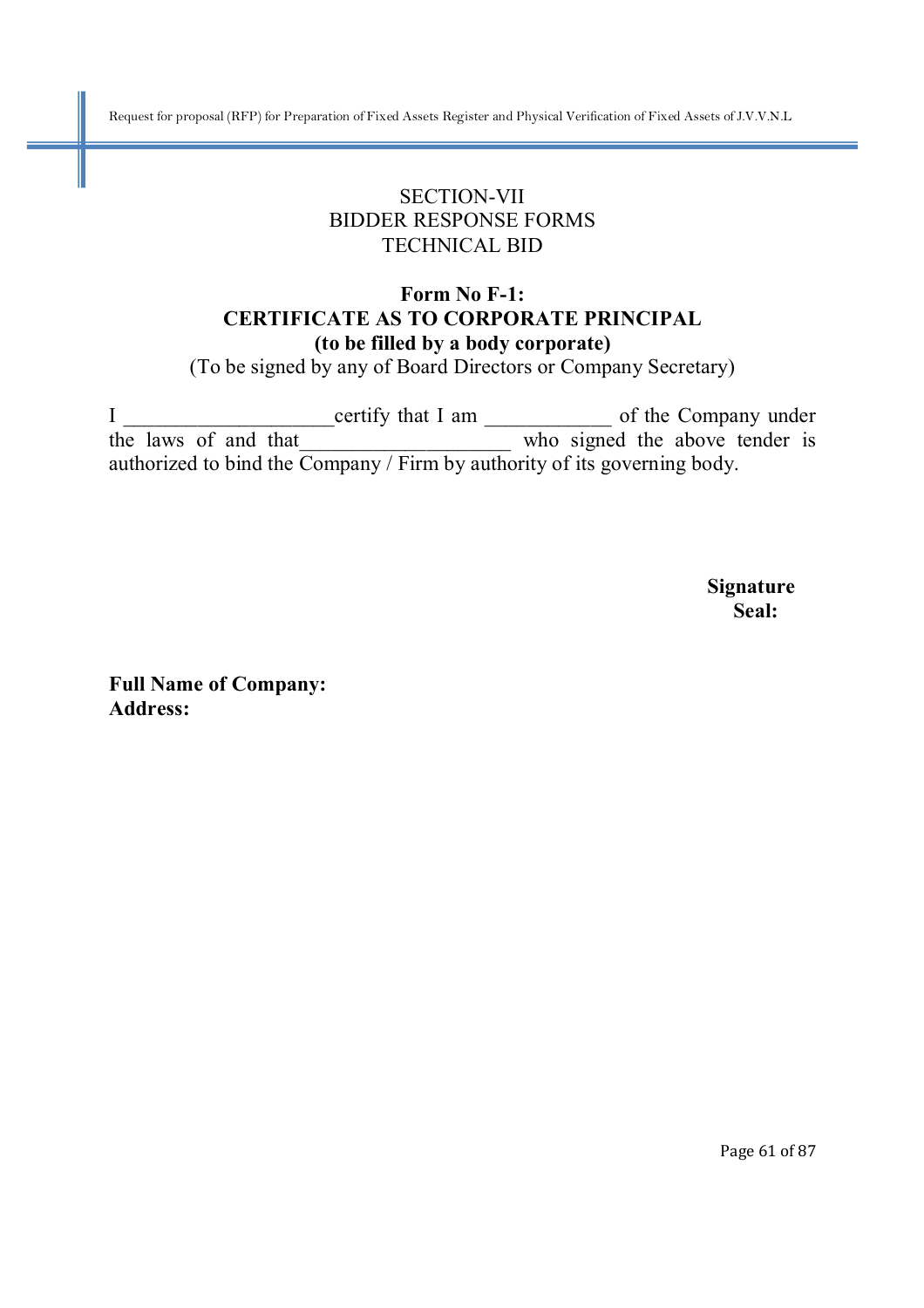# SECTION-VII BIDDER RESPONSE FORMS TECHNICAL BID

### **Form No F-1: CERTIFICATE AS TO CORPORATE PRINCIPAL (to be filled by a body corporate)**

(To be signed by any of Board Directors or Company Secretary)

I \_\_\_\_\_\_\_\_\_\_\_\_\_\_\_\_\_\_\_\_certify that I am \_\_\_\_\_\_\_\_\_\_\_\_ of the Company under the laws of and that who signed the above tender is authorized to bind the Company / Firm by authority of its governing body.

 **Signature Seal:** 

**Full Name of Company: Address:** 

Page 61 of 87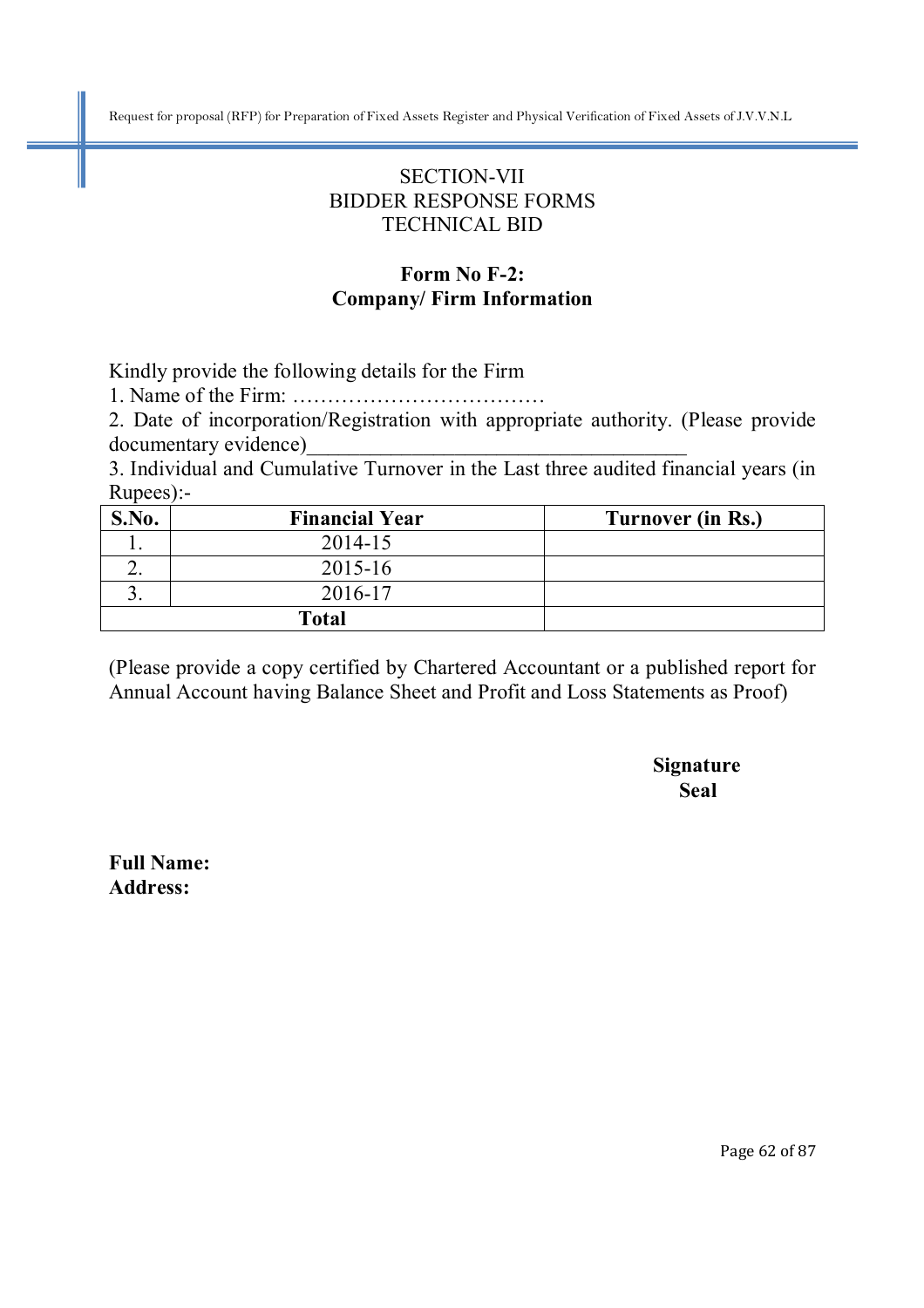# SECTION-VII BIDDER RESPONSE FORMS TECHNICAL BID

### **Form No F-2: Company/ Firm Information**

Kindly provide the following details for the Firm

1. Name of the Firm: ………………………………

2. Date of incorporation/Registration with appropriate authority. (Please provide documentary evidence)\_\_\_\_\_\_\_\_\_\_\_\_\_\_\_\_\_\_\_\_\_\_\_\_\_\_\_\_\_\_\_\_\_\_\_\_

3. Individual and Cumulative Turnover in the Last three audited financial years (in Rupees):-

| S.No. | <b>Financial Year</b> | Turnover (in Rs.) |
|-------|-----------------------|-------------------|
|       | 2014-15               |                   |
|       | 2015-16               |                   |
|       | 2016-17               |                   |
|       | <b>Total</b>          |                   |

(Please provide a copy certified by Chartered Accountant or a published report for Annual Account having Balance Sheet and Profit and Loss Statements as Proof)

 **Signature Seal** 

**Full Name: Address:**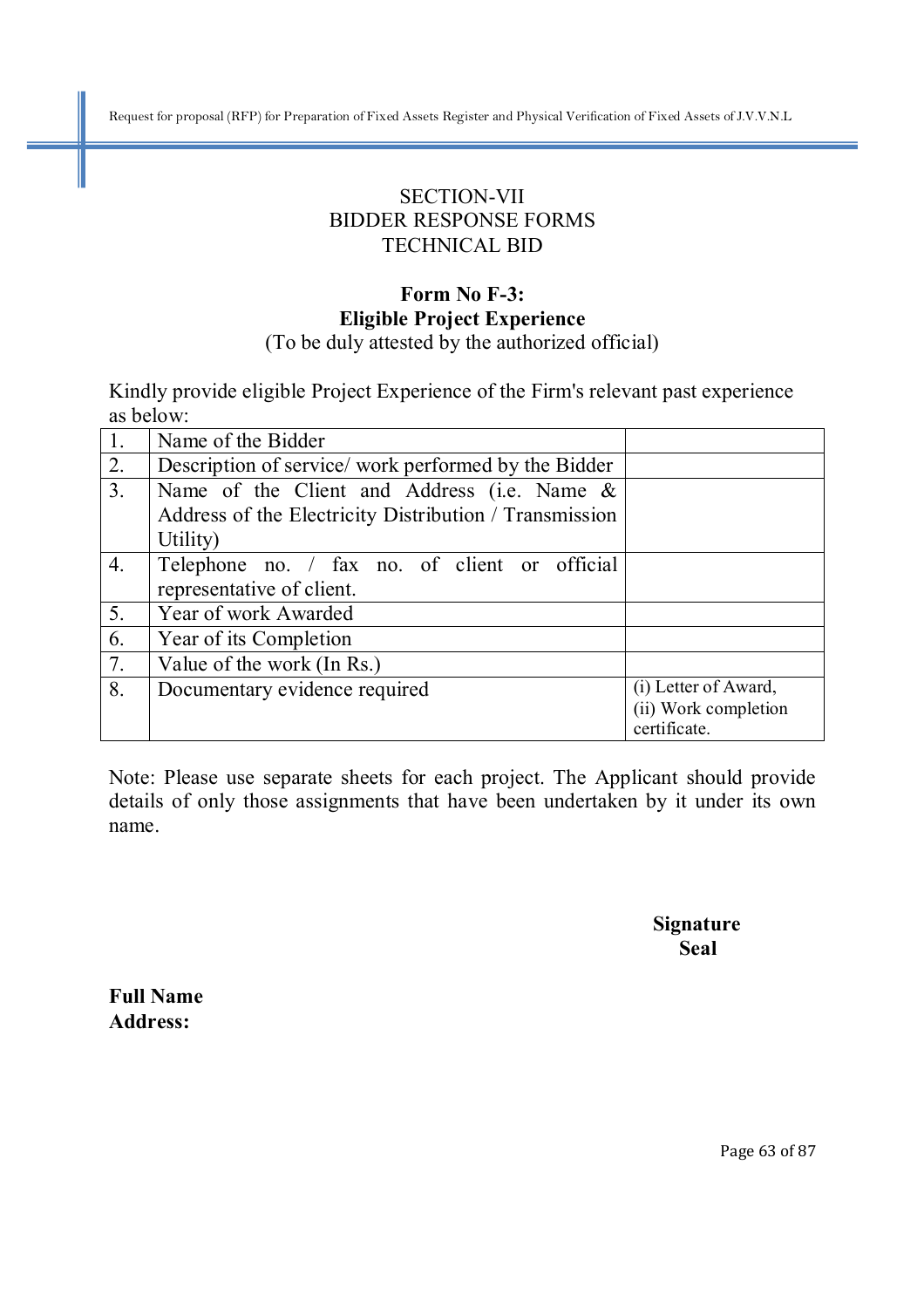# SECTION-VII BIDDER RESPONSE FORMS TECHNICAL BID

### **Form No F-3: Eligible Project Experience**  (To be duly attested by the authorized official)

Kindly provide eligible Project Experience of the Firm's relevant past experience as below:

| $\overline{1}$ . | Name of the Bidder                                     |                      |
|------------------|--------------------------------------------------------|----------------------|
| $\overline{2}$ . | Description of service/work performed by the Bidder    |                      |
| $\overline{3}$ . | Name of the Client and Address (i.e. Name $\&$         |                      |
|                  | Address of the Electricity Distribution / Transmission |                      |
|                  | Utility)                                               |                      |
| $\overline{4}$ . | Telephone no. / fax no. of client or official          |                      |
|                  | representative of client.                              |                      |
| $\overline{5}$ . | Year of work Awarded                                   |                      |
| 6.               | Year of its Completion                                 |                      |
| $\overline{7}$ . | Value of the work (In Rs.)                             |                      |
| 8.               | Documentary evidence required                          | (i) Letter of Award, |
|                  |                                                        | (ii) Work completion |
|                  |                                                        | certificate.         |

Note: Please use separate sheets for each project. The Applicant should provide details of only those assignments that have been undertaken by it under its own name.

 **Signature Seal** 

**Full Name Address:**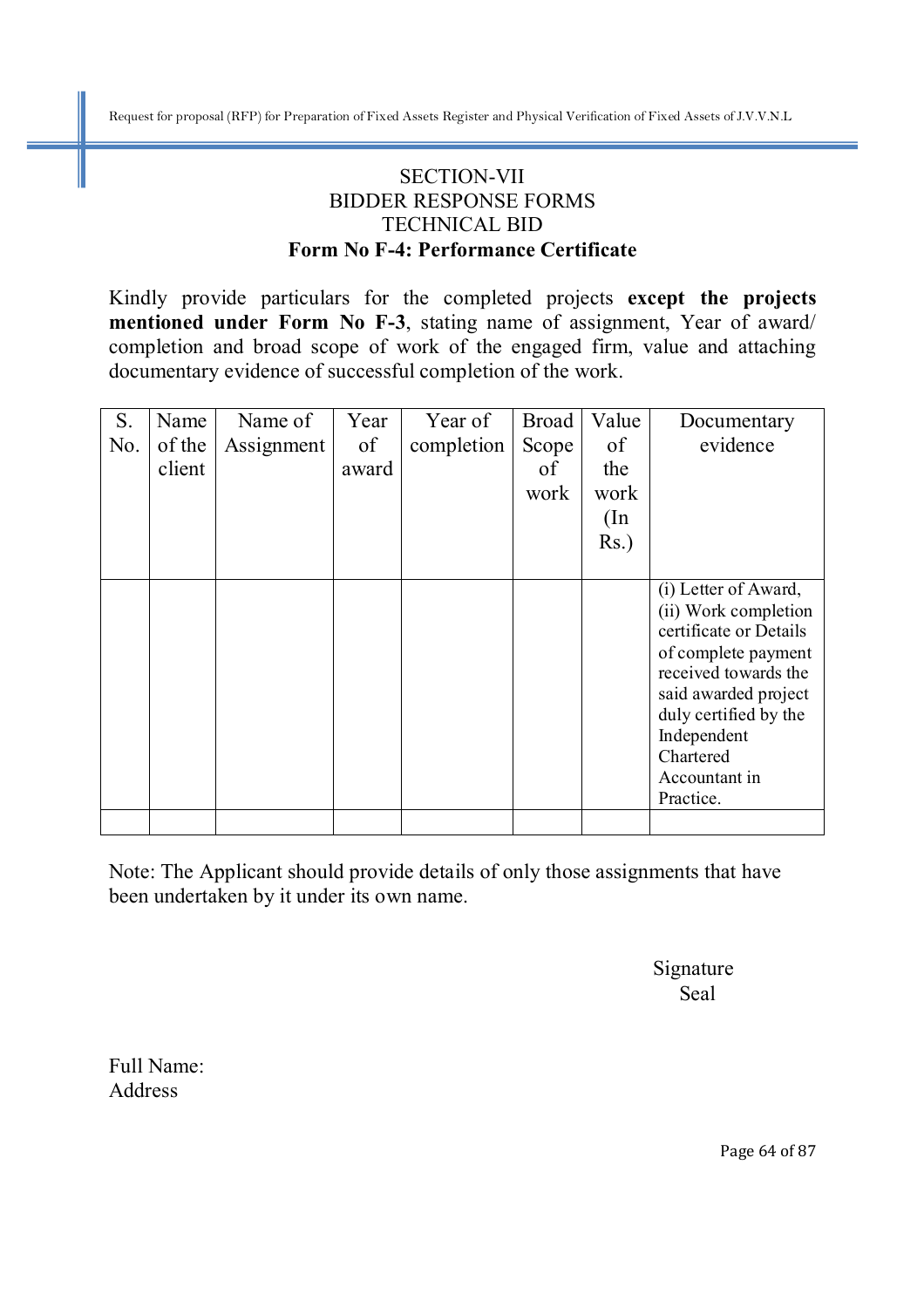# SECTION-VII BIDDER RESPONSE FORMS TECHNICAL BID **Form No F-4: Performance Certificate**

Kindly provide particulars for the completed projects **except the projects mentioned under Form No F-3**, stating name of assignment, Year of award/ completion and broad scope of work of the engaged firm, value and attaching documentary evidence of successful completion of the work.

| S.  | Name   | Name of    | Year  | Year of    | <b>Broad</b> | Value   | Documentary                                                                                                                                                                                                                      |
|-----|--------|------------|-------|------------|--------------|---------|----------------------------------------------------------------------------------------------------------------------------------------------------------------------------------------------------------------------------------|
| No. | of the | Assignment | of    | completion | Scope        | of      | evidence                                                                                                                                                                                                                         |
|     | client |            | award |            | of           | the     |                                                                                                                                                                                                                                  |
|     |        |            |       |            | work         | work    |                                                                                                                                                                                                                                  |
|     |        |            |       |            |              | (In     |                                                                                                                                                                                                                                  |
|     |        |            |       |            |              | $Rs.$ ) |                                                                                                                                                                                                                                  |
|     |        |            |       |            |              |         |                                                                                                                                                                                                                                  |
|     |        |            |       |            |              |         | (i) Letter of Award,<br>(ii) Work completion<br>certificate or Details<br>of complete payment<br>received towards the<br>said awarded project<br>duly certified by the<br>Independent<br>Chartered<br>Accountant in<br>Practice. |
|     |        |            |       |            |              |         |                                                                                                                                                                                                                                  |

Note: The Applicant should provide details of only those assignments that have been undertaken by it under its own name.

 Signature Seal

Full Name: Address

Page 64 of 87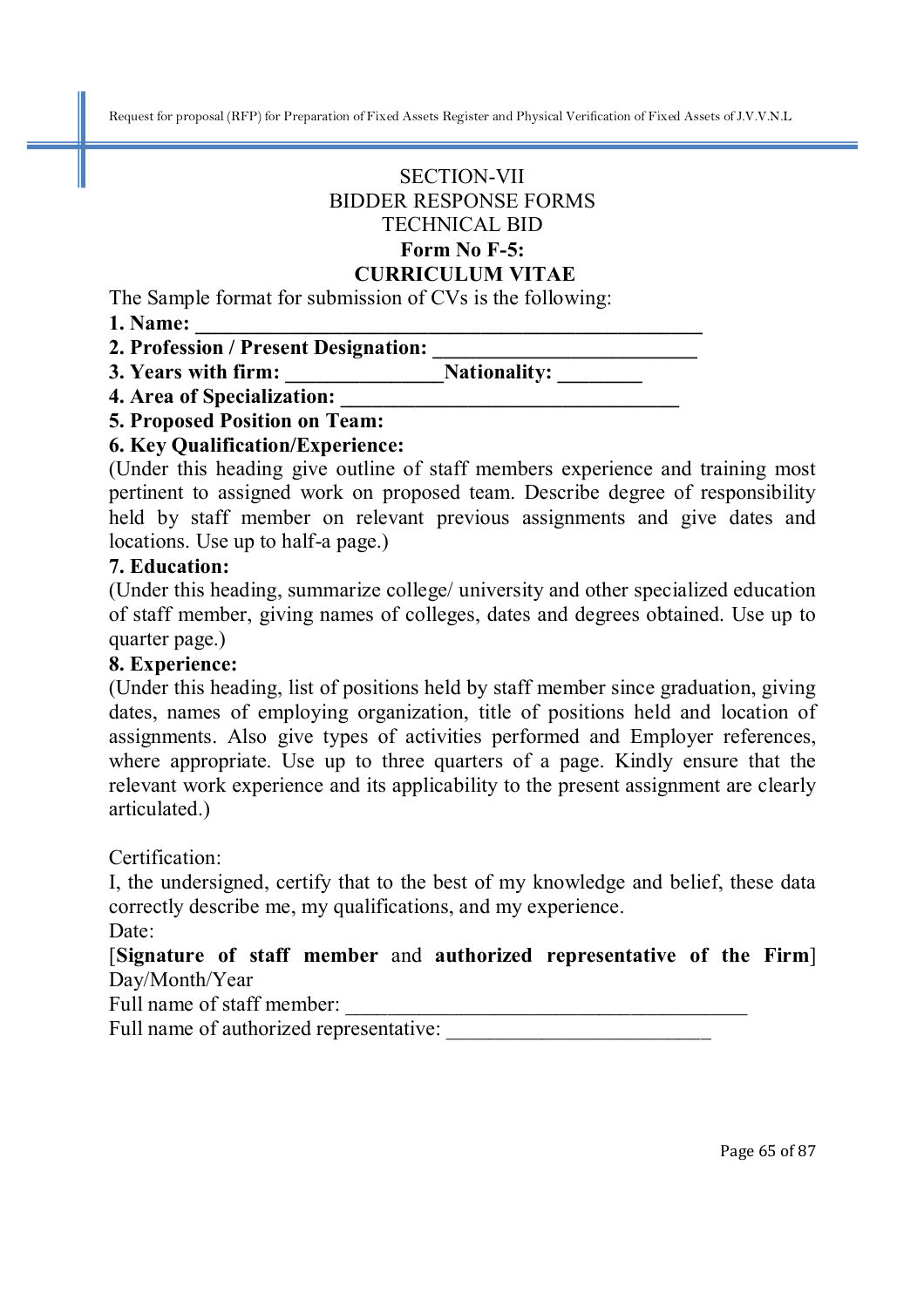# SECTION-VII BIDDER RESPONSE FORMS TECHNICAL BID

#### **Form No F-5: CURRICULUM VITAE**

The Sample format for submission of CVs is the following:

**1. Name: \_\_\_\_\_\_\_\_\_\_\_\_\_\_\_\_\_\_\_\_\_\_\_\_\_\_\_\_\_\_\_\_\_\_\_\_\_\_\_\_\_\_\_\_\_\_\_\_** 

**2. Profession / Present Designation: \_\_\_\_\_\_\_\_\_\_\_\_\_\_\_\_\_\_\_\_\_\_\_\_\_** 

**3. Years with firm:** Nationality:

**4. Area of Specialization: \_\_\_\_\_\_\_\_\_\_\_\_\_\_\_\_\_\_\_\_\_\_\_\_\_\_\_\_\_\_\_\_** 

### **5. Proposed Position on Team:**

### **6. Key Qualification/Experience:**

(Under this heading give outline of staff members experience and training most pertinent to assigned work on proposed team. Describe degree of responsibility held by staff member on relevant previous assignments and give dates and locations. Use up to half-a page.)

### **7. Education:**

(Under this heading, summarize college/ university and other specialized education of staff member, giving names of colleges, dates and degrees obtained. Use up to quarter page.)

### **8. Experience:**

(Under this heading, list of positions held by staff member since graduation, giving dates, names of employing organization, title of positions held and location of assignments. Also give types of activities performed and Employer references, where appropriate. Use up to three quarters of a page. Kindly ensure that the relevant work experience and its applicability to the present assignment are clearly articulated.)

Certification:

I, the undersigned, certify that to the best of my knowledge and belief, these data correctly describe me, my qualifications, and my experience.

Date:

[**Signature of staff member** and **authorized representative of the Firm**] Day/Month/Year

Full name of staff member:

Full name of authorized representative: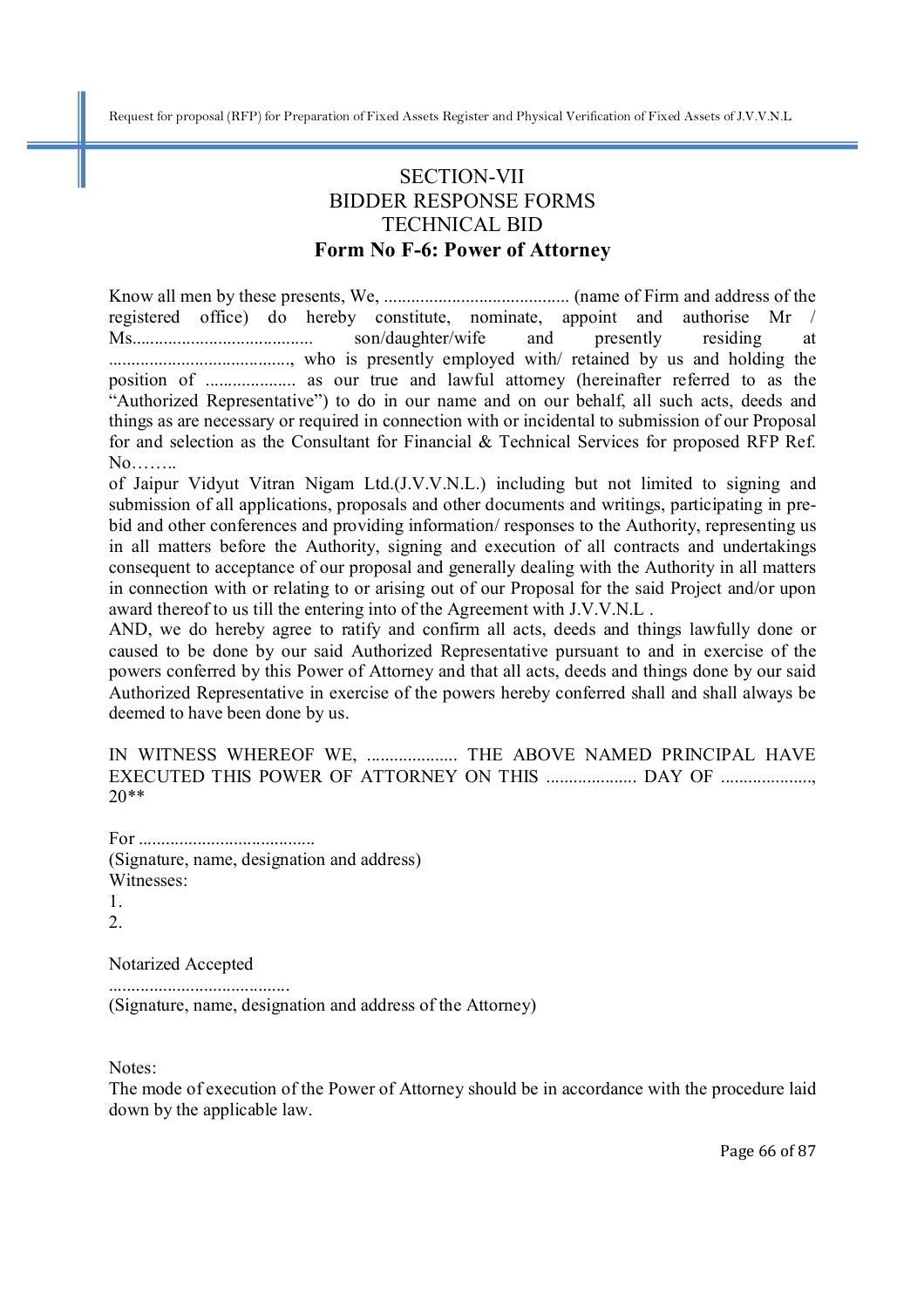## SECTION-VII BIDDER RESPONSE FORMS TECHNICAL BID **Form No F-6: Power of Attorney**

Know all men by these presents, We, ......................................... (name of Firm and address of the registered office) do hereby constitute, nominate, appoint and authorise Mr / Ms........................................ son/daughter/wife and presently residing at ........................................, who is presently employed with/ retained by us and holding the position of .................... as our true and lawful attorney (hereinafter referred to as the "Authorized Representative") to do in our name and on our behalf, all such acts, deeds and things as are necessary or required in connection with or incidental to submission of our Proposal for and selection as the Consultant for Financial & Technical Services for proposed RFP Ref.  $No$ 

of Jaipur Vidyut Vitran Nigam Ltd.(J.V.V.N.L.) including but not limited to signing and submission of all applications, proposals and other documents and writings, participating in prebid and other conferences and providing information/ responses to the Authority, representing us in all matters before the Authority, signing and execution of all contracts and undertakings consequent to acceptance of our proposal and generally dealing with the Authority in all matters in connection with or relating to or arising out of our Proposal for the said Project and/or upon award thereof to us till the entering into of the Agreement with J.V.V.N.L .

AND, we do hereby agree to ratify and confirm all acts, deeds and things lawfully done or caused to be done by our said Authorized Representative pursuant to and in exercise of the powers conferred by this Power of Attorney and that all acts, deeds and things done by our said Authorized Representative in exercise of the powers hereby conferred shall and shall always be deemed to have been done by us.

IN WITNESS WHEREOF WE, ..................... THE ABOVE NAMED PRINCIPAL HAVE EXECUTED THIS POWER OF ATTORNEY ON THIS ..................... DAY OF ..................... 20\*\*

For ....................................... (Signature, name, designation and address) Witnesses: 1.

2.

Notarized Accepted

........................................

(Signature, name, designation and address of the Attorney)

Notes:

The mode of execution of the Power of Attorney should be in accordance with the procedure laid down by the applicable law.

Page 66 of 87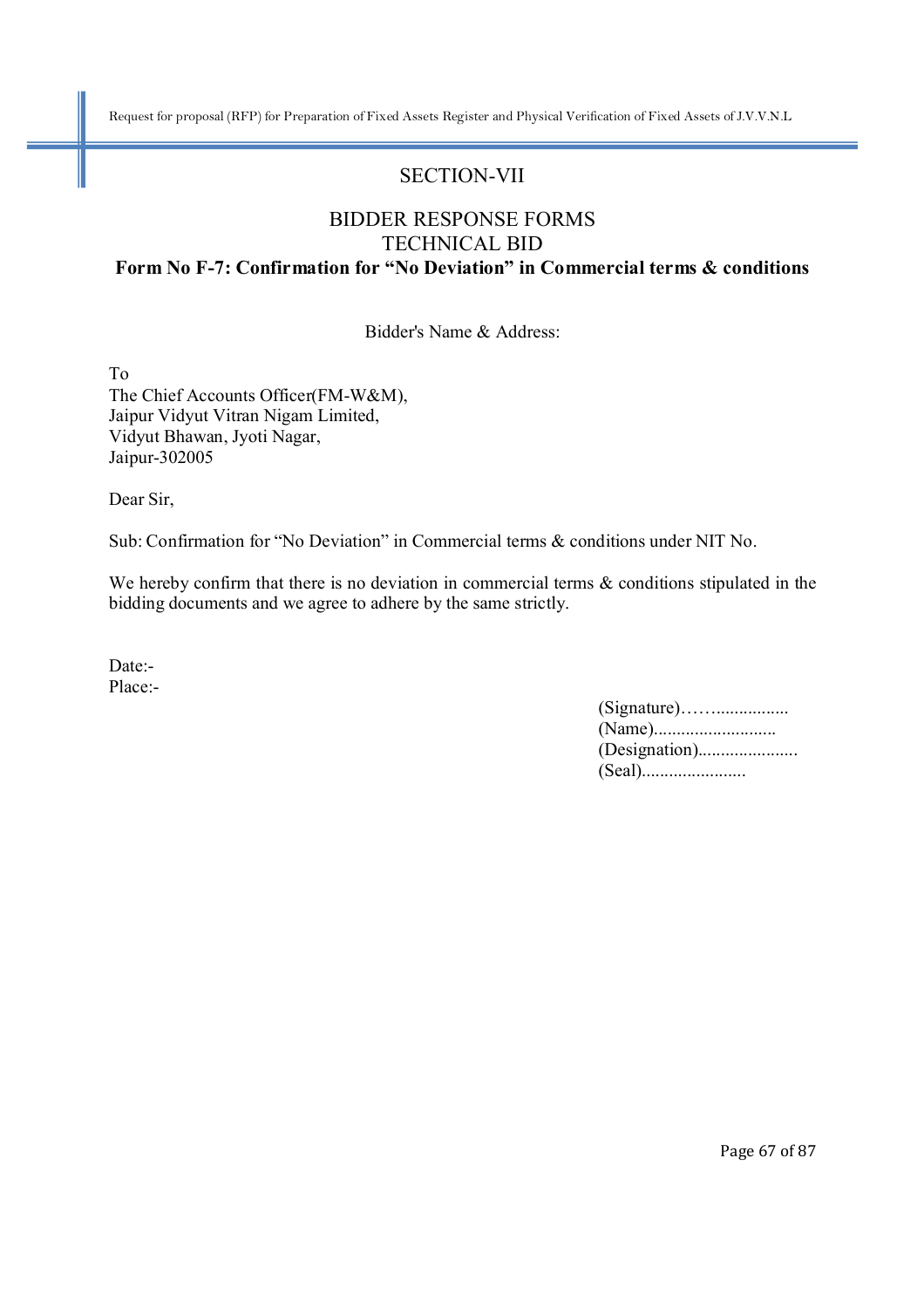# SECTION-VII

### BIDDER RESPONSE FORMS TECHNICAL BID **Form No F-7: Confirmation for "No Deviation" in Commercial terms & conditions**

Bidder's Name & Address:

To The Chief Accounts Officer(FM-W&M), Jaipur Vidyut Vitran Nigam Limited, Vidyut Bhawan, Jyoti Nagar, Jaipur-302005

Dear Sir,

Sub: Confirmation for "No Deviation" in Commercial terms & conditions under NIT No.

We hereby confirm that there is no deviation in commercial terms  $\&$  conditions stipulated in the bidding documents and we agree to adhere by the same strictly.

Date:- Place:-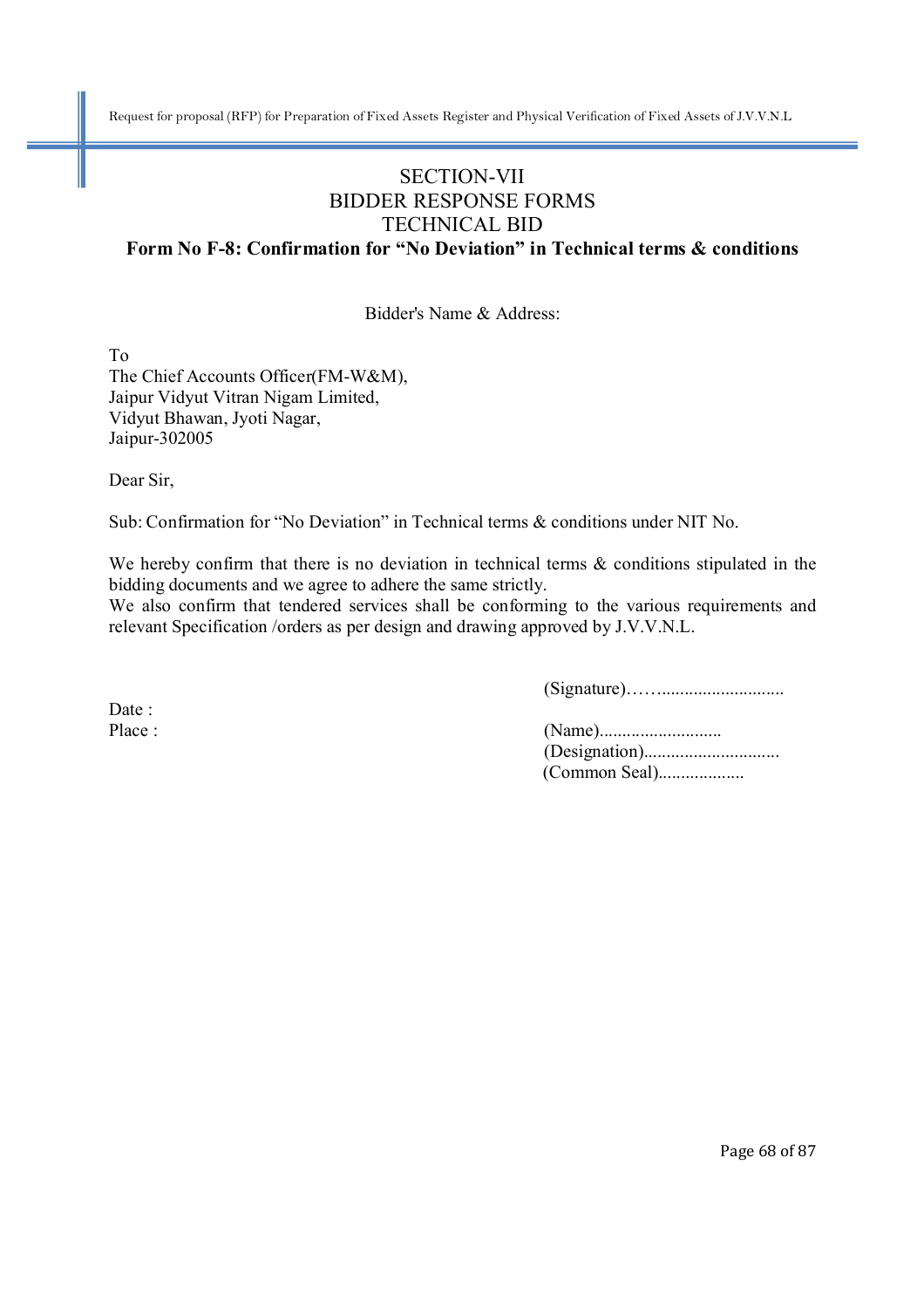# SECTION-VII BIDDER RESPONSE FORMS TECHNICAL BID

**Form No F-8: Confirmation for "No Deviation" in Technical terms & conditions**

Bidder's Name & Address:

To The Chief Accounts Officer(FM-W&M), Jaipur Vidyut Vitran Nigam Limited, Vidyut Bhawan, Jyoti Nagar, Jaipur-302005

Dear Sir,

Sub: Confirmation for "No Deviation" in Technical terms & conditions under NIT No.

We hereby confirm that there is no deviation in technical terms & conditions stipulated in the bidding documents and we agree to adhere the same strictly.

We also confirm that tendered services shall be conforming to the various requirements and relevant Specification /orders as per design and drawing approved by J.V.V.N.L.

(Signature)……...........................

Date:

Place : (Name)........................... (Designation).............................. (Common Seal)...................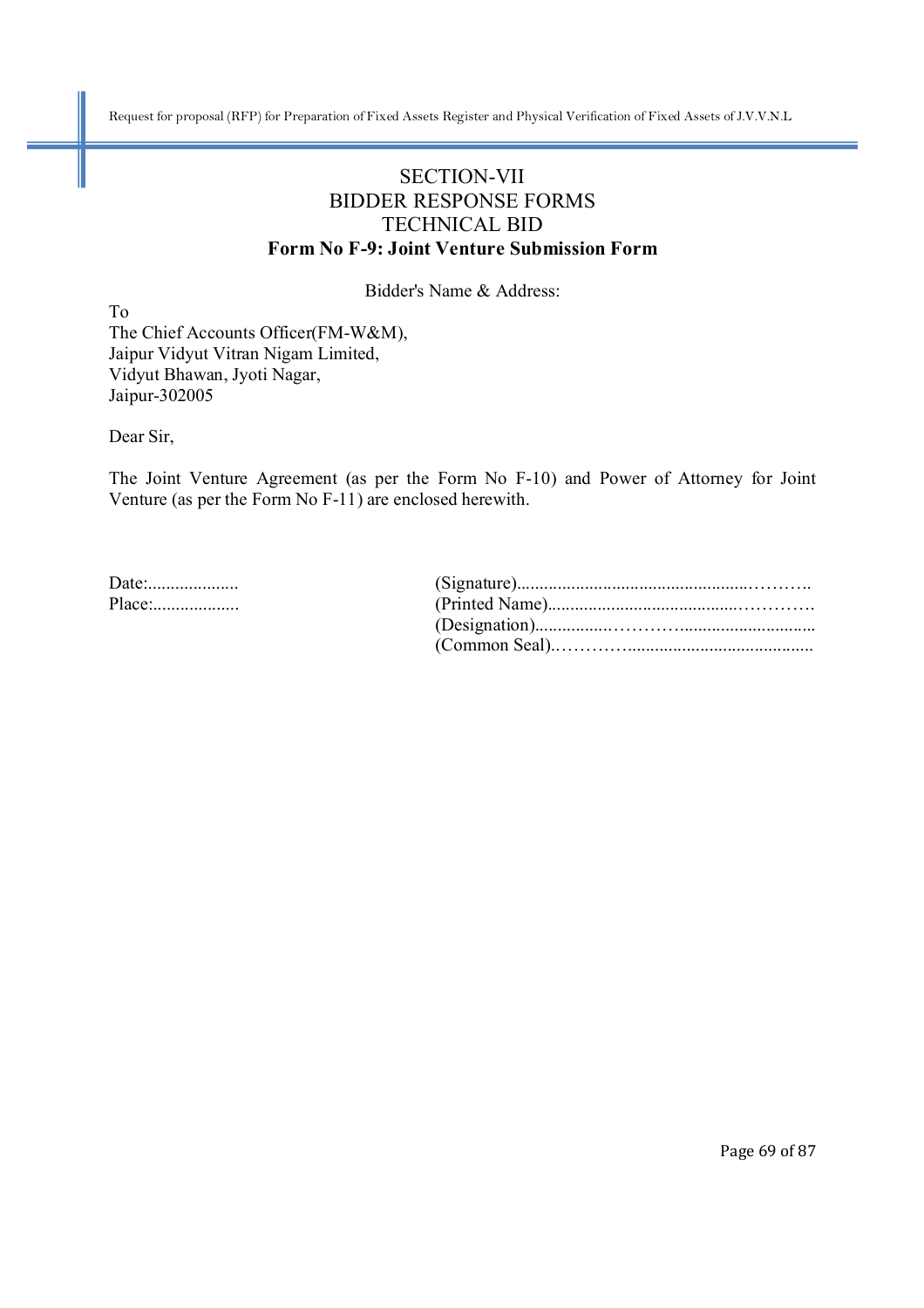### SECTION-VII BIDDER RESPONSE FORMS TECHNICAL BID **Form No F-9: Joint Venture Submission Form**

Bidder's Name & Address:

To The Chief Accounts Officer(FM-W&M), Jaipur Vidyut Vitran Nigam Limited, Vidyut Bhawan, Jyoti Nagar, Jaipur-302005

Dear Sir,

The Joint Venture Agreement (as per the Form No F-10) and Power of Attorney for Joint Venture (as per the Form No F-11) are enclosed herewith.

| Place: |  |
|--------|--|
|        |  |
|        |  |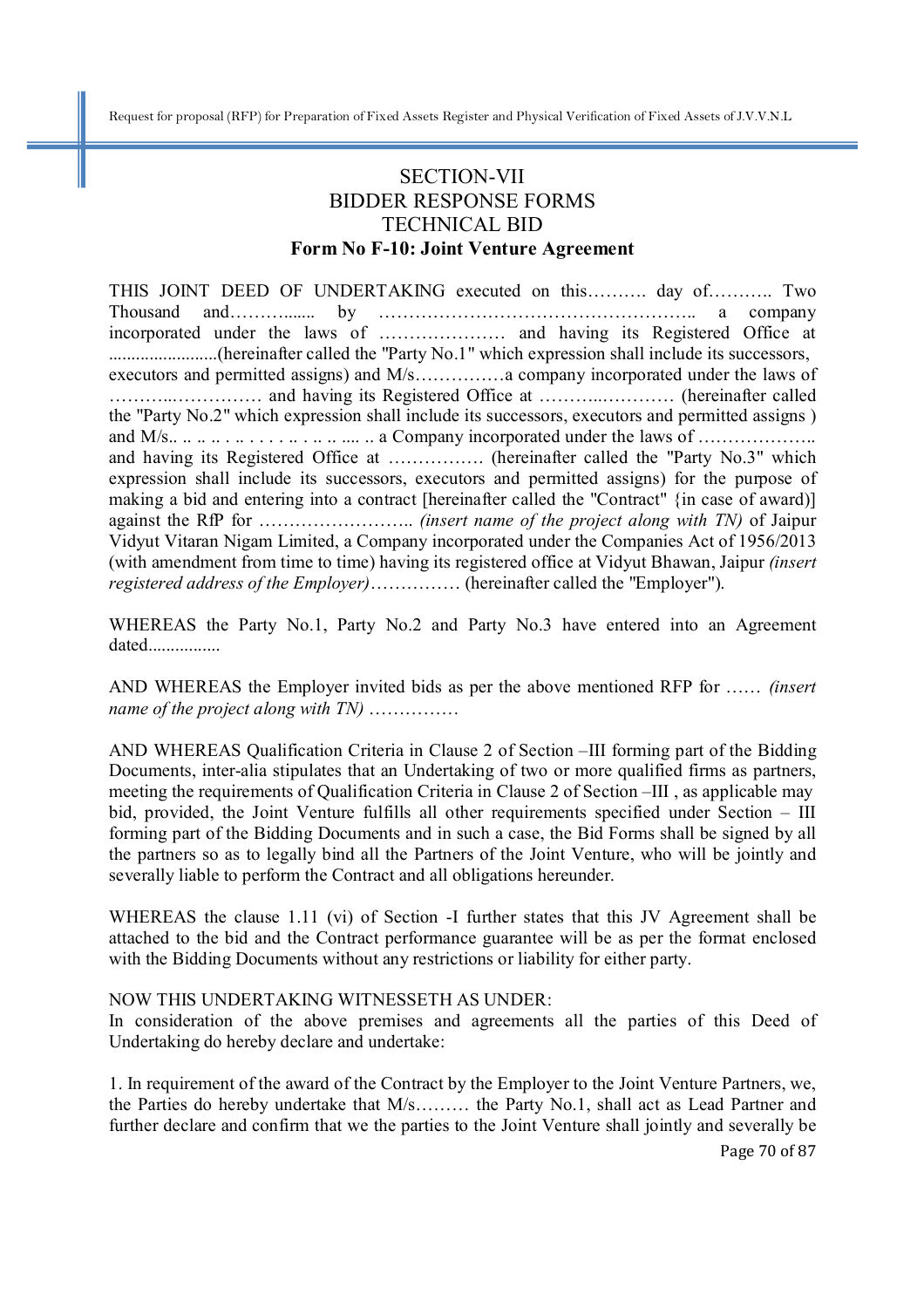### SECTION-VII BIDDER RESPONSE FORMS TECHNICAL BID **Form No F-10: Joint Venture Agreement**

THIS JOINT DEED OF UNDERTAKING executed on this………. day of……….. Two Thousand and………....... by …………………………………………….. a company incorporated under the laws of ………………… and having its Registered Office at ........................(hereinafter called the "Party No.1" which expression shall include its successors, executors and permitted assigns) and M/s……………a company incorporated under the laws of ………..…………… and having its Registered Office at ………..………… (hereinafter called the "Party No.2" which expression shall include its successors, executors and permitted assigns ) and M/s.. .. .. .. . .. . . . . .. . .. .. .... .. a Company incorporated under the laws of ……………….. and having its Registered Office at ……………. (hereinafter called the "Party No.3" which expression shall include its successors, executors and permitted assigns) for the purpose of making a bid and entering into a contract [hereinafter called the "Contract" {in case of award)] against the RfP for …………………….. *(insert name of the project along with TN)* of Jaipur Vidyut Vitaran Nigam Limited, a Company incorporated under the Companies Act of 1956/2013 (with amendment from time to time) having its registered office at Vidyut Bhawan, Jaipur *(insert registered address of the Employer)*…………… (hereinafter called the "Employer").

WHEREAS the Party No.1, Party No.2 and Party No.3 have entered into an Agreement dated................

AND WHEREAS the Employer invited bids as per the above mentioned RFP for …… *(insert name of the project along with TN)* ……………

AND WHEREAS Qualification Criteria in Clause 2 of Section –III forming part of the Bidding Documents, inter-alia stipulates that an Undertaking of two or more qualified firms as partners, meeting the requirements of Qualification Criteria in Clause 2 of Section –III , as applicable may bid, provided, the Joint Venture fulfills all other requirements specified under Section – III forming part of the Bidding Documents and in such a case, the Bid Forms shall be signed by all the partners so as to legally bind all the Partners of the Joint Venture, who will be jointly and severally liable to perform the Contract and all obligations hereunder.

WHEREAS the clause 1.11 (vi) of Section -I further states that this JV Agreement shall be attached to the bid and the Contract performance guarantee will be as per the format enclosed with the Bidding Documents without any restrictions or liability for either party.

#### NOW THIS UNDERTAKING WITNESSETH AS UNDER:

In consideration of the above premises and agreements all the parties of this Deed of Undertaking do hereby declare and undertake:

1. In requirement of the award of the Contract by the Employer to the Joint Venture Partners, we, the Parties do hereby undertake that M/s……… the Party No.1, shall act as Lead Partner and further declare and confirm that we the parties to the Joint Venture shall jointly and severally be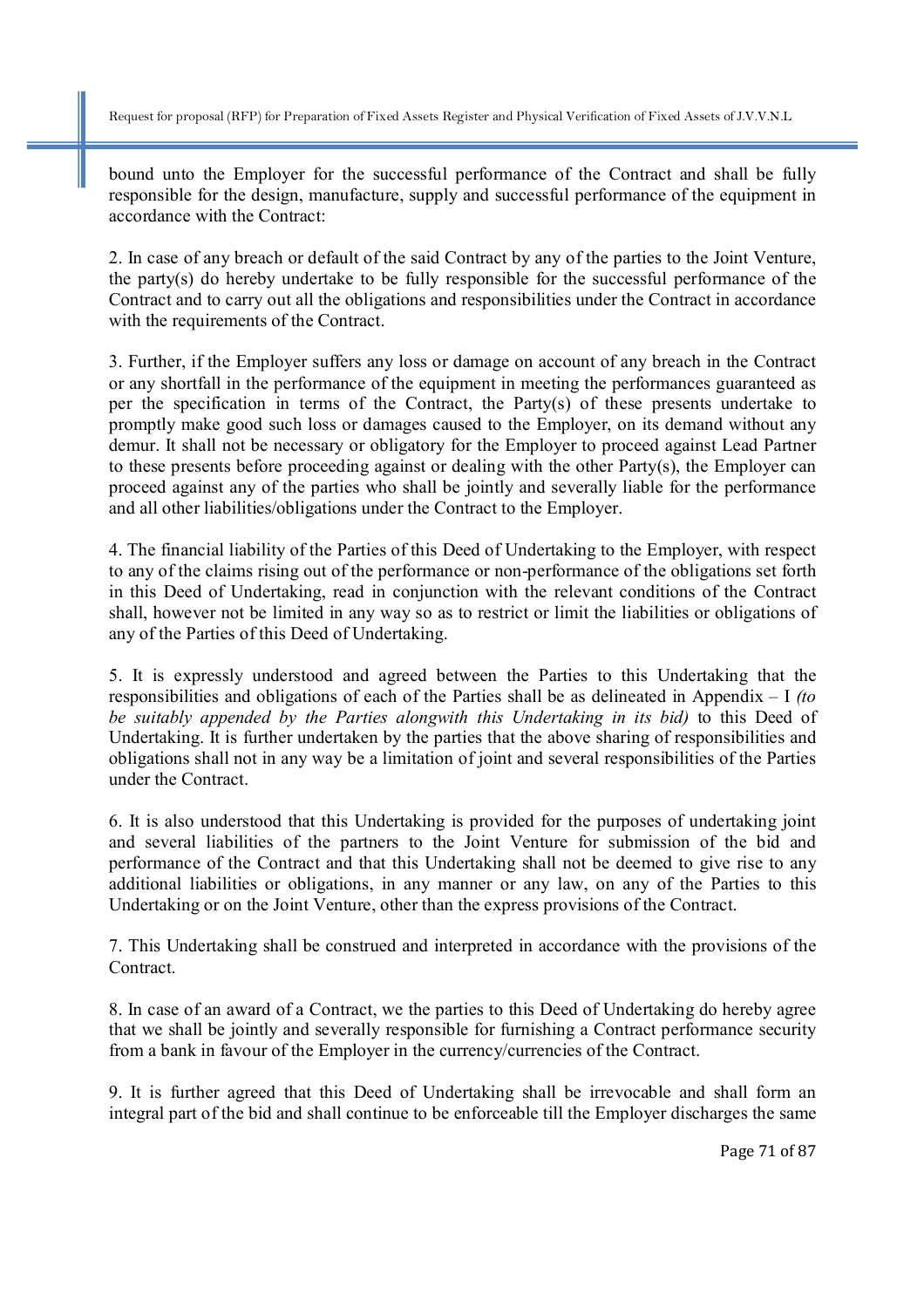bound unto the Employer for the successful performance of the Contract and shall be fully responsible for the design, manufacture, supply and successful performance of the equipment in accordance with the Contract:

2. In case of any breach or default of the said Contract by any of the parties to the Joint Venture, the party(s) do hereby undertake to be fully responsible for the successful performance of the Contract and to carry out all the obligations and responsibilities under the Contract in accordance with the requirements of the Contract.

3. Further, if the Employer suffers any loss or damage on account of any breach in the Contract or any shortfall in the performance of the equipment in meeting the performances guaranteed as per the specification in terms of the Contract, the Party(s) of these presents undertake to promptly make good such loss or damages caused to the Employer, on its demand without any demur. It shall not be necessary or obligatory for the Employer to proceed against Lead Partner to these presents before proceeding against or dealing with the other Party(s), the Employer can proceed against any of the parties who shall be jointly and severally liable for the performance and all other liabilities/obligations under the Contract to the Employer.

4. The financial liability of the Parties of this Deed of Undertaking to the Employer, with respect to any of the claims rising out of the performance or non-performance of the obligations set forth in this Deed of Undertaking, read in conjunction with the relevant conditions of the Contract shall, however not be limited in any way so as to restrict or limit the liabilities or obligations of any of the Parties of this Deed of Undertaking.

5. It is expressly understood and agreed between the Parties to this Undertaking that the responsibilities and obligations of each of the Parties shall be as delineated in Appendix – I *(to be suitably appended by the Parties alongwith this Undertaking in its bid)* to this Deed of Undertaking. It is further undertaken by the parties that the above sharing of responsibilities and obligations shall not in any way be a limitation of joint and several responsibilities of the Parties under the Contract.

6. It is also understood that this Undertaking is provided for the purposes of undertaking joint and several liabilities of the partners to the Joint Venture for submission of the bid and performance of the Contract and that this Undertaking shall not be deemed to give rise to any additional liabilities or obligations, in any manner or any law, on any of the Parties to this Undertaking or on the Joint Venture, other than the express provisions of the Contract.

7. This Undertaking shall be construed and interpreted in accordance with the provisions of the Contract.

8. In case of an award of a Contract, we the parties to this Deed of Undertaking do hereby agree that we shall be jointly and severally responsible for furnishing a Contract performance security from a bank in favour of the Employer in the currency/currencies of the Contract.

9. It is further agreed that this Deed of Undertaking shall be irrevocable and shall form an integral part of the bid and shall continue to be enforceable till the Employer discharges the same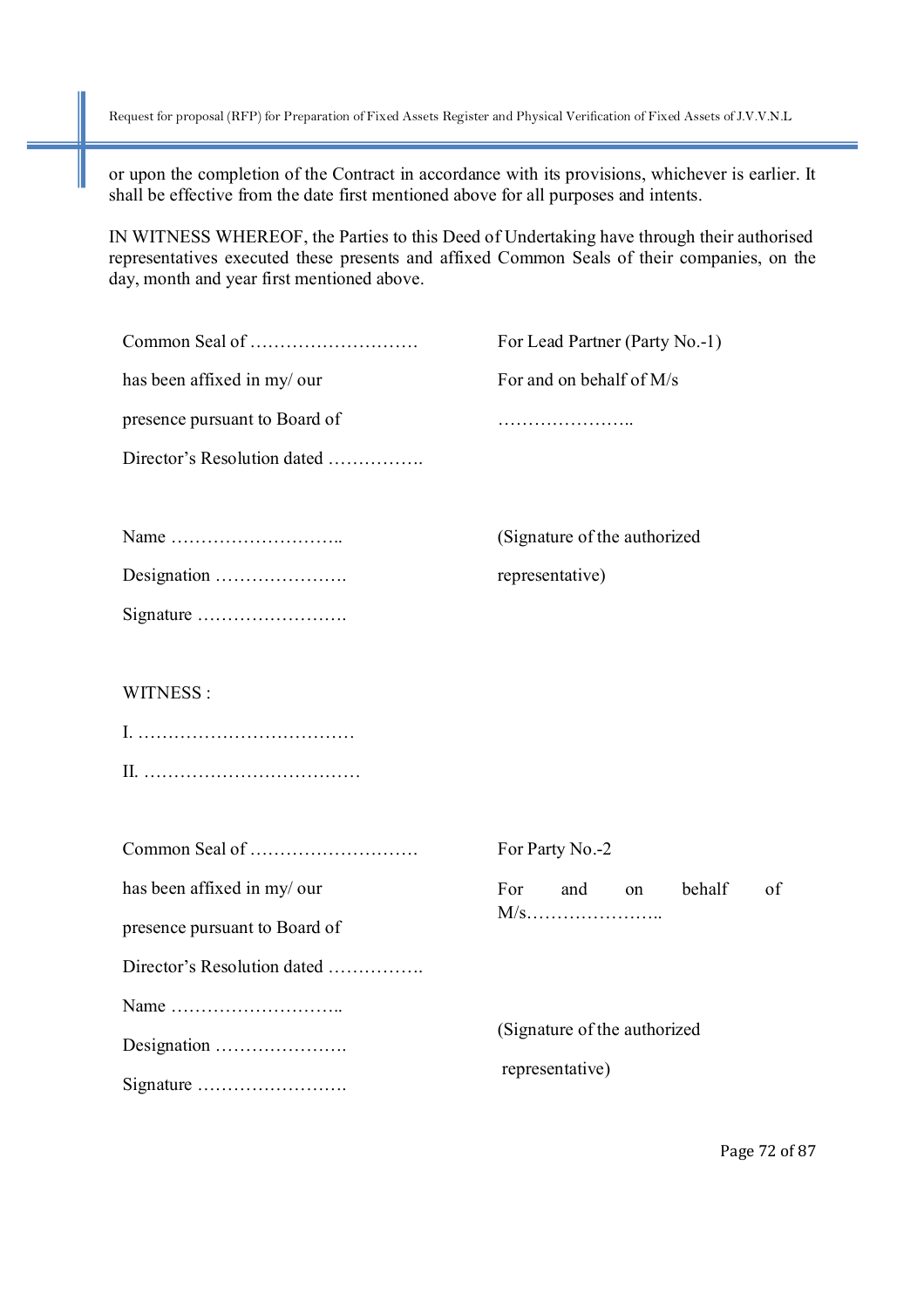or upon the completion of the Contract in accordance with its provisions, whichever is earlier. It shall be effective from the date first mentioned above for all purposes and intents.

IN WITNESS WHEREOF, the Parties to this Deed of Undertaking have through their authorised representatives executed these presents and affixed Common Seals of their companies, on the day, month and year first mentioned above.

|                               | For Lead Partner (Party No.-1)                  |
|-------------------------------|-------------------------------------------------|
| has been affixed in my/ our   | For and on behalf of M/s                        |
| presence pursuant to Board of | .                                               |
| Director's Resolution dated   |                                                 |
|                               | (Signature of the authorized                    |
| Designation                   | representative)                                 |
| Signature                     |                                                 |
| WITNESS:                      |                                                 |
|                               |                                                 |
|                               |                                                 |
|                               | For Party No.-2                                 |
| has been affixed in my/ our   | For<br>behalf<br>of<br>and<br>on                |
| presence pursuant to Board of |                                                 |
| Director's Resolution dated   |                                                 |
|                               | (Signature of the authorized<br>representative) |
| Designation                   |                                                 |
|                               |                                                 |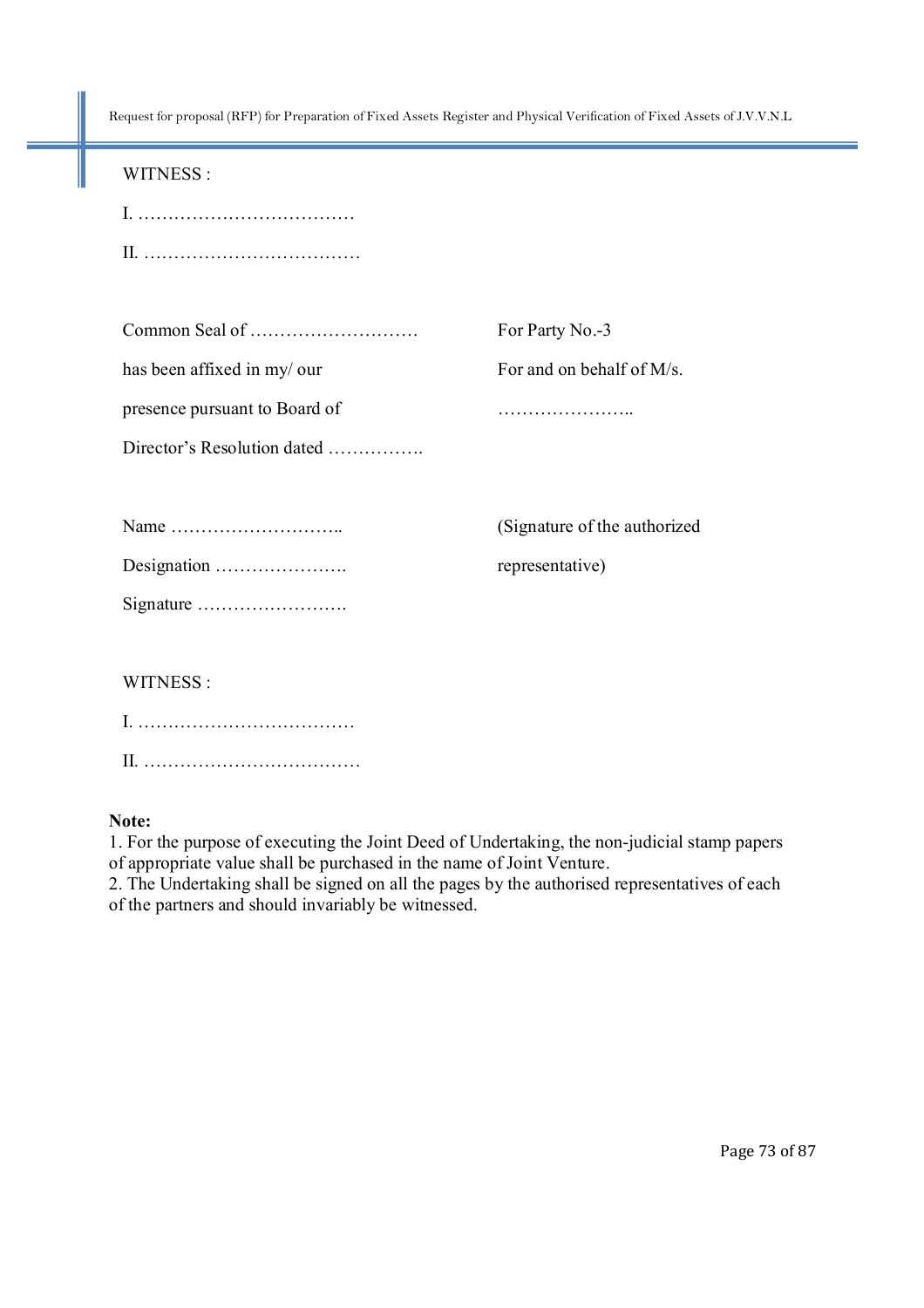| WITNESS:                      |                              |
|-------------------------------|------------------------------|
|                               |                              |
|                               |                              |
|                               |                              |
|                               | For Party No.-3              |
| has been affixed in my/ our   | For and on behalf of M/s.    |
| presence pursuant to Board of |                              |
| Director's Resolution dated   |                              |
|                               |                              |
|                               | (Signature of the authorized |
| Designation                   | representative)              |
|                               |                              |
|                               |                              |
| WITNESS:                      |                              |
|                               |                              |
|                               |                              |

### **Note:**

1. For the purpose of executing the Joint Deed of Undertaking, the non-judicial stamp papers of appropriate value shall be purchased in the name of Joint Venture.

2. The Undertaking shall be signed on all the pages by the authorised representatives of each of the partners and should invariably be witnessed.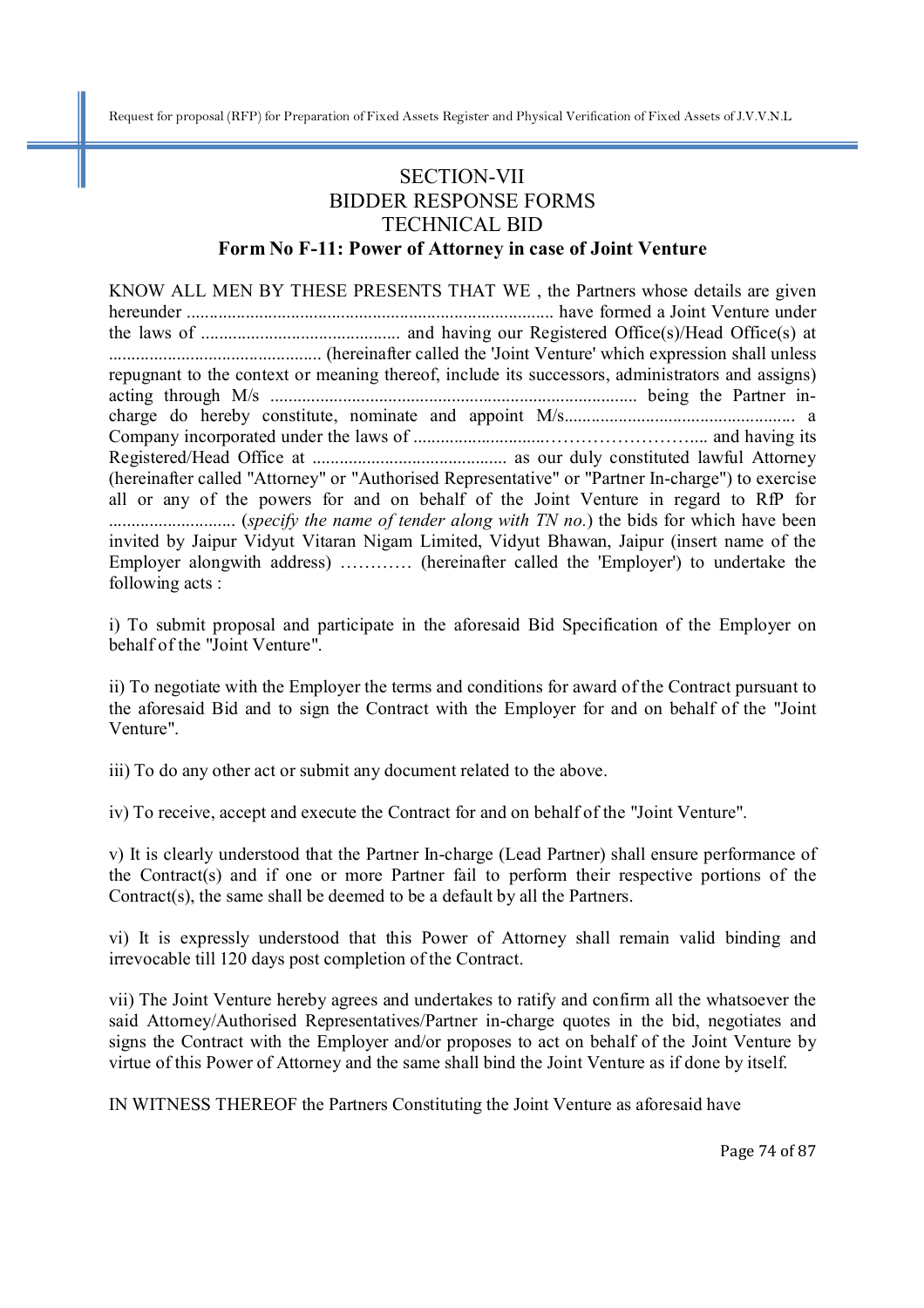## SECTION-VII BIDDER RESPONSE FORMS TECHNICAL BID

### **Form No F-11: Power of Attorney in case of Joint Venture**

KNOW ALL MEN BY THESE PRESENTS THAT WE , the Partners whose details are given hereunder ................................................................................. have formed a Joint Venture under the laws of ............................................ and having our Registered Office(s)/Head Office(s) at ............................................... (hereinafter called the 'Joint Venture' which expression shall unless repugnant to the context or meaning thereof, include its successors, administrators and assigns) acting through M/s ................................................................................. being the Partner incharge do hereby constitute, nominate and appoint M/s................................................... a Company incorporated under the laws of .............................…………………….... and having its Registered/Head Office at ........................................... as our duly constituted lawful Attorney (hereinafter called "Attorney" or "Authorised Representative" or "Partner In-charge") to exercise all or any of the powers for and on behalf of the Joint Venture in regard to RfP for ............................ (*specify the name of tender along with TN no.*) the bids for which have been invited by Jaipur Vidyut Vitaran Nigam Limited, Vidyut Bhawan, Jaipur (insert name of the Employer alongwith address) ………… (hereinafter called the 'Employer') to undertake the following acts :

i) To submit proposal and participate in the aforesaid Bid Specification of the Employer on behalf of the "Joint Venture".

ii) To negotiate with the Employer the terms and conditions for award of the Contract pursuant to the aforesaid Bid and to sign the Contract with the Employer for and on behalf of the "Joint Venture".

iii) To do any other act or submit any document related to the above.

iv) To receive, accept and execute the Contract for and on behalf of the "Joint Venture".

v) It is clearly understood that the Partner In-charge (Lead Partner) shall ensure performance of the Contract(s) and if one or more Partner fail to perform their respective portions of the Contract(s), the same shall be deemed to be a default by all the Partners.

vi) It is expressly understood that this Power of Attorney shall remain valid binding and irrevocable till 120 days post completion of the Contract.

vii) The Joint Venture hereby agrees and undertakes to ratify and confirm all the whatsoever the said Attorney/Authorised Representatives/Partner in-charge quotes in the bid, negotiates and signs the Contract with the Employer and/or proposes to act on behalf of the Joint Venture by virtue of this Power of Attorney and the same shall bind the Joint Venture as if done by itself.

IN WITNESS THEREOF the Partners Constituting the Joint Venture as aforesaid have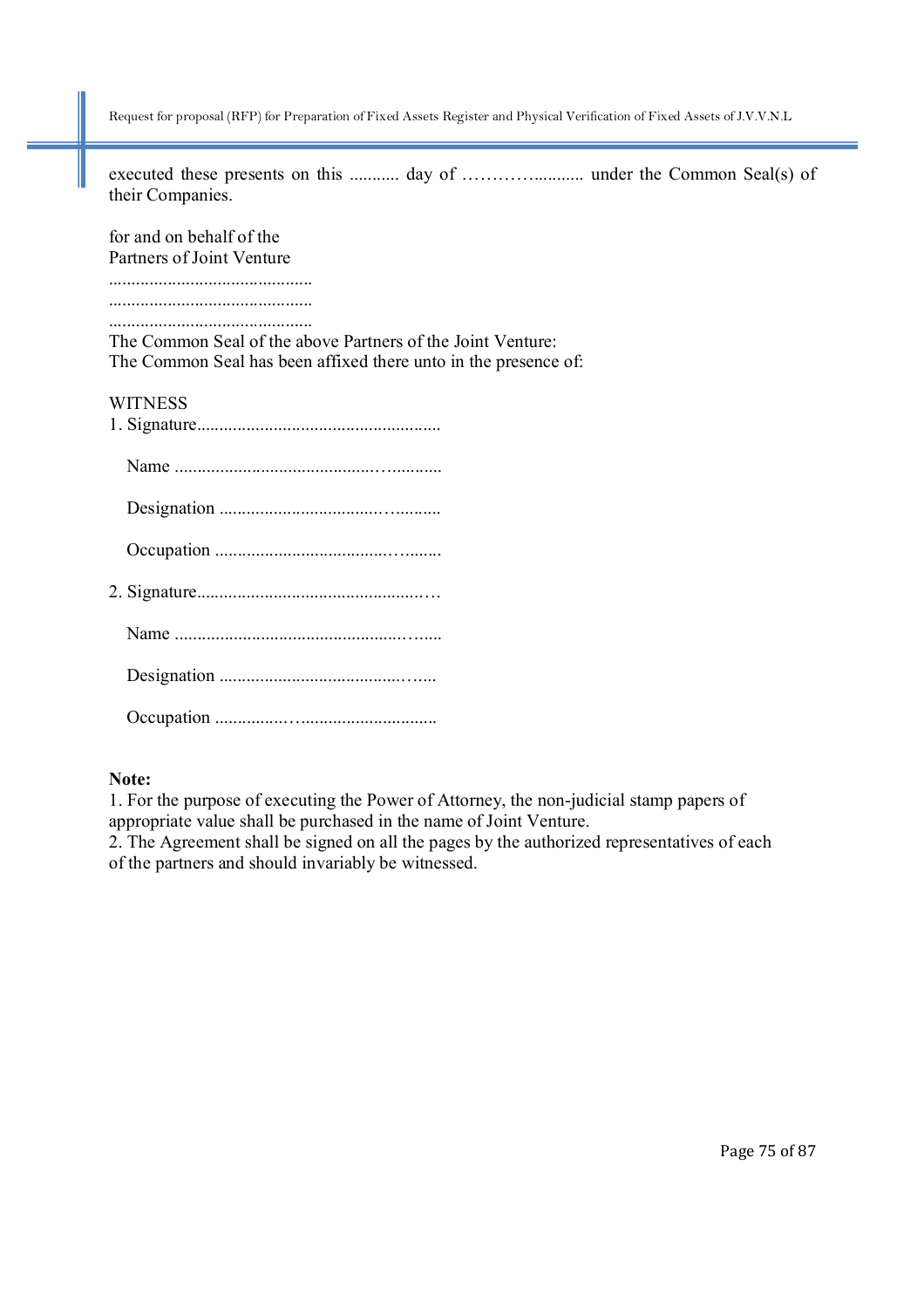executed these presents on this ........... day of …………........... under the Common Seal(s) of their Companies.

for and on behalf of the Partners of Joint Venture ............................................. .............................................

.............................................

The Common Seal of the above Partners of the Joint Venture: The Common Seal has been affixed there unto in the presence of:

#### **WITNESS**

### **Note:**

1. For the purpose of executing the Power of Attorney, the non-judicial stamp papers of appropriate value shall be purchased in the name of Joint Venture.

2. The Agreement shall be signed on all the pages by the authorized representatives of each of the partners and should invariably be witnessed.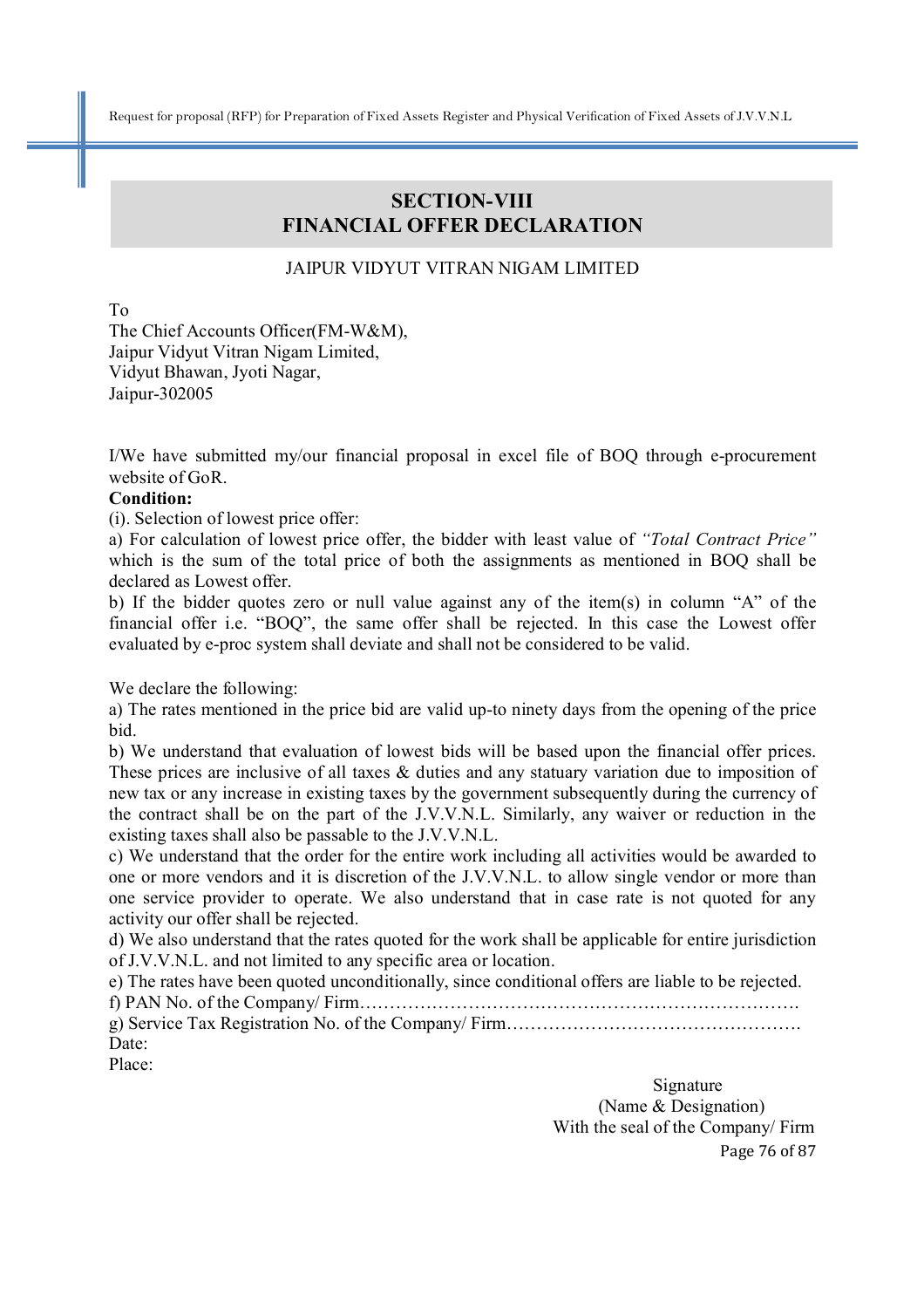### **SECTION-VIII FINANCIAL OFFER DECLARATION**

### JAIPUR VIDYUT VITRAN NIGAM LIMITED

To

The Chief Accounts Officer(FM-W&M), Jaipur Vidyut Vitran Nigam Limited, Vidyut Bhawan, Jyoti Nagar, Jaipur-302005

I/We have submitted my/our financial proposal in excel file of BOQ through e-procurement website of GoR.

#### **Condition:**

(i). Selection of lowest price offer:

a) For calculation of lowest price offer, the bidder with least value of *"Total Contract Price"* which is the sum of the total price of both the assignments as mentioned in BOQ shall be declared as Lowest offer.

b) If the bidder quotes zero or null value against any of the item(s) in column "A" of the financial offer i.e. "BOQ", the same offer shall be rejected. In this case the Lowest offer evaluated by e-proc system shall deviate and shall not be considered to be valid.

We declare the following:

a) The rates mentioned in the price bid are valid up-to ninety days from the opening of the price bid.

b) We understand that evaluation of lowest bids will be based upon the financial offer prices. These prices are inclusive of all taxes & duties and any statuary variation due to imposition of new tax or any increase in existing taxes by the government subsequently during the currency of the contract shall be on the part of the J.V.V.N.L. Similarly, any waiver or reduction in the existing taxes shall also be passable to the J.V.V.N.L.

c) We understand that the order for the entire work including all activities would be awarded to one or more vendors and it is discretion of the J.V.V.N.L. to allow single vendor or more than one service provider to operate. We also understand that in case rate is not quoted for any activity our offer shall be rejected.

d) We also understand that the rates quoted for the work shall be applicable for entire jurisdiction of J.V.V.N.L. and not limited to any specific area or location.

e) The rates have been quoted unconditionally, since conditional offers are liable to be rejected.

f) PAN No. of the Company/ Firm……………………………………………………………….

g) Service Tax Registration No. of the Company/ Firm…………………………………………. Date:

Place:

Page 76 of 87 Signature Signature (Name & Designation) With the seal of the Company/ Firm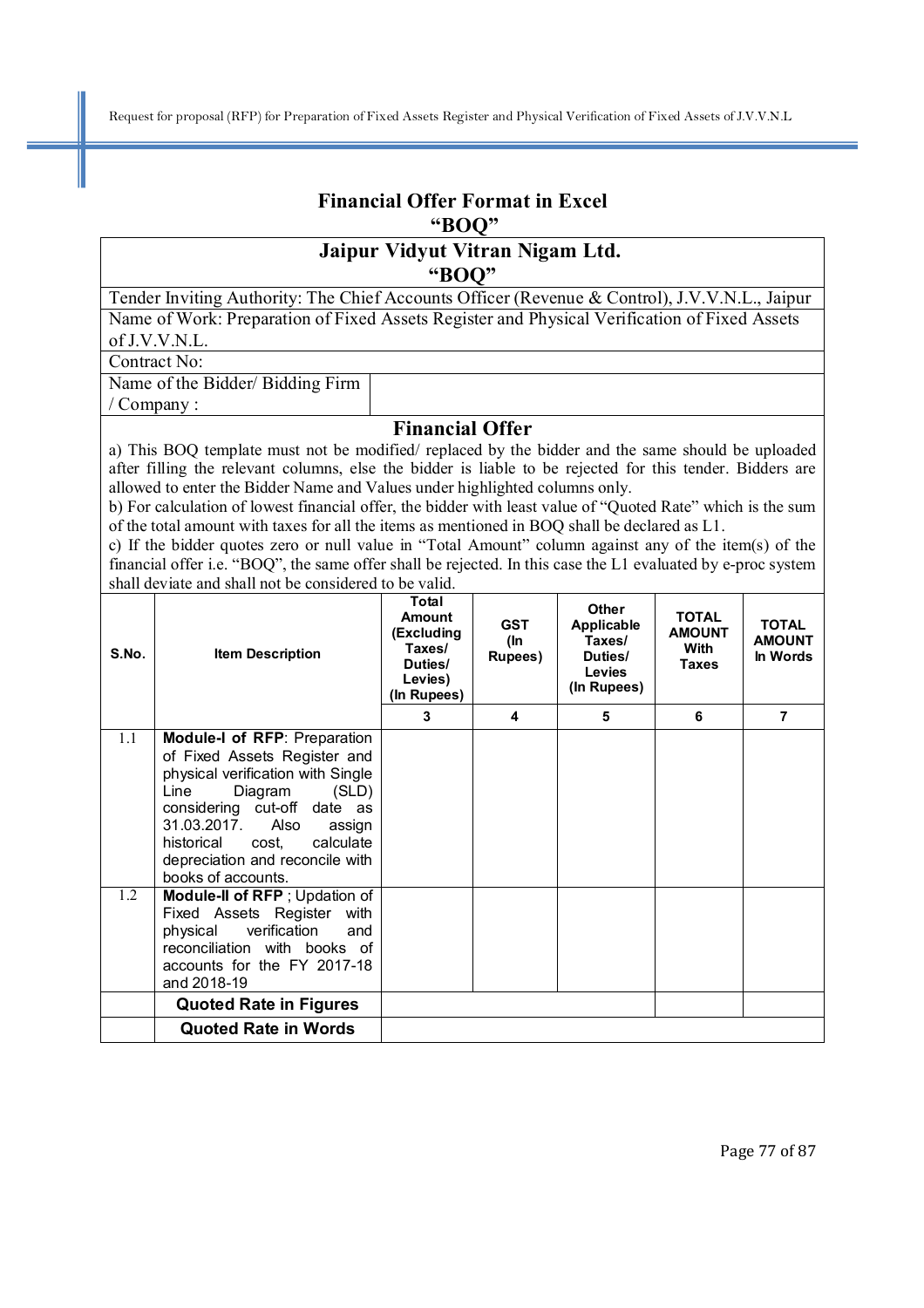# **Financial Offer Format in Excel "BOQ"**

## **Jaipur Vidyut Vitran Nigam Ltd. "BOQ"**

Tender Inviting Authority: The Chief Accounts Officer (Revenue & Control), J.V.V.N.L., Jaipur Name of Work: Preparation of Fixed Assets Register and Physical Verification of Fixed Assets of J.V.V.N.L.

Contract No:

/ Company :

Name of the Bidder/ Bidding Firm

#### **Financial Offer**

a) This BOQ template must not be modified/ replaced by the bidder and the same should be uploaded after filling the relevant columns, else the bidder is liable to be rejected for this tender. Bidders are allowed to enter the Bidder Name and Values under highlighted columns only.

b) For calculation of lowest financial offer, the bidder with least value of "Quoted Rate" which is the sum of the total amount with taxes for all the items as mentioned in BOQ shall be declared as L1.

c) If the bidder quotes zero or null value in "Total Amount" column against any of the item(s) of the financial offer i.e. "BOQ", the same offer shall be rejected. In this case the L1 evaluated by e-proc system shall deviate and shall not be considered to be valid.

| S.No. | <b>Item Description</b>                                                                                                                                                                                                                                                                     | Total<br>Amount<br>(Excluding<br>Taxes/<br>Duties/<br>Levies)<br>(In Rupees) | <b>GST</b><br>(In<br>Rupees) | Other<br>Applicable<br>Taxes/<br>Duties/<br>Levies<br>(In Rupees) | <b>TOTAL</b><br><b>AMOUNT</b><br>With<br><b>Taxes</b> | <b>TOTAL</b><br><b>AMOUNT</b><br>In Words |
|-------|---------------------------------------------------------------------------------------------------------------------------------------------------------------------------------------------------------------------------------------------------------------------------------------------|------------------------------------------------------------------------------|------------------------------|-------------------------------------------------------------------|-------------------------------------------------------|-------------------------------------------|
|       |                                                                                                                                                                                                                                                                                             | 3                                                                            | 4                            | 5                                                                 | 6                                                     | 7                                         |
| 1.1   | <b>Module-I of RFP: Preparation</b><br>of Fixed Assets Register and<br>physical verification with Single<br>Diagram<br>(SLD)<br>Line<br>considering cut-off date as<br>31.03.2017. Also<br>assign<br>calculate<br>historical cost,<br>depreciation and reconcile with<br>books of accounts. |                                                                              |                              |                                                                   |                                                       |                                           |
| 1.2   | Module-II of RFP; Updation of<br>Fixed Assets Register with<br>verification<br>physical<br>and<br>reconciliation with books of<br>accounts for the FY 2017-18<br>and 2018-19                                                                                                                |                                                                              |                              |                                                                   |                                                       |                                           |
|       | <b>Quoted Rate in Figures</b>                                                                                                                                                                                                                                                               |                                                                              |                              |                                                                   |                                                       |                                           |
|       | <b>Quoted Rate in Words</b>                                                                                                                                                                                                                                                                 |                                                                              |                              |                                                                   |                                                       |                                           |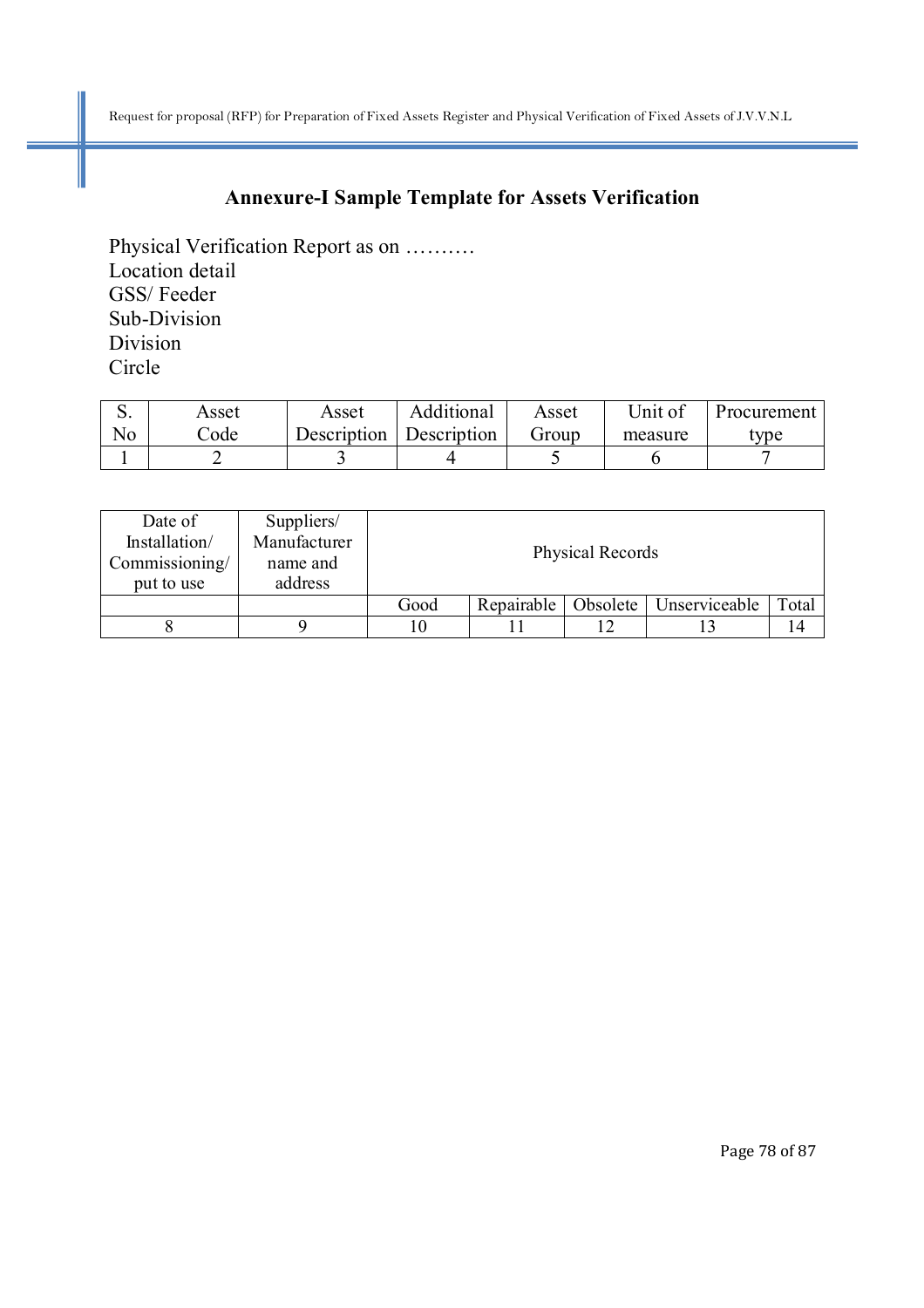# **Annexure-I Sample Template for Assets Verification**

Physical Verification Report as on ………. Location detail GSS/ Feeder Sub-Division Division Circle

|    | Asset | Asset       | Additional  | Asset | Unit of | Procurement |
|----|-------|-------------|-------------|-------|---------|-------------|
| No | `ode  | Description | Description | Group | measure | type        |
|    |       |             |             |       |         |             |

| Date of<br>Installation/<br>Commissioning/<br>put to use | Suppliers/<br>Manufacturer<br>name and<br>address | <b>Physical Records</b> |            |          |               |       |
|----------------------------------------------------------|---------------------------------------------------|-------------------------|------------|----------|---------------|-------|
|                                                          |                                                   | Good                    | Repairable | Obsolete | Unserviceable | Total |
|                                                          |                                                   | 10                      |            |          |               | 14    |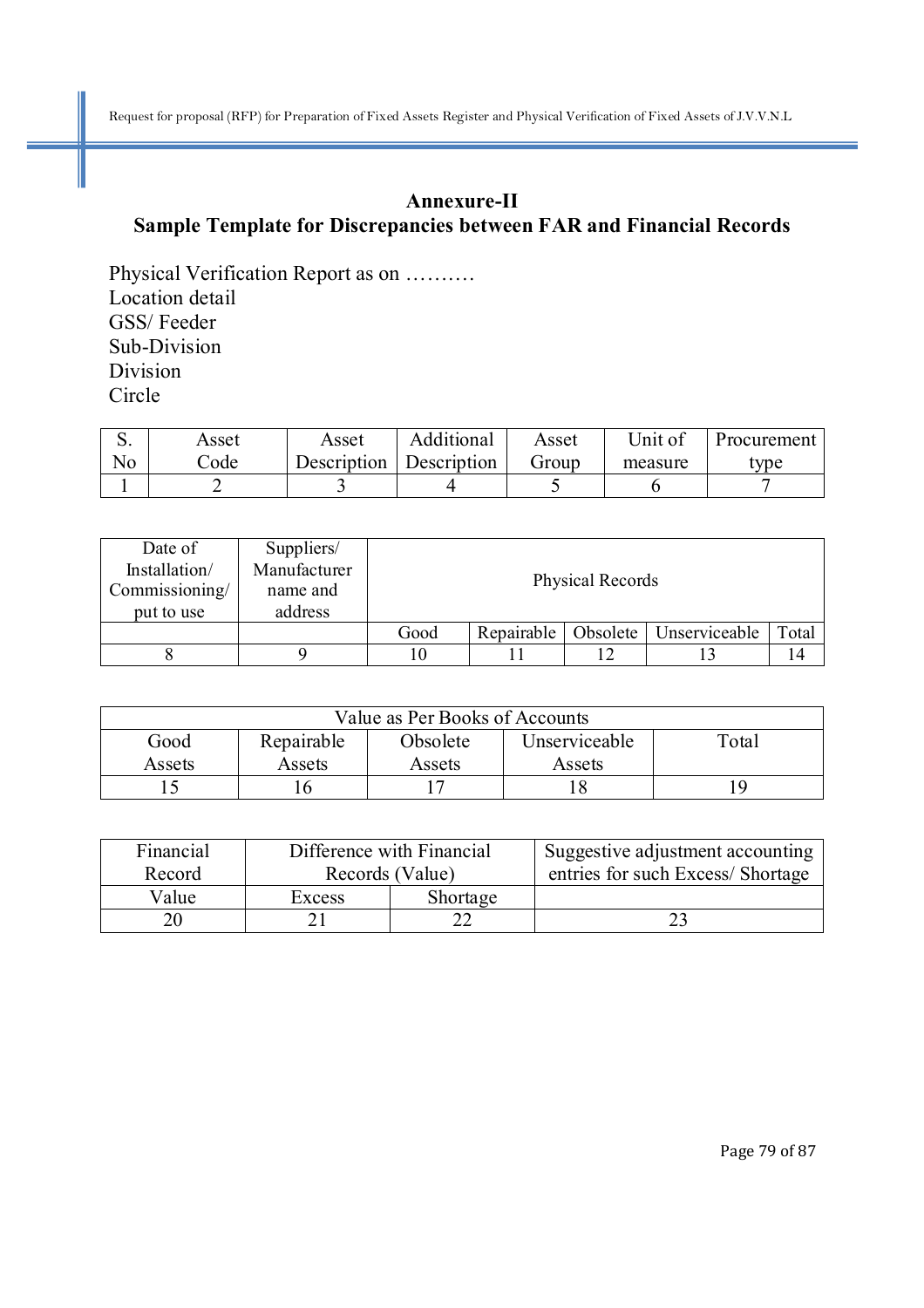## **Annexure-II Sample Template for Discrepancies between FAR and Financial Records**

Physical Verification Report as on ………. Location detail GSS/ Feeder Sub-Division Division Circle

|    | Asset | Asset       | Additional  | Asset | Unit of | Procurement      |
|----|-------|-------------|-------------|-------|---------|------------------|
| No | `ode  | Description | Description | Group | measure | vpe <sup>-</sup> |
|    |       |             |             |       |         |                  |

| Date of<br>Installation/<br>Commissioning/<br>put to use | Suppliers/<br>Manufacturer<br>name and<br>address | Physical Records |            |          |               |       |
|----------------------------------------------------------|---------------------------------------------------|------------------|------------|----------|---------------|-------|
|                                                          |                                                   | Good             | Repairable | Obsolete | Unserviceable | Total |
|                                                          |                                                   | 10               |            |          |               | 14    |

| Value as Per Books of Accounts |                                                  |        |        |    |  |  |  |
|--------------------------------|--------------------------------------------------|--------|--------|----|--|--|--|
| Good                           | Repairable<br>Unserviceable<br>Obsolete<br>Total |        |        |    |  |  |  |
| Assets                         | Assets                                           | Assets | Assets |    |  |  |  |
|                                |                                                  |        |        | 19 |  |  |  |

| Financial |                 | Difference with Financial | Suggestive adjustment accounting |
|-----------|-----------------|---------------------------|----------------------------------|
| Record    | Records (Value) |                           | entries for such Excess/Shortage |
| Value     | Excess          | Shortage                  |                                  |
|           |                 |                           |                                  |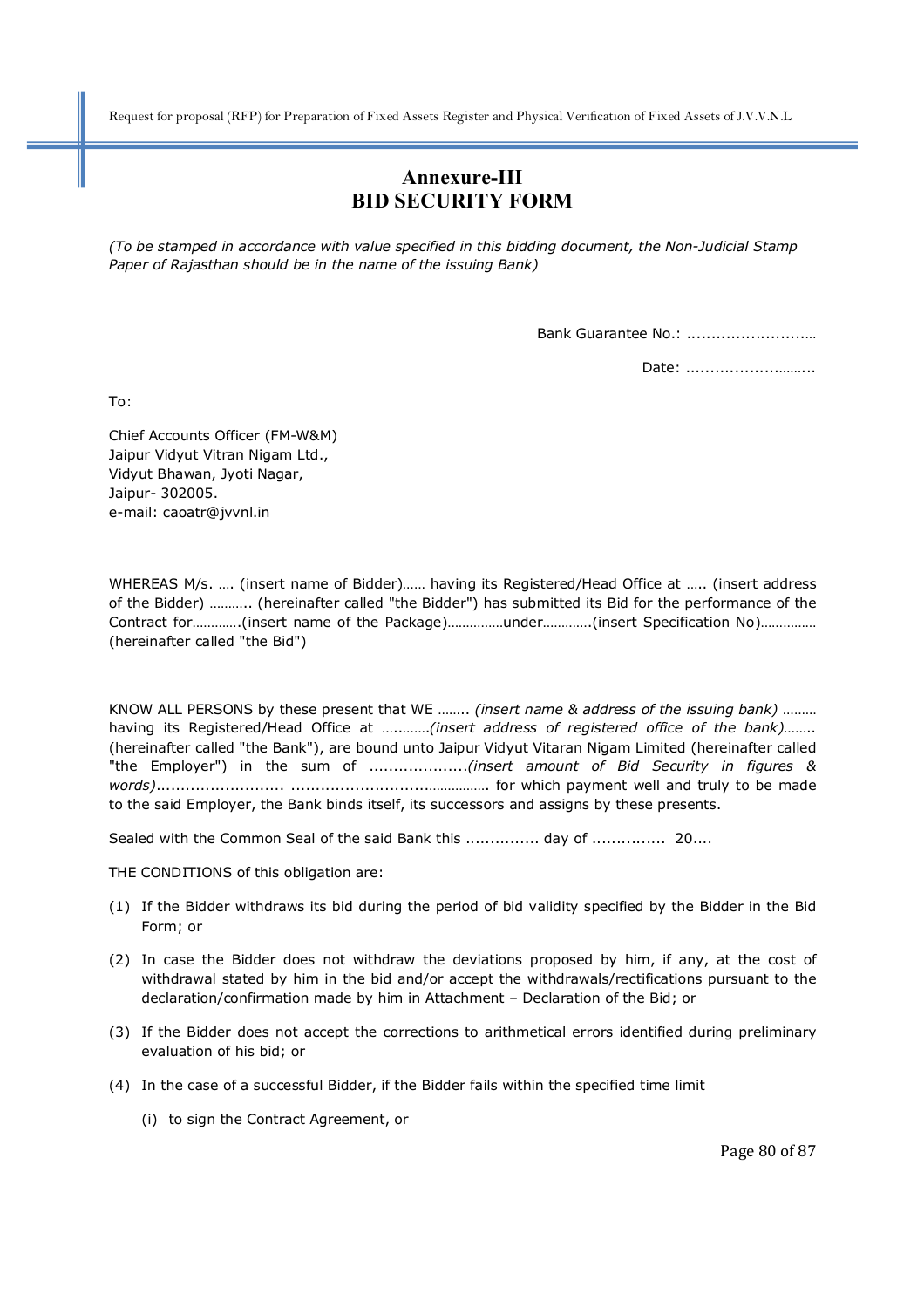### **Annexure-III BID SECURITY FORM**

*(To be stamped in accordance with value specified in this bidding document, the Non-Judicial Stamp Paper of Rajasthan should be in the name of the issuing Bank)* 

Bank Guarantee No.: ........................…

Date: ............................

To:

Chief Accounts Officer (FM-W&M) Jaipur Vidyut Vitran Nigam Ltd., Vidyut Bhawan, Jyoti Nagar, Jaipur- 302005. e-mail: caoatr@jvvnl.in

WHEREAS M/s. …. (insert name of Bidder)…… having its Registered/Head Office at ….. (insert address of the Bidder) ……….. (hereinafter called "the Bidder") has submitted its Bid for the performance of the Contract for………….(insert name of the Package)……………under………….(insert Specification No)…………… (hereinafter called "the Bid")

KNOW ALL PERSONS by these present that WE …….. *(insert name & address of the issuing bank)* ……… having its Registered/Head Office at …..…….*(insert address of registered office of the bank)*…….. (hereinafter called "the Bank"), are bound unto Jaipur Vidyut Vitaran Nigam Limited (hereinafter called "the Employer") in the sum of ....................*(insert amount of Bid Security in figures & words)*.......................... ............................……………. for which payment well and truly to be made to the said Employer, the Bank binds itself, its successors and assigns by these presents.

Sealed with the Common Seal of the said Bank this ................ day of ............... 20....

THE CONDITIONS of this obligation are:

- (1) If the Bidder withdraws its bid during the period of bid validity specified by the Bidder in the Bid Form; or
- (2) In case the Bidder does not withdraw the deviations proposed by him, if any, at the cost of withdrawal stated by him in the bid and/or accept the withdrawals/rectifications pursuant to the declaration/confirmation made by him in Attachment – Declaration of the Bid; or
- (3) If the Bidder does not accept the corrections to arithmetical errors identified during preliminary evaluation of his bid; or
- (4) In the case of a successful Bidder, if the Bidder fails within the specified time limit
	- (i) to sign the Contract Agreement, or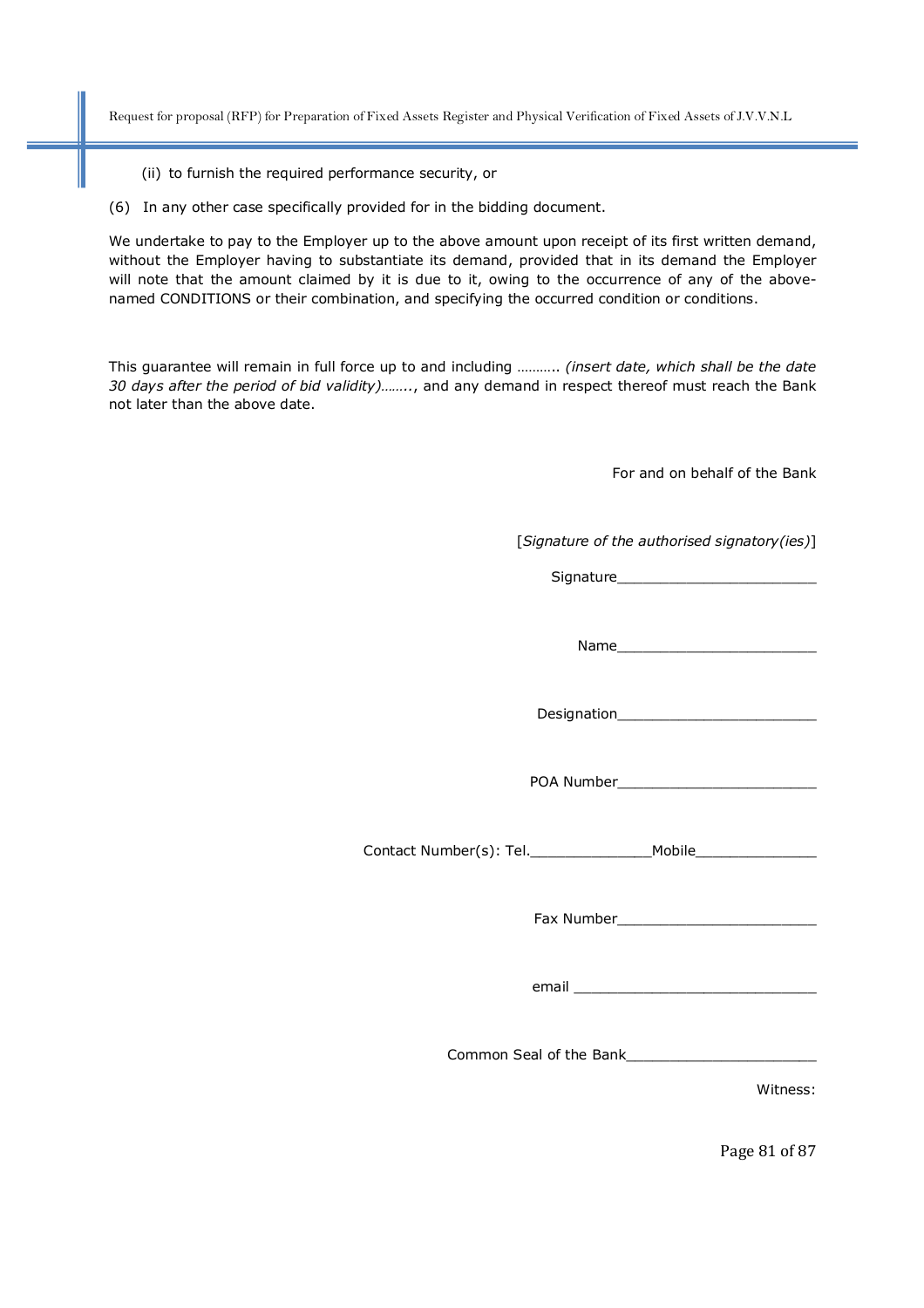- (ii) to furnish the required performance security, or
- (6) In any other case specifically provided for in the bidding document.

We undertake to pay to the Employer up to the above amount upon receipt of its first written demand, without the Employer having to substantiate its demand, provided that in its demand the Employer will note that the amount claimed by it is due to it, owing to the occurrence of any of the abovenamed CONDITIONS or their combination, and specifying the occurred condition or conditions.

This guarantee will remain in full force up to and including ……….. *(insert date, which shall be the date 30 days after the period of bid validity)……..*, and any demand in respect thereof must reach the Bank not later than the above date.

For and on behalf of the Bank

[*Signature of the authorised signatory(ies)*]

Signature

Name was a set of the set of the set of the set of the set of the set of the set of the set of the set of the set of the set of the set of the set of the set of the set of the set of the set of the set of the set of the se

Designation\_\_\_\_\_\_\_\_\_\_\_\_\_\_\_\_\_\_\_\_\_\_\_

POA Number\_\_\_\_\_\_\_\_\_\_\_\_\_\_\_\_\_\_\_\_\_\_\_

Contact Number(s): Tel.\_\_\_\_\_\_\_\_\_\_\_\_\_\_Mobile\_\_\_\_\_\_\_\_\_\_\_\_\_\_

Fax Number

email and the state of the state of the state of the state of the state of the state of the state of the state

Common Seal of the Bank\_\_\_\_\_\_\_\_\_\_\_\_\_\_\_\_\_\_\_\_\_\_

Witness:

Page 81 of 87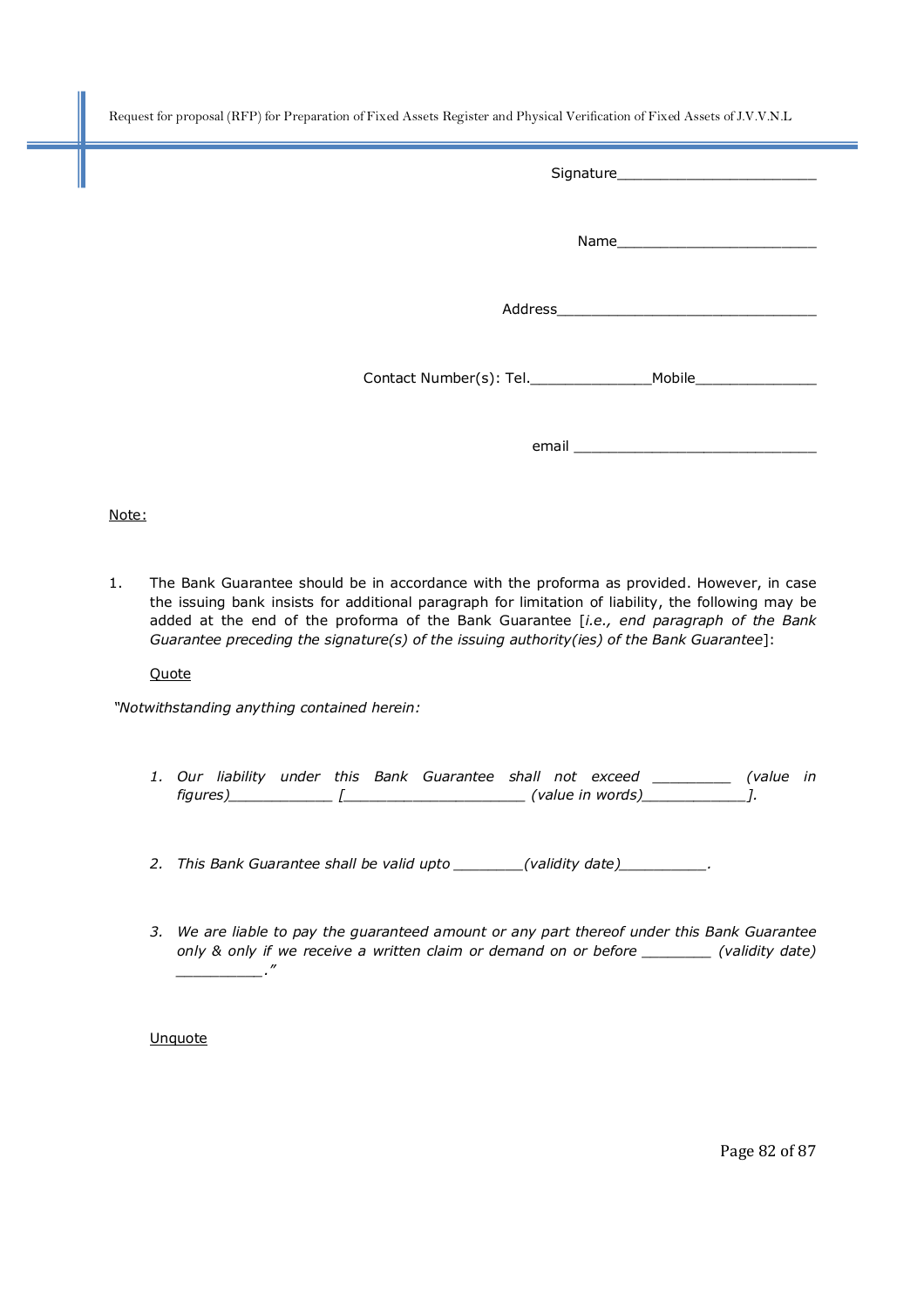| Contact Number(s): Tel.________________________Mobile___________________________ |
|----------------------------------------------------------------------------------|
|                                                                                  |

Note:

1. The Bank Guarantee should be in accordance with the proforma as provided. However, in case the issuing bank insists for additional paragraph for limitation of liability, the following may be added at the end of the proforma of the Bank Guarantee [*i.e., end paragraph of the Bank Guarantee preceding the signature(s) of the issuing authority(ies) of the Bank Guarantee*]:

**Quote** 

*"Notwithstanding anything contained herein:* 

- *1. Our liability under this Bank Guarantee shall not exceed \_\_\_\_\_\_\_\_\_ (value in figures)\_\_\_\_\_\_\_\_\_\_\_\_ [\_\_\_\_\_\_\_\_\_\_\_\_\_\_\_\_\_\_\_\_\_ (value in words)\_\_\_\_\_\_\_\_\_\_\_\_].*
- *2. This Bank Guarantee shall be valid upto \_\_\_\_\_\_\_\_(validity date)\_\_\_\_\_\_\_\_\_\_.*
- *3. We are liable to pay the guaranteed amount or any part thereof under this Bank Guarantee only & only if we receive a written claim or demand on or before \_\_\_\_\_\_\_\_ (validity date) \_\_\_\_\_\_\_\_\_\_."*

**Unquote** 

Page 82 of 87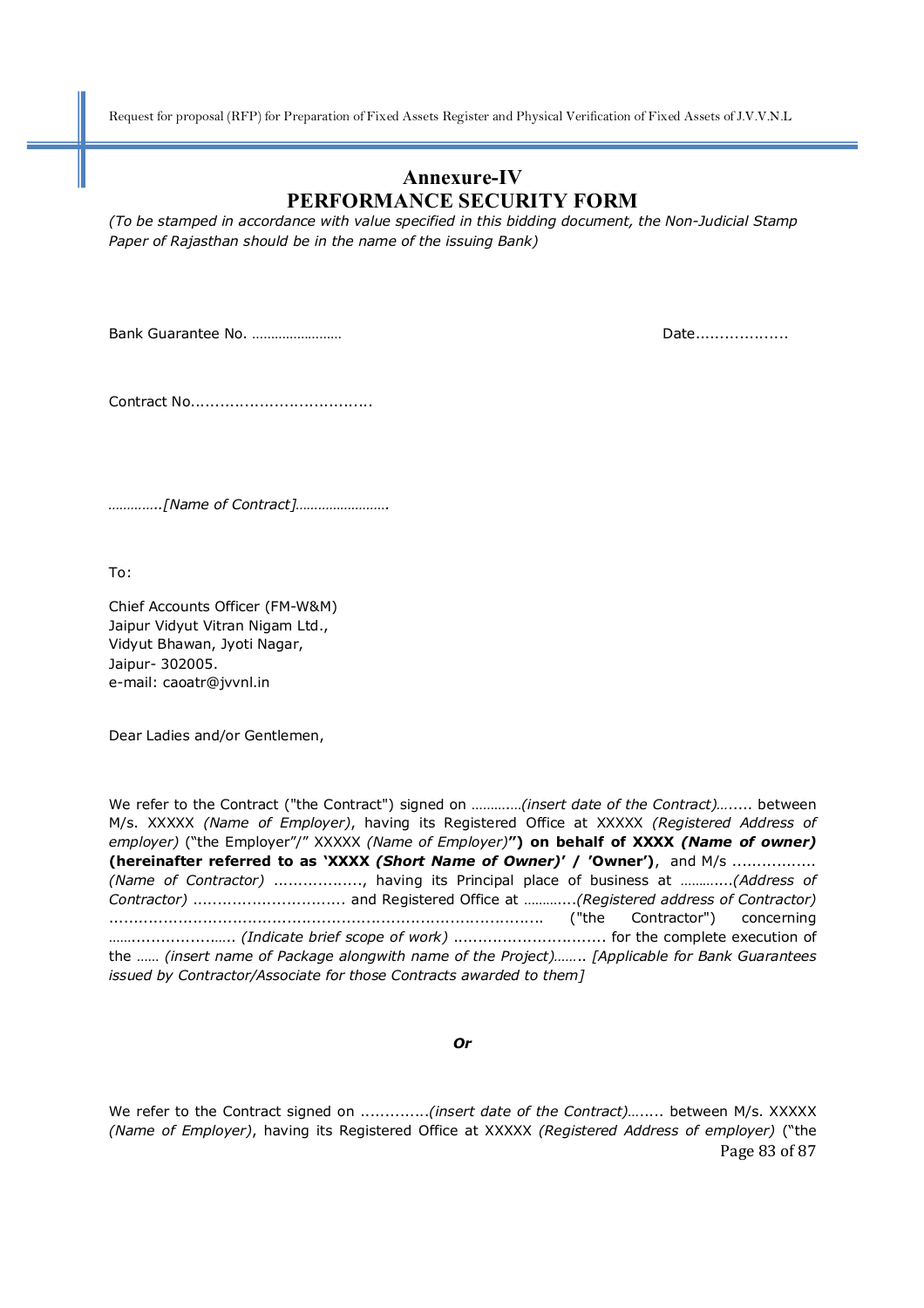### **Annexure-IV PERFORMANCE SECURITY FORM**

*(To be stamped in accordance with value specified in this bidding document, the Non-Judicial Stamp Paper of Rajasthan should be in the name of the issuing Bank)* 

Bank Guarantee No. …………………… Date...................

Contract No.....................................

*…………..[Name of Contract]…………………….* 

To:

Chief Accounts Officer (FM-W&M) Jaipur Vidyut Vitran Nigam Ltd., Vidyut Bhawan, Jyoti Nagar, Jaipur- 302005. e-mail: caoatr@jvvnl.in

Dear Ladies and/or Gentlemen,

We refer to the Contract ("the Contract") signed on ……….…*(insert date of the Contract)…*..... between M/s. XXXXX *(Name of Employer)*, having its Registered Office at XXXXX *(Registered Address of employer)* ("the Employer"/" XXXXX *(Name of Employer)***") on behalf of XXXX** *(Name of owner)* **(hereinafter referred to as 'XXXX** *(Short Name of Owner)***' / 'Owner')**, and M/s ................. *(Name of Contractor)* .................., having its Principal place of business at ………....*(Address of Contractor)* ............................... and Registered Office at ………....*(Registered address of Contractor)* ........................................................................................ ("the Contractor") concerning …….................….. *(Indicate brief scope of work)* ............................... for the complete execution of the …… *(insert name of Package alongwith name of the Project)……*.. *[Applicable for Bank Guarantees issued by Contractor/Associate for those Contracts awarded to them]*

*Or* 

Page 83 of 87 We refer to the Contract signed on ..............*(insert date of the Contract)…*..... between M/s. XXXXX *(Name of Employer)*, having its Registered Office at XXXXX *(Registered Address of employer)* ("the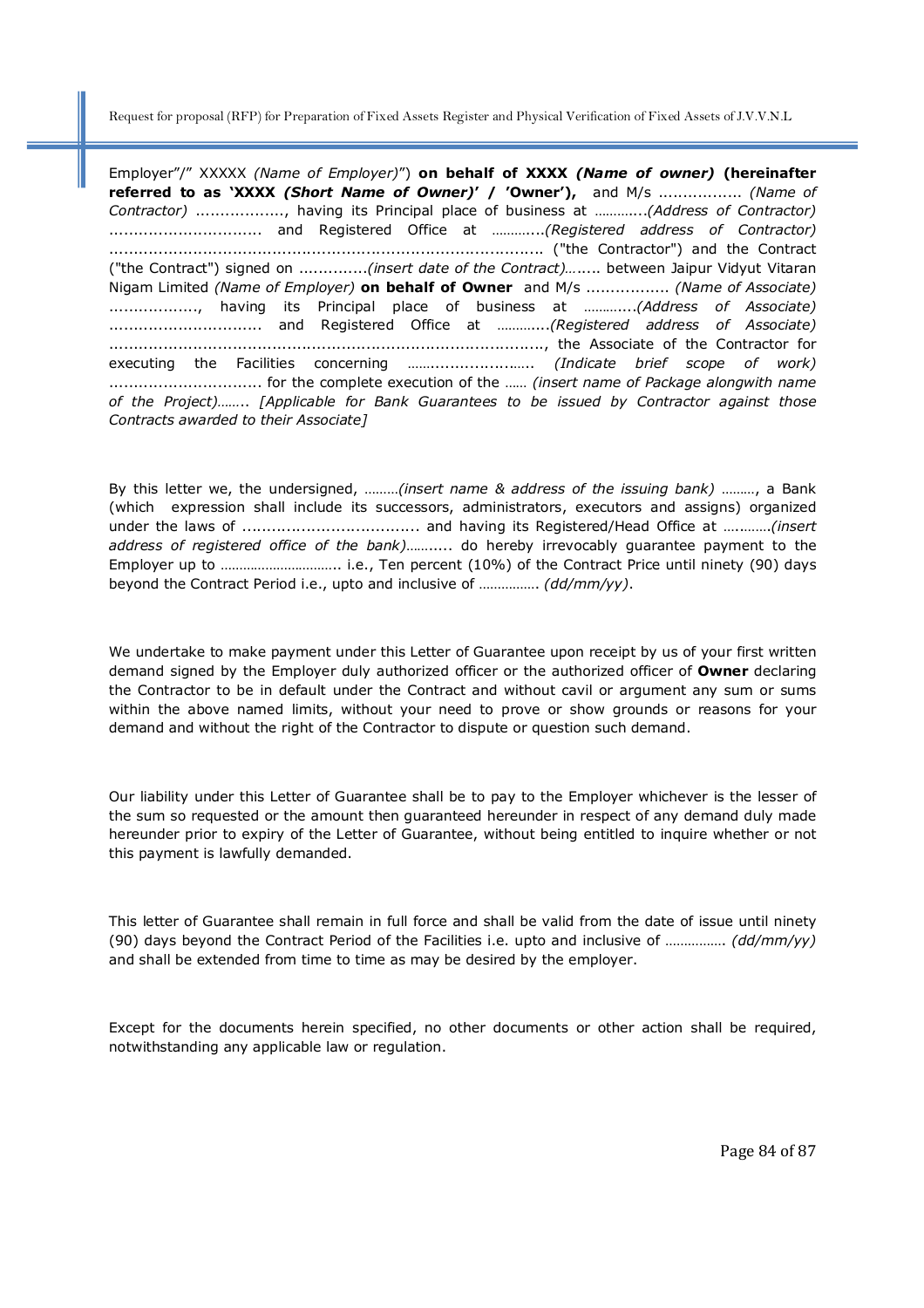Employer"/" XXXXX *(Name of Employer)*") **on behalf of XXXX** *(Name of owner)* **(hereinafter referred to as 'XXXX** *(Short Name of Owner)***' / 'Owner'),** and M/s ................. *(Name of Contractor)* .................., having its Principal place of business at ………....*(Address of Contractor)*  ............................... and Registered Office at ………....*(Registered address of Contractor)* ........................................................................................ ("the Contractor") and the Contract ("the Contract") signed on ..............*(insert date of the Contract)…*..... between Jaipur Vidyut Vitaran Nigam Limited *(Name of Employer)* **on behalf of Owner** and M/s ................. *(Name of Associate)* .................., having its Principal place of business at ………....*(Address of Associate)*  ............................... and Registered Office at ………....*(Registered address of Associate)* ........................................................................................, the Associate of the Contractor for executing the Facilities concerning …….................….. *(Indicate brief scope of work)* ............................... for the complete execution of the …… *(insert name of Package alongwith name of the Project)……*.. *[Applicable for Bank Guarantees to be issued by Contractor against those Contracts awarded to their Associate]*

By this letter we, the undersigned, ………*(insert name & address of the issuing bank)* ………, a Bank (which expression shall include its successors, administrators, executors and assigns) organized under the laws of .................................... and having its Registered/Head Office at …..…….*(insert address of registered office of the bank)*……..... do hereby irrevocably guarantee payment to the Employer up to ………………………….. i.e., Ten percent (10%) of the Contract Price until ninety (90) days beyond the Contract Period i.e., upto and inclusive of ……………. *(dd/mm/yy)*.

We undertake to make payment under this Letter of Guarantee upon receipt by us of your first written demand signed by the Employer duly authorized officer or the authorized officer of **Owner** declaring the Contractor to be in default under the Contract and without cavil or argument any sum or sums within the above named limits, without your need to prove or show grounds or reasons for your demand and without the right of the Contractor to dispute or question such demand.

Our liability under this Letter of Guarantee shall be to pay to the Employer whichever is the lesser of the sum so requested or the amount then guaranteed hereunder in respect of any demand duly made hereunder prior to expiry of the Letter of Guarantee, without being entitled to inquire whether or not this payment is lawfully demanded.

This letter of Guarantee shall remain in full force and shall be valid from the date of issue until ninety (90) days beyond the Contract Period of the Facilities i.e. upto and inclusive of ……………. *(dd/mm/yy)* and shall be extended from time to time as may be desired by the employer.

Except for the documents herein specified, no other documents or other action shall be required, notwithstanding any applicable law or regulation.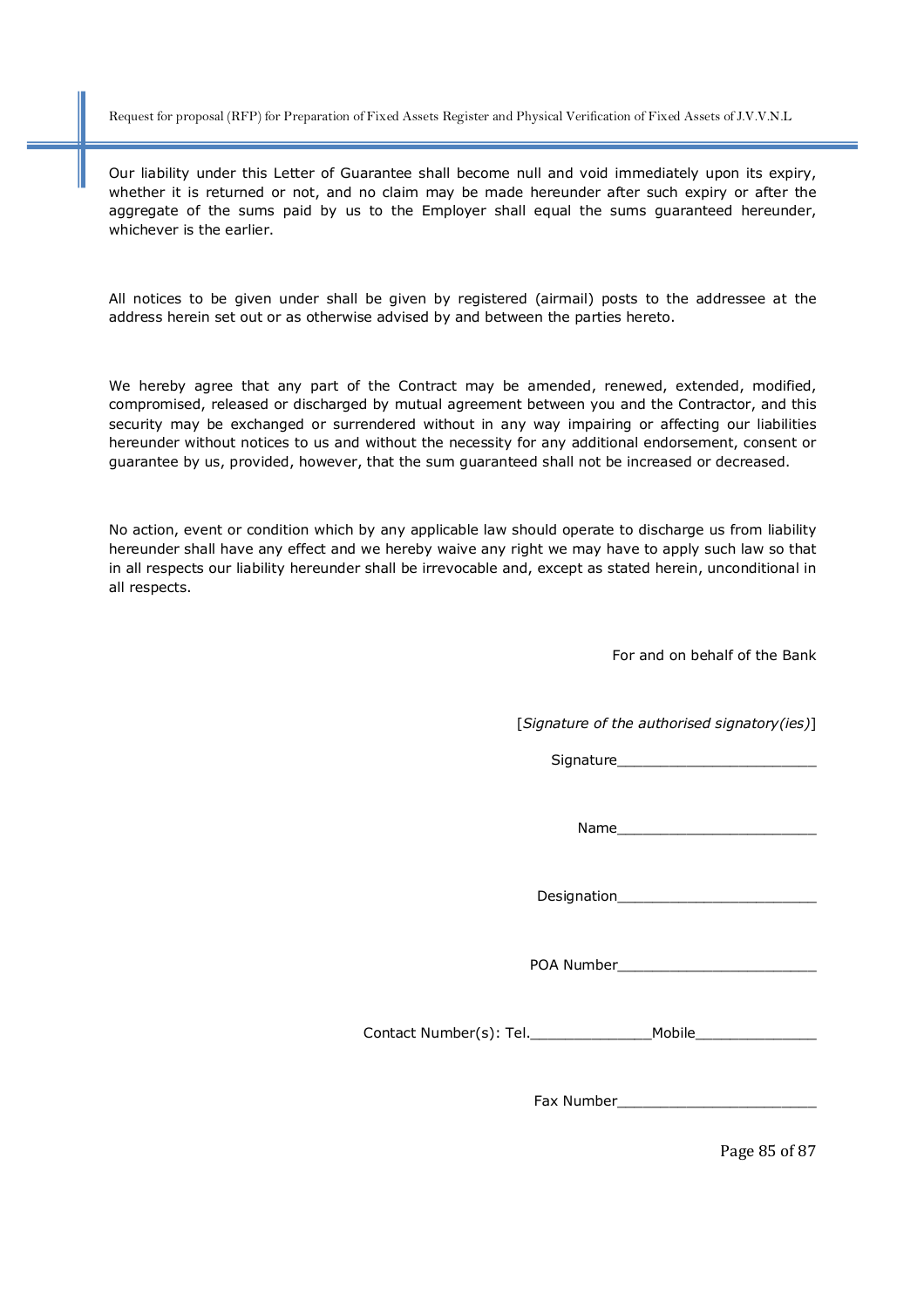Our liability under this Letter of Guarantee shall become null and void immediately upon its expiry, whether it is returned or not, and no claim may be made hereunder after such expiry or after the aggregate of the sums paid by us to the Employer shall equal the sums guaranteed hereunder, whichever is the earlier.

All notices to be given under shall be given by registered (airmail) posts to the addressee at the address herein set out or as otherwise advised by and between the parties hereto.

We hereby agree that any part of the Contract may be amended, renewed, extended, modified, compromised, released or discharged by mutual agreement between you and the Contractor, and this security may be exchanged or surrendered without in any way impairing or affecting our liabilities hereunder without notices to us and without the necessity for any additional endorsement, consent or guarantee by us, provided, however, that the sum guaranteed shall not be increased or decreased.

No action, event or condition which by any applicable law should operate to discharge us from liability hereunder shall have any effect and we hereby waive any right we may have to apply such law so that in all respects our liability hereunder shall be irrevocable and, except as stated herein, unconditional in all respects.

For and on behalf of the Bank

[*Signature of the authorised signatory(ies)*]

Signature

Name\_\_\_\_\_\_\_\_\_\_\_\_\_\_\_\_\_\_\_\_\_\_\_

Designation

POA Number\_\_\_\_\_\_\_\_\_\_\_\_\_\_\_\_\_\_\_\_\_\_\_

Contact Number(s): Tel. The Mobile

Fax Number\_\_\_\_\_\_\_\_\_\_\_\_\_\_\_\_\_\_\_\_\_\_\_

Page 85 of 87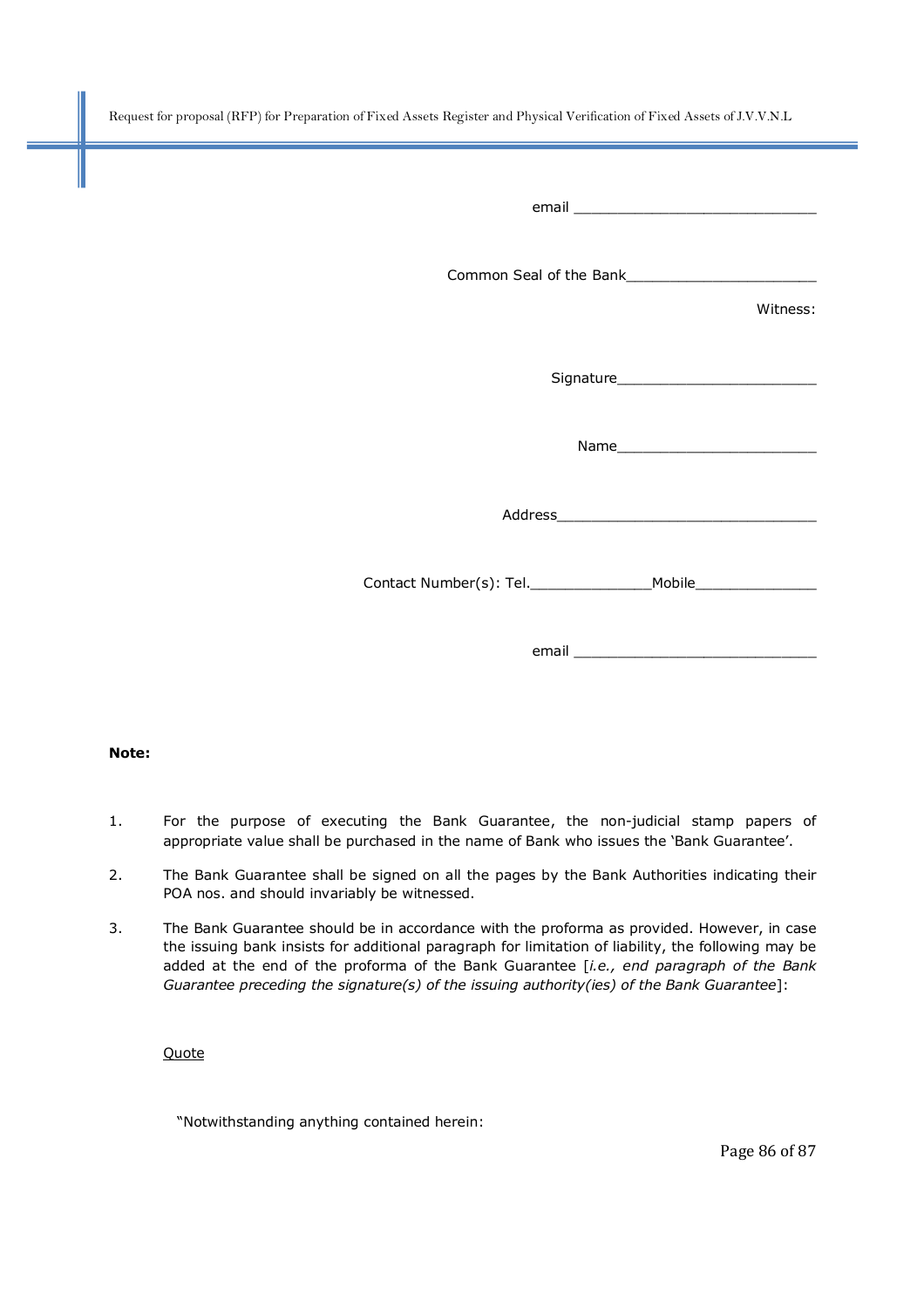|                                                                                                                 | Witness: |
|-----------------------------------------------------------------------------------------------------------------|----------|
|                                                                                                                 |          |
|                                                                                                                 |          |
|                                                                                                                 |          |
|                                                                                                                 |          |
| email email and the contract of the contract of the contract of the contract of the contract of the contract of |          |

#### **Note:**

- 1. For the purpose of executing the Bank Guarantee, the non-judicial stamp papers of appropriate value shall be purchased in the name of Bank who issues the 'Bank Guarantee'.
- 2. The Bank Guarantee shall be signed on all the pages by the Bank Authorities indicating their POA nos. and should invariably be witnessed.
- 3. The Bank Guarantee should be in accordance with the proforma as provided. However, in case the issuing bank insists for additional paragraph for limitation of liability, the following may be added at the end of the proforma of the Bank Guarantee [*i.e., end paragraph of the Bank Guarantee preceding the signature(s) of the issuing authority(ies) of the Bank Guarantee*]:

#### **Quote**

"Notwithstanding anything contained herein: